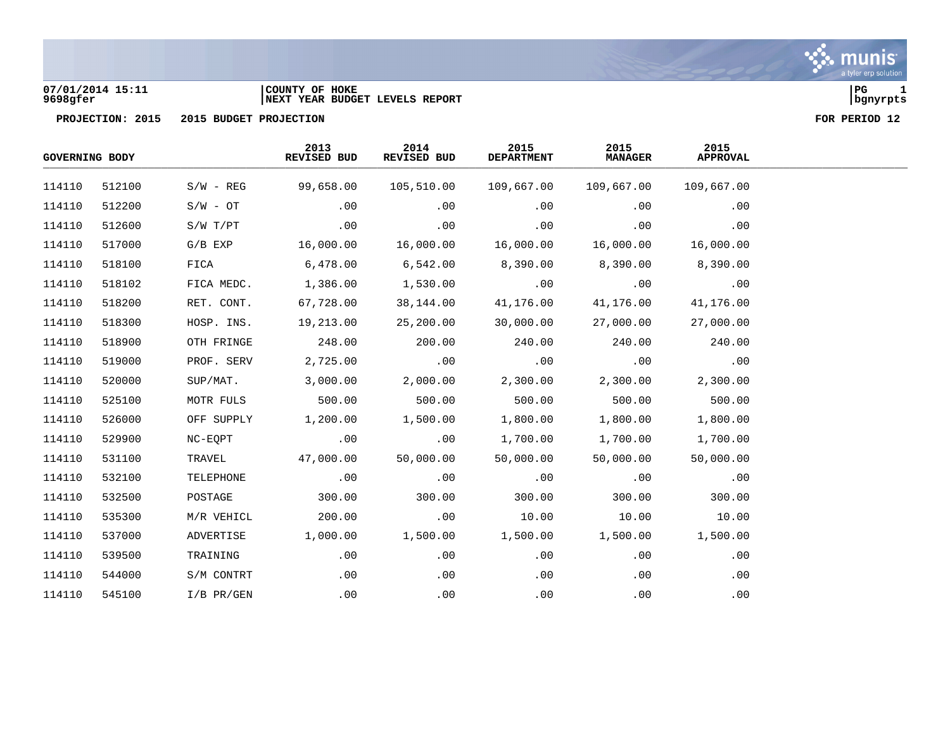## **07/01/2014 15:11 |COUNTY OF HOKE |PG 1 9698gfer |NEXT YEAR BUDGET LEVELS REPORT |bgnyrpts**

| <b>GOVERNING BODY</b> |        |              | 2013<br><b>REVISED BUD</b> | 2014<br>REVISED BUD | 2015<br><b>DEPARTMENT</b> | 2015<br><b>MANAGER</b> | 2015<br><b>APPROVAL</b> |  |
|-----------------------|--------|--------------|----------------------------|---------------------|---------------------------|------------------------|-------------------------|--|
| 114110                | 512100 | $S/W - REG$  | 99,658.00                  | 105,510.00          | 109,667.00                | 109,667.00             | 109,667.00              |  |
| 114110                | 512200 | $S/W - OT$   | .00                        | .00                 | .00                       | .00                    | .00                     |  |
| 114110                | 512600 | S/W T/PT     | .00                        | .00                 | .00                       | .00                    | .00                     |  |
| 114110                | 517000 | $G/B$ $EXP$  | 16,000.00                  | 16,000.00           | 16,000.00                 | 16,000.00              | 16,000.00               |  |
| 114110                | 518100 | FICA         | 6,478.00                   | 6,542.00            | 8,390.00                  | 8,390.00               | 8,390.00                |  |
| 114110                | 518102 | FICA MEDC.   | 1,386.00                   | 1,530.00            | .00                       | .00                    | .00                     |  |
| 114110                | 518200 | RET. CONT.   | 67,728.00                  | 38,144.00           | 41,176.00                 | 41,176.00              | 41,176.00               |  |
| 114110                | 518300 | HOSP. INS.   | 19,213.00                  | 25,200.00           | 30,000.00                 | 27,000.00              | 27,000.00               |  |
| 114110                | 518900 | OTH FRINGE   | 248.00                     | 200.00              | 240.00                    | 240.00                 | 240.00                  |  |
| 114110                | 519000 | PROF. SERV   | 2,725.00                   | .00                 | .00                       | .00                    | .00                     |  |
| 114110                | 520000 | SUP/MAT.     | 3,000.00                   | 2,000.00            | 2,300.00                  | 2,300.00               | 2,300.00                |  |
| 114110                | 525100 | MOTR FULS    | 500.00                     | 500.00              | 500.00                    | 500.00                 | 500.00                  |  |
| 114110                | 526000 | OFF SUPPLY   | 1,200.00                   | 1,500.00            | 1,800.00                  | 1,800.00               | 1,800.00                |  |
| 114110                | 529900 | NC-EQPT      | .00                        | .00                 | 1,700.00                  | 1,700.00               | 1,700.00                |  |
| 114110                | 531100 | TRAVEL       | 47,000.00                  | 50,000.00           | 50,000.00                 | 50,000.00              | 50,000.00               |  |
| 114110                | 532100 | TELEPHONE    | .00                        | .00                 | .00                       | .00                    | .00                     |  |
| 114110                | 532500 | POSTAGE      | 300.00                     | 300.00              | 300.00                    | 300.00                 | 300.00                  |  |
| 114110                | 535300 | M/R VEHICL   | 200.00                     | .00                 | 10.00                     | 10.00                  | 10.00                   |  |
| 114110                | 537000 | ADVERTISE    | 1,000.00                   | 1,500.00            | 1,500.00                  | 1,500.00               | 1,500.00                |  |
| 114110                | 539500 | TRAINING     | .00                        | .00                 | .00                       | .00                    | .00                     |  |
| 114110                | 544000 | S/M CONTRT   | .00                        | .00                 | .00                       | .00                    | .00                     |  |
| 114110                | 545100 | $I/B$ PR/GEN | .00                        | .00                 | .00                       | .00                    | .00                     |  |

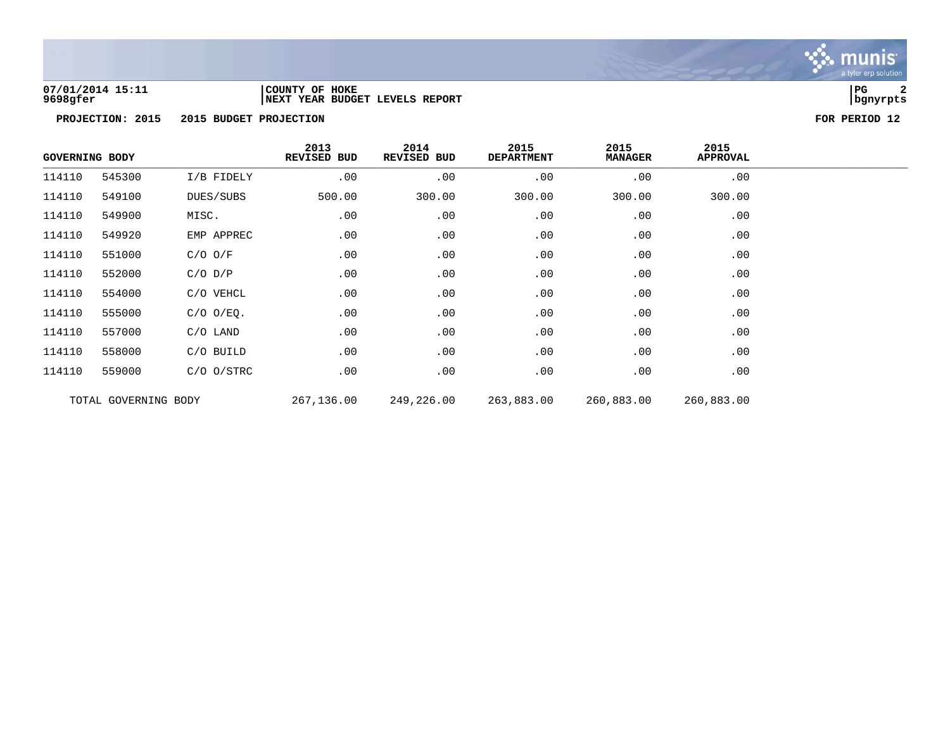

## **07/01/2014 15:11 |COUNTY OF HOKE |PG 2 9698gfer |NEXT YEAR BUDGET LEVELS REPORT |bgnyrpts**

| <b>GOVERNING BODY</b> |                      |                | 2013<br>REVISED BUD | 2014<br>REVISED BUD | 2015<br><b>DEPARTMENT</b> | 2015<br><b>MANAGER</b> | 2015<br><b>APPROVAL</b> |  |
|-----------------------|----------------------|----------------|---------------------|---------------------|---------------------------|------------------------|-------------------------|--|
| 114110                | 545300               | I/B FIDELY     | .00                 | .00                 | .00                       | .00                    | .00                     |  |
| 114110                | 549100               | DUES/SUBS      | 500.00              | 300.00              | 300.00                    | 300.00                 | 300.00                  |  |
| 114110                | 549900               | MISC.          | .00                 | .00                 | .00                       | .00                    | .00                     |  |
| 114110                | 549920               | EMP APPREC     | .00                 | .00                 | .00                       | .00                    | .00                     |  |
| 114110                | 551000               | $C/O$ $O/F$    | .00                 | .00                 | .00                       | .00                    | .00                     |  |
| 114110                | 552000               | $C/O$ $D/P$    | .00                 | .00                 | .00                       | .00                    | .00                     |  |
| 114110                | 554000               | C/O VEHCL      | .00                 | .00                 | .00                       | .00                    | .00                     |  |
| 114110                | 555000               | $C/O$ $O/EQ$ . | .00                 | .00                 | .00                       | .00                    | .00                     |  |
| 114110                | 557000               | $C/O$ LAND     | .00                 | .00                 | .00                       | .00                    | .00                     |  |
| 114110                | 558000               | C/O BUILD      | .00                 | .00                 | .00                       | .00                    | .00                     |  |
| 114110                | 559000               | $C/O$ $O/STRC$ | .00                 | .00                 | .00                       | .00                    | .00                     |  |
|                       | TOTAL GOVERNING BODY |                | 267,136.00          | 249,226.00          | 263,883.00                | 260,883.00             | 260,883.00              |  |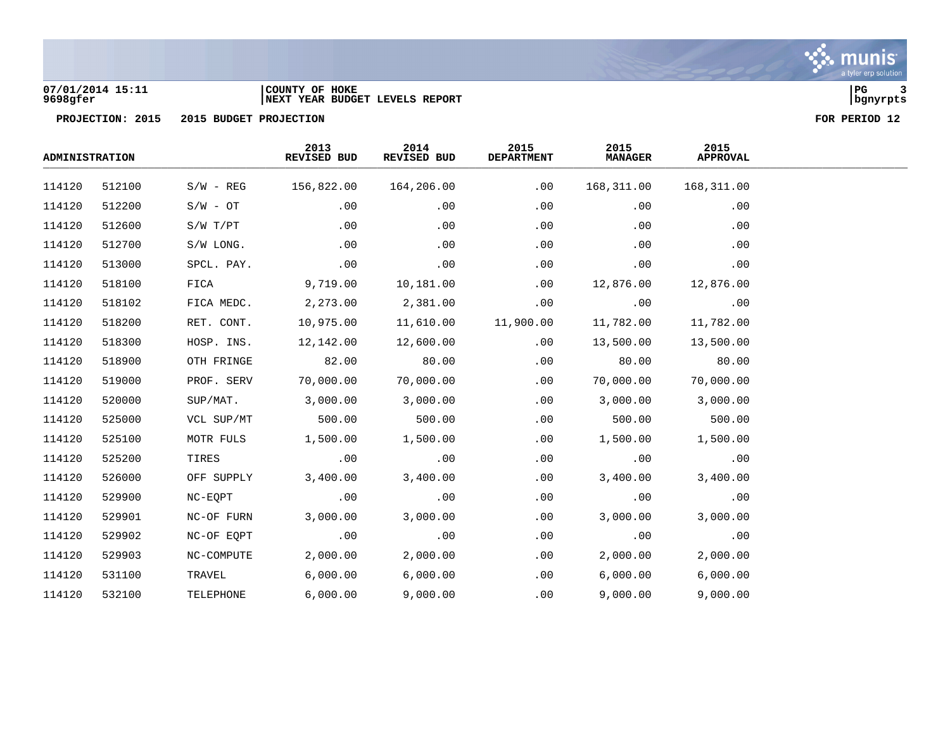

# **07/01/2014 15:11 |COUNTY OF HOKE |PG 3 9698gfer |NEXT YEAR BUDGET LEVELS REPORT |bgnyrpts**



| <b>ADMINISTRATION</b> |        |             | 2013<br>REVISED BUD | 2014<br>REVISED BUD | 2015<br><b>DEPARTMENT</b> | 2015<br><b>MANAGER</b> | 2015<br><b>APPROVAL</b> |  |
|-----------------------|--------|-------------|---------------------|---------------------|---------------------------|------------------------|-------------------------|--|
| 114120                | 512100 | $S/W - REG$ | 156,822.00          | 164,206.00          | .00                       | 168,311.00             | 168,311.00              |  |
| 114120                | 512200 | $S/W - OT$  | .00                 | .00                 | .00                       | .00                    | .00                     |  |
| 114120                | 512600 | S/W T/PT    | .00                 | .00                 | .00                       | .00                    | .00                     |  |
| 114120                | 512700 | S/W LONG.   | .00                 | .00                 | .00                       | .00                    | .00                     |  |
| 114120                | 513000 | SPCL. PAY.  | .00                 | .00                 | .00                       | .00                    | .00                     |  |
| 114120                | 518100 | FICA        | 9,719.00            | 10,181.00           | .00                       | 12,876.00              | 12,876.00               |  |
| 114120                | 518102 | FICA MEDC.  | 2,273.00            | 2,381.00            | .00                       | .00                    | .00                     |  |
| 114120                | 518200 | RET. CONT.  | 10,975.00           | 11,610.00           | 11,900.00                 | 11,782.00              | 11,782.00               |  |
| 114120                | 518300 | HOSP. INS.  | 12,142.00           | 12,600.00           | .00                       | 13,500.00              | 13,500.00               |  |
| 114120                | 518900 | OTH FRINGE  | 82.00               | 80.00               | .00                       | 80.00                  | 80.00                   |  |
| 114120                | 519000 | PROF. SERV  | 70,000.00           | 70,000.00           | .00                       | 70,000.00              | 70,000.00               |  |
| 114120                | 520000 | SUP/MAT.    | 3,000.00            | 3,000.00            | .00                       | 3,000.00               | 3,000.00                |  |
| 114120                | 525000 | VCL SUP/MT  | 500.00              | 500.00              | .00                       | 500.00                 | 500.00                  |  |
| 114120                | 525100 | MOTR FULS   | 1,500.00            | 1,500.00            | .00                       | 1,500.00               | 1,500.00                |  |
| 114120                | 525200 | TIRES       | .00                 | .00                 | .00                       | .00                    | .00                     |  |
| 114120                | 526000 | OFF SUPPLY  | 3,400.00            | 3,400.00            | .00                       | 3,400.00               | 3,400.00                |  |
| 114120                | 529900 | NC-EQPT     | .00                 | .00                 | .00                       | .00                    | .00                     |  |
| 114120                | 529901 | NC-OF FURN  | 3,000.00            | 3,000.00            | .00                       | 3,000.00               | 3,000.00                |  |
| 114120                | 529902 | NC-OF EQPT  | .00                 | .00                 | .00                       | .00                    | .00                     |  |
| 114120                | 529903 | NC-COMPUTE  | 2,000.00            | 2,000.00            | .00                       | 2,000.00               | 2,000.00                |  |
| 114120                | 531100 | TRAVEL      | 6,000.00            | 6,000.00            | .00                       | 6,000.00               | 6,000.00                |  |
| 114120                | 532100 | TELEPHONE   | 6,000.00            | 9,000.00            | .00                       | 9,000.00               | 9,000.00                |  |

munis a tyler erp solution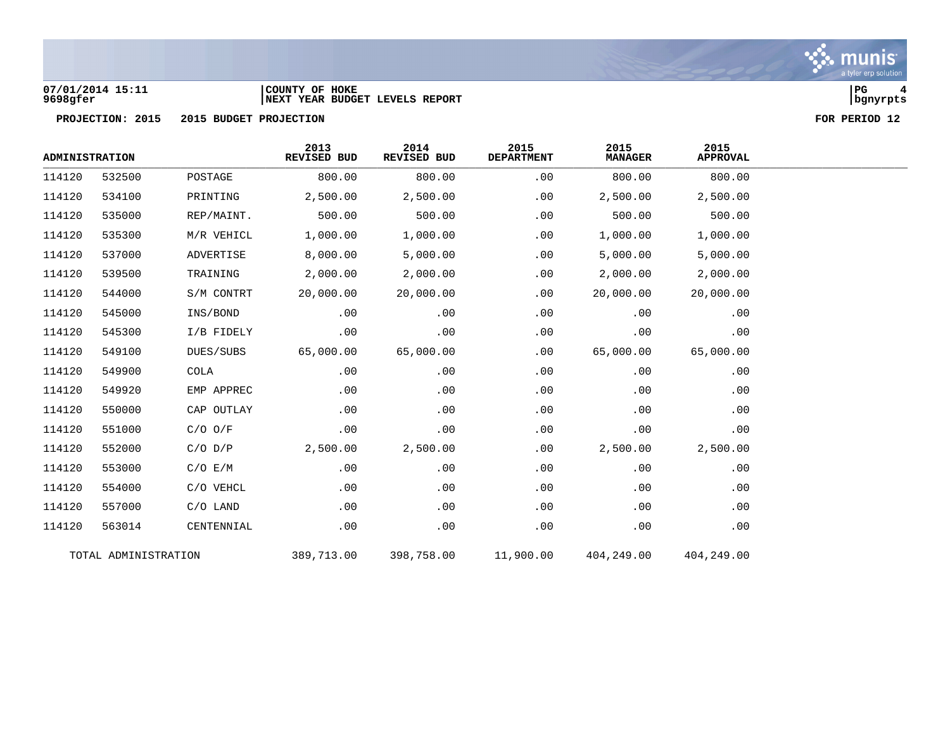

## **07/01/2014 15:11 |COUNTY OF HOKE |PG 4 9698gfer |NEXT YEAR BUDGET LEVELS REPORT |bgnyrpts**



| <b>ADMINISTRATION</b> |                      |             | 2013<br>REVISED BUD | 2014<br>REVISED BUD | 2015<br><b>DEPARTMENT</b> | 2015<br><b>MANAGER</b> | 2015<br><b>APPROVAL</b> |  |
|-----------------------|----------------------|-------------|---------------------|---------------------|---------------------------|------------------------|-------------------------|--|
| 114120                | 532500               | POSTAGE     | 800.00              | 800.00              | .00                       | 800.00                 | 800.00                  |  |
| 114120                | 534100               | PRINTING    | 2,500.00            | 2,500.00            | .00                       | 2,500.00               | 2,500.00                |  |
| 114120                | 535000               | REP/MAINT.  | 500.00              | 500.00              | .00                       | 500.00                 | 500.00                  |  |
| 114120                | 535300               | M/R VEHICL  | 1,000.00            | 1,000.00            | .00                       | 1,000.00               | 1,000.00                |  |
| 114120                | 537000               | ADVERTISE   | 8,000.00            | 5,000.00            | .00                       | 5,000.00               | 5,000.00                |  |
| 114120                | 539500               | TRAINING    | 2,000.00            | 2,000.00            | .00                       | 2,000.00               | 2,000.00                |  |
| 114120                | 544000               | S/M CONTRT  | 20,000.00           | 20,000.00           | .00                       | 20,000.00              | 20,000.00               |  |
| 114120                | 545000               | INS/BOND    | .00                 | .00                 | .00                       | .00                    | .00                     |  |
| 114120                | 545300               | I/B FIDELY  | .00                 | .00                 | .00                       | .00                    | .00                     |  |
| 114120                | 549100               | DUES/SUBS   | 65,000.00           | 65,000.00           | .00                       | 65,000.00              | 65,000.00               |  |
| 114120                | 549900               | <b>COLA</b> | .00                 | .00                 | .00                       | .00                    | .00                     |  |
| 114120                | 549920               | EMP APPREC  | .00                 | .00                 | .00                       | .00                    | .00                     |  |
| 114120                | 550000               | CAP OUTLAY  | .00                 | .00                 | .00                       | .00                    | .00                     |  |
| 114120                | 551000               | $C/O$ $O/F$ | .00                 | .00                 | .00                       | .00                    | .00                     |  |
| 114120                | 552000               | $C/O$ $D/P$ | 2,500.00            | 2,500.00            | .00                       | 2,500.00               | 2,500.00                |  |
| 114120                | 553000               | C/O E/M     | .00                 | .00                 | .00                       | .00                    | .00                     |  |
| 114120                | 554000               | C/O VEHCL   | .00                 | .00                 | .00                       | .00                    | .00                     |  |
| 114120                | 557000               | $C/O$ LAND  | .00                 | .00                 | .00                       | .00                    | .00                     |  |
| 114120                | 563014               | CENTENNIAL  | .00                 | .00                 | .00                       | .00                    | .00                     |  |
|                       | TOTAL ADMINISTRATION |             | 389,713.00          | 398,758.00          | 11,900.00                 | 404,249.00             | 404,249.00              |  |

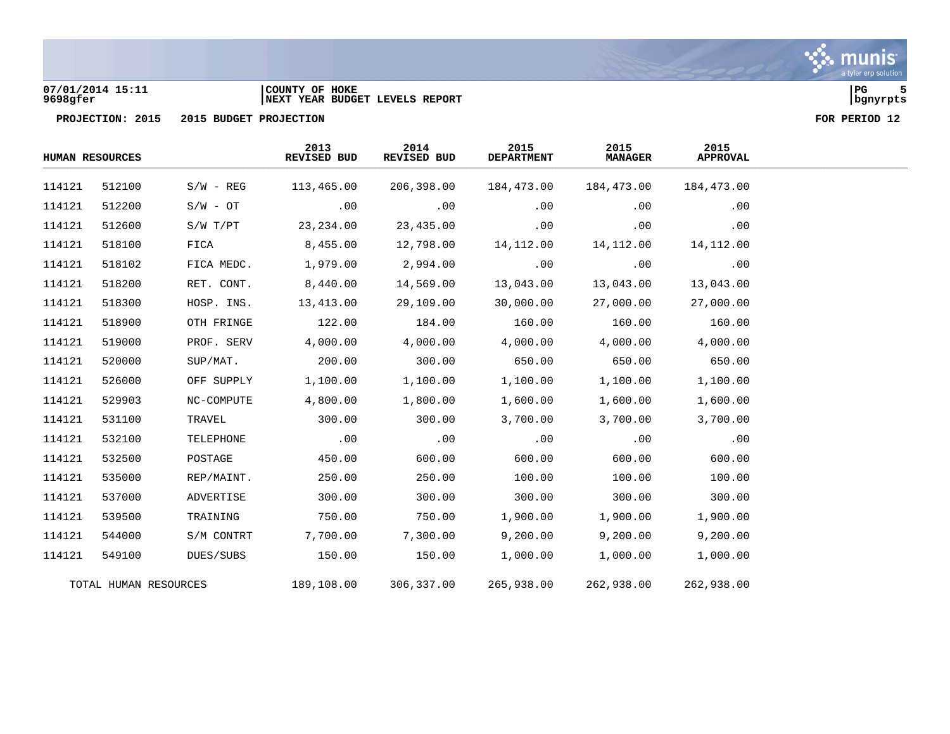

## **07/01/2014 15:11 |COUNTY OF HOKE |PG 5 9698gfer |NEXT YEAR BUDGET LEVELS REPORT |bgnyrpts**





|        | <b>HUMAN RESOURCES</b> |              | 2013<br>REVISED BUD | 2014<br><b>REVISED BUD</b> | 2015<br><b>DEPARTMENT</b> | 2015<br><b>MANAGER</b> | 2015<br><b>APPROVAL</b> |
|--------|------------------------|--------------|---------------------|----------------------------|---------------------------|------------------------|-------------------------|
| 114121 | 512100                 | $S/W - REG$  | 113,465.00          | 206,398.00                 | 184,473.00                | 184,473.00             | 184,473.00              |
| 114121 | 512200                 | $S/W - OT$   | .00                 | .00                        | .00                       | .00                    | .00                     |
| 114121 | 512600                 | $S/W$ $T/PT$ | 23, 234.00          | 23,435.00                  | .00                       | .00                    | .00                     |
| 114121 | 518100                 | FICA         | 8,455.00            | 12,798.00                  | 14,112.00                 | 14,112.00              | 14,112.00               |
| 114121 | 518102                 | FICA MEDC.   | 1,979.00            | 2,994.00                   | .00                       | .00                    | .00                     |
| 114121 | 518200                 | RET. CONT.   | 8,440.00            | 14,569.00                  | 13,043.00                 | 13,043.00              | 13,043.00               |
| 114121 | 518300                 | HOSP. INS.   | 13,413.00           | 29,109.00                  | 30,000.00                 | 27,000.00              | 27,000.00               |
| 114121 | 518900                 | OTH FRINGE   | 122.00              | 184.00                     | 160.00                    | 160.00                 | 160.00                  |
| 114121 | 519000                 | PROF. SERV   | 4,000.00            | 4,000.00                   | 4,000.00                  | 4,000.00               | 4,000.00                |
| 114121 | 520000                 | SUP/MAT.     | 200.00              | 300.00                     | 650.00                    | 650.00                 | 650.00                  |
| 114121 | 526000                 | OFF SUPPLY   | 1,100.00            | 1,100.00                   | 1,100.00                  | 1,100.00               | 1,100.00                |
| 114121 | 529903                 | NC-COMPUTE   | 4,800.00            | 1,800.00                   | 1,600.00                  | 1,600.00               | 1,600.00                |
| 114121 | 531100                 | TRAVEL       | 300.00              | 300.00                     | 3,700.00                  | 3,700.00               | 3,700.00                |
| 114121 | 532100                 | TELEPHONE    | .00                 | .00                        | .00                       | .00                    | .00                     |
| 114121 | 532500                 | POSTAGE      | 450.00              | 600.00                     | 600.00                    | 600.00                 | 600.00                  |
| 114121 | 535000                 | REP/MAINT.   | 250.00              | 250.00                     | 100.00                    | 100.00                 | 100.00                  |
| 114121 | 537000                 | ADVERTISE    | 300.00              | 300.00                     | 300.00                    | 300.00                 | 300.00                  |
| 114121 | 539500                 | TRAINING     | 750.00              | 750.00                     | 1,900.00                  | 1,900.00               | 1,900.00                |
| 114121 | 544000                 | S/M CONTRT   | 7,700.00            | 7,300.00                   | 9,200.00                  | 9,200.00               | 9,200.00                |
| 114121 | 549100                 | DUES/SUBS    | 150.00              | 150.00                     | 1,000.00                  | 1,000.00               | 1,000.00                |
|        | TOTAL HUMAN RESOURCES  |              | 189,108.00          | 306,337.00                 | 265,938.00                | 262,938.00             | 262,938.00              |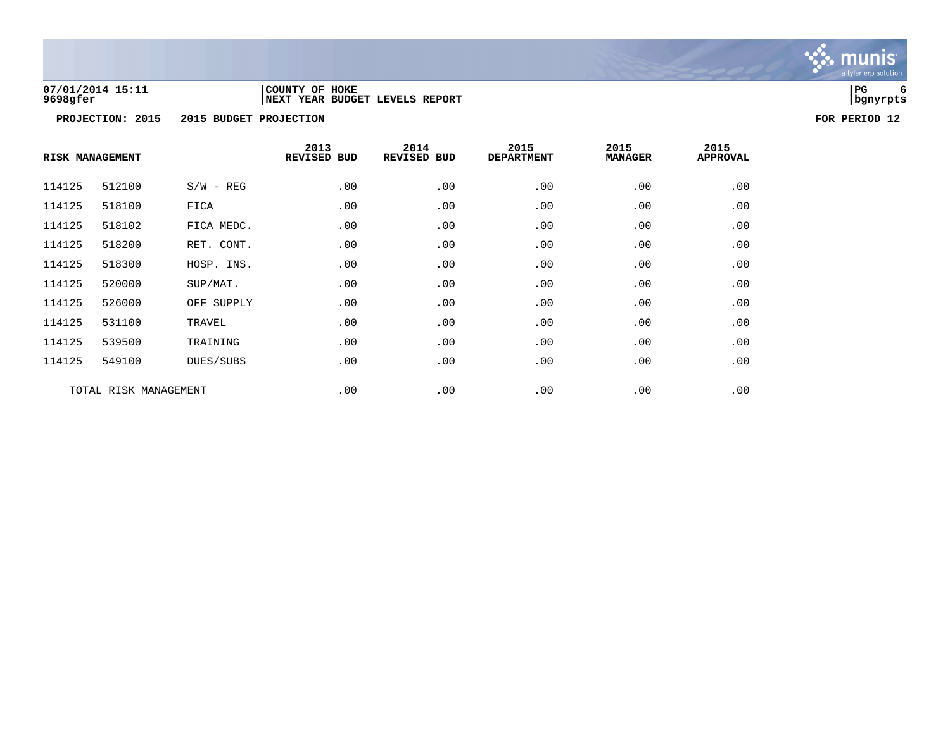

## **07/01/2014 15:11 |COUNTY OF HOKE |PG 6 9698gfer |NEXT YEAR BUDGET LEVELS REPORT |bgnyrpts**

| <b>RISK MANAGEMENT</b> |                       |             | 2013<br>REVISED BUD | 2014<br>REVISED BUD | 2015<br><b>DEPARTMENT</b> | 2015<br><b>MANAGER</b> | 2015<br>APPROVAL |  |
|------------------------|-----------------------|-------------|---------------------|---------------------|---------------------------|------------------------|------------------|--|
| 114125                 | 512100                | $S/W - REG$ | .00                 | .00                 | .00                       | .00                    | .00              |  |
| 114125                 | 518100                | FICA        | .00                 | .00                 | .00                       | .00                    | .00              |  |
| 114125                 | 518102                | FICA MEDC.  | .00                 | .00                 | .00                       | .00                    | .00              |  |
| 114125                 | 518200                | RET. CONT.  | .00                 | .00                 | .00                       | .00                    | .00              |  |
| 114125                 | 518300                | HOSP. INS.  | .00                 | .00                 | .00                       | .00                    | .00              |  |
| 114125                 | 520000                | SUP/MAT.    | .00                 | .00                 | .00                       | .00                    | .00              |  |
| 114125                 | 526000                | OFF SUPPLY  | .00                 | .00                 | .00                       | .00                    | .00              |  |
| 114125                 | 531100                | TRAVEL      | .00                 | .00                 | .00                       | .00                    | .00              |  |
| 114125                 | 539500                | TRAINING    | .00                 | .00                 | .00                       | .00                    | .00              |  |
| 114125                 | 549100                | DUES/SUBS   | .00                 | .00                 | .00                       | .00                    | .00              |  |
|                        | TOTAL RISK MANAGEMENT |             | .00                 | .00                 | .00                       | .00                    | .00              |  |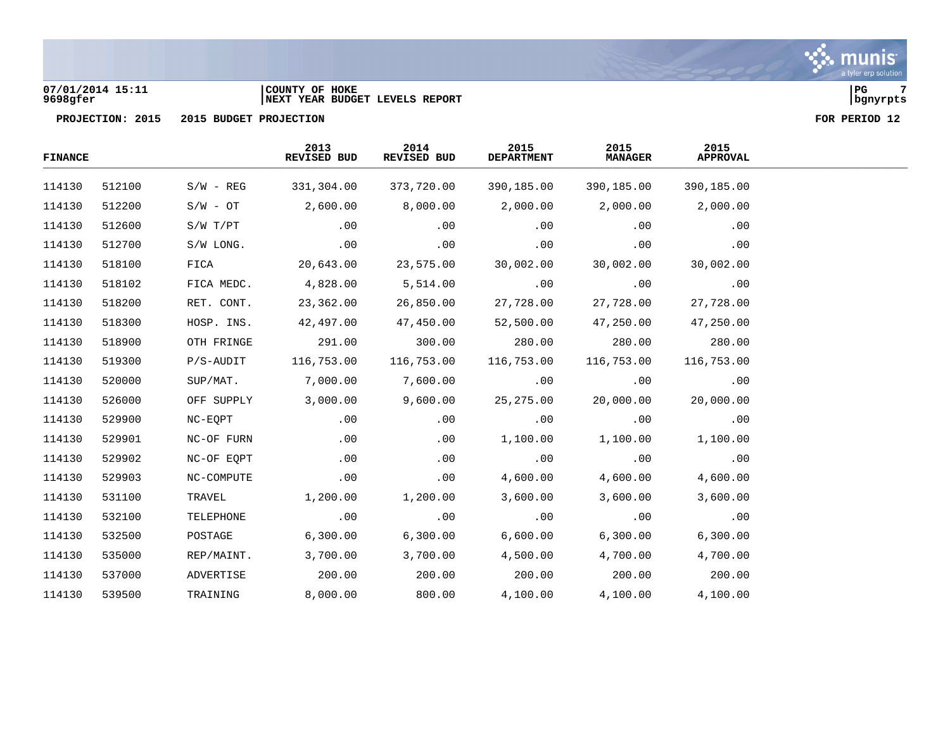## **07/01/2014 15:11 |COUNTY OF HOKE |PG 7 9698gfer |NEXT YEAR BUDGET LEVELS REPORT |bgnyrpts**

| <b>FINANCE</b> |        |             | 2013<br>REVISED BUD | 2014<br>REVISED BUD | 2015<br><b>DEPARTMENT</b> | 2015<br><b>MANAGER</b> | 2015<br><b>APPROVAL</b> |  |
|----------------|--------|-------------|---------------------|---------------------|---------------------------|------------------------|-------------------------|--|
| 114130         | 512100 | $S/W - REG$ | 331,304.00          | 373,720.00          | 390,185.00                | 390,185.00             | 390,185.00              |  |
| 114130         | 512200 | $S/W - OT$  | 2,600.00            | 8,000.00            | 2,000.00                  | 2,000.00               | 2,000.00                |  |
| 114130         | 512600 | S/W T/PT    | .00                 | .00                 | .00                       | .00                    | .00                     |  |
| 114130         | 512700 | S/W LONG.   | .00                 | .00                 | .00                       | .00                    | .00                     |  |
| 114130         | 518100 | FICA        | 20,643.00           | 23,575.00           | 30,002.00                 | 30,002.00              | 30,002.00               |  |
| 114130         | 518102 | FICA MEDC.  | 4,828.00            | 5,514.00            | .00                       | .00                    | .00                     |  |
| 114130         | 518200 | RET. CONT.  | 23,362.00           | 26,850.00           | 27,728.00                 | 27,728.00              | 27,728.00               |  |
| 114130         | 518300 | HOSP. INS.  | 42,497.00           | 47,450.00           | 52,500.00                 | 47,250.00              | 47,250.00               |  |
| 114130         | 518900 | OTH FRINGE  | 291.00              | 300.00              | 280.00                    | 280.00                 | 280.00                  |  |
| 114130         | 519300 | $P/S-AUDIT$ | 116,753.00          | 116,753.00          | 116,753.00                | 116,753.00             | 116,753.00              |  |
| 114130         | 520000 | SUP/MAT.    | 7,000.00            | 7,600.00            | .00                       | .00                    | .00                     |  |
| 114130         | 526000 | OFF SUPPLY  | 3,000.00            | 9,600.00            | 25, 275.00                | 20,000.00              | 20,000.00               |  |
| 114130         | 529900 | NC-EQPT     | .00                 | .00                 | .00                       | .00                    | .00                     |  |
| 114130         | 529901 | NC-OF FURN  | .00                 | .00                 | 1,100.00                  | 1,100.00               | 1,100.00                |  |
| 114130         | 529902 | NC-OF EQPT  | .00                 | .00                 | .00                       | .00                    | .00                     |  |
| 114130         | 529903 | NC-COMPUTE  | .00                 | .00                 | 4,600.00                  | 4,600.00               | 4,600.00                |  |
| 114130         | 531100 | TRAVEL      | 1,200.00            | 1,200.00            | 3,600.00                  | 3,600.00               | 3,600.00                |  |
| 114130         | 532100 | TELEPHONE   | .00                 | .00                 | .00                       | .00                    | .00                     |  |
| 114130         | 532500 | POSTAGE     | 6,300.00            | 6,300.00            | 6,600.00                  | 6,300.00               | 6,300.00                |  |
| 114130         | 535000 | REP/MAINT.  | 3,700.00            | 3,700.00            | 4,500.00                  | 4,700.00               | 4,700.00                |  |
| 114130         | 537000 | ADVERTISE   | 200.00              | 200.00              | 200.00                    | 200.00                 | 200.00                  |  |
| 114130         | 539500 | TRAINING    | 8,000.00            | 800.00              | 4,100.00                  | 4,100.00               | 4,100.00                |  |

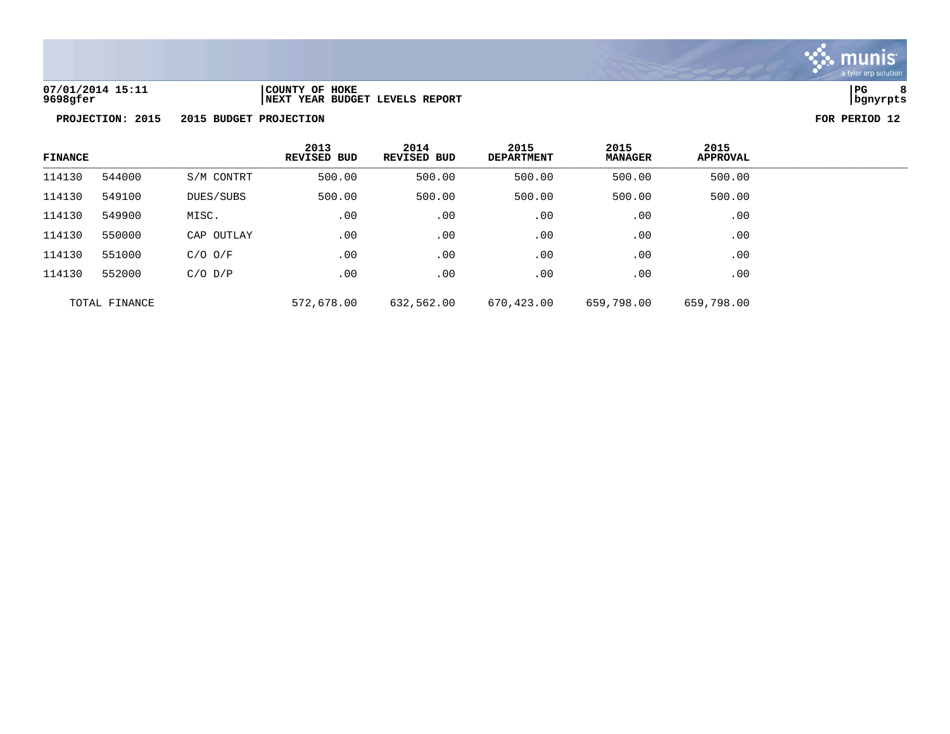

**07/01/2014 15:11 |COUNTY OF HOKE |PG 8 9698gfer |NEXT YEAR BUDGET LEVELS REPORT |bgnyrpts**

| <b>FINANCE</b> |               |             | 2013<br><b>REVISED BUD</b> | 2014<br><b>REVISED BUD</b> | 2015<br><b>DEPARTMENT</b> | 2015<br><b>MANAGER</b> | 2015<br><b>APPROVAL</b> |  |
|----------------|---------------|-------------|----------------------------|----------------------------|---------------------------|------------------------|-------------------------|--|
| 114130         | 544000        | S/M CONTRT  | 500.00                     | 500.00                     | 500.00                    | 500.00                 | 500.00                  |  |
| 114130         | 549100        | DUES/SUBS   | 500.00                     | 500.00                     | 500.00                    | 500.00                 | 500.00                  |  |
| 114130         | 549900        | MISC.       | .00                        | .00                        | .00                       | .00                    | .00                     |  |
| 114130         | 550000        | CAP OUTLAY  | .00                        | .00                        | .00                       | .00                    | .00                     |  |
| 114130         | 551000        | $C/O$ $O/F$ | .00                        | .00                        | .00                       | .00                    | .00                     |  |
| 114130         | 552000        | $C/O$ $D/P$ | .00                        | .00                        | .00                       | .00                    | .00                     |  |
|                | TOTAL FINANCE |             | 572,678.00                 | 632,562.00                 | 670,423.00                | 659,798.00             | 659,798.00              |  |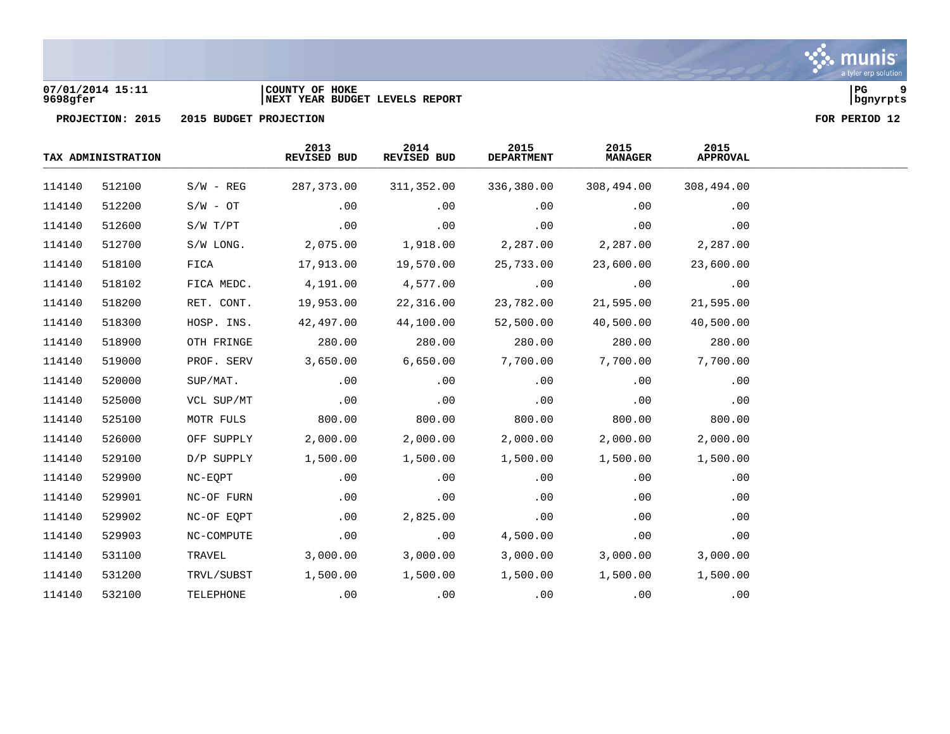

## **07/01/2014 15:11 |COUNTY OF HOKE |PG 9 9698gfer |NEXT YEAR BUDGET LEVELS REPORT |bgnyrpts**

|        | TAX ADMINISTRATION |             | 2013<br>REVISED BUD | 2014<br>REVISED BUD | 2015<br><b>DEPARTMENT</b> | 2015<br><b>MANAGER</b> | 2015<br><b>APPROVAL</b> |  |
|--------|--------------------|-------------|---------------------|---------------------|---------------------------|------------------------|-------------------------|--|
| 114140 | 512100             | $S/W - REG$ | 287,373.00          | 311,352.00          | 336,380.00                | 308,494.00             | 308,494.00              |  |
| 114140 | 512200             | $S/W - OT$  | .00                 | .00                 | .00                       | .00                    | .00                     |  |
| 114140 | 512600             | S/W T/PT    | .00                 | .00                 | .00                       | .00                    | .00                     |  |
| 114140 | 512700             | S/W LONG.   | 2,075.00            | 1,918.00            | 2,287.00                  | 2,287.00               | 2,287.00                |  |
| 114140 | 518100             | FICA        | 17,913.00           | 19,570.00           | 25,733.00                 | 23,600.00              | 23,600.00               |  |
| 114140 | 518102             | FICA MEDC.  | 4,191.00            | 4,577.00            | .00                       | .00                    | .00                     |  |
| 114140 | 518200             | RET. CONT.  | 19,953.00           | 22,316.00           | 23,782.00                 | 21,595.00              | 21,595.00               |  |
| 114140 | 518300             | HOSP. INS.  | 42,497.00           | 44,100.00           | 52,500.00                 | 40,500.00              | 40,500.00               |  |
| 114140 | 518900             | OTH FRINGE  | 280.00              | 280.00              | 280.00                    | 280.00                 | 280.00                  |  |
| 114140 | 519000             | PROF. SERV  | 3,650.00            | 6,650.00            | 7,700.00                  | 7,700.00               | 7,700.00                |  |
| 114140 | 520000             | SUP/MAT.    | .00                 | .00                 | .00                       | .00                    | .00                     |  |
| 114140 | 525000             | VCL SUP/MT  | .00                 | .00                 | .00                       | .00                    | .00                     |  |
| 114140 | 525100             | MOTR FULS   | 800.00              | 800.00              | 800.00                    | 800.00                 | 800.00                  |  |
| 114140 | 526000             | OFF SUPPLY  | 2,000.00            | 2,000.00            | 2,000.00                  | 2,000.00               | 2,000.00                |  |
| 114140 | 529100             | D/P SUPPLY  | 1,500.00            | 1,500.00            | 1,500.00                  | 1,500.00               | 1,500.00                |  |
| 114140 | 529900             | NC-EOPT     | .00                 | .00                 | .00                       | .00                    | .00                     |  |
| 114140 | 529901             | NC-OF FURN  | .00                 | .00                 | .00                       | .00                    | .00                     |  |
| 114140 | 529902             | NC-OF EOPT  | .00                 | 2,825.00            | .00                       | .00                    | .00                     |  |
| 114140 | 529903             | NC-COMPUTE  | .00                 | .00                 | 4,500.00                  | .00                    | .00                     |  |
| 114140 | 531100             | TRAVEL      | 3,000.00            | 3,000.00            | 3,000.00                  | 3,000.00               | 3,000.00                |  |
| 114140 | 531200             | TRVL/SUBST  | 1,500.00            | 1,500.00            | 1,500.00                  | 1,500.00               | 1,500.00                |  |
| 114140 | 532100             | TELEPHONE   | .00                 | .00                 | .00                       | .00                    | .00                     |  |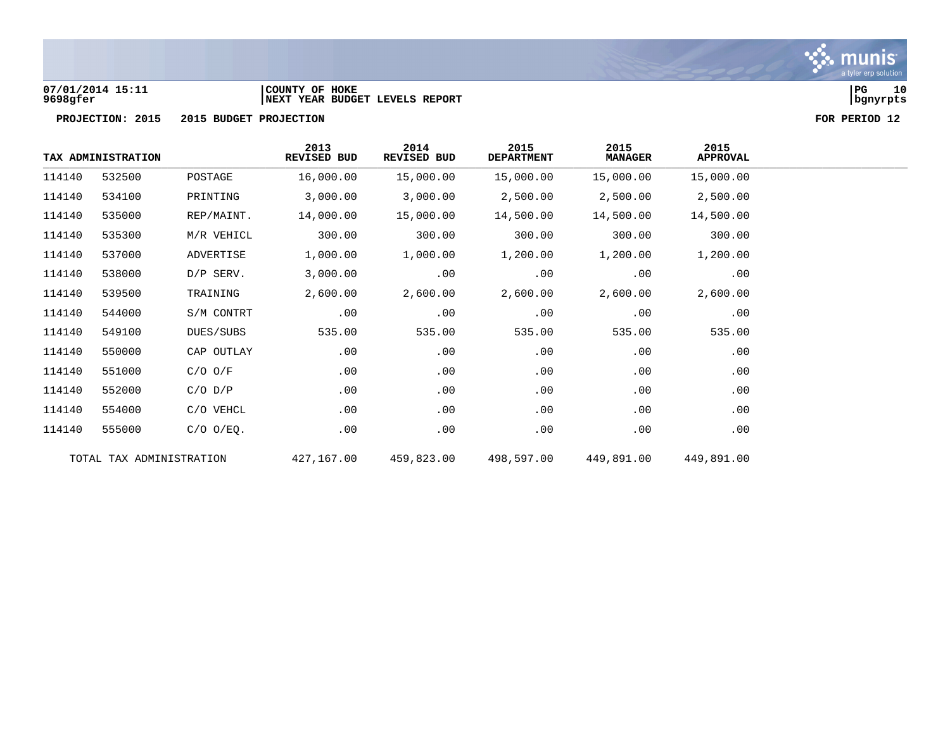

## **07/01/2014 15:11 |COUNTY OF HOKE |PG 10 9698gfer |NEXT YEAR BUDGET LEVELS REPORT |bgnyrpts**



|        | TAX ADMINISTRATION       |                | 2013<br>REVISED BUD | 2014<br>REVISED BUD | 2015<br><b>DEPARTMENT</b> | 2015<br><b>MANAGER</b> | 2015<br><b>APPROVAL</b> |
|--------|--------------------------|----------------|---------------------|---------------------|---------------------------|------------------------|-------------------------|
| 114140 | 532500                   | POSTAGE        | 16,000.00           | 15,000.00           | 15,000.00                 | 15,000.00              | 15,000.00               |
| 114140 | 534100                   | PRINTING       | 3,000.00            | 3,000.00            | 2,500.00                  | 2,500.00               | 2,500.00                |
| 114140 | 535000                   | REP/MAINT.     | 14,000.00           | 15,000.00           | 14,500.00                 | 14,500.00              | 14,500.00               |
| 114140 | 535300                   | M/R VEHICL     | 300.00              | 300.00              | 300.00                    | 300.00                 | 300.00                  |
| 114140 | 537000                   | ADVERTISE      | 1,000.00            | 1,000.00            | 1,200.00                  | 1,200.00               | 1,200.00                |
| 114140 | 538000                   | D/P SERV.      | 3,000.00            | .00                 | .00                       | .00                    | .00                     |
| 114140 | 539500                   | TRAINING       | 2,600.00            | 2,600.00            | 2,600.00                  | 2,600.00               | 2,600.00                |
| 114140 | 544000                   | S/M CONTRT     | .00                 | .00                 | .00                       | .00                    | .00                     |
| 114140 | 549100                   | DUES/SUBS      | 535.00              | 535.00              | 535.00                    | 535.00                 | 535.00                  |
| 114140 | 550000                   | CAP OUTLAY     | .00                 | .00                 | .00                       | .00                    | .00                     |
| 114140 | 551000                   | $C/O$ $O/F$    | .00                 | .00                 | .00                       | .00                    | .00                     |
| 114140 | 552000                   | $C/O$ $D/P$    | .00                 | .00                 | .00                       | .00                    | .00                     |
| 114140 | 554000                   | C/O VEHCL      | .00                 | .00                 | .00                       | .00                    | .00                     |
| 114140 | 555000                   | $C/O$ $O/EQ$ . | .00                 | .00                 | .00                       | .00                    | .00                     |
|        | TOTAL TAX ADMINISTRATION |                | 427,167.00          | 459,823.00          | 498,597.00                | 449,891.00             | 449,891.00              |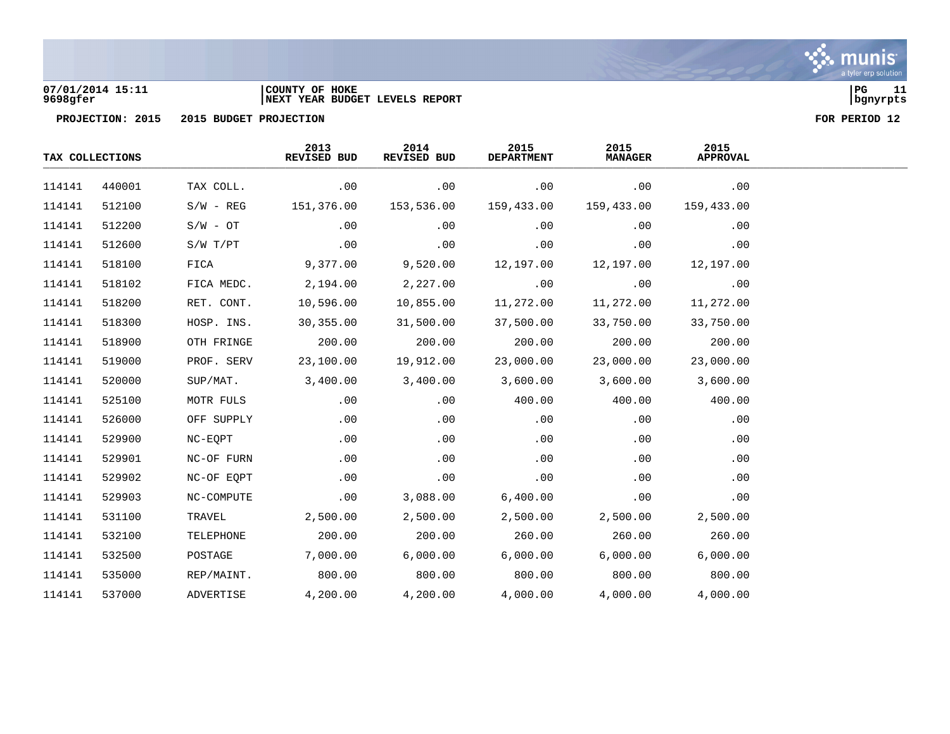

# **07/01/2014 15:11 |COUNTY OF HOKE |PG 11 9698gfer |NEXT YEAR BUDGET LEVELS REPORT |bgnyrpts**



|        | TAX COLLECTIONS |             | 2013<br>REVISED BUD | 2014<br>REVISED BUD | 2015<br><b>DEPARTMENT</b> | 2015<br><b>MANAGER</b> | 2015<br><b>APPROVAL</b> |  |
|--------|-----------------|-------------|---------------------|---------------------|---------------------------|------------------------|-------------------------|--|
| 114141 | 440001          | TAX COLL.   | .00                 | .00                 | .00                       | .00                    | .00                     |  |
| 114141 | 512100          | $S/W - REG$ | 151,376.00          | 153,536.00          | 159,433.00                | 159,433.00             | 159,433.00              |  |
| 114141 | 512200          | $S/W - OT$  | .00                 | .00                 | .00                       | .00                    | .00                     |  |
| 114141 | 512600          | S/W T/PT    | .00                 | .00                 | .00                       | .00                    | .00                     |  |
| 114141 | 518100          | FICA        | 9,377.00            | 9,520.00            | 12,197.00                 | 12,197.00              | 12,197.00               |  |
| 114141 | 518102          | FICA MEDC.  | 2,194.00            | 2,227.00            | .00                       | .00                    | .00                     |  |
| 114141 | 518200          | RET. CONT.  | 10,596.00           | 10,855.00           | 11,272.00                 | 11,272.00              | 11,272.00               |  |
| 114141 | 518300          | HOSP. INS.  | 30,355.00           | 31,500.00           | 37,500.00                 | 33,750.00              | 33,750.00               |  |
| 114141 | 518900          | OTH FRINGE  | 200.00              | 200.00              | 200.00                    | 200.00                 | 200.00                  |  |
| 114141 | 519000          | PROF. SERV  | 23,100.00           | 19,912.00           | 23,000.00                 | 23,000.00              | 23,000.00               |  |
| 114141 | 520000          | SUP/MAT.    | 3,400.00            | 3,400.00            | 3,600.00                  | 3,600.00               | 3,600.00                |  |
| 114141 | 525100          | MOTR FULS   | .00                 | .00                 | 400.00                    | 400.00                 | 400.00                  |  |
| 114141 | 526000          | OFF SUPPLY  | .00                 | .00                 | .00                       | .00                    | .00                     |  |
| 114141 | 529900          | NC-EQPT     | .00                 | .00                 | .00                       | .00                    | .00                     |  |
| 114141 | 529901          | NC-OF FURN  | .00                 | .00                 | .00                       | .00                    | .00                     |  |
| 114141 | 529902          | NC-OF EQPT  | .00                 | .00                 | .00                       | .00                    | .00                     |  |
| 114141 | 529903          | NC-COMPUTE  | .00                 | 3,088.00            | 6,400.00                  | .00                    | .00                     |  |
| 114141 | 531100          | TRAVEL      | 2,500.00            | 2,500.00            | 2,500.00                  | 2,500.00               | 2,500.00                |  |
| 114141 | 532100          | TELEPHONE   | 200.00              | 200.00              | 260.00                    | 260.00                 | 260.00                  |  |
| 114141 | 532500          | POSTAGE     | 7,000.00            | 6,000.00            | 6,000.00                  | 6,000.00               | 6,000.00                |  |
| 114141 | 535000          | REP/MAINT.  | 800.00              | 800.00              | 800.00                    | 800.00                 | 800.00                  |  |
| 114141 | 537000          | ADVERTISE   | 4,200.00            | 4,200.00            | 4,000.00                  | 4,000.00               | 4,000.00                |  |

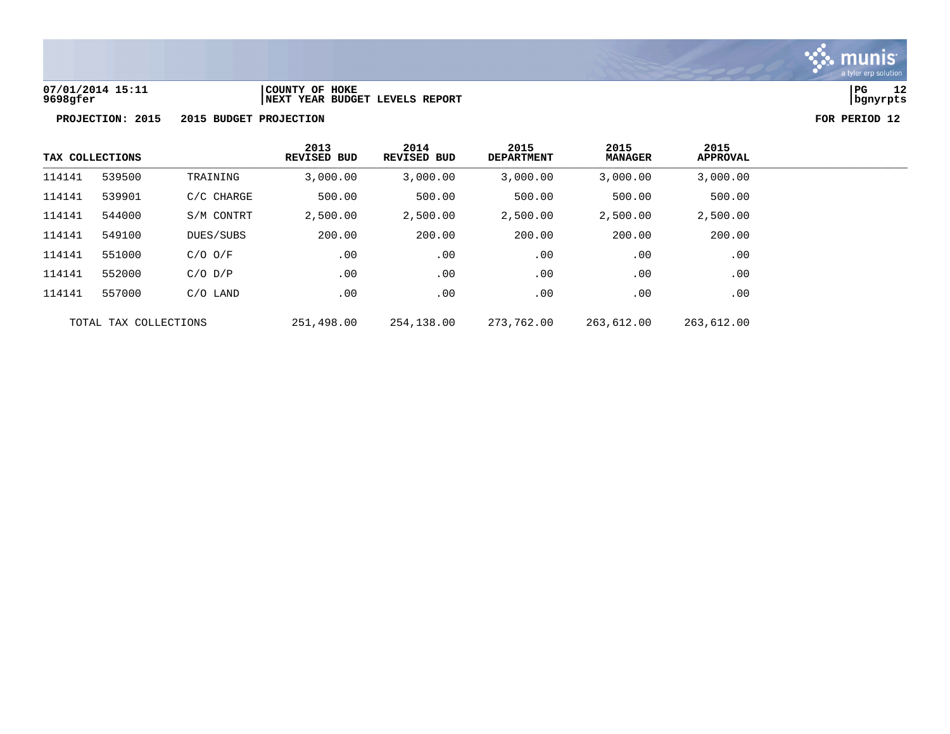

**07/01/2014 15:11 |COUNTY OF HOKE |PG 12**

**PROJECTION: 2015 2015 BUDGET PROJECTION FOR PERIOD 12**

**9698gfer |NEXT YEAR BUDGET LEVELS REPORT |bgnyrpts**

| TAX COLLECTIONS |                       |             | 2013<br><b>REVISED BUD</b> | 2014<br>REVISED BUD | 2015<br><b>DEPARTMENT</b> | 2015<br><b>MANAGER</b> | 2015<br><b>APPROVAL</b> |
|-----------------|-----------------------|-------------|----------------------------|---------------------|---------------------------|------------------------|-------------------------|
| 114141          | 539500                | TRAINING    | 3,000.00                   | 3,000.00            | 3,000.00                  | 3,000.00               | 3,000.00                |
| 114141          | 539901                | C/C CHARGE  | 500.00                     | 500.00              | 500.00                    | 500.00                 | 500.00                  |
| 114141          | 544000                | S/M CONTRT  | 2,500.00                   | 2,500.00            | 2,500.00                  | 2,500.00               | 2,500.00                |
| 114141          | 549100                | DUES/SUBS   | 200.00                     | 200.00              | 200.00                    | 200.00                 | 200.00                  |
| 114141          | 551000                | $C/O$ $O/F$ | .00                        | .00                 | .00                       | .00                    | .00                     |
| 114141          | 552000                | $C/O$ $D/P$ | .00                        | .00                 | .00                       | .00                    | .00                     |
| 114141          | 557000                | C/O LAND    | .00                        | .00                 | .00                       | .00                    | .00                     |
|                 | TOTAL TAX COLLECTIONS |             | 251,498.00                 | 254,138.00          | 273,762.00                | 263,612.00             | 263,612.00              |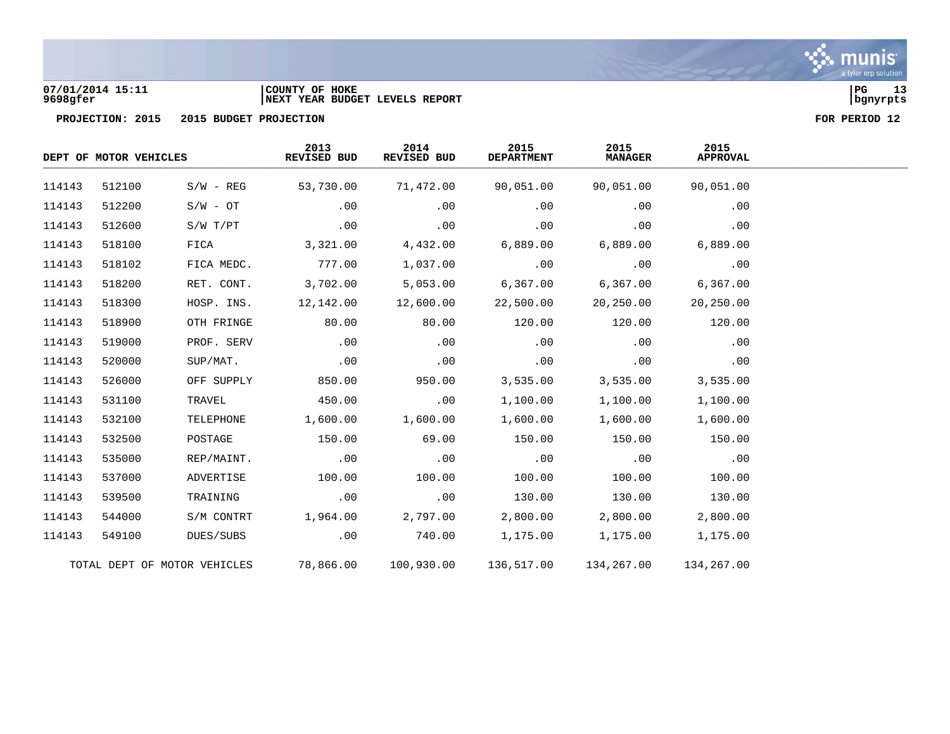

## **07/01/2014 15:11 |COUNTY OF HOKE |PG 13 9698gfer |NEXT YEAR BUDGET LEVELS REPORT |bgnyrpts**

|        |                                                                                                                                                                                                                                                           |             | 2013<br>REVISED BUD | 2014<br>REVISED BUD | 2015<br><b>DEPARTMENT</b> | 2015<br><b>MANAGER</b> | 2015<br><b>APPROVAL</b> |  |
|--------|-----------------------------------------------------------------------------------------------------------------------------------------------------------------------------------------------------------------------------------------------------------|-------------|---------------------|---------------------|---------------------------|------------------------|-------------------------|--|
| 114143 | DEPT OF MOTOR VEHICLES<br>512100<br>512200<br>$S/W - OT$<br>512600<br>S/W T/PT<br>518100<br>FICA<br>518102<br>518200<br>518300<br>518900<br>519000<br>520000<br>SUP/MAT.<br>526000<br>531100<br>TRAVEL<br>532100<br>532500<br>POSTAGE<br>535000<br>537000 | $S/W - REG$ | 53,730.00           | 71,472.00           | 90,051.00                 | 90,051.00              | 90,051.00               |  |
| 114143 |                                                                                                                                                                                                                                                           |             | .00                 | .00                 | .00                       | .00                    | .00                     |  |
| 114143 |                                                                                                                                                                                                                                                           |             | .00                 | .00                 | .00                       | .00                    | .00                     |  |
| 114143 |                                                                                                                                                                                                                                                           |             | 3,321.00            | 4,432.00            | 6,889.00                  | 6,889.00               | 6,889.00                |  |
| 114143 |                                                                                                                                                                                                                                                           | FICA MEDC.  | 777.00              | 1,037.00            | .00                       | .00                    | .00                     |  |
| 114143 |                                                                                                                                                                                                                                                           | RET. CONT.  | 3,702.00            | 5,053.00            | 6, 367.00                 | 6,367.00               | 6,367.00                |  |
| 114143 |                                                                                                                                                                                                                                                           | HOSP. INS.  | 12,142.00           | 12,600.00           | 22,500.00                 | 20,250.00              | 20,250.00               |  |
| 114143 |                                                                                                                                                                                                                                                           | OTH FRINGE  | 80.00               | 80.00               | 120.00                    | 120.00                 | 120.00                  |  |
| 114143 |                                                                                                                                                                                                                                                           | PROF. SERV  | .00                 | .00                 | .00                       | .00                    | .00                     |  |
| 114143 |                                                                                                                                                                                                                                                           |             | .00                 | .00                 | .00                       | .00                    | .00                     |  |
| 114143 |                                                                                                                                                                                                                                                           | OFF SUPPLY  | 850.00              | 950.00              | 3,535.00                  | 3,535.00               | 3,535.00                |  |
| 114143 |                                                                                                                                                                                                                                                           |             | 450.00              | .00                 | 1,100.00                  | 1,100.00               | 1,100.00                |  |
| 114143 |                                                                                                                                                                                                                                                           | TELEPHONE   | 1,600.00            | 1,600.00            | 1,600.00                  | 1,600.00               | 1,600.00                |  |
| 114143 |                                                                                                                                                                                                                                                           |             | 150.00              | 69.00               | 150.00                    | 150.00                 | 150.00                  |  |
| 114143 |                                                                                                                                                                                                                                                           | REP/MAINT.  | .00                 | .00                 | .00                       | .00                    | .00                     |  |
| 114143 |                                                                                                                                                                                                                                                           | ADVERTISE   | 100.00              | 100.00              | 100.00                    | 100.00                 | 100.00                  |  |
| 114143 | 539500                                                                                                                                                                                                                                                    | TRAINING    | .00                 | .00                 | 130.00                    | 130.00                 | 130.00                  |  |
| 114143 | 544000                                                                                                                                                                                                                                                    | S/M CONTRT  | 1,964.00            | 2,797.00            | 2,800.00                  | 2,800.00               | 2,800.00                |  |
| 114143 | 549100                                                                                                                                                                                                                                                    | DUES/SUBS   | .00                 | 740.00              | 1,175.00                  | 1,175.00               | 1,175.00                |  |
|        | TOTAL DEPT OF MOTOR VEHICLES                                                                                                                                                                                                                              |             | 78,866.00           | 100,930.00          | 136,517.00                | 134,267.00             | 134,267.00              |  |

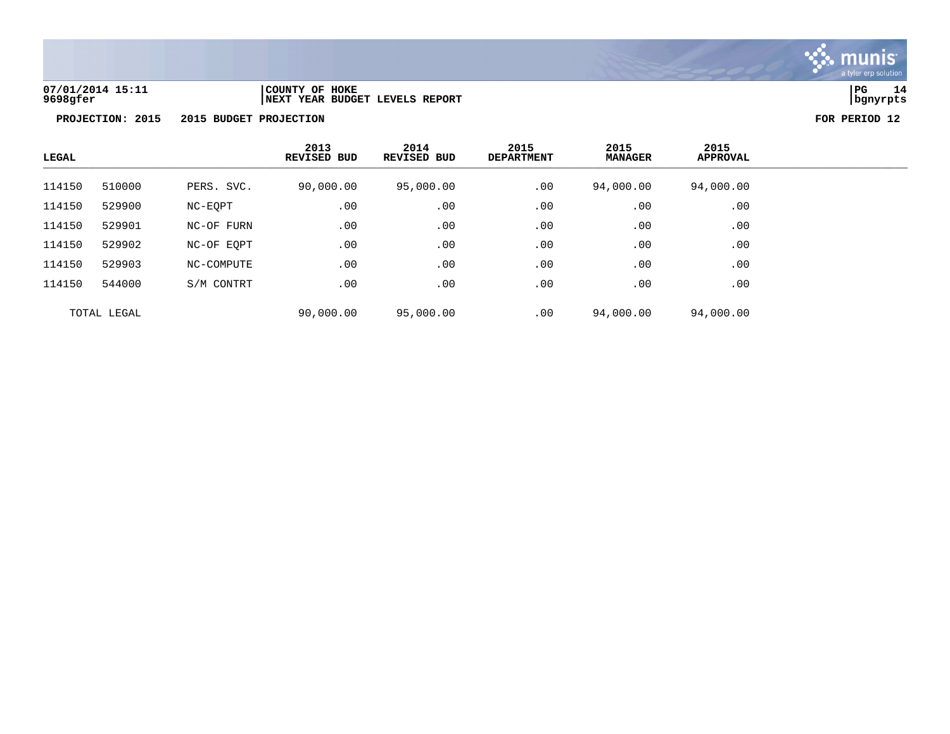

## **07/01/2014 15:11 |COUNTY OF HOKE |PG 14 9698gfer |NEXT YEAR BUDGET LEVELS REPORT |bgnyrpts**

| LEGAL  |             |            | 2013<br><b>REVISED BUD</b> | 2014<br>REVISED BUD | 2015<br><b>DEPARTMENT</b> | 2015<br><b>MANAGER</b> | 2015<br>APPROVAL |
|--------|-------------|------------|----------------------------|---------------------|---------------------------|------------------------|------------------|
| 114150 | 510000      | PERS. SVC. | 90,000.00                  | 95,000.00           | .00                       | 94,000.00              | 94,000.00        |
| 114150 | 529900      | NC-EOPT    | .00                        | .00                 | .00                       | .00                    | .00              |
| 114150 | 529901      | NC-OF FURN | .00                        | .00                 | .00                       | .00                    | .00              |
| 114150 | 529902      | NC-OF EOPT | .00                        | .00                 | .00                       | .00                    | .00              |
| 114150 | 529903      | NC-COMPUTE | .00                        | .00                 | .00                       | .00                    | .00              |
| 114150 | 544000      | S/M CONTRT | .00                        | .00                 | .00                       | .00                    | .00              |
|        | TOTAL LEGAL |            | 90,000.00                  | 95,000.00           | .00                       | 94,000.00              | 94,000.00        |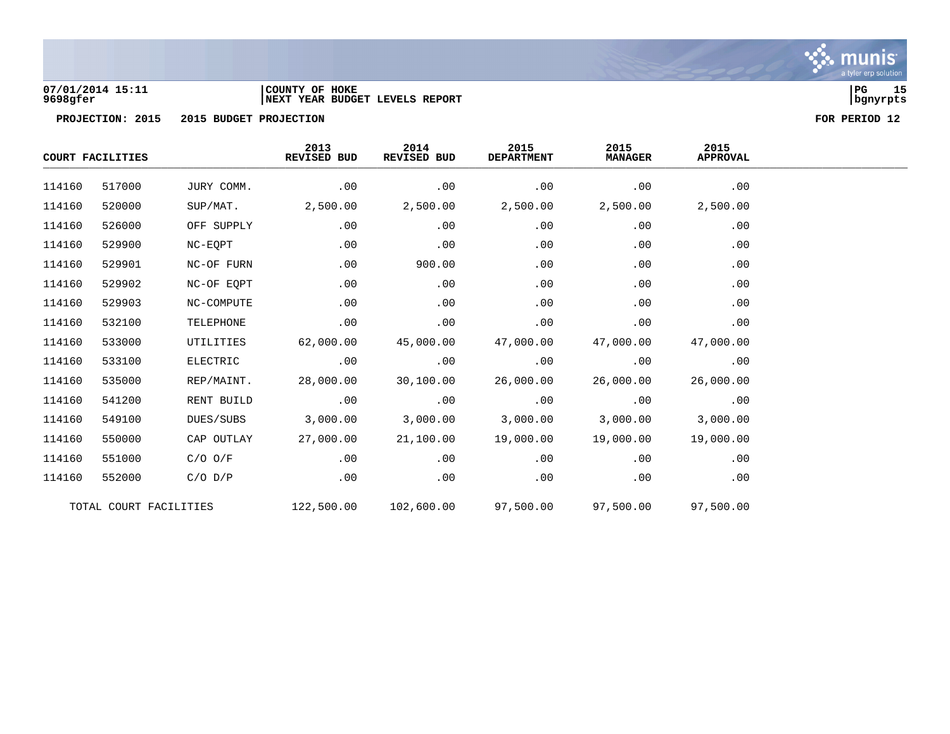

## **07/01/2014 15:11 |COUNTY OF HOKE |PG 15 9698gfer |NEXT YEAR BUDGET LEVELS REPORT |bgnyrpts**

|        | COURT FACILITIES       |             | 2013<br>REVISED BUD | 2014<br>REVISED BUD | 2015<br><b>DEPARTMENT</b> | 2015<br><b>MANAGER</b> | 2015<br><b>APPROVAL</b> |  |
|--------|------------------------|-------------|---------------------|---------------------|---------------------------|------------------------|-------------------------|--|
| 114160 | 517000                 | JURY COMM.  | .00                 | .00                 | .00                       | .00                    | .00                     |  |
| 114160 | 520000                 | SUP/MAT.    | 2,500.00            | 2,500.00            | 2,500.00                  | 2,500.00               | 2,500.00                |  |
| 114160 | 526000                 | OFF SUPPLY  | .00                 | .00                 | .00                       | .00                    | .00                     |  |
| 114160 | 529900                 | NC-EQPT     | .00                 | .00                 | .00                       | .00                    | .00                     |  |
| 114160 | 529901                 | NC-OF FURN  | .00                 | 900.00              | .00                       | .00                    | .00                     |  |
| 114160 | 529902                 | NC-OF EQPT  | .00                 | .00                 | .00                       | .00                    | .00                     |  |
| 114160 | 529903                 | NC-COMPUTE  | .00                 | .00                 | .00                       | .00                    | .00                     |  |
| 114160 | 532100                 | TELEPHONE   | .00                 | .00                 | .00                       | .00                    | .00                     |  |
| 114160 | 533000                 | UTILITIES   | 62,000.00           | 45,000.00           | 47,000.00                 | 47,000.00              | 47,000.00               |  |
| 114160 | 533100                 | ELECTRIC    | .00                 | .00                 | .00                       | .00                    | .00                     |  |
| 114160 | 535000                 | REP/MAINT.  | 28,000.00           | 30,100.00           | 26,000.00                 | 26,000.00              | 26,000.00               |  |
| 114160 | 541200                 | RENT BUILD  | .00                 | .00                 | .00                       | .00                    | .00                     |  |
| 114160 | 549100                 | DUES/SUBS   | 3,000.00            | 3,000.00            | 3,000.00                  | 3,000.00               | 3,000.00                |  |
| 114160 | 550000                 | CAP OUTLAY  | 27,000.00           | 21,100.00           | 19,000.00                 | 19,000.00              | 19,000.00               |  |
| 114160 | 551000                 | $C/O$ $O/F$ | .00                 | .00                 | .00                       | .00                    | .00                     |  |
| 114160 | 552000                 | $C/O$ $D/P$ | .00                 | .00                 | .00                       | .00                    | .00                     |  |
|        | TOTAL COURT FACILITIES |             | 122,500.00          | 102,600.00          | 97,500.00                 | 97,500.00              | 97,500.00               |  |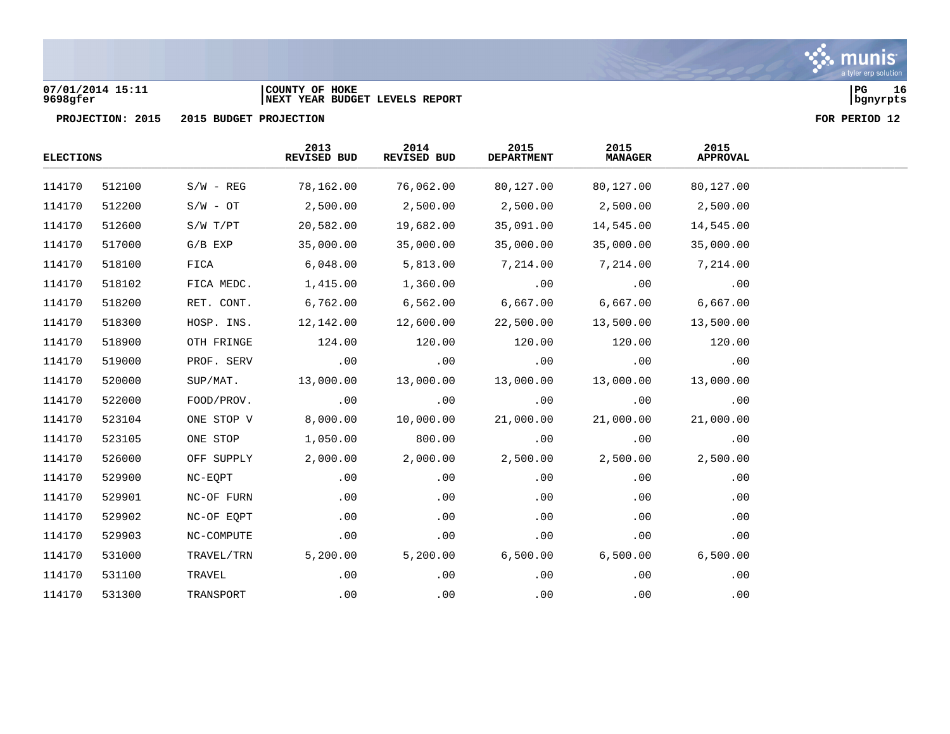## **07/01/2014 15:11 |COUNTY OF HOKE |PG 16 9698gfer |NEXT YEAR BUDGET LEVELS REPORT |bgnyrpts**

| <b>ELECTIONS</b> |        |             | 2013<br><b>REVISED BUD</b> | 2014<br>REVISED BUD | 2015<br><b>DEPARTMENT</b> | 2015<br><b>MANAGER</b> | 2015<br><b>APPROVAL</b> |  |
|------------------|--------|-------------|----------------------------|---------------------|---------------------------|------------------------|-------------------------|--|
| 114170           | 512100 | $S/W - REG$ | 78,162.00                  | 76,062.00           | 80,127.00                 | 80,127.00              | 80,127.00               |  |
| 114170           | 512200 | $S/W - OT$  | 2,500.00                   | 2,500.00            | 2,500.00                  | 2,500.00               | 2,500.00                |  |
| 114170           | 512600 | S/W T/PT    | 20,582.00                  | 19,682.00           | 35,091.00                 | 14,545.00              | 14,545.00               |  |
| 114170           | 517000 | $G/B$ EXP   | 35,000.00                  | 35,000.00           | 35,000.00                 | 35,000.00              | 35,000.00               |  |
| 114170           | 518100 | FICA        | 6,048.00                   | 5,813.00            | 7,214.00                  | 7,214.00               | 7,214.00                |  |
| 114170           | 518102 | FICA MEDC.  | 1,415.00                   | 1,360.00            | .00                       | .00                    | .00                     |  |
| 114170           | 518200 | RET. CONT.  | 6,762.00                   | 6,562.00            | 6,667.00                  | 6,667.00               | 6,667.00                |  |
| 114170           | 518300 | HOSP. INS.  | 12,142.00                  | 12,600.00           | 22,500.00                 | 13,500.00              | 13,500.00               |  |
| 114170           | 518900 | OTH FRINGE  | 124.00                     | 120.00              | 120.00                    | 120.00                 | 120.00                  |  |
| 114170           | 519000 | PROF. SERV  | .00                        | .00                 | .00                       | .00                    | .00                     |  |
| 114170           | 520000 | SUP/MAT.    | 13,000.00                  | 13,000.00           | 13,000.00                 | 13,000.00              | 13,000.00               |  |
| 114170           | 522000 | FOOD/PROV.  | .00                        | .00                 | .00                       | .00                    | .00                     |  |
| 114170           | 523104 | ONE STOP V  | 8,000.00                   | 10,000.00           | 21,000.00                 | 21,000.00              | 21,000.00               |  |
| 114170           | 523105 | ONE STOP    | 1,050.00                   | 800.00              | .00                       | .00                    | .00                     |  |
| 114170           | 526000 | OFF SUPPLY  | 2,000.00                   | 2,000.00            | 2,500.00                  | 2,500.00               | 2,500.00                |  |
| 114170           | 529900 | NC-EQPT     | .00                        | .00                 | .00                       | .00                    | .00                     |  |
| 114170           | 529901 | NC-OF FURN  | .00                        | .00                 | .00                       | .00                    | .00                     |  |
| 114170           | 529902 | NC-OF EQPT  | .00                        | .00                 | .00                       | .00                    | .00                     |  |
| 114170           | 529903 | NC-COMPUTE  | .00                        | .00                 | .00                       | .00                    | .00                     |  |
| 114170           | 531000 | TRAVEL/TRN  | 5,200.00                   | 5,200.00            | 6,500.00                  | 6,500.00               | 6,500.00                |  |
| 114170           | 531100 | TRAVEL      | .00                        | .00                 | .00                       | .00                    | .00                     |  |
| 114170           | 531300 | TRANSPORT   | .00                        | .00                 | .00                       | .00                    | .00                     |  |

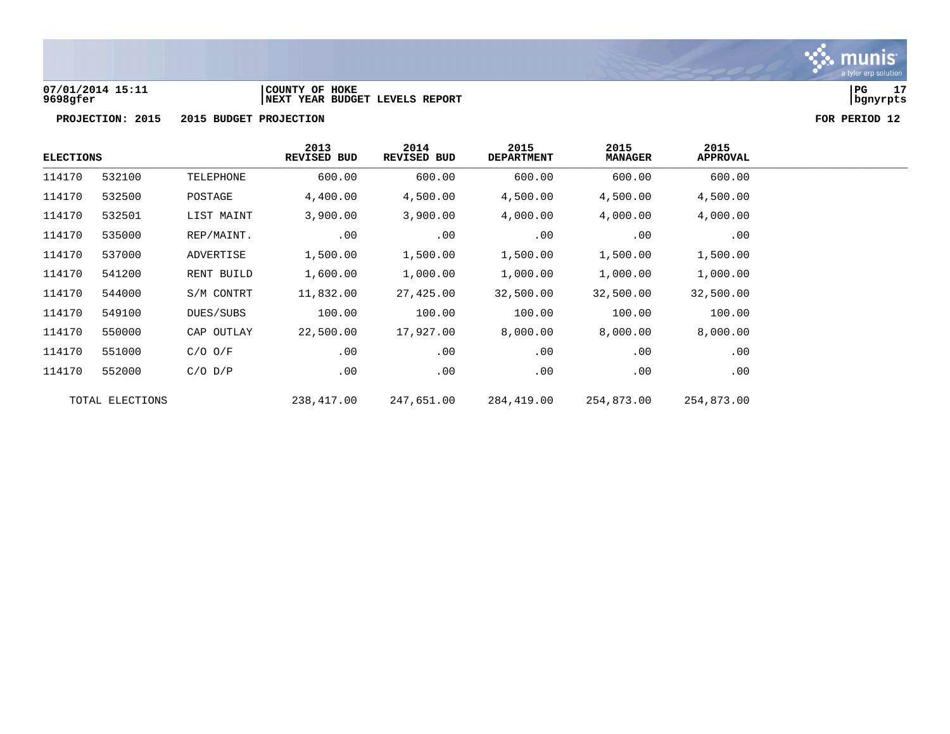

**PROJECTION: 2015 2015 BUDGET PROJECTION FOR PERIOD 12**

|        | <b>ELECTIONS</b> |             | 2013<br>REVISED BUD | 2014<br>REVISED BUD | 2015<br><b>DEPARTMENT</b> | 2015<br><b>MANAGER</b> | 2015<br><b>APPROVAL</b> |
|--------|------------------|-------------|---------------------|---------------------|---------------------------|------------------------|-------------------------|
| 114170 | 532100           | TELEPHONE   | 600.00              | 600.00              | 600.00                    | 600.00                 | 600.00                  |
| 114170 | 532500           | POSTAGE     | 4,400.00            | 4,500.00            | 4,500.00                  | 4,500.00               | 4,500.00                |
| 114170 | 532501           | LIST MAINT  | 3,900.00            | 3,900.00            | 4,000.00                  | 4,000.00               | 4,000.00                |
| 114170 | 535000           | REP/MAINT.  | .00                 | .00                 | .00                       | .00                    | .00                     |
| 114170 | 537000           | ADVERTISE   | 1,500.00            | 1,500.00            | 1,500.00                  | 1,500.00               | 1,500.00                |
| 114170 | 541200           | RENT BUILD  | 1,600.00            | 1,000.00            | 1,000.00                  | 1,000.00               | 1,000.00                |
| 114170 | 544000           | S/M CONTRT  | 11,832.00           | 27,425.00           | 32,500.00                 | 32,500.00              | 32,500.00               |
| 114170 | 549100           | DUES/SUBS   | 100.00              | 100.00              | 100.00                    | 100.00                 | 100.00                  |
| 114170 | 550000           | CAP OUTLAY  | 22,500.00           | 17,927.00           | 8,000.00                  | 8,000.00               | 8,000.00                |
| 114170 | 551000           | $C/O$ $O/F$ | .00                 | .00                 | .00                       | .00                    | .00                     |
| 114170 | 552000           | $C/O$ $D/P$ | .00                 | .00                 | .00                       | .00                    | .00                     |
|        | TOTAL ELECTIONS  |             | 238,417.00          | 247,651.00          | 284,419.00                | 254,873.00             | 254,873.00              |

**07/01/2014 15:11 |COUNTY OF HOKE |PG 17 9698gfer |NEXT YEAR BUDGET LEVELS REPORT |bgnyrpts**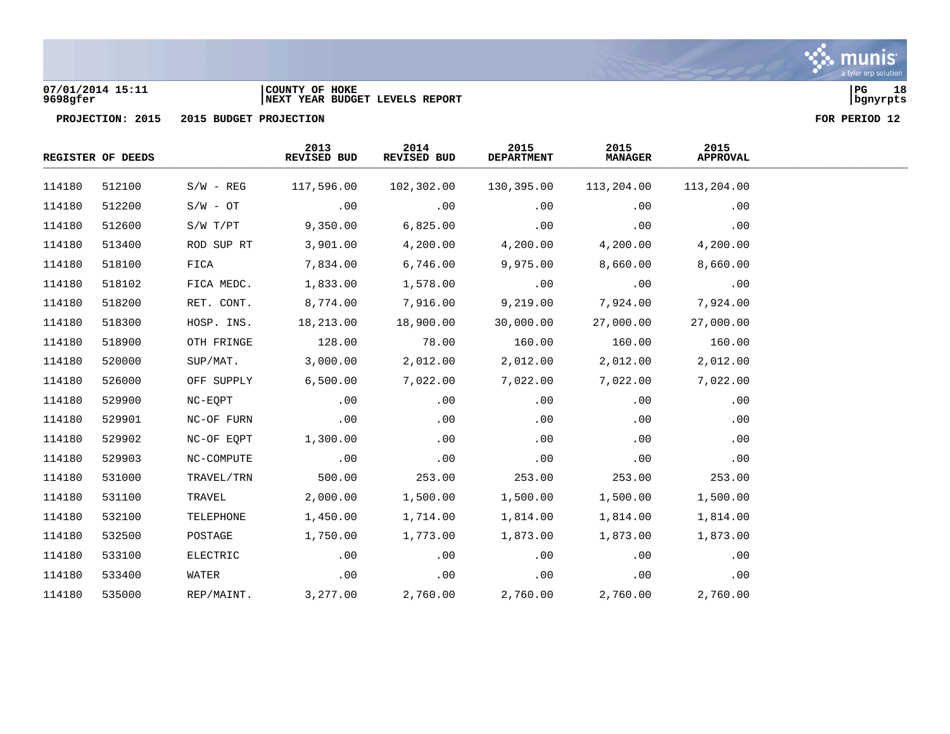

## **07/01/2014 15:11 |COUNTY OF HOKE |PG 18 9698gfer |NEXT YEAR BUDGET LEVELS REPORT |bgnyrpts**

|        | REGISTER OF DEEDS |             | 2013<br>REVISED BUD | 2014<br>REVISED BUD | 2015<br><b>DEPARTMENT</b> | 2015<br><b>MANAGER</b> | 2015<br><b>APPROVAL</b> |  |
|--------|-------------------|-------------|---------------------|---------------------|---------------------------|------------------------|-------------------------|--|
| 114180 | 512100            | $S/W - REG$ | 117,596.00          | 102,302.00          | 130,395.00                | 113,204.00             | 113,204.00              |  |
| 114180 | 512200            | $S/W - OT$  | .00                 | .00                 | .00                       | .00                    | .00                     |  |
| 114180 | 512600            | S/W T/PT    | 9,350.00            | 6,825.00            | .00                       | .00                    | .00                     |  |
| 114180 | 513400            | ROD SUP RT  | 3,901.00            | 4,200.00            | 4,200.00                  | 4,200.00               | 4,200.00                |  |
| 114180 | 518100            | FICA        | 7,834.00            | 6,746.00            | 9,975.00                  | 8,660.00               | 8,660.00                |  |
| 114180 | 518102            | FICA MEDC.  | 1,833.00            | 1,578.00            | .00                       | .00                    | .00                     |  |
| 114180 | 518200            | RET. CONT.  | 8,774.00            | 7,916.00            | 9,219.00                  | 7,924.00               | 7,924.00                |  |
| 114180 | 518300            | HOSP. INS.  | 18,213.00           | 18,900.00           | 30,000.00                 | 27,000.00              | 27,000.00               |  |
| 114180 | 518900            | OTH FRINGE  | 128.00              | 78.00               | 160.00                    | 160.00                 | 160.00                  |  |
| 114180 | 520000            | SUP/MAT.    | 3,000.00            | 2,012.00            | 2,012.00                  | 2,012.00               | 2,012.00                |  |
| 114180 | 526000            | OFF SUPPLY  | 6,500.00            | 7,022.00            | 7,022.00                  | 7,022.00               | 7,022.00                |  |
| 114180 | 529900            | NC-EQPT     | .00                 | .00                 | .00                       | .00                    | .00                     |  |
| 114180 | 529901            | NC-OF FURN  | .00                 | .00                 | .00                       | .00                    | .00                     |  |
| 114180 | 529902            | NC-OF EQPT  | 1,300.00            | .00                 | .00                       | .00                    | .00                     |  |
| 114180 | 529903            | NC-COMPUTE  | .00                 | .00                 | .00                       | .00                    | .00                     |  |
| 114180 | 531000            | TRAVEL/TRN  | 500.00              | 253.00              | 253.00                    | 253.00                 | 253.00                  |  |
| 114180 | 531100            | TRAVEL      | 2,000.00            | 1,500.00            | 1,500.00                  | 1,500.00               | 1,500.00                |  |
| 114180 | 532100            | TELEPHONE   | 1,450.00            | 1,714.00            | 1,814.00                  | 1,814.00               | 1,814.00                |  |
| 114180 | 532500            | POSTAGE     | 1,750.00            | 1,773.00            | 1,873.00                  | 1,873.00               | 1,873.00                |  |
| 114180 | 533100            | ELECTRIC    | .00                 | .00                 | .00                       | .00                    | .00                     |  |
| 114180 | 533400            | WATER       | .00                 | .00                 | .00                       | .00                    | .00                     |  |
| 114180 | 535000            | REP/MAINT.  | 3,277.00            | 2,760.00            | 2,760.00                  | 2,760.00               | 2,760.00                |  |

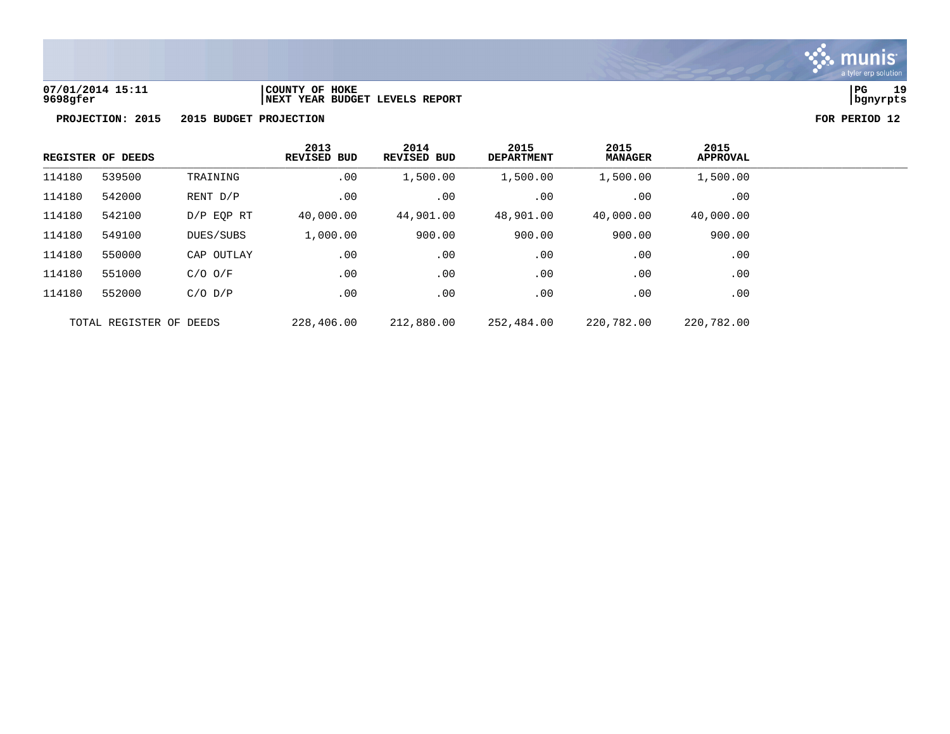

**07/01/2014 15:11 |COUNTY OF HOKE |PG 19 9698gfer |NEXT YEAR BUDGET LEVELS REPORT |bgnyrpts**

|        | REGISTER OF DEEDS       |              | 2013<br><b>REVISED BUD</b> | 2014<br>REVISED BUD | 2015<br><b>DEPARTMENT</b> | 2015<br><b>MANAGER</b> | 2015<br><b>APPROVAL</b> |
|--------|-------------------------|--------------|----------------------------|---------------------|---------------------------|------------------------|-------------------------|
| 114180 | 539500                  | TRAINING     | .00                        | 1,500.00            | 1,500.00                  | 1,500.00               | 1,500.00                |
| 114180 | 542000                  | RENT D/P     | .00                        | .00                 | .00                       | .00                    | .00                     |
| 114180 | 542100                  | $D/P$ EOP RT | 40,000.00                  | 44,901.00           | 48,901.00                 | 40,000.00              | 40,000.00               |
| 114180 | 549100                  | DUES/SUBS    | 1,000.00                   | 900.00              | 900.00                    | 900.00                 | 900.00                  |
| 114180 | 550000                  | CAP OUTLAY   | .00                        | .00                 | .00                       | .00                    | .00                     |
| 114180 | 551000                  | $C/O$ $O/F$  | .00                        | .00                 | .00                       | .00                    | .00                     |
| 114180 | 552000                  | $C/O$ $D/P$  | .00                        | .00                 | .00                       | .00                    | .00                     |
|        | TOTAL REGISTER OF DEEDS |              | 228,406.00                 | 212,880.00          | 252,484.00                | 220,782.00             | 220,782.00              |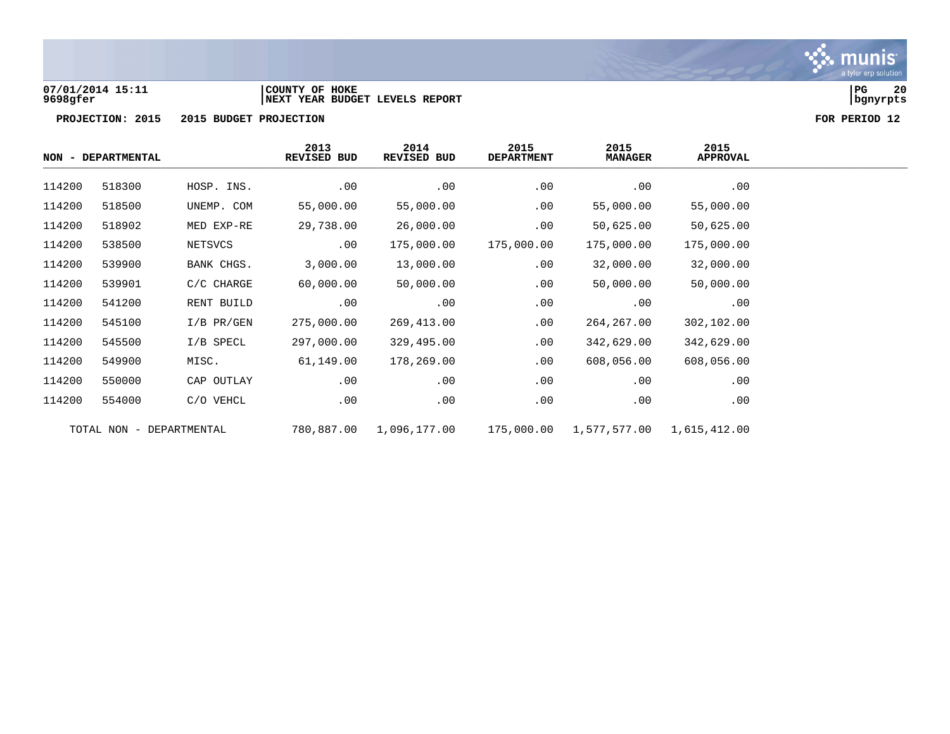

## **07/01/2014 15:11 |COUNTY OF HOKE |PG 20 9698gfer |NEXT YEAR BUDGET LEVELS REPORT |bgnyrpts**

|        | NON - DEPARTMENTAL       |              | 2013<br>REVISED BUD | 2014<br>REVISED BUD | 2015<br><b>DEPARTMENT</b> | 2015<br><b>MANAGER</b> | 2015<br><b>APPROVAL</b> |
|--------|--------------------------|--------------|---------------------|---------------------|---------------------------|------------------------|-------------------------|
| 114200 | 518300                   | HOSP. INS.   | .00                 | .00                 | .00                       | .00                    | .00                     |
| 114200 | 518500                   | UNEMP. COM   | 55,000.00           | 55,000.00           | .00                       | 55,000.00              | 55,000.00               |
| 114200 | 518902                   | MED EXP-RE   | 29,738.00           | 26,000.00           | $.00 \,$                  | 50,625.00              | 50,625.00               |
| 114200 | 538500                   | NETSVCS      | .00                 | 175,000.00          | 175,000.00                | 175,000.00             | 175,000.00              |
| 114200 | 539900                   | BANK CHGS.   | 3,000.00            | 13,000.00           | .00                       | 32,000.00              | 32,000.00               |
| 114200 | 539901                   | $C/C$ CHARGE | 60,000.00           | 50,000.00           | .00                       | 50,000.00              | 50,000.00               |
| 114200 | 541200                   | RENT BUILD   | .00                 | .00                 | .00                       | .00                    | .00                     |
| 114200 | 545100                   | $I/B$ PR/GEN | 275,000.00          | 269,413.00          | .00                       | 264,267.00             | 302,102.00              |
| 114200 | 545500                   | I/B SPECL    | 297,000.00          | 329,495.00          | .00                       | 342,629.00             | 342,629.00              |
| 114200 | 549900                   | MISC.        | 61,149.00           | 178,269.00          | .00                       | 608,056.00             | 608,056.00              |
| 114200 | 550000                   | CAP OUTLAY   | .00                 | .00                 | .00                       | .00                    | .00                     |
| 114200 | 554000                   | C/O VEHCL    | .00                 | .00                 | .00                       | .00                    | .00                     |
|        | TOTAL NON - DEPARTMENTAL |              | 780,887.00          | 1,096,177.00        | 175,000.00                | 1,577,577.00           | 1,615,412.00            |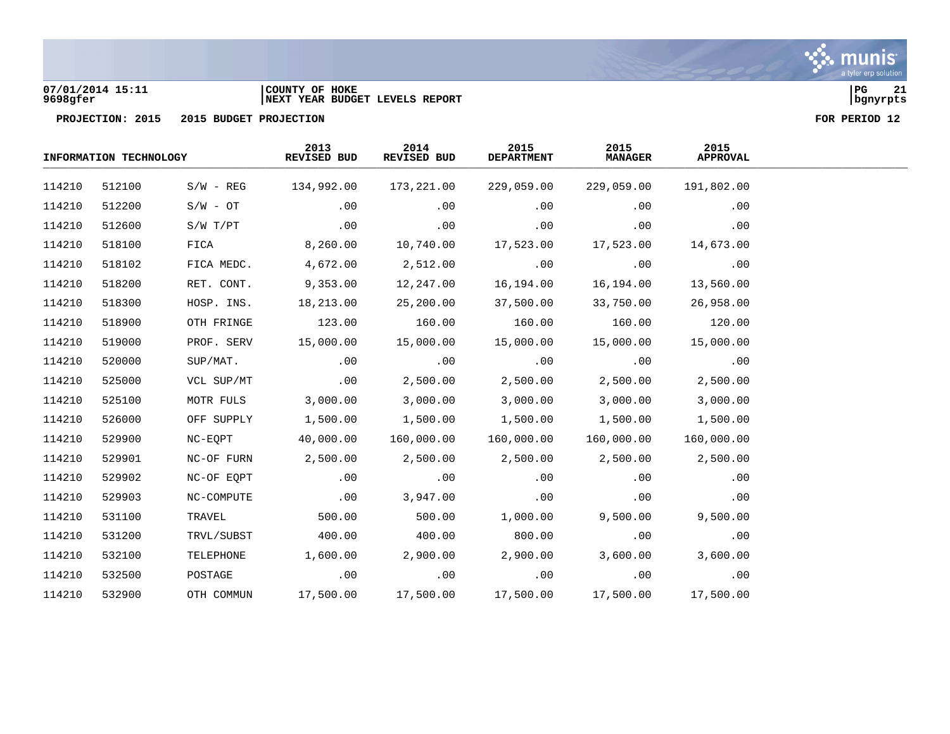

# **07/01/2014 15:11 |COUNTY OF HOKE |PG 21 9698gfer |NEXT YEAR BUDGET LEVELS REPORT |bgnyrpts**



|        | INFORMATION TECHNOLOGY |             | 2013<br>REVISED BUD | 2014<br>REVISED BUD | 2015<br><b>DEPARTMENT</b> | 2015<br><b>MANAGER</b> | 2015<br><b>APPROVAL</b> |  |
|--------|------------------------|-------------|---------------------|---------------------|---------------------------|------------------------|-------------------------|--|
| 114210 | 512100                 | $S/W - REG$ | 134,992.00          | 173,221.00          | 229,059.00                | 229,059.00             | 191,802.00              |  |
| 114210 | 512200                 | $S/W - OT$  | .00                 | .00                 | .00                       | $.00 \,$               | .00                     |  |
| 114210 | 512600                 | S/W T/PT    | .00                 | .00                 | .00                       | .00                    | .00                     |  |
| 114210 | 518100                 | FICA        | 8,260.00            | 10,740.00           | 17,523.00                 | 17,523.00              | 14,673.00               |  |
| 114210 | 518102                 | FICA MEDC.  | 4,672.00            | 2,512.00            | .00                       | .00                    | .00                     |  |
| 114210 | 518200                 | RET. CONT.  | 9,353.00            | 12,247.00           | 16,194.00                 | 16,194.00              | 13,560.00               |  |
| 114210 | 518300                 | HOSP. INS.  | 18,213.00           | 25,200.00           | 37,500.00                 | 33,750.00              | 26,958.00               |  |
| 114210 | 518900                 | OTH FRINGE  | 123.00              | 160.00              | 160.00                    | 160.00                 | 120.00                  |  |
| 114210 | 519000                 | PROF. SERV  | 15,000.00           | 15,000.00           | 15,000.00                 | 15,000.00              | 15,000.00               |  |
| 114210 | 520000                 | SUP/MAT.    | .00                 | .00                 | .00                       | .00                    | .00                     |  |
| 114210 | 525000                 | VCL SUP/MT  | .00                 | 2,500.00            | 2,500.00                  | 2,500.00               | 2,500.00                |  |
| 114210 | 525100                 | MOTR FULS   | 3,000.00            | 3,000.00            | 3,000.00                  | 3,000.00               | 3,000.00                |  |
| 114210 | 526000                 | OFF SUPPLY  | 1,500.00            | 1,500.00            | 1,500.00                  | 1,500.00               | 1,500.00                |  |
| 114210 | 529900                 | NC-EQPT     | 40,000.00           | 160,000.00          | 160,000.00                | 160,000.00             | 160,000.00              |  |
| 114210 | 529901                 | NC-OF FURN  | 2,500.00            | 2,500.00            | 2,500.00                  | 2,500.00               | 2,500.00                |  |
| 114210 | 529902                 | NC-OF EQPT  | .00                 | .00                 | .00                       | .00                    | .00                     |  |
| 114210 | 529903                 | NC-COMPUTE  | .00                 | 3,947.00            | .00                       | .00                    | .00                     |  |
| 114210 | 531100                 | TRAVEL      | 500.00              | 500.00              | 1,000.00                  | 9,500.00               | 9,500.00                |  |
| 114210 | 531200                 | TRVL/SUBST  | 400.00              | 400.00              | 800.00                    | .00                    | .00                     |  |
| 114210 | 532100                 | TELEPHONE   | 1,600.00            | 2,900.00            | 2,900.00                  | 3,600.00               | 3,600.00                |  |
| 114210 | 532500                 | POSTAGE     | .00                 | .00                 | .00                       | .00                    | .00                     |  |
| 114210 | 532900                 | OTH COMMUN  | 17,500.00           | 17,500.00           | 17,500.00                 | 17,500.00              | 17,500.00               |  |

munis a tyler erp solution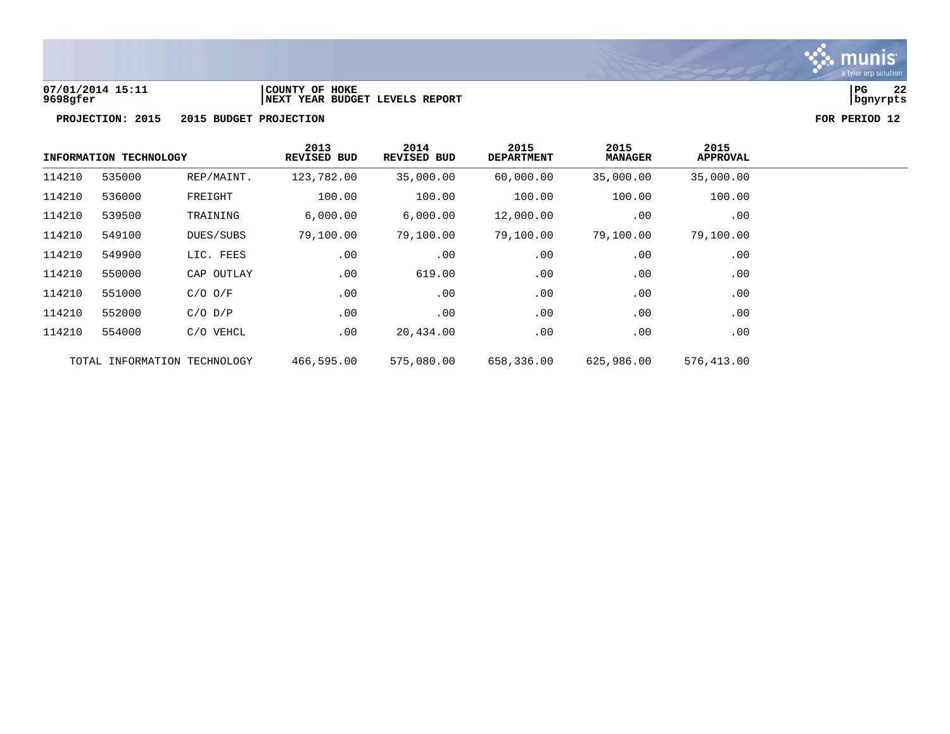

# **07/01/2014 15:11 |COUNTY OF HOKE |PG 22 9698gfer |NEXT YEAR BUDGET LEVELS REPORT |bgnyrpts**



|        | INFORMATION TECHNOLOGY       |             | 2013<br>REVISED BUD | 2014<br>REVISED BUD | 2015<br><b>DEPARTMENT</b> | 2015<br><b>MANAGER</b> | 2015<br><b>APPROVAL</b> |
|--------|------------------------------|-------------|---------------------|---------------------|---------------------------|------------------------|-------------------------|
| 114210 | 535000                       | REP/MAINT.  | 123,782.00          | 35,000.00           | 60,000.00                 | 35,000.00              | 35,000.00               |
| 114210 | 536000                       | FREIGHT     | 100.00              | 100.00              | 100.00                    | 100.00                 | 100.00                  |
| 114210 | 539500                       | TRAINING    | 6,000.00            | 6,000.00            | 12,000.00                 | .00                    | $.00 \,$                |
| 114210 | 549100                       | DUES/SUBS   | 79,100.00           | 79,100.00           | 79,100.00                 | 79,100.00              | 79,100.00               |
| 114210 | 549900                       | LIC. FEES   | .00                 | .00                 | .00                       | .00                    | .00                     |
| 114210 | 550000                       | CAP OUTLAY  | .00                 | 619.00              | .00                       | .00                    | .00                     |
| 114210 | 551000                       | $C/O$ $O/F$ | .00                 | .00                 | .00                       | .00                    | $.00 \,$                |
| 114210 | 552000                       | $C/O$ $D/P$ | .00                 | .00                 | .00                       | .00                    | .00                     |
| 114210 | 554000                       | C/O VEHCL   | .00                 | 20,434.00           | .00                       | .00                    | .00                     |
|        | TOTAL INFORMATION TECHNOLOGY |             | 466,595.00          | 575,080.00          | 658,336.00                | 625,986.00             | 576,413.00              |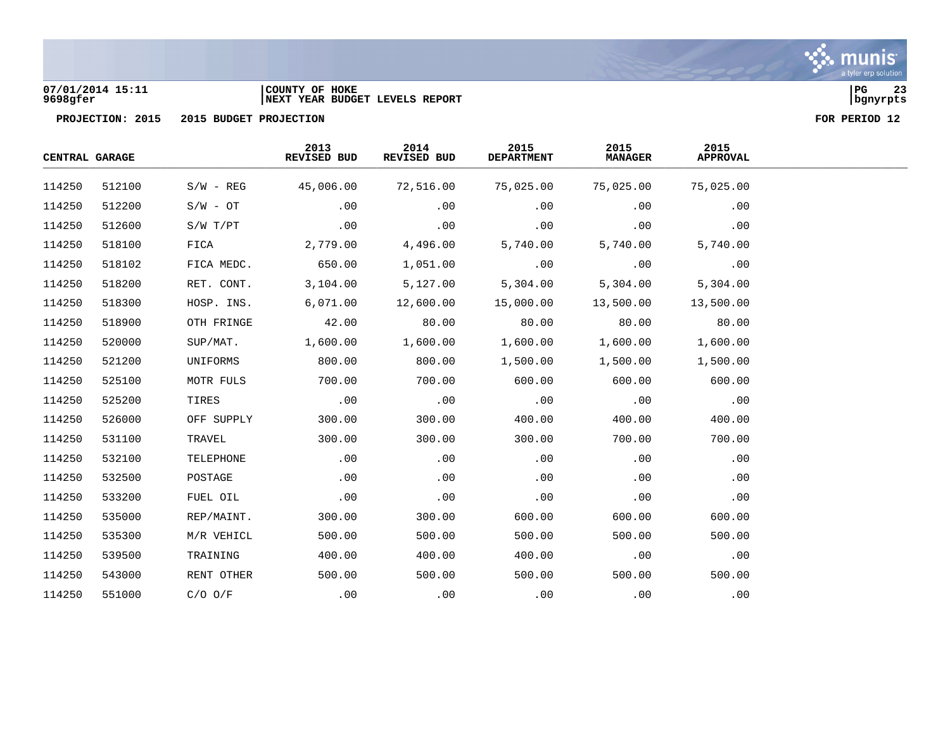

# **07/01/2014 15:11 |COUNTY OF HOKE |PG 23 9698gfer |NEXT YEAR BUDGET LEVELS REPORT |bgnyrpts**



| CENTRAL GARAGE |        |              | 2013<br>REVISED BUD | 2014<br>REVISED BUD | 2015<br><b>DEPARTMENT</b> | 2015<br><b>MANAGER</b> | 2015<br><b>APPROVAL</b> |  |
|----------------|--------|--------------|---------------------|---------------------|---------------------------|------------------------|-------------------------|--|
| 114250         | 512100 | $S/W - REG$  | 45,006.00           | 72,516.00           | 75,025.00                 | 75,025.00              | 75,025.00               |  |
| 114250         | 512200 | $S/W - OT$   | .00                 | .00                 | .00                       | .00                    | .00                     |  |
| 114250         | 512600 | $S/W$ $T/PT$ | .00                 | .00                 | .00                       | .00                    | .00                     |  |
| 114250         | 518100 | FICA         | 2,779.00            | 4,496.00            | 5,740.00                  | 5,740.00               | 5,740.00                |  |
| 114250         | 518102 | FICA MEDC.   | 650.00              | 1,051.00            | .00                       | .00                    | .00                     |  |
| 114250         | 518200 | RET. CONT.   | 3,104.00            | 5,127.00            | 5,304.00                  | 5,304.00               | 5,304.00                |  |
| 114250         | 518300 | HOSP. INS.   | 6,071.00            | 12,600.00           | 15,000.00                 | 13,500.00              | 13,500.00               |  |
| 114250         | 518900 | OTH FRINGE   | 42.00               | 80.00               | 80.00                     | 80.00                  | 80.00                   |  |
| 114250         | 520000 | SUP/MAT.     | 1,600.00            | 1,600.00            | 1,600.00                  | 1,600.00               | 1,600.00                |  |
| 114250         | 521200 | UNIFORMS     | 800.00              | 800.00              | 1,500.00                  | 1,500.00               | 1,500.00                |  |
| 114250         | 525100 | MOTR FULS    | 700.00              | 700.00              | 600.00                    | 600.00                 | 600.00                  |  |
| 114250         | 525200 | TIRES        | .00                 | .00                 | .00                       | .00                    | .00                     |  |
| 114250         | 526000 | OFF SUPPLY   | 300.00              | 300.00              | 400.00                    | 400.00                 | 400.00                  |  |
| 114250         | 531100 | TRAVEL       | 300.00              | 300.00              | 300.00                    | 700.00                 | 700.00                  |  |
| 114250         | 532100 | TELEPHONE    | .00                 | .00                 | .00                       | .00                    | .00                     |  |
| 114250         | 532500 | POSTAGE      | .00                 | .00                 | .00                       | .00                    | .00                     |  |
| 114250         | 533200 | FUEL OIL     | .00                 | .00                 | .00                       | .00                    | .00                     |  |
| 114250         | 535000 | REP/MAINT.   | 300.00              | 300.00              | 600.00                    | 600.00                 | 600.00                  |  |
| 114250         | 535300 | M/R VEHICL   | 500.00              | 500.00              | 500.00                    | 500.00                 | 500.00                  |  |
| 114250         | 539500 | TRAINING     | 400.00              | 400.00              | 400.00                    | .00                    | .00                     |  |
| 114250         | 543000 | RENT OTHER   | 500.00              | 500.00              | 500.00                    | 500.00                 | 500.00                  |  |
| 114250         | 551000 | $C/O$ $O/F$  | .00                 | .00                 | .00                       | .00                    | .00                     |  |

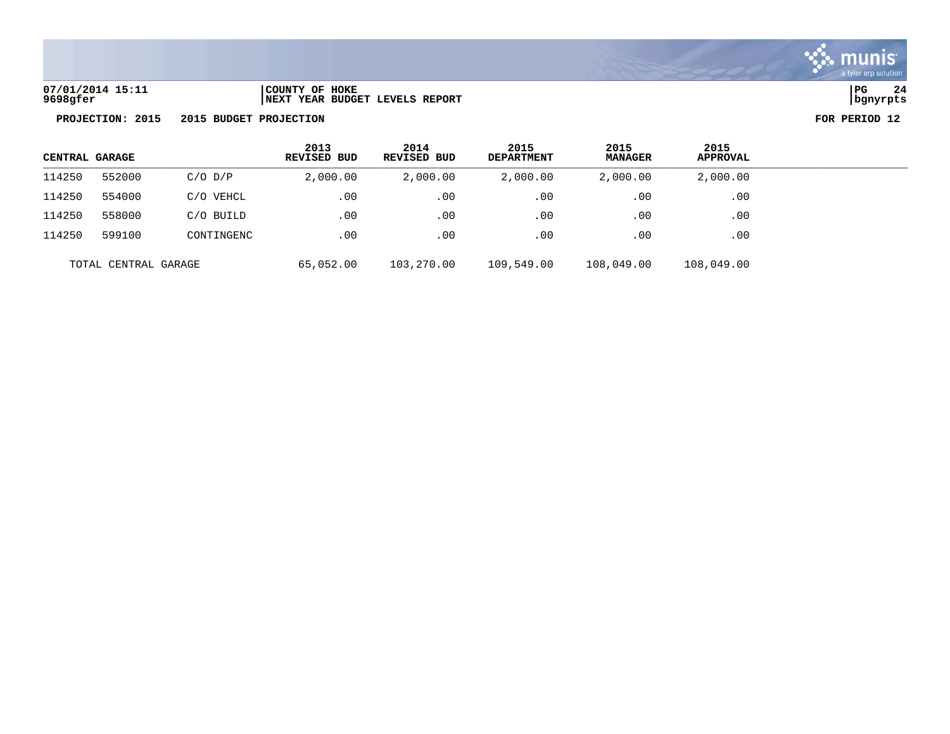

**07/01/2014 15:11 |COUNTY OF HOKE |PG 24 9698gfer |NEXT YEAR BUDGET LEVELS REPORT |bgnyrpts**

| CENTRAL GARAGE |                      |             | 2013<br><b>REVISED BUD</b> | 2014<br>REVISED BUD | 2015<br><b>DEPARTMENT</b> | 2015<br><b>MANAGER</b> | 2015<br><b>APPROVAL</b> |  |
|----------------|----------------------|-------------|----------------------------|---------------------|---------------------------|------------------------|-------------------------|--|
| 114250         | 552000               | $C/O$ $D/P$ | 2,000.00                   | 2,000.00            | 2,000.00                  | 2,000.00               | 2,000.00                |  |
| 114250         | 554000               | C/O VEHCL   | .00                        | .00                 | $.00 \,$                  | .00                    | .00                     |  |
| 114250         | 558000               | C/O BUILD   | .00                        | .00                 | .00                       | .00                    | .00                     |  |
| 114250         | 599100               | CONTINGENC  | .00                        | .00                 | $.00 \,$                  | .00                    | .00                     |  |
|                | TOTAL CENTRAL GARAGE |             | 65,052.00                  | 103,270.00          | 109,549.00                | 108,049.00             | 108,049.00              |  |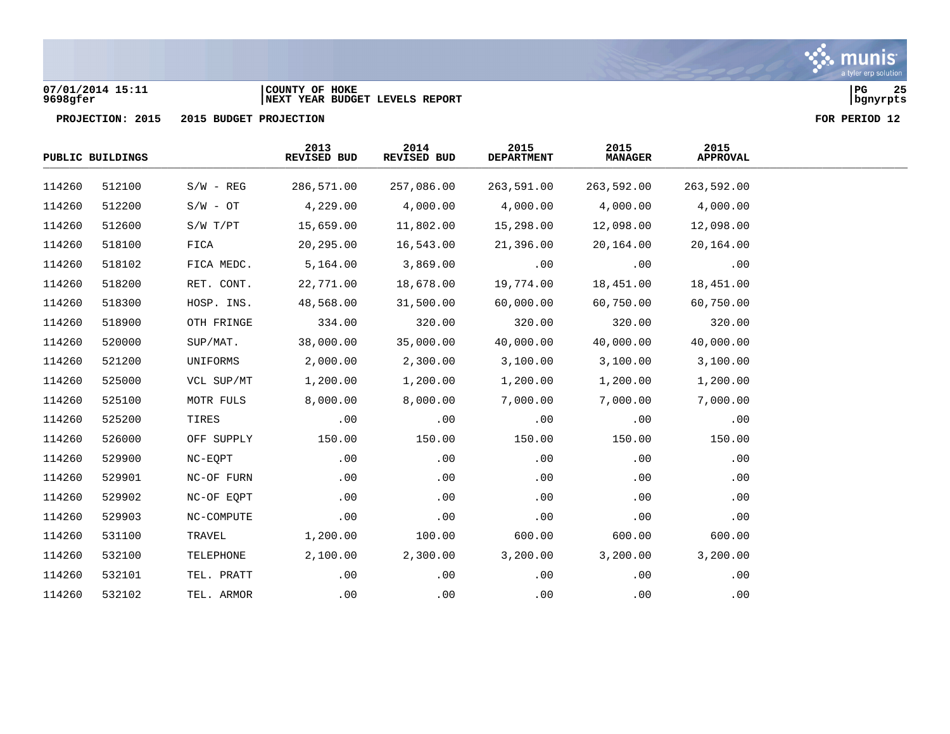## **07/01/2014 15:11 |COUNTY OF HOKE |PG 25 9698gfer |NEXT YEAR BUDGET LEVELS REPORT |bgnyrpts**

|        | PUBLIC BUILDINGS |             | 2013<br>REVISED BUD | 2014<br>REVISED BUD | 2015<br><b>DEPARTMENT</b> | 2015<br><b>MANAGER</b> | 2015<br><b>APPROVAL</b> |  |
|--------|------------------|-------------|---------------------|---------------------|---------------------------|------------------------|-------------------------|--|
| 114260 | 512100           | $S/W - REG$ | 286,571.00          | 257,086.00          | 263,591.00                | 263,592.00             | 263,592.00              |  |
| 114260 | 512200           | $S/W - OT$  | 4,229.00            | 4,000.00            | 4,000.00                  | 4,000.00               | 4,000.00                |  |
| 114260 | 512600           | S/W T/PT    | 15,659.00           | 11,802.00           | 15,298.00                 | 12,098.00              | 12,098.00               |  |
| 114260 | 518100           | FICA        | 20,295.00           | 16,543.00           | 21,396.00                 | 20,164.00              | 20,164.00               |  |
| 114260 | 518102           | FICA MEDC.  | 5,164.00            | 3,869.00            | .00                       | .00                    | .00                     |  |
| 114260 | 518200           | RET. CONT.  | 22,771.00           | 18,678.00           | 19,774.00                 | 18,451.00              | 18,451.00               |  |
| 114260 | 518300           | HOSP. INS.  | 48,568.00           | 31,500.00           | 60,000.00                 | 60,750.00              | 60,750.00               |  |
| 114260 | 518900           | OTH FRINGE  | 334.00              | 320.00              | 320.00                    | 320.00                 | 320.00                  |  |
| 114260 | 520000           | SUP/MAT.    | 38,000.00           | 35,000.00           | 40,000.00                 | 40,000.00              | 40,000.00               |  |
| 114260 | 521200           | UNIFORMS    | 2,000.00            | 2,300.00            | 3,100.00                  | 3,100.00               | 3,100.00                |  |
| 114260 | 525000           | VCL SUP/MT  | 1,200.00            | 1,200.00            | 1,200.00                  | 1,200.00               | 1,200.00                |  |
| 114260 | 525100           | MOTR FULS   | 8,000.00            | 8,000.00            | 7,000.00                  | 7,000.00               | 7,000.00                |  |
| 114260 | 525200           | TIRES       | .00                 | .00                 | .00                       | .00                    | .00                     |  |
| 114260 | 526000           | OFF SUPPLY  | 150.00              | 150.00              | 150.00                    | 150.00                 | 150.00                  |  |
| 114260 | 529900           | NC-EQPT     | .00                 | .00                 | .00                       | .00                    | .00                     |  |
| 114260 | 529901           | NC-OF FURN  | .00                 | .00                 | .00                       | .00                    | .00                     |  |
| 114260 | 529902           | NC-OF EQPT  | .00                 | .00                 | .00                       | .00                    | .00                     |  |
| 114260 | 529903           | NC-COMPUTE  | .00                 | .00                 | .00                       | .00                    | .00                     |  |
| 114260 | 531100           | TRAVEL      | 1,200.00            | 100.00              | 600.00                    | 600.00                 | 600.00                  |  |
| 114260 | 532100           | TELEPHONE   | 2,100.00            | 2,300.00            | 3,200.00                  | 3,200.00               | 3,200.00                |  |
| 114260 | 532101           | TEL. PRATT  | .00                 | .00                 | .00                       | .00                    | .00                     |  |
| 114260 | 532102           | TEL. ARMOR  | .00                 | .00                 | .00                       | .00                    | .00                     |  |

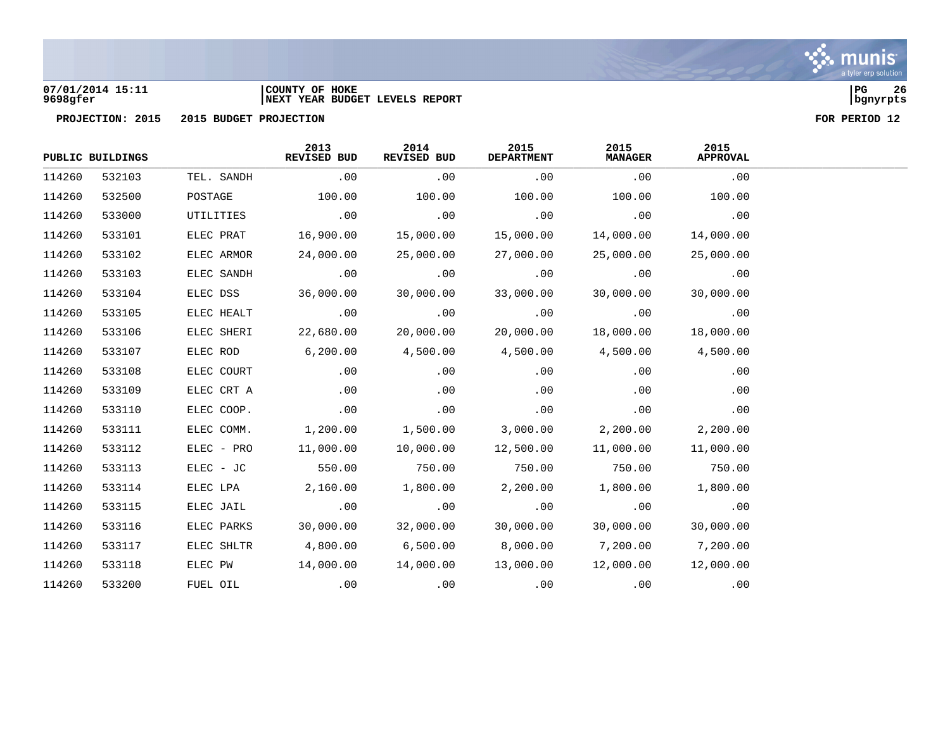

## **07/01/2014 15:11 |COUNTY OF HOKE |PG 26 9698gfer |NEXT YEAR BUDGET LEVELS REPORT |bgnyrpts**

|        | PUBLIC BUILDINGS |            | 2013<br>REVISED BUD | 2014<br>REVISED BUD | 2015<br><b>DEPARTMENT</b> | 2015<br><b>MANAGER</b> | 2015<br><b>APPROVAL</b> |
|--------|------------------|------------|---------------------|---------------------|---------------------------|------------------------|-------------------------|
| 114260 | 532103           | TEL. SANDH | .00                 | .00                 | .00                       | .00                    | .00                     |
| 114260 | 532500           | POSTAGE    | 100.00              | 100.00              | 100.00                    | 100.00                 | 100.00                  |
| 114260 | 533000           | UTILITIES  | .00                 | .00                 | .00                       | .00                    | .00                     |
| 114260 | 533101           | ELEC PRAT  | 16,900.00           | 15,000.00           | 15,000.00                 | 14,000.00              | 14,000.00               |
| 114260 | 533102           | ELEC ARMOR | 24,000.00           | 25,000.00           | 27,000.00                 | 25,000.00              | 25,000.00               |
| 114260 | 533103           | ELEC SANDH | .00                 | .00                 | .00                       | .00                    | .00                     |
| 114260 | 533104           | ELEC DSS   | 36,000.00           | 30,000.00           | 33,000.00                 | 30,000.00              | 30,000.00               |
| 114260 | 533105           | ELEC HEALT | $\overline{00}$     | .00                 | .00                       | .00                    | .00                     |
| 114260 | 533106           | ELEC SHERI | 22,680.00           | 20,000.00           | 20,000.00                 | 18,000.00              | 18,000.00               |
| 114260 | 533107           | ELEC ROD   | 6,200.00            | 4,500.00            | 4,500.00                  | 4,500.00               | 4,500.00                |
| 114260 | 533108           | ELEC COURT | .00                 | .00                 | .00                       | .00                    | .00                     |
| 114260 | 533109           | ELEC CRT A | .00                 | .00                 | .00                       | .00                    | .00                     |
| 114260 | 533110           | ELEC COOP. | .00                 | .00                 | .00                       | .00                    | .00                     |
| 114260 | 533111           | ELEC COMM. | 1,200.00            | 1,500.00            | 3,000.00                  | 2,200.00               | 2,200.00                |
| 114260 | 533112           | ELEC - PRO | 11,000.00           | 10,000.00           | 12,500.00                 | 11,000.00              | 11,000.00               |
| 114260 | 533113           | ELEC - JC  | 550.00              | 750.00              | 750.00                    | 750.00                 | 750.00                  |
| 114260 | 533114           | ELEC LPA   | 2,160.00            | 1,800.00            | 2,200.00                  | 1,800.00               | 1,800.00                |
| 114260 | 533115           | ELEC JAIL  | .00                 | .00                 | .00                       | .00                    | .00                     |
| 114260 | 533116           | ELEC PARKS | 30,000.00           | 32,000.00           | 30,000.00                 | 30,000.00              | 30,000.00               |
| 114260 | 533117           | ELEC SHLTR | 4,800.00            | 6,500.00            | 8,000.00                  | 7,200.00               | 7,200.00                |
| 114260 | 533118           | ELEC PW    | 14,000.00           | 14,000.00           | 13,000.00                 | 12,000.00              | 12,000.00               |
| 114260 | 533200           | FUEL OIL   | .00                 | .00                 | .00                       | .00                    | .00                     |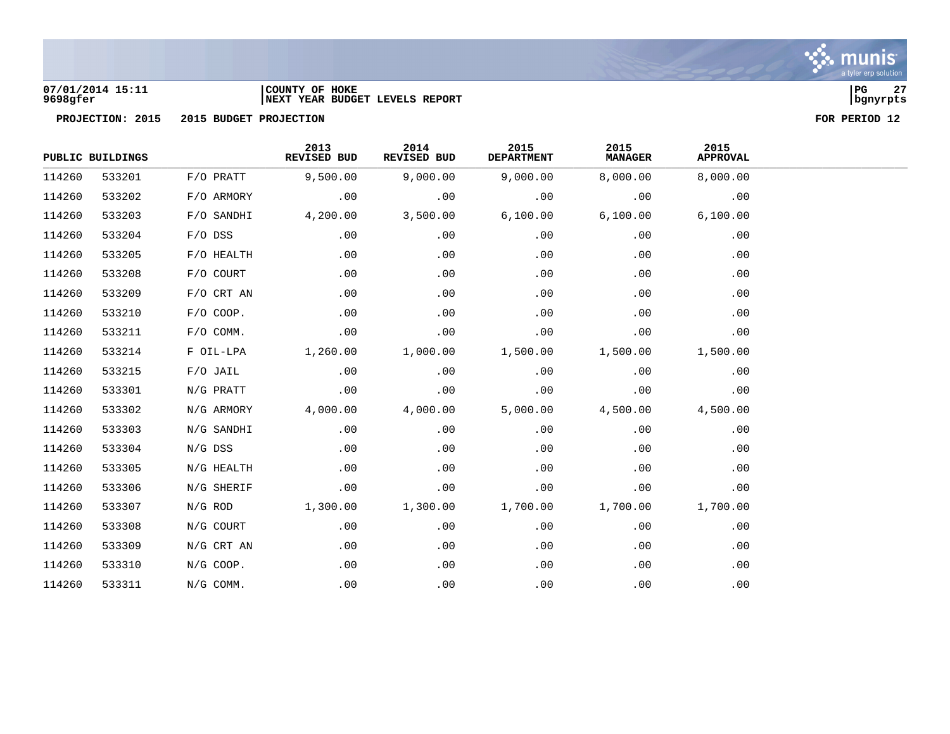

# **07/01/2014 15:11 |COUNTY OF HOKE |PG 27 9698gfer |NEXT YEAR BUDGET LEVELS REPORT |bgnyrpts**



|        | PUBLIC BUILDINGS |              | 2013<br>REVISED BUD | 2014<br>REVISED BUD | 2015<br><b>DEPARTMENT</b> | 2015<br><b>MANAGER</b> | 2015<br><b>APPROVAL</b> |
|--------|------------------|--------------|---------------------|---------------------|---------------------------|------------------------|-------------------------|
| 114260 | 533201           | $F/O$ PRATT  | 9,500.00            | 9,000.00            | 9,000.00                  | 8,000.00               | 8,000.00                |
| 114260 | 533202           | F/O ARMORY   | .00                 | .00                 | .00                       | .00                    | .00                     |
| 114260 | 533203           | F/O SANDHI   | 4,200.00            | 3,500.00            | 6,100.00                  | 6,100.00               | 6,100.00                |
| 114260 | 533204           | $F/O$ DSS    | .00                 | .00                 | .00                       | .00                    | .00                     |
| 114260 | 533205           | F/O HEALTH   | .00                 | .00                 | .00                       | .00                    | .00                     |
| 114260 | 533208           | F/O COURT    | .00                 | .00                 | .00                       | .00                    | .00                     |
| 114260 | 533209           | $F/O$ CRT AN | .00                 | .00                 | .00                       | .00                    | .00                     |
| 114260 | 533210           | F/O COOP.    | .00                 | .00                 | .00                       | .00                    | .00                     |
| 114260 | 533211           | $F/O$ COMM.  | .00                 | .00                 | .00                       | .00                    | .00                     |
| 114260 | 533214           | F OIL-LPA    | 1,260.00            | 1,000.00            | 1,500.00                  | 1,500.00               | 1,500.00                |
| 114260 | 533215           | $F/O$ JAIL   | .00                 | .00                 | .00                       | .00                    | .00                     |
| 114260 | 533301           | N/G PRATT    | .00                 | .00                 | .00                       | .00                    | .00                     |
| 114260 | 533302           | N/G ARMORY   | 4,000.00            | 4,000.00            | 5,000.00                  | 4,500.00               | 4,500.00                |
| 114260 | 533303           | N/G SANDHI   | .00                 | .00                 | .00                       | .00                    | .00                     |
| 114260 | 533304           | N/G DSS      | .00                 | .00                 | .00                       | .00                    | .00                     |
| 114260 | 533305           | N/G HEALTH   | .00                 | .00                 | .00                       | .00                    | .00                     |
| 114260 | 533306           | N/G SHERIF   | .00                 | .00                 | .00                       | .00                    | .00                     |
| 114260 | 533307           | $N/G$ ROD    | 1,300.00            | 1,300.00            | 1,700.00                  | 1,700.00               | 1,700.00                |
| 114260 | 533308           | N/G COURT    | .00                 | .00                 | .00                       | .00                    | .00                     |
| 114260 | 533309           | N/G CRT AN   | .00                 | .00                 | .00                       | .00                    | .00                     |
| 114260 | 533310           | N/G COOP.    | .00                 | .00                 | .00                       | .00                    | .00                     |
| 114260 | 533311           | N/G COMM.    | .00                 | .00                 | .00                       | .00                    | .00                     |

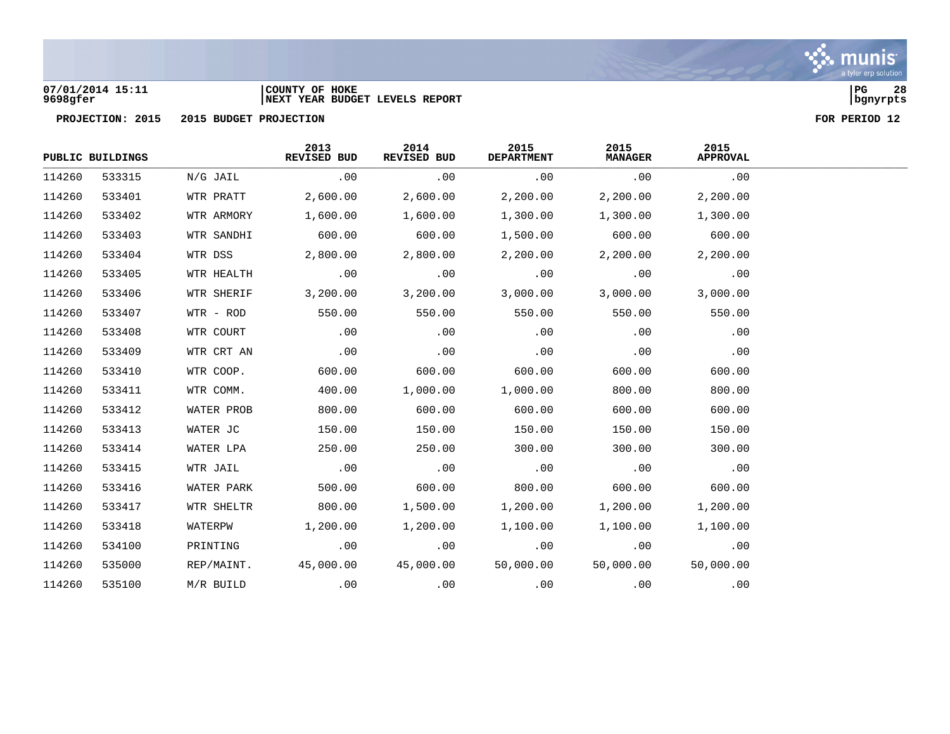

## **07/01/2014 15:11 |COUNTY OF HOKE |PG 28 9698gfer |NEXT YEAR BUDGET LEVELS REPORT |bgnyrpts**

|        | PUBLIC BUILDINGS |            | 2013<br>REVISED BUD | 2014<br>REVISED BUD | 2015<br><b>DEPARTMENT</b> | 2015<br><b>MANAGER</b> | 2015<br><b>APPROVAL</b> |
|--------|------------------|------------|---------------------|---------------------|---------------------------|------------------------|-------------------------|
| 114260 | 533315           | N/G JAIL   | .00                 | .00                 | .00                       | .00                    | .00                     |
| 114260 | 533401           | WTR PRATT  | 2,600.00            | 2,600.00            | 2,200.00                  | 2,200.00               | 2,200.00                |
| 114260 | 533402           | WTR ARMORY | 1,600.00            | 1,600.00            | 1,300.00                  | 1,300.00               | 1,300.00                |
| 114260 | 533403           | WTR SANDHI | 600.00              | 600.00              | 1,500.00                  | 600.00                 | 600.00                  |
| 114260 | 533404           | WTR DSS    | 2,800.00            | 2,800.00            | 2,200.00                  | 2,200.00               | 2,200.00                |
| 114260 | 533405           | WTR HEALTH | .00                 | .00                 | .00                       | .00                    | .00                     |
| 114260 | 533406           | WTR SHERIF | 3,200.00            | 3,200.00            | 3,000.00                  | 3,000.00               | 3,000.00                |
| 114260 | 533407           | WTR - ROD  | 550.00              | 550.00              | 550.00                    | 550.00                 | 550.00                  |
| 114260 | 533408           | WTR COURT  | .00                 | .00                 | .00                       | .00                    | .00                     |
| 114260 | 533409           | WTR CRT AN | .00                 | .00                 | .00                       | .00                    | .00                     |
| 114260 | 533410           | WTR COOP.  | 600.00              | 600.00              | 600.00                    | 600.00                 | 600.00                  |
| 114260 | 533411           | WTR COMM.  | 400.00              | 1,000.00            | 1,000.00                  | 800.00                 | 800.00                  |
| 114260 | 533412           | WATER PROB | 800.00              | 600.00              | 600.00                    | 600.00                 | 600.00                  |
| 114260 | 533413           | WATER JC   | 150.00              | 150.00              | 150.00                    | 150.00                 | 150.00                  |
| 114260 | 533414           | WATER LPA  | 250.00              | 250.00              | 300.00                    | 300.00                 | 300.00                  |
| 114260 | 533415           | WTR JAIL   | .00                 | .00                 | .00                       | .00                    | .00                     |
| 114260 | 533416           | WATER PARK | 500.00              | 600.00              | 800.00                    | 600.00                 | 600.00                  |
| 114260 | 533417           | WTR SHELTR | 800.00              | 1,500.00            | 1,200.00                  | 1,200.00               | 1,200.00                |
| 114260 | 533418           | WATERPW    | 1,200.00            | 1,200.00            | 1,100.00                  | 1,100.00               | 1,100.00                |
| 114260 | 534100           | PRINTING   | .00                 | .00                 | .00                       | .00                    | .00                     |
| 114260 | 535000           | REP/MAINT. | 45,000.00           | 45,000.00           | 50,000.00                 | 50,000.00              | 50,000.00               |
| 114260 | 535100           | M/R BUILD  | .00                 | .00                 | .00                       | .00                    | .00                     |

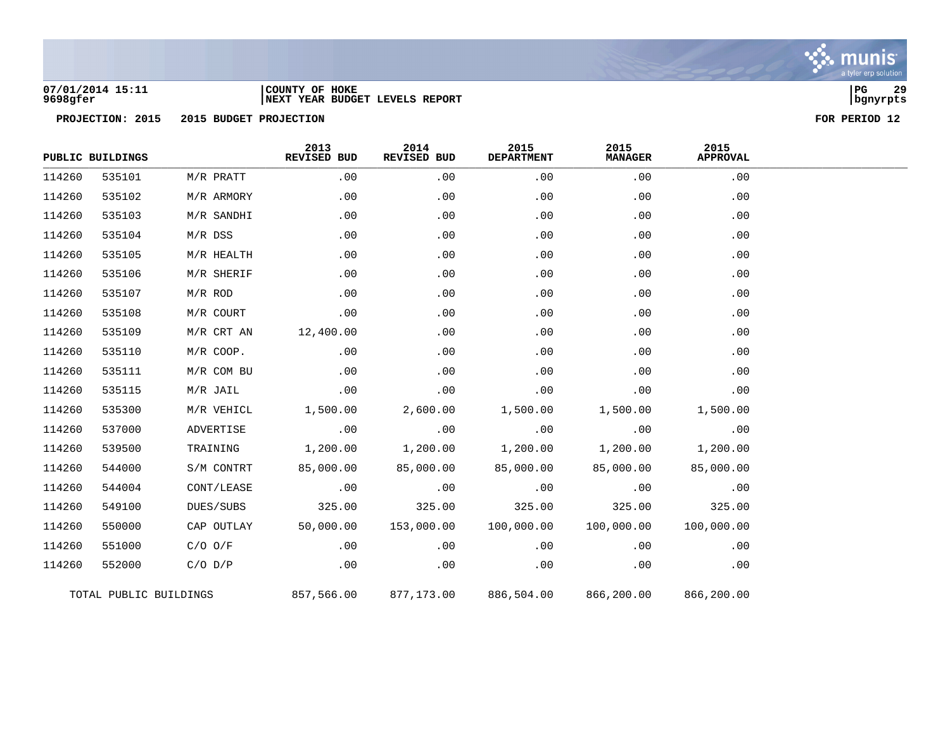

## **07/01/2014 15:11 |COUNTY OF HOKE |PG 29 9698gfer |NEXT YEAR BUDGET LEVELS REPORT |bgnyrpts**

|        | PUBLIC BUILDINGS       |              | 2013<br>REVISED BUD | 2014<br>REVISED BUD | 2015<br><b>DEPARTMENT</b> | 2015<br><b>MANAGER</b> | 2015<br><b>APPROVAL</b> |
|--------|------------------------|--------------|---------------------|---------------------|---------------------------|------------------------|-------------------------|
| 114260 | 535101                 | M/R PRATT    | .00                 | .00                 | .00                       | .00                    | .00                     |
| 114260 | 535102                 | M/R ARMORY   | .00                 | .00                 | .00                       | .00                    | .00                     |
| 114260 | 535103                 | M/R SANDHI   | .00                 | .00                 | .00                       | .00                    | .00                     |
| 114260 | 535104                 | M/R DSS      | .00                 | .00                 | .00                       | .00                    | .00                     |
| 114260 | 535105                 | M/R HEALTH   | .00                 | .00                 | .00                       | .00                    | .00                     |
| 114260 | 535106                 | M/R SHERIF   | .00                 | .00                 | .00                       | .00                    | .00                     |
| 114260 | 535107                 | $M/R$ ROD    | .00                 | .00                 | .00                       | .00                    | .00                     |
| 114260 | 535108                 | M/R COURT    | .00                 | .00                 | .00                       | .00                    | .00                     |
| 114260 | 535109                 | $M/R$ CRT AN | 12,400.00           | .00                 | .00                       | .00                    | .00                     |
| 114260 | 535110                 | M/R COOP.    | .00                 | .00                 | .00                       | .00                    | .00                     |
| 114260 | 535111                 | M/R COM BU   | .00                 | .00                 | .00                       | .00                    | .00                     |
| 114260 | 535115                 | M/R JAIL     | .00                 | .00                 | .00                       | .00                    | .00                     |
| 114260 | 535300                 | M/R VEHICL   | 1,500.00            | 2,600.00            | 1,500.00                  | 1,500.00               | 1,500.00                |
| 114260 | 537000                 | ADVERTISE    | .00                 | .00                 | .00                       | .00                    | .00                     |
| 114260 | 539500                 | TRAINING     | 1,200.00            | 1,200.00            | 1,200.00                  | 1,200.00               | 1,200.00                |
| 114260 | 544000                 | S/M CONTRT   | 85,000.00           | 85,000.00           | 85,000.00                 | 85,000.00              | 85,000.00               |
| 114260 | 544004                 | CONT/LEASE   | .00                 | .00                 | .00                       | .00                    | .00                     |
| 114260 | 549100                 | DUES/SUBS    | 325.00              | 325.00              | 325.00                    | 325.00                 | 325.00                  |
| 114260 | 550000                 | CAP OUTLAY   | 50,000.00           | 153,000.00          | 100,000.00                | 100,000.00             | 100,000.00              |
| 114260 | 551000                 | $C/O$ $O/F$  | .00                 | .00                 | .00                       | .00                    | .00                     |
| 114260 | 552000                 | $C/O$ $D/P$  | .00                 | .00                 | .00                       | .00                    | .00                     |
|        | TOTAL PUBLIC BUILDINGS |              | 857,566.00          | 877,173.00          | 886,504.00                | 866,200.00             | 866,200.00              |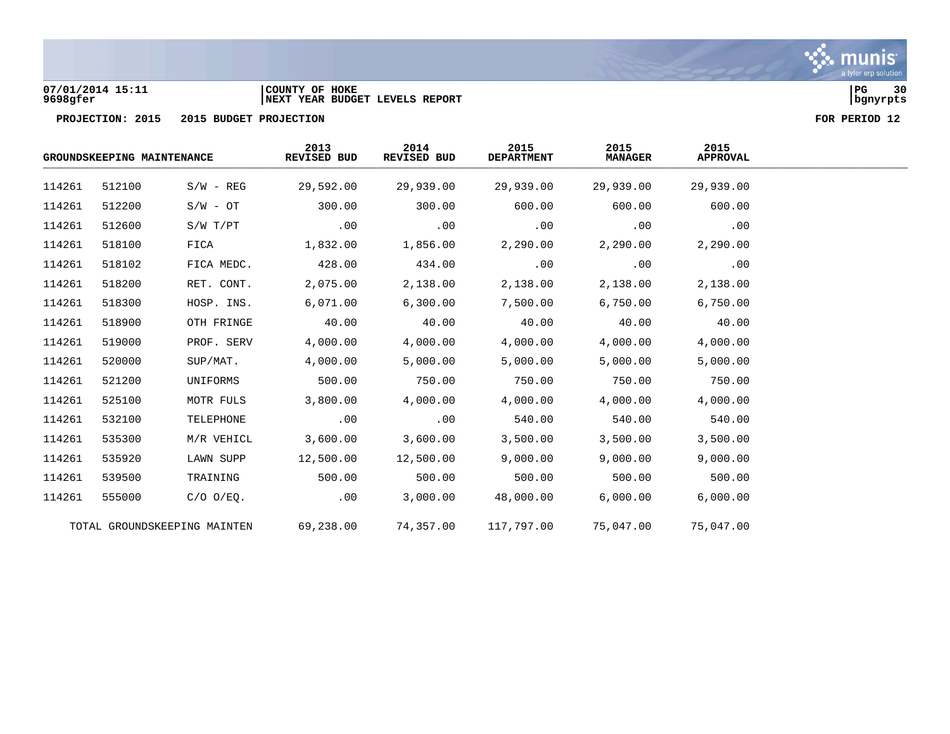

## **07/01/2014 15:11 |COUNTY OF HOKE |PG 30 9698gfer |NEXT YEAR BUDGET LEVELS REPORT |bgnyrpts**

| GROUNDSKEEPING MAINTENANCE   |        |                | 2013<br>REVISED BUD | 2014<br>REVISED BUD | 2015<br><b>DEPARTMENT</b> | 2015<br><b>MANAGER</b> | 2015<br><b>APPROVAL</b> |  |
|------------------------------|--------|----------------|---------------------|---------------------|---------------------------|------------------------|-------------------------|--|
| 114261                       | 512100 | $S/W - REG$    | 29,592.00           | 29,939.00           | 29,939.00                 | 29,939.00              | 29,939.00               |  |
| 114261                       | 512200 | $S/W - OT$     | 300.00              | 300.00              | 600.00                    | 600.00                 | 600.00                  |  |
| 114261                       | 512600 | S/W T/PT       | .00                 | .00                 | .00                       | .00                    | .00                     |  |
| 114261                       | 518100 | FICA           | 1,832.00            | 1,856.00            | 2,290.00                  | 2,290.00               | 2,290.00                |  |
| 114261                       | 518102 | FICA MEDC.     | 428.00              | 434.00              | .00                       | .00                    | .00                     |  |
| 114261                       | 518200 | RET. CONT.     | 2,075.00            | 2,138.00            | 2,138.00                  | 2,138.00               | 2,138.00                |  |
| 114261                       | 518300 | HOSP. INS.     | 6,071.00            | 6,300.00            | 7,500.00                  | 6,750.00               | 6,750.00                |  |
| 114261                       | 518900 | OTH FRINGE     | 40.00               | 40.00               | 40.00                     | 40.00                  | 40.00                   |  |
| 114261                       | 519000 | PROF. SERV     | 4,000.00            | 4,000.00            | 4,000.00                  | 4,000.00               | 4,000.00                |  |
| 114261                       | 520000 | SUP/MAT.       | 4,000.00            | 5,000.00            | 5,000.00                  | 5,000.00               | 5,000.00                |  |
| 114261                       | 521200 | UNIFORMS       | 500.00              | 750.00              | 750.00                    | 750.00                 | 750.00                  |  |
| 114261                       | 525100 | MOTR FULS      | 3,800.00            | 4,000.00            | 4,000.00                  | 4,000.00               | 4,000.00                |  |
| 114261                       | 532100 | TELEPHONE      | .00                 | .00                 | 540.00                    | 540.00                 | 540.00                  |  |
| 114261                       | 535300 | M/R VEHICL     | 3,600.00            | 3,600.00            | 3,500.00                  | 3,500.00               | 3,500.00                |  |
| 114261                       | 535920 | LAWN SUPP      | 12,500.00           | 12,500.00           | 9,000.00                  | 9,000.00               | 9,000.00                |  |
| 114261                       | 539500 | TRAINING       | 500.00              | 500.00              | 500.00                    | 500.00                 | 500.00                  |  |
| 114261                       | 555000 | $C/O$ $O/EQ$ . | .00                 | 3,000.00            | 48,000.00                 | 6,000.00               | 6,000.00                |  |
| TOTAL GROUNDSKEEPING MAINTEN |        | 69,238.00      | 74,357.00           | 117,797.00          | 75,047.00                 | 75,047.00              |                         |  |

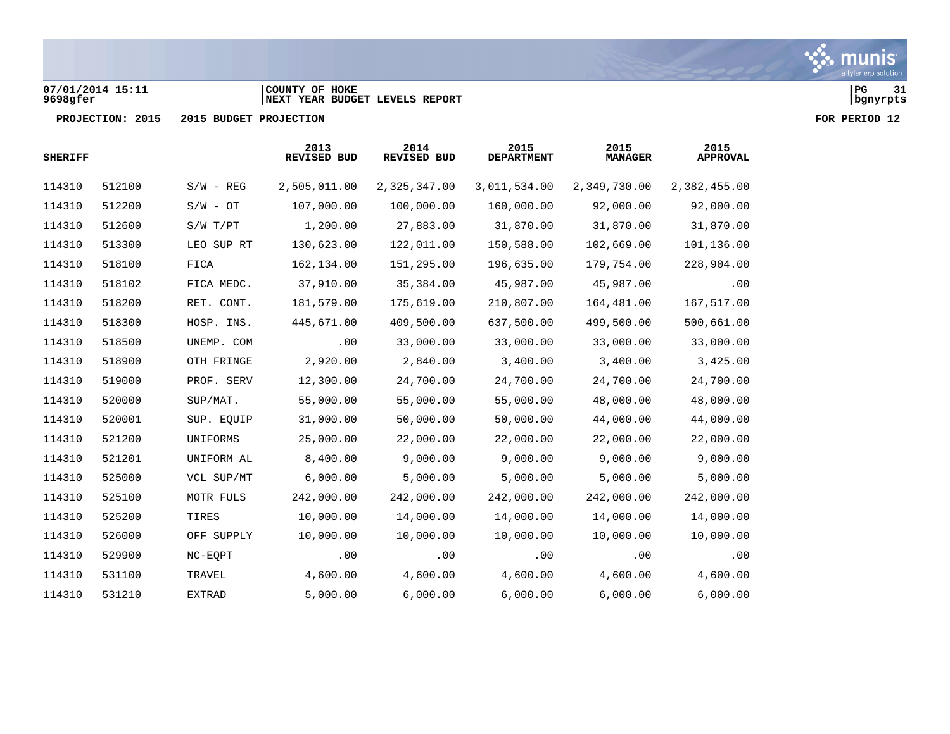## **07/01/2014 15:11 |COUNTY OF HOKE |PG 31 9698gfer |NEXT YEAR BUDGET LEVELS REPORT |bgnyrpts**

| <b>SHERIFF</b> |        |             | 2013<br>REVISED BUD | 2014<br>REVISED BUD | 2015<br><b>DEPARTMENT</b> | 2015<br><b>MANAGER</b> | 2015<br><b>APPROVAL</b> |  |
|----------------|--------|-------------|---------------------|---------------------|---------------------------|------------------------|-------------------------|--|
| 114310         | 512100 | $S/W - REG$ | 2,505,011.00        | 2,325,347.00        | 3,011,534.00              | 2,349,730.00           | 2,382,455.00            |  |
| 114310         | 512200 | $S/W - OT$  | 107,000.00          | 100,000.00          | 160,000.00                | 92,000.00              | 92,000.00               |  |
| 114310         | 512600 | S/W T/PT    | 1,200.00            | 27,883.00           | 31,870.00                 | 31,870.00              | 31,870.00               |  |
| 114310         | 513300 | LEO SUP RT  | 130,623.00          | 122,011.00          | 150,588.00                | 102,669.00             | 101,136.00              |  |
| 114310         | 518100 | FICA        | 162,134.00          | 151,295.00          | 196,635.00                | 179,754.00             | 228,904.00              |  |
| 114310         | 518102 | FICA MEDC.  | 37,910.00           | 35,384.00           | 45,987.00                 | 45,987.00              | .00                     |  |
| 114310         | 518200 | RET. CONT.  | 181,579.00          | 175,619.00          | 210,807.00                | 164,481.00             | 167,517.00              |  |
| 114310         | 518300 | HOSP. INS.  | 445,671.00          | 409,500.00          | 637,500.00                | 499,500.00             | 500,661.00              |  |
| 114310         | 518500 | UNEMP. COM  | .00                 | 33,000.00           | 33,000.00                 | 33,000.00              | 33,000.00               |  |
| 114310         | 518900 | OTH FRINGE  | 2,920.00            | 2,840.00            | 3,400.00                  | 3,400.00               | 3,425.00                |  |
| 114310         | 519000 | PROF. SERV  | 12,300.00           | 24,700.00           | 24,700.00                 | 24,700.00              | 24,700.00               |  |
| 114310         | 520000 | SUP/MAT.    | 55,000.00           | 55,000.00           | 55,000.00                 | 48,000.00              | 48,000.00               |  |
| 114310         | 520001 | SUP. EQUIP  | 31,000.00           | 50,000.00           | 50,000.00                 | 44,000.00              | 44,000.00               |  |
| 114310         | 521200 | UNIFORMS    | 25,000.00           | 22,000.00           | 22,000.00                 | 22,000.00              | 22,000.00               |  |
| 114310         | 521201 | UNIFORM AL  | 8,400.00            | 9,000.00            | 9,000.00                  | 9,000.00               | 9,000.00                |  |
| 114310         | 525000 | VCL SUP/MT  | 6,000.00            | 5,000.00            | 5,000.00                  | 5,000.00               | 5,000.00                |  |
| 114310         | 525100 | MOTR FULS   | 242,000.00          | 242,000.00          | 242,000.00                | 242,000.00             | 242,000.00              |  |
| 114310         | 525200 | TIRES       | 10,000.00           | 14,000.00           | 14,000.00                 | 14,000.00              | 14,000.00               |  |
| 114310         | 526000 | OFF SUPPLY  | 10,000.00           | 10,000.00           | 10,000.00                 | 10,000.00              | 10,000.00               |  |
| 114310         | 529900 | NC-EQPT     | .00                 | .00                 | .00                       | .00                    | .00                     |  |
| 114310         | 531100 | TRAVEL      | 4,600.00            | 4,600.00            | 4,600.00                  | 4,600.00               | 4,600.00                |  |
| 114310         | 531210 | EXTRAD      | 5,000.00            | 6,000.00            | 6,000.00                  | 6,000.00               | 6,000.00                |  |

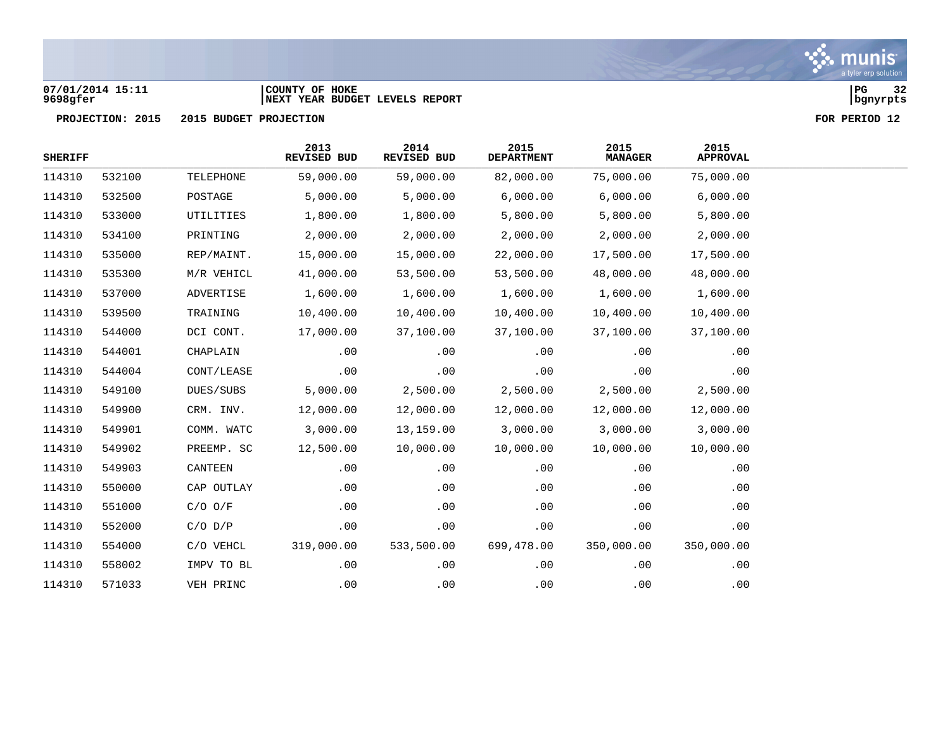## **07/01/2014 15:11 |COUNTY OF HOKE |PG 32 9698gfer |NEXT YEAR BUDGET LEVELS REPORT |bgnyrpts**

| <b>SHERIFF</b> |        |             | 2013<br>REVISED BUD | 2014<br>REVISED BUD | 2015<br><b>DEPARTMENT</b> | 2015<br><b>MANAGER</b> | 2015<br><b>APPROVAL</b> |  |
|----------------|--------|-------------|---------------------|---------------------|---------------------------|------------------------|-------------------------|--|
| 114310         | 532100 | TELEPHONE   | 59,000.00           | 59,000.00           | 82,000.00                 | 75,000.00              | 75,000.00               |  |
| 114310         | 532500 | POSTAGE     | 5,000.00            | 5,000.00            | 6,000.00                  | 6,000.00               | 6,000.00                |  |
| 114310         | 533000 | UTILITIES   | 1,800.00            | 1,800.00            | 5,800.00                  | 5,800.00               | 5,800.00                |  |
| 114310         | 534100 | PRINTING    | 2,000.00            | 2,000.00            | 2,000.00                  | 2,000.00               | 2,000.00                |  |
| 114310         | 535000 | REP/MAINT.  | 15,000.00           | 15,000.00           | 22,000.00                 | 17,500.00              | 17,500.00               |  |
| 114310         | 535300 | M/R VEHICL  | 41,000.00           | 53,500.00           | 53,500.00                 | 48,000.00              | 48,000.00               |  |
| 114310         | 537000 | ADVERTISE   | 1,600.00            | 1,600.00            | 1,600.00                  | 1,600.00               | 1,600.00                |  |
| 114310         | 539500 | TRAINING    | 10,400.00           | 10,400.00           | 10,400.00                 | 10,400.00              | 10,400.00               |  |
| 114310         | 544000 | DCI CONT.   | 17,000.00           | 37,100.00           | 37,100.00                 | 37,100.00              | 37,100.00               |  |
| 114310         | 544001 | CHAPLAIN    | .00                 | .00                 | .00                       | .00                    | .00                     |  |
| 114310         | 544004 | CONT/LEASE  | .00                 | .00                 | .00                       | .00                    | .00                     |  |
| 114310         | 549100 | DUES/SUBS   | 5,000.00            | 2,500.00            | 2,500.00                  | 2,500.00               | 2,500.00                |  |
| 114310         | 549900 | CRM. INV.   | 12,000.00           | 12,000.00           | 12,000.00                 | 12,000.00              | 12,000.00               |  |
| 114310         | 549901 | COMM. WATC  | 3,000.00            | 13,159.00           | 3,000.00                  | 3,000.00               | 3,000.00                |  |
| 114310         | 549902 | PREEMP. SC  | 12,500.00           | 10,000.00           | 10,000.00                 | 10,000.00              | 10,000.00               |  |
| 114310         | 549903 | CANTEEN     | .00                 | .00                 | .00                       | .00                    | .00                     |  |
| 114310         | 550000 | CAP OUTLAY  | .00                 | .00                 | .00                       | .00                    | .00                     |  |
| 114310         | 551000 | $C/O$ $O/F$ | .00                 | .00                 | .00                       | .00                    | .00                     |  |
| 114310         | 552000 | $C/O$ $D/P$ | .00                 | .00                 | .00                       | .00                    | .00                     |  |
| 114310         | 554000 | C/O VEHCL   | 319,000.00          | 533,500.00          | 699,478.00                | 350,000.00             | 350,000.00              |  |
| 114310         | 558002 | IMPV TO BL  | .00                 | .00                 | .00                       | .00                    | .00                     |  |
| 114310         | 571033 | VEH PRINC   | .00                 | .00                 | .00                       | .00                    | .00                     |  |

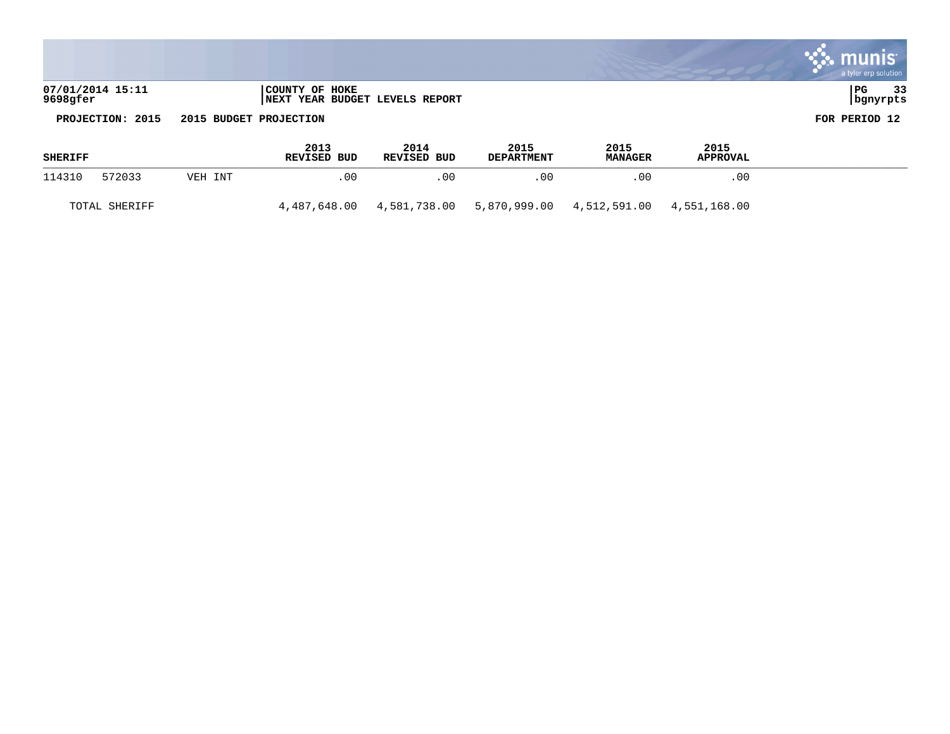|                              |                                                  | a tyler erp solution   |
|------------------------------|--------------------------------------------------|------------------------|
| 07/01/2014 15:11<br>9698gfer | COUNTY OF HOKE<br>NEXT YEAR BUDGET LEVELS REPORT | PG<br>33<br>  bgnyrpts |

**PROJECTION: 2015 2015 BUDGET PROJECTION** 

|  |  | FOR PERIOD 12 |  |
|--|--|---------------|--|
|--|--|---------------|--|

| <b>SHERIFF</b> |               |         | 2013<br><b>REVISED BUD</b> | 2014<br>REVISED BUD | 2015<br><b>DEPARTMENT</b> | 2015<br><b>MANAGER</b>                   | 2015<br><b>APPROVAL</b> |  |
|----------------|---------------|---------|----------------------------|---------------------|---------------------------|------------------------------------------|-------------------------|--|
| 114310         | 572033        | VEH INT | .00                        | 00                  | .00                       | .00                                      | .00                     |  |
|                | TOTAL SHERIFF |         | 4,487,648.00               | 4,581,738.00        |                           | 5,870,999.00  4,512,591.00  4,551,168.00 |                         |  |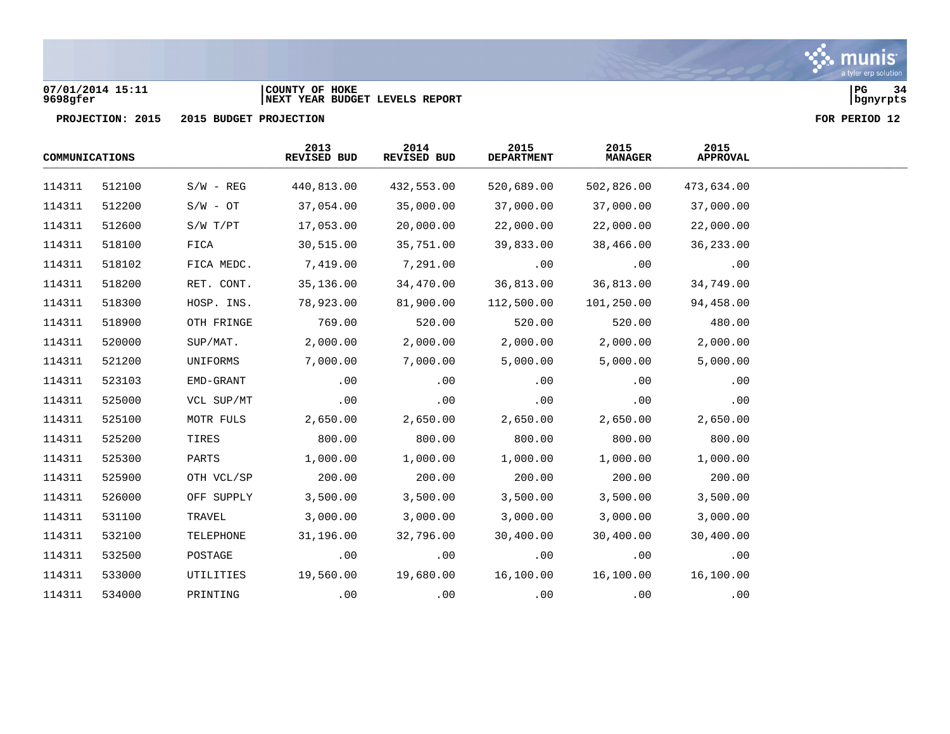## **07/01/2014 15:11 |COUNTY OF HOKE |PG 34 9698gfer |NEXT YEAR BUDGET LEVELS REPORT |bgnyrpts**

| COMMUNICATIONS |        |             | 2013<br>REVISED BUD | 2014<br>REVISED BUD | 2015<br><b>DEPARTMENT</b> | 2015<br><b>MANAGER</b> | 2015<br><b>APPROVAL</b> |  |
|----------------|--------|-------------|---------------------|---------------------|---------------------------|------------------------|-------------------------|--|
| 114311         | 512100 | $S/W - REG$ | 440,813.00          | 432,553.00          | 520,689.00                | 502,826.00             | 473,634.00              |  |
| 114311         | 512200 | $S/W - OT$  | 37,054.00           | 35,000.00           | 37,000.00                 | 37,000.00              | 37,000.00               |  |
| 114311         | 512600 | S/W T/PT    | 17,053.00           | 20,000.00           | 22,000.00                 | 22,000.00              | 22,000.00               |  |
| 114311         | 518100 | FICA        | 30,515.00           | 35,751.00           | 39,833.00                 | 38,466.00              | 36, 233.00              |  |
| 114311         | 518102 | FICA MEDC.  | 7,419.00            | 7,291.00            | .00                       | .00                    | .00                     |  |
| 114311         | 518200 | RET. CONT.  | 35,136.00           | 34,470.00           | 36,813.00                 | 36,813.00              | 34,749.00               |  |
| 114311         | 518300 | HOSP. INS.  | 78,923.00           | 81,900.00           | 112,500.00                | 101,250.00             | 94,458.00               |  |
| 114311         | 518900 | OTH FRINGE  | 769.00              | 520.00              | 520.00                    | 520.00                 | 480.00                  |  |
| 114311         | 520000 | SUP/MAT.    | 2,000.00            | 2,000.00            | 2,000.00                  | 2,000.00               | 2,000.00                |  |
| 114311         | 521200 | UNIFORMS    | 7,000.00            | 7,000.00            | 5,000.00                  | 5,000.00               | 5,000.00                |  |
| 114311         | 523103 | EMD-GRANT   | .00                 | .00                 | .00                       | .00                    | .00                     |  |
| 114311         | 525000 | VCL SUP/MT  | .00                 | .00                 | .00                       | .00                    | .00                     |  |
| 114311         | 525100 | MOTR FULS   | 2,650.00            | 2,650.00            | 2,650.00                  | 2,650.00               | 2,650.00                |  |
| 114311         | 525200 | TIRES       | 800.00              | 800.00              | 800.00                    | 800.00                 | 800.00                  |  |
| 114311         | 525300 | PARTS       | 1,000.00            | 1,000.00            | 1,000.00                  | 1,000.00               | 1,000.00                |  |
| 114311         | 525900 | OTH VCL/SP  | 200.00              | 200.00              | 200.00                    | 200.00                 | 200.00                  |  |
| 114311         | 526000 | OFF SUPPLY  | 3,500.00            | 3,500.00            | 3,500.00                  | 3,500.00               | 3,500.00                |  |
| 114311         | 531100 | TRAVEL      | 3,000.00            | 3,000.00            | 3,000.00                  | 3,000.00               | 3,000.00                |  |
| 114311         | 532100 | TELEPHONE   | 31,196.00           | 32,796.00           | 30,400.00                 | 30,400.00              | 30,400.00               |  |
| 114311         | 532500 | POSTAGE     | .00                 | .00                 | .00                       | .00                    | .00                     |  |
| 114311         | 533000 | UTILITIES   | 19,560.00           | 19,680.00           | 16,100.00                 | 16,100.00              | 16,100.00               |  |
| 114311         | 534000 | PRINTING    | .00                 | .00                 | .00                       | .00                    | .00                     |  |

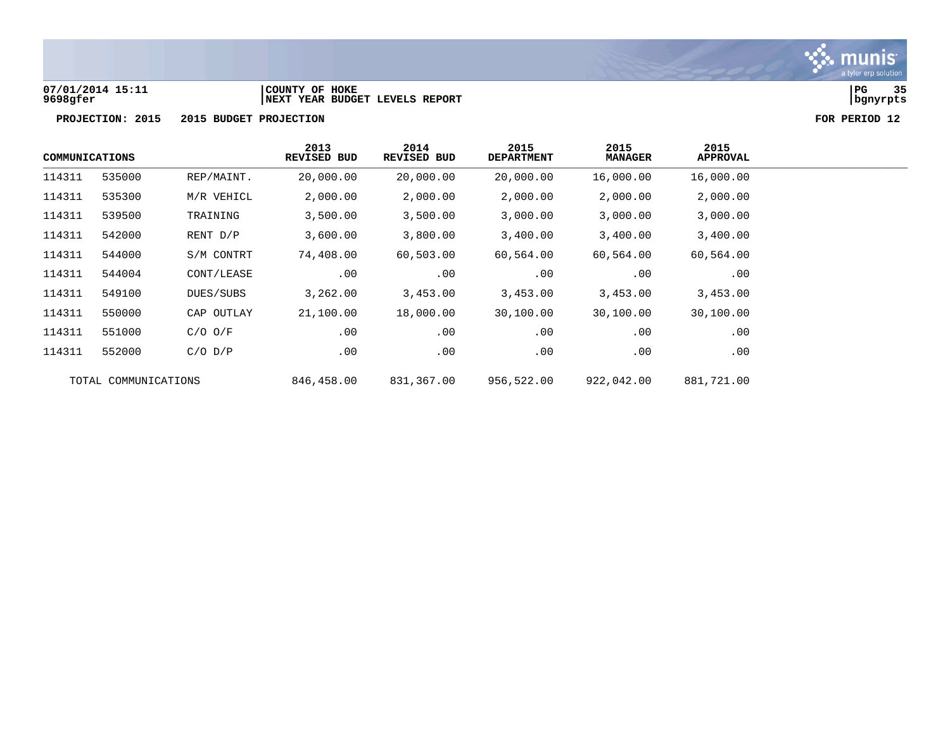

## **07/01/2014 15:11 |COUNTY OF HOKE |PG 35 9698gfer |NEXT YEAR BUDGET LEVELS REPORT |bgnyrpts**



| COMMUNICATIONS       |        | 2013<br><b>REVISED BUD</b> | 2014<br>REVISED BUD | 2015<br><b>DEPARTMENT</b> | 2015<br><b>MANAGER</b> | 2015<br><b>APPROVAL</b> |           |
|----------------------|--------|----------------------------|---------------------|---------------------------|------------------------|-------------------------|-----------|
| 114311               | 535000 | REP/MAINT.                 | 20,000.00           | 20,000.00                 | 20,000.00              | 16,000.00               | 16,000.00 |
| 114311               | 535300 | M/R VEHICL                 | 2,000.00            | 2,000.00                  | 2,000.00               | 2,000.00                | 2,000.00  |
| 114311               | 539500 | TRAINING                   | 3,500.00            | 3,500.00                  | 3,000.00               | 3,000.00                | 3,000.00  |
| 114311               | 542000 | RENT D/P                   | 3,600.00            | 3,800.00                  | 3,400.00               | 3,400.00                | 3,400.00  |
| 114311               | 544000 | S/M CONTRT                 | 74,408.00           | 60,503.00                 | 60,564.00              | 60,564.00               | 60,564.00 |
| 114311               | 544004 | CONT/LEASE                 | .00                 | .00                       | $.00 \,$               | .00                     | .00       |
| 114311               | 549100 | DUES/SUBS                  | 3,262.00            | 3,453.00                  | 3,453.00               | 3,453.00                | 3,453.00  |
| 114311               | 550000 | CAP OUTLAY                 | 21,100.00           | 18,000.00                 | 30,100.00              | 30,100.00               | 30,100.00 |
| 114311               | 551000 | $C/O$ $O/F$                | .00                 | .00                       | .00                    | .00                     | .00       |
| 114311               | 552000 | $C/O$ $D/P$                | .00                 | .00                       | .00                    | .00                     | .00       |
| TOTAL COMMUNICATIONS |        | 846,458.00                 | 831,367.00          | 956,522.00                | 922,042.00             | 881,721.00              |           |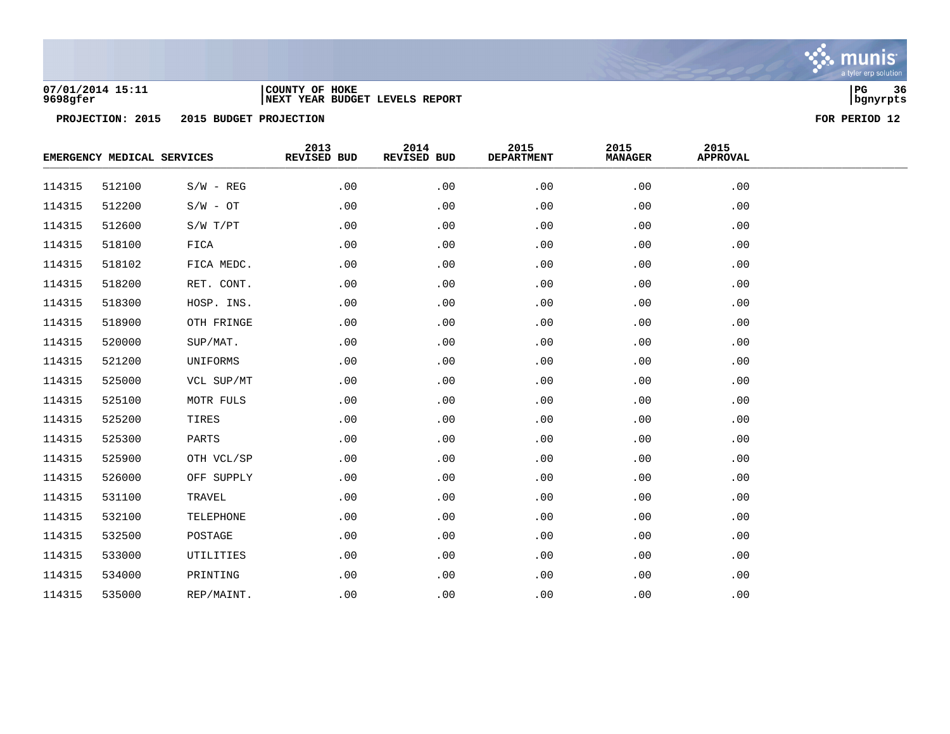

## **07/01/2014 15:11 |COUNTY OF HOKE |PG 36 9698gfer |NEXT YEAR BUDGET LEVELS REPORT |bgnyrpts**

| EMERGENCY MEDICAL SERVICES |        | 2013<br>REVISED BUD | 2014<br>REVISED BUD | 2015<br><b>DEPARTMENT</b> | 2015<br><b>MANAGER</b> | 2015<br><b>APPROVAL</b> |     |  |
|----------------------------|--------|---------------------|---------------------|---------------------------|------------------------|-------------------------|-----|--|
| 114315                     | 512100 | $S/W - REG$         | .00                 | .00                       | .00                    | .00                     | .00 |  |
| 114315                     | 512200 | $S/W - OT$          | .00                 | .00                       | .00                    | .00                     | .00 |  |
| 114315                     | 512600 | S/W T/PT            | .00                 | .00                       | .00                    | .00                     | .00 |  |
| 114315                     | 518100 | FICA                | .00                 | .00                       | .00                    | .00                     | .00 |  |
| 114315                     | 518102 | FICA MEDC.          | .00                 | .00                       | .00                    | .00                     | .00 |  |
| 114315                     | 518200 | RET. CONT.          | .00                 | .00                       | .00                    | .00                     | .00 |  |
| 114315                     | 518300 | HOSP. INS.          | .00                 | .00                       | .00                    | .00                     | .00 |  |
| 114315                     | 518900 | OTH FRINGE          | .00                 | .00                       | .00                    | .00                     | .00 |  |
| 114315                     | 520000 | SUP/MAT.            | .00                 | .00                       | .00                    | .00                     | .00 |  |
| 114315                     | 521200 | UNIFORMS            | .00                 | .00                       | .00                    | .00                     | .00 |  |
| 114315                     | 525000 | VCL SUP/MT          | .00                 | .00                       | .00                    | .00                     | .00 |  |
| 114315                     | 525100 | MOTR FULS           | .00                 | .00                       | .00                    | .00                     | .00 |  |
| 114315                     | 525200 | TIRES               | .00                 | .00                       | .00                    | .00                     | .00 |  |
| 114315                     | 525300 | PARTS               | .00                 | .00                       | .00                    | .00                     | .00 |  |
| 114315                     | 525900 | OTH VCL/SP          | .00                 | .00                       | .00                    | .00                     | .00 |  |
| 114315                     | 526000 | OFF SUPPLY          | .00                 | .00                       | .00                    | .00                     | .00 |  |
| 114315                     | 531100 | TRAVEL              | .00                 | .00                       | .00                    | .00                     | .00 |  |
| 114315                     | 532100 | TELEPHONE           | .00                 | .00                       | .00                    | .00                     | .00 |  |
| 114315                     | 532500 | POSTAGE             | .00                 | .00                       | .00                    | .00                     | .00 |  |
| 114315                     | 533000 | UTILITIES           | .00                 | .00                       | .00                    | .00                     | .00 |  |
| 114315                     | 534000 | PRINTING            | .00                 | .00                       | .00                    | .00                     | .00 |  |
| 114315                     | 535000 | REP/MAINT.          | .00                 | .00                       | .00                    | .00                     | .00 |  |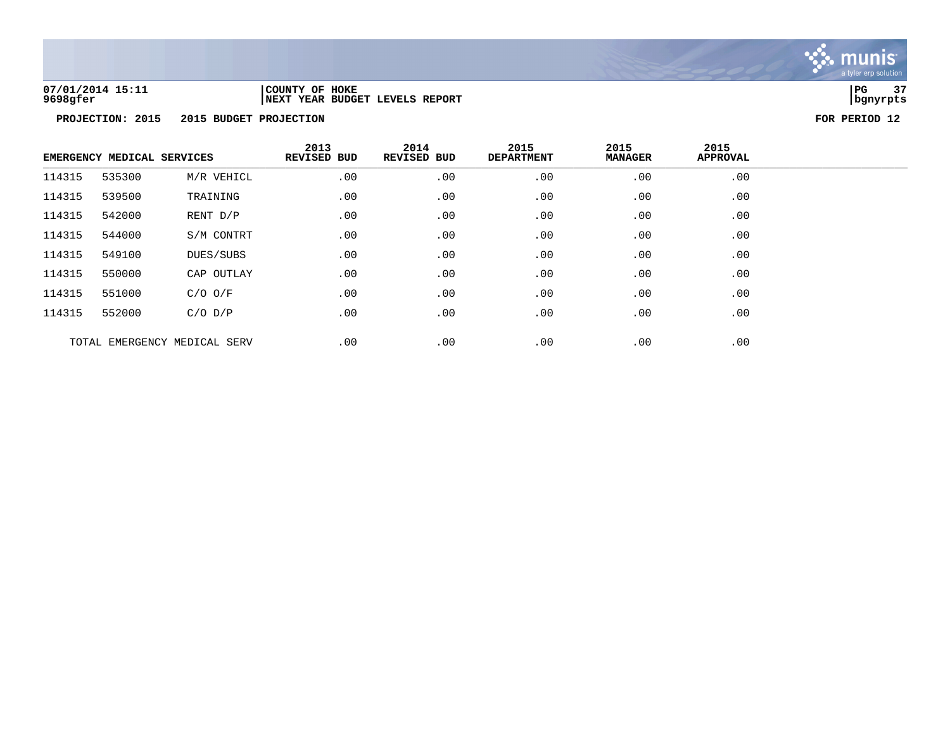

**07/01/2014 15:11 |COUNTY OF HOKE |PG 37 9698gfer |NEXT YEAR BUDGET LEVELS REPORT |bgnyrpts**

|        | EMERGENCY MEDICAL SERVICES |                              | 2013<br>REVISED BUD | 2014<br>REVISED BUD | 2015<br><b>DEPARTMENT</b> | 2015<br><b>MANAGER</b> | 2015<br><b>APPROVAL</b> |  |
|--------|----------------------------|------------------------------|---------------------|---------------------|---------------------------|------------------------|-------------------------|--|
| 114315 | 535300                     | M/R VEHICL                   | .00                 | .00                 | .00                       | .00                    | .00                     |  |
| 114315 | 539500                     | TRAINING                     | .00                 | .00                 | .00                       | .00                    | .00                     |  |
| 114315 | 542000                     | RENT D/P                     | .00                 | .00                 | .00                       | .00                    | .00                     |  |
| 114315 | 544000                     | S/M CONTRT                   | .00                 | .00                 | .00                       | .00                    | .00                     |  |
| 114315 | 549100                     | DUES/SUBS                    | .00                 | .00                 | .00                       | .00                    | .00                     |  |
| 114315 | 550000                     | CAP OUTLAY                   | .00                 | .00                 | .00                       | .00                    | $.00 \,$                |  |
| 114315 | 551000                     | $C/O$ $O/F$                  | .00                 | .00                 | .00                       | .00                    | .00                     |  |
| 114315 | 552000                     | $C/O$ $D/P$                  | .00                 | .00                 | .00                       | $.00 \,$               | .00                     |  |
|        |                            | TOTAL EMERGENCY MEDICAL SERV | .00                 | .00                 | .00                       | .00                    | .00                     |  |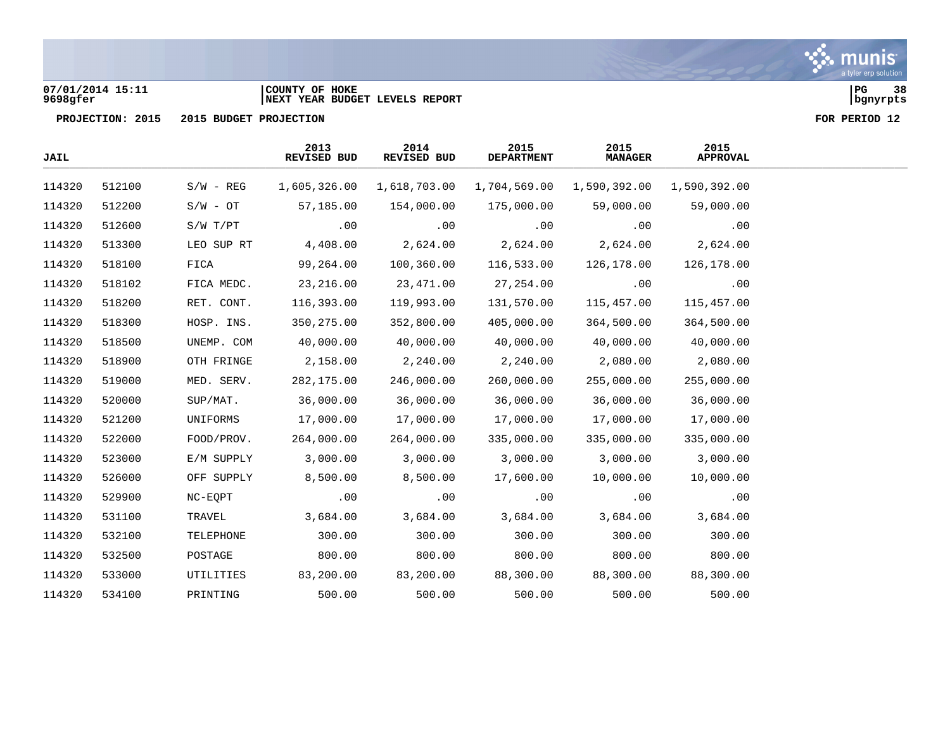

### **07/01/2014 15:11 |COUNTY OF HOKE |PG 38 9698gfer |NEXT YEAR BUDGET LEVELS REPORT |bgnyrpts**

| JAIL   |        |              | 2013<br>REVISED BUD | 2014<br>REVISED BUD | 2015<br><b>DEPARTMENT</b> | 2015<br><b>MANAGER</b> | 2015<br><b>APPROVAL</b> |  |
|--------|--------|--------------|---------------------|---------------------|---------------------------|------------------------|-------------------------|--|
| 114320 | 512100 | $S/W - REG$  | 1,605,326.00        | 1,618,703.00        | 1,704,569.00              | 1,590,392.00           | 1,590,392.00            |  |
| 114320 | 512200 | $S/W - OT$   | 57,185.00           | 154,000.00          | 175,000.00                | 59,000.00              | 59,000.00               |  |
| 114320 | 512600 | $S/W$ $T/PT$ | .00                 | .00                 | .00                       | .00                    | .00                     |  |
| 114320 | 513300 | LEO SUP RT   | 4,408.00            | 2,624.00            | 2,624.00                  | 2,624.00               | 2,624.00                |  |
| 114320 | 518100 | FICA         | 99,264.00           | 100,360.00          | 116,533.00                | 126,178.00             | 126,178.00              |  |
| 114320 | 518102 | FICA MEDC.   | 23,216.00           | 23,471.00           | 27,254.00                 | .00                    | .00                     |  |
| 114320 | 518200 | RET. CONT.   | 116,393.00          | 119,993.00          | 131,570.00                | 115,457.00             | 115,457.00              |  |
| 114320 | 518300 | HOSP. INS.   | 350, 275.00         | 352,800.00          | 405,000.00                | 364,500.00             | 364,500.00              |  |
| 114320 | 518500 | UNEMP. COM   | 40,000.00           | 40,000.00           | 40,000.00                 | 40,000.00              | 40,000.00               |  |
| 114320 | 518900 | OTH FRINGE   | 2,158.00            | 2,240.00            | 2,240.00                  | 2,080.00               | 2,080.00                |  |
| 114320 | 519000 | MED. SERV.   | 282,175.00          | 246,000.00          | 260,000.00                | 255,000.00             | 255,000.00              |  |
| 114320 | 520000 | SUP/MAT.     | 36,000.00           | 36,000.00           | 36,000.00                 | 36,000.00              | 36,000.00               |  |
| 114320 | 521200 | UNIFORMS     | 17,000.00           | 17,000.00           | 17,000.00                 | 17,000.00              | 17,000.00               |  |
| 114320 | 522000 | FOOD/PROV.   | 264,000.00          | 264,000.00          | 335,000.00                | 335,000.00             | 335,000.00              |  |
| 114320 | 523000 | E/M SUPPLY   | 3,000.00            | 3,000.00            | 3,000.00                  | 3,000.00               | 3,000.00                |  |
| 114320 | 526000 | OFF SUPPLY   | 8,500.00            | 8,500.00            | 17,600.00                 | 10,000.00              | 10,000.00               |  |
| 114320 | 529900 | NC-EQPT      | .00                 | .00                 | .00                       | .00                    | .00                     |  |
| 114320 | 531100 | TRAVEL       | 3,684.00            | 3,684.00            | 3,684.00                  | 3,684.00               | 3,684.00                |  |
| 114320 | 532100 | TELEPHONE    | 300.00              | 300.00              | 300.00                    | 300.00                 | 300.00                  |  |
| 114320 | 532500 | POSTAGE      | 800.00              | 800.00              | 800.00                    | 800.00                 | 800.00                  |  |
| 114320 | 533000 | UTILITIES    | 83,200.00           | 83,200.00           | 88,300.00                 | 88,300.00              | 88,300.00               |  |
| 114320 | 534100 | PRINTING     | 500.00              | 500.00              | 500.00                    | 500.00                 | 500.00                  |  |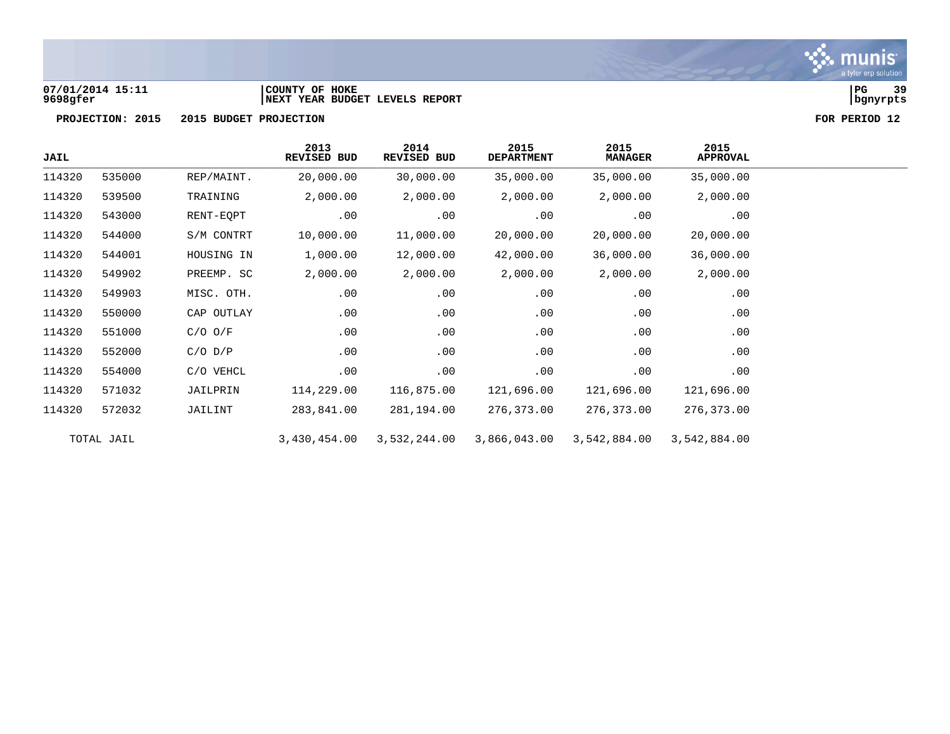

# **07/01/2014 15:11 |COUNTY OF HOKE |PG 39 9698gfer |NEXT YEAR BUDGET LEVELS REPORT |bgnyrpts**



| <b>JAIL</b> |            |             | 2013<br><b>REVISED BUD</b> | 2014<br>REVISED BUD | 2015<br><b>DEPARTMENT</b> | 2015<br><b>MANAGER</b> | 2015<br><b>APPROVAL</b> |  |
|-------------|------------|-------------|----------------------------|---------------------|---------------------------|------------------------|-------------------------|--|
| 114320      | 535000     | REP/MAINT.  | 20,000.00                  | 30,000.00           | 35,000.00                 | 35,000.00              | 35,000.00               |  |
| 114320      | 539500     | TRAINING    | 2,000.00                   | 2,000.00            | 2,000.00                  | 2,000.00               | 2,000.00                |  |
| 114320      | 543000     | RENT-EQPT   | .00                        | .00                 | .00                       | .00                    | .00                     |  |
| 114320      | 544000     | S/M CONTRT  | 10,000.00                  | 11,000.00           | 20,000.00                 | 20,000.00              | 20,000.00               |  |
| 114320      | 544001     | HOUSING IN  | 1,000.00                   | 12,000.00           | 42,000.00                 | 36,000.00              | 36,000.00               |  |
| 114320      | 549902     | PREEMP. SC  | 2,000.00                   | 2,000.00            | 2,000.00                  | 2,000.00               | 2,000.00                |  |
| 114320      | 549903     | MISC. OTH.  | .00                        | .00                 | .00                       | .00                    | .00                     |  |
| 114320      | 550000     | CAP OUTLAY  | .00                        | .00                 | .00                       | .00                    | .00                     |  |
| 114320      | 551000     | $C/O$ $O/F$ | .00                        | .00                 | .00                       | .00                    | .00                     |  |
| 114320      | 552000     | $C/O$ $D/P$ | .00                        | .00                 | .00                       | .00                    | .00                     |  |
| 114320      | 554000     | C/O VEHCL   | .00                        | .00                 | .00                       | .00                    | .00                     |  |
| 114320      | 571032     | JAILPRIN    | 114,229.00                 | 116,875.00          | 121,696.00                | 121,696.00             | 121,696.00              |  |
| 114320      | 572032     | JAILINT     | 283,841.00                 | 281,194.00          | 276,373.00                | 276,373.00             | 276,373.00              |  |
|             | TOTAL JAIL |             | 3,430,454.00               | 3,532,244.00        | 3,866,043.00              | 3,542,884.00           | 3,542,884.00            |  |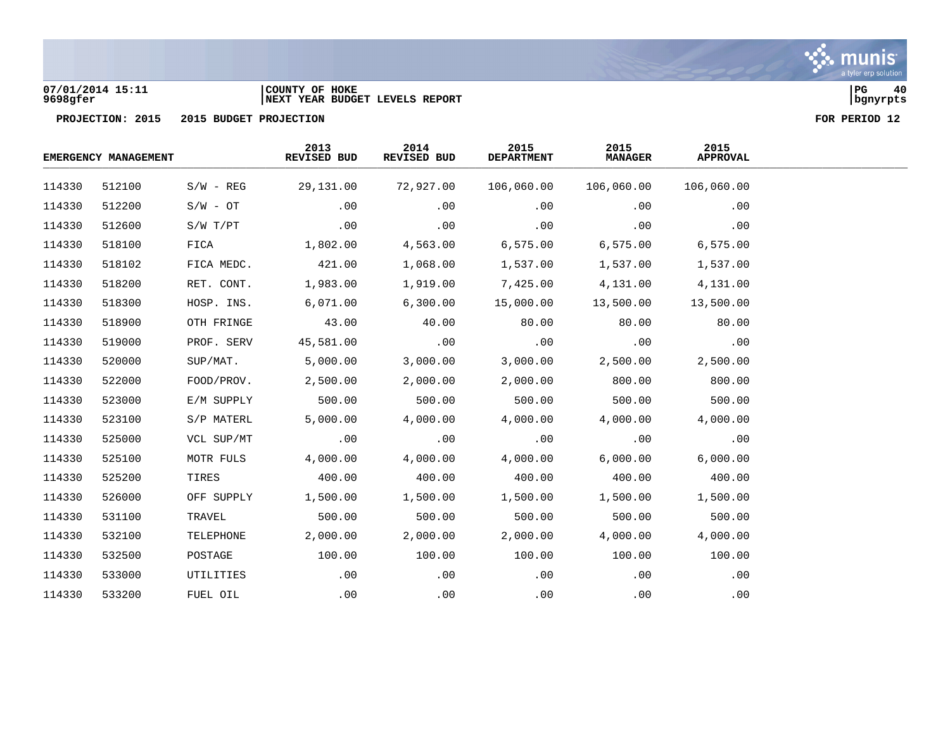

### **07/01/2014 15:11 |COUNTY OF HOKE |PG 40 9698gfer |NEXT YEAR BUDGET LEVELS REPORT |bgnyrpts**

|        | EMERGENCY MANAGEMENT |             | 2013<br>REVISED BUD | 2014<br>REVISED BUD | 2015<br><b>DEPARTMENT</b> | 2015<br><b>MANAGER</b> | 2015<br><b>APPROVAL</b> |  |
|--------|----------------------|-------------|---------------------|---------------------|---------------------------|------------------------|-------------------------|--|
| 114330 | 512100               | $S/W - REG$ | 29,131.00           | 72,927.00           | 106,060.00                | 106,060.00             | 106,060.00              |  |
| 114330 | 512200               | $S/W - OT$  | .00                 | .00                 | .00                       | .00                    | .00                     |  |
| 114330 | 512600               | S/W T/PT    | .00                 | .00                 | .00                       | .00                    | .00                     |  |
| 114330 | 518100               | FICA        | 1,802.00            | 4,563.00            | 6,575.00                  | 6, 575.00              | 6,575.00                |  |
| 114330 | 518102               | FICA MEDC.  | 421.00              | 1,068.00            | 1,537.00                  | 1,537.00               | 1,537.00                |  |
| 114330 | 518200               | RET. CONT.  | 1,983.00            | 1,919.00            | 7,425.00                  | 4,131.00               | 4,131.00                |  |
| 114330 | 518300               | HOSP. INS.  | 6,071.00            | 6,300.00            | 15,000.00                 | 13,500.00              | 13,500.00               |  |
| 114330 | 518900               | OTH FRINGE  | 43.00               | 40.00               | 80.00                     | 80.00                  | 80.00                   |  |
| 114330 | 519000               | PROF. SERV  | 45,581.00           | $\sim$ 00           | .00                       | .00                    | .00                     |  |
| 114330 | 520000               | SUP/MAT.    | 5,000.00            | 3,000.00            | 3,000.00                  | 2,500.00               | 2,500.00                |  |
| 114330 | 522000               | FOOD/PROV.  | 2,500.00            | 2,000.00            | 2,000.00                  | 800.00                 | 800.00                  |  |
| 114330 | 523000               | E/M SUPPLY  | 500.00              | 500.00              | 500.00                    | 500.00                 | 500.00                  |  |
| 114330 | 523100               | S/P MATERL  | 5,000.00            | 4,000.00            | 4,000.00                  | 4,000.00               | 4,000.00                |  |
| 114330 | 525000               | VCL SUP/MT  | .00                 | .00                 | .00                       | .00                    | .00                     |  |
| 114330 | 525100               | MOTR FULS   | 4,000.00            | 4,000.00            | 4,000.00                  | 6,000.00               | 6,000.00                |  |
| 114330 | 525200               | TIRES       | 400.00              | 400.00              | 400.00                    | 400.00                 | 400.00                  |  |
| 114330 | 526000               | OFF SUPPLY  | 1,500.00            | 1,500.00            | 1,500.00                  | 1,500.00               | 1,500.00                |  |
| 114330 | 531100               | TRAVEL      | 500.00              | 500.00              | 500.00                    | 500.00                 | 500.00                  |  |
| 114330 | 532100               | TELEPHONE   | 2,000.00            | 2,000.00            | 2,000.00                  | 4,000.00               | 4,000.00                |  |
| 114330 | 532500               | POSTAGE     | 100.00              | 100.00              | 100.00                    | 100.00                 | 100.00                  |  |
| 114330 | 533000               | UTILITIES   | $.00 \,$            | .00                 | .00                       | .00                    | .00                     |  |
| 114330 | 533200               | FUEL OIL    | .00                 | .00                 | .00                       | .00                    | .00                     |  |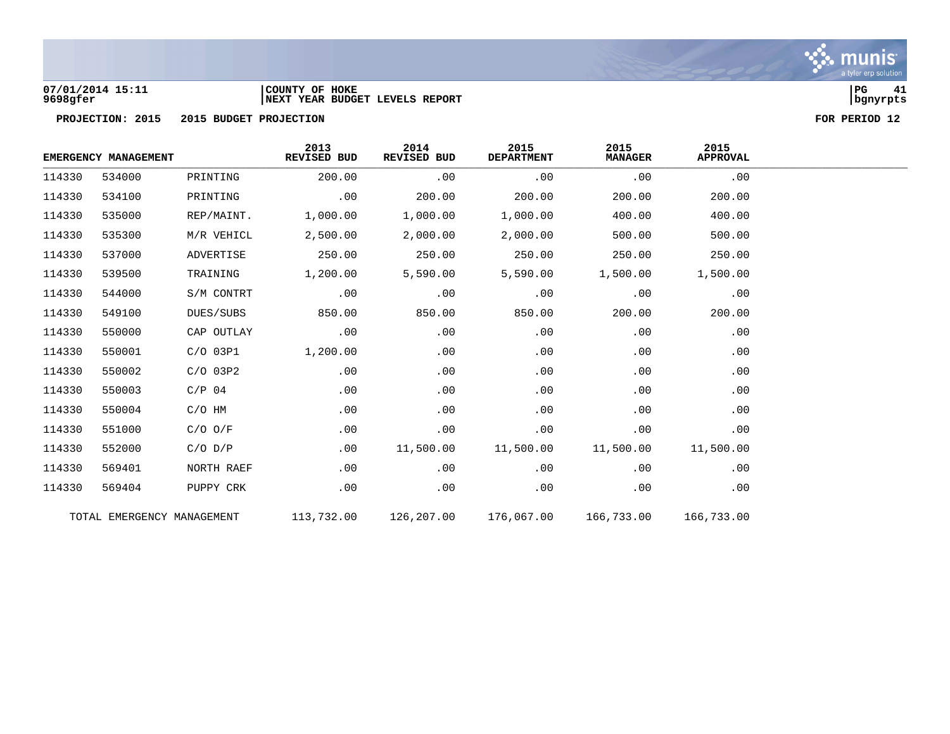

## **07/01/2014 15:11 |COUNTY OF HOKE |PG 41 9698gfer |NEXT YEAR BUDGET LEVELS REPORT |bgnyrpts**



|        | EMERGENCY MANAGEMENT |                            | 2013<br>REVISED BUD | 2014<br>REVISED BUD | 2015<br><b>DEPARTMENT</b> | 2015<br><b>MANAGER</b> | 2015<br><b>APPROVAL</b> |
|--------|----------------------|----------------------------|---------------------|---------------------|---------------------------|------------------------|-------------------------|
| 114330 | 534000               | PRINTING                   | 200.00              | .00                 | .00                       | .00                    | .00                     |
| 114330 | 534100               | PRINTING                   | .00                 | 200.00              | 200.00                    | 200.00                 | 200.00                  |
| 114330 | 535000               | REP/MAINT.                 | 1,000.00            | 1,000.00            | 1,000.00                  | 400.00                 | 400.00                  |
| 114330 | 535300               | M/R VEHICL                 | 2,500.00            | 2,000.00            | 2,000.00                  | 500.00                 | 500.00                  |
| 114330 | 537000               | ADVERTISE                  | 250.00              | 250.00              | 250.00                    | 250.00                 | 250.00                  |
| 114330 | 539500               | TRAINING                   | 1,200.00            | 5,590.00            | 5,590.00                  | 1,500.00               | 1,500.00                |
| 114330 | 544000               | S/M CONTRT                 | .00                 | .00                 | .00                       | .00                    | .00                     |
| 114330 | 549100               | DUES/SUBS                  | 850.00              | 850.00              | 850.00                    | 200.00                 | 200.00                  |
| 114330 | 550000               | CAP OUTLAY                 | .00                 | .00                 | .00                       | .00                    | .00                     |
| 114330 | 550001               | $C/O$ 03P1                 | 1,200.00            | .00                 | .00                       | .00                    | .00                     |
| 114330 | 550002               | $C/O$ 03P2                 | .00                 | .00                 | .00                       | .00                    | .00                     |
| 114330 | 550003               | $C/P$ 04                   | .00                 | .00                 | .00                       | .00                    | .00                     |
| 114330 | 550004               | $C/O$ HM                   | .00                 | .00                 | .00                       | .00                    | .00                     |
| 114330 | 551000               | $C/O$ $O/F$                | .00                 | .00                 | .00                       | .00                    | .00                     |
| 114330 | 552000               | $C/O$ $D/P$                | .00                 | 11,500.00           | 11,500.00                 | 11,500.00              | 11,500.00               |
| 114330 | 569401               | NORTH RAEF                 | .00                 | .00                 | .00                       | .00                    | .00                     |
| 114330 | 569404               | PUPPY CRK                  | .00                 | .00                 | .00                       | .00                    | .00                     |
|        |                      | TOTAL EMERGENCY MANAGEMENT | 113,732.00          | 126,207.00          | 176,067.00                | 166,733.00             | 166,733.00              |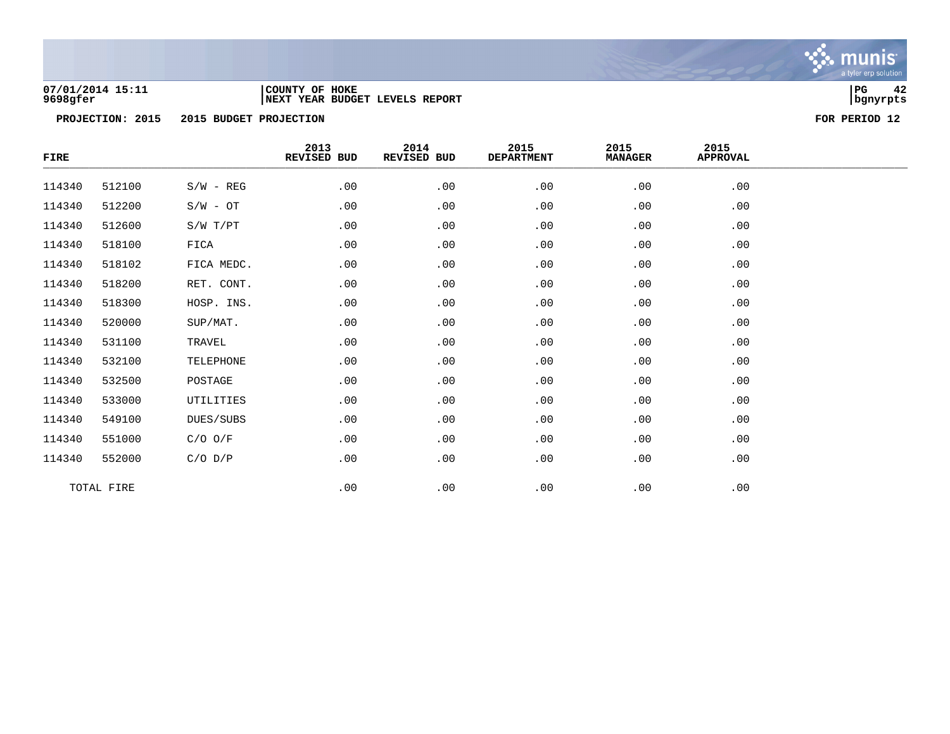

### **07/01/2014 15:11 |COUNTY OF HOKE |PG 42 9698gfer |NEXT YEAR BUDGET LEVELS REPORT |bgnyrpts**



| FIRE   |            |             | 2013<br>REVISED BUD | 2014<br>REVISED BUD | 2015<br><b>DEPARTMENT</b> | 2015<br><b>MANAGER</b> | 2015<br><b>APPROVAL</b> |  |
|--------|------------|-------------|---------------------|---------------------|---------------------------|------------------------|-------------------------|--|
| 114340 | 512100     | $S/W - REG$ | .00                 | .00                 | .00                       | .00                    | .00                     |  |
| 114340 | 512200     | $S/W - OT$  | .00                 | .00                 | .00                       | .00                    | .00                     |  |
| 114340 | 512600     | S/W T/PT    | .00                 | .00                 | .00                       | .00                    | .00                     |  |
| 114340 | 518100     | FICA        | .00                 | .00                 | .00                       | .00                    | .00                     |  |
| 114340 | 518102     | FICA MEDC.  | .00                 | .00                 | .00                       | .00                    | .00                     |  |
| 114340 | 518200     | RET. CONT.  | .00                 | .00                 | .00                       | .00                    | .00                     |  |
| 114340 | 518300     | HOSP. INS.  | .00                 | .00                 | .00                       | .00                    | .00                     |  |
| 114340 | 520000     | SUP/MAT.    | .00                 | .00                 | .00                       | .00                    | .00                     |  |
| 114340 | 531100     | TRAVEL      | .00                 | .00                 | .00                       | .00                    | .00                     |  |
| 114340 | 532100     | TELEPHONE   | .00                 | .00                 | .00                       | .00                    | .00                     |  |
| 114340 | 532500     | POSTAGE     | .00                 | .00                 | .00                       | .00                    | .00                     |  |
| 114340 | 533000     | UTILITIES   | .00                 | .00                 | .00                       | .00                    | .00                     |  |
| 114340 | 549100     | DUES/SUBS   | .00                 | .00                 | .00                       | .00                    | .00                     |  |
| 114340 | 551000     | $C/O$ $O/F$ | .00                 | .00                 | .00                       | .00                    | .00                     |  |
| 114340 | 552000     | $C/O$ $D/P$ | .00                 | .00                 | .00                       | .00                    | .00                     |  |
|        | TOTAL FIRE |             | .00                 | .00                 | .00                       | .00                    | .00                     |  |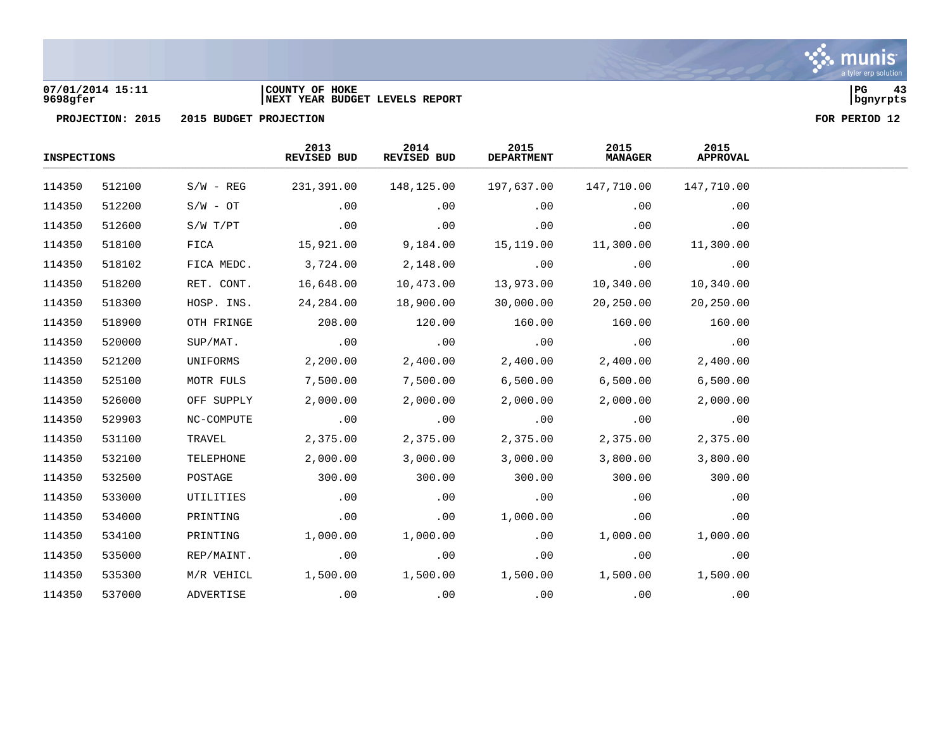### **07/01/2014 15:11 |COUNTY OF HOKE |PG 43 9698gfer |NEXT YEAR BUDGET LEVELS REPORT |bgnyrpts**

| <b>INSPECTIONS</b> |        |             | 2013<br>REVISED BUD | 2014<br>REVISED BUD | 2015<br><b>DEPARTMENT</b> | 2015<br><b>MANAGER</b> | 2015<br><b>APPROVAL</b> |  |
|--------------------|--------|-------------|---------------------|---------------------|---------------------------|------------------------|-------------------------|--|
| 114350             | 512100 | $S/W - REG$ | 231,391.00          | 148,125.00          | 197,637.00                | 147,710.00             | 147,710.00              |  |
| 114350             | 512200 | $S/W - OT$  | .00                 | .00                 | .00                       | .00                    | .00                     |  |
| 114350             | 512600 | S/W T/PT    | .00                 | .00                 | .00                       | .00                    | .00                     |  |
| 114350             | 518100 | FICA        | 15,921.00           | 9,184.00            | 15,119.00                 | 11,300.00              | 11,300.00               |  |
| 114350             | 518102 | FICA MEDC.  | 3,724.00            | 2,148.00            | .00                       | .00                    | .00                     |  |
| 114350             | 518200 | RET. CONT.  | 16,648.00           | 10,473.00           | 13,973.00                 | 10,340.00              | 10,340.00               |  |
| 114350             | 518300 | HOSP. INS.  | 24,284.00           | 18,900.00           | 30,000.00                 | 20,250.00              | 20,250.00               |  |
| 114350             | 518900 | OTH FRINGE  | 208.00              | 120.00              | 160.00                    | 160.00                 | 160.00                  |  |
| 114350             | 520000 | SUP/MAT.    | .00                 | .00                 | .00                       | .00                    | .00                     |  |
| 114350             | 521200 | UNIFORMS    | 2,200.00            | 2,400.00            | 2,400.00                  | 2,400.00               | 2,400.00                |  |
| 114350             | 525100 | MOTR FULS   | 7,500.00            | 7,500.00            | 6,500.00                  | 6,500.00               | 6,500.00                |  |
| 114350             | 526000 | OFF SUPPLY  | 2,000.00            | 2,000.00            | 2,000.00                  | 2,000.00               | 2,000.00                |  |
| 114350             | 529903 | NC-COMPUTE  | .00                 | .00                 | .00                       | .00                    | .00                     |  |
| 114350             | 531100 | TRAVEL      | 2,375.00            | 2,375.00            | 2,375.00                  | 2,375.00               | 2,375.00                |  |
| 114350             | 532100 | TELEPHONE   | 2,000.00            | 3,000.00            | 3,000.00                  | 3,800.00               | 3,800.00                |  |
| 114350             | 532500 | POSTAGE     | 300.00              | 300.00              | 300.00                    | 300.00                 | 300.00                  |  |
| 114350             | 533000 | UTILITIES   | .00                 | .00                 | .00                       | .00                    | .00                     |  |
| 114350             | 534000 | PRINTING    | .00                 | .00                 | 1,000.00                  | .00                    | .00                     |  |
| 114350             | 534100 | PRINTING    | 1,000.00            | 1,000.00            | .00                       | 1,000.00               | 1,000.00                |  |
| 114350             | 535000 | REP/MAINT.  | .00                 | .00                 | .00                       | .00                    | .00                     |  |
| 114350             | 535300 | M/R VEHICL  | 1,500.00            | 1,500.00            | 1,500.00                  | 1,500.00               | 1,500.00                |  |
| 114350             | 537000 | ADVERTISE   | .00                 | .00                 | .00                       | .00                    | .00                     |  |

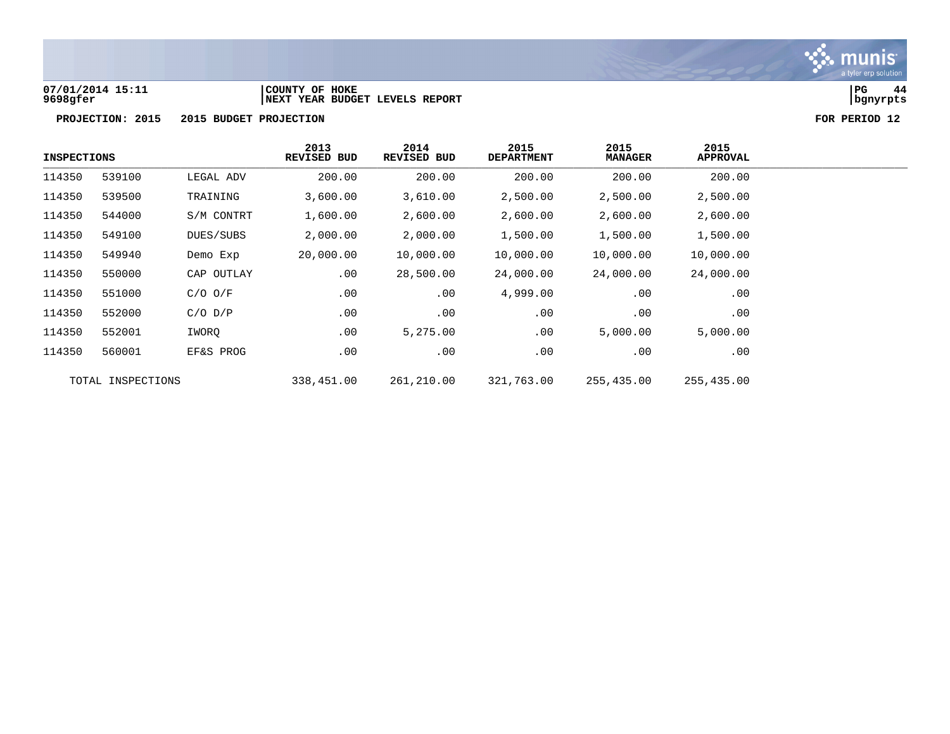

### **07/01/2014 15:11 |COUNTY OF HOKE |PG 44 9698gfer |NEXT YEAR BUDGET LEVELS REPORT |bgnyrpts**



| <b>INSPECTIONS</b> |                   |             | 2013<br><b>REVISED BUD</b> | 2014<br>REVISED BUD | 2015<br><b>DEPARTMENT</b> | 2015<br><b>MANAGER</b> | 2015<br><b>APPROVAL</b> |
|--------------------|-------------------|-------------|----------------------------|---------------------|---------------------------|------------------------|-------------------------|
| 114350             | 539100            | LEGAL ADV   | 200.00                     | 200.00              | 200.00                    | 200.00                 | 200.00                  |
| 114350             | 539500            | TRAINING    | 3,600.00                   | 3,610.00            | 2,500.00                  | 2,500.00               | 2,500.00                |
| 114350             | 544000            | S/M CONTRT  | 1,600.00                   | 2,600.00            | 2,600.00                  | 2,600.00               | 2,600.00                |
| 114350             | 549100            | DUES/SUBS   | 2,000.00                   | 2,000.00            | 1,500.00                  | 1,500.00               | 1,500.00                |
| 114350             | 549940            | Demo Exp    | 20,000.00                  | 10,000.00           | 10,000.00                 | 10,000.00              | 10,000.00               |
| 114350             | 550000            | CAP OUTLAY  | .00                        | 28,500.00           | 24,000.00                 | 24,000.00              | 24,000.00               |
| 114350             | 551000            | $C/O$ $O/F$ | .00                        | .00                 | 4,999.00                  | .00                    | .00                     |
| 114350             | 552000            | $C/O$ $D/P$ | .00                        | .00                 | .00                       | .00                    | $.00 \,$                |
| 114350             | 552001            | IWORQ       | .00                        | 5,275.00            | .00                       | 5,000.00               | 5,000.00                |
| 114350             | 560001            | EF&S PROG   | .00                        | .00                 | .00                       | .00                    | .00                     |
|                    | TOTAL INSPECTIONS |             | 338,451.00                 | 261,210.00          | 321,763.00                | 255,435.00             | 255,435.00              |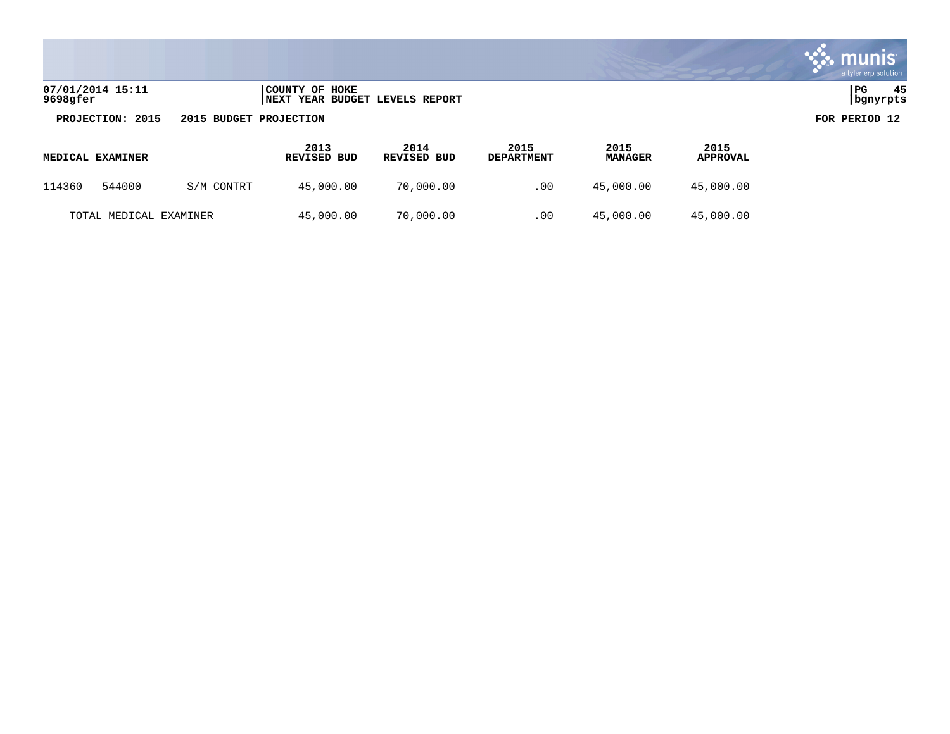|                              |                                                          | a tyler erp solution     |
|------------------------------|----------------------------------------------------------|--------------------------|
| 07/01/2014 15:11<br>9698gfer | COUNTY OF HOKE<br><b>INEXT YEAR BUDGET LEVELS REPORT</b> | 45<br>  PG<br>  bgnyrpts |
| PROJECTION: 2015             | 2015 BUDGET PROJECTION                                   | FOR PERIOD 12            |

 $\bullet$ 

| <b>MEDICAL EXAMINER</b> |            | 2013<br><b>REVISED BUD</b> | 2014<br>REVISED BUD | 2015<br><b>DEPARTMENT</b> | 2015<br><b>MANAGER</b> | 2015<br>APPROVAL |  |
|-------------------------|------------|----------------------------|---------------------|---------------------------|------------------------|------------------|--|
| 544000<br>114360        | S/M CONTRT | 45,000.00                  | 70,000.00           | .00                       | 45,000.00              | 45,000.00        |  |
| TOTAL MEDICAL EXAMINER  |            | 45,000.00                  | 70,000.00           | .00                       | 45,000.00              | 45,000.00        |  |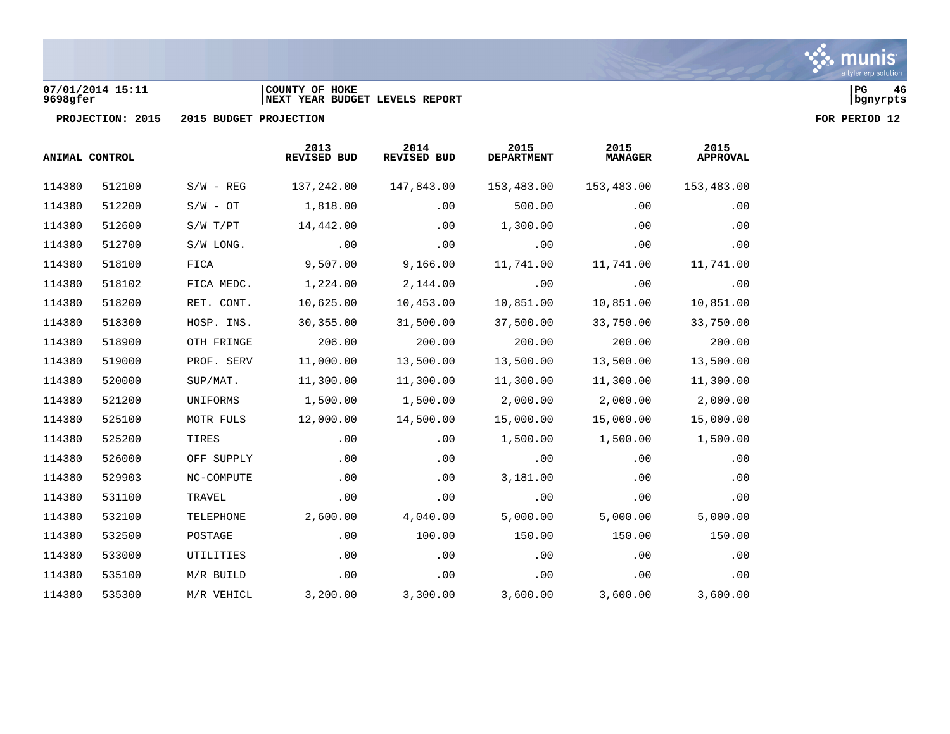

### **07/01/2014 15:11 |COUNTY OF HOKE |PG 46 9698gfer |NEXT YEAR BUDGET LEVELS REPORT |bgnyrpts**

| ANIMAL CONTROL |        |             | 2013<br>REVISED BUD | 2014<br>REVISED BUD | 2015<br><b>DEPARTMENT</b> | 2015<br><b>MANAGER</b> | 2015<br><b>APPROVAL</b> |  |
|----------------|--------|-------------|---------------------|---------------------|---------------------------|------------------------|-------------------------|--|
| 114380         | 512100 | $S/W - REG$ | 137,242.00          | 147,843.00          | 153,483.00                | 153,483.00             | 153,483.00              |  |
| 114380         | 512200 | $S/W - OT$  | 1,818.00            | .00                 | 500.00                    | .00                    | .00                     |  |
| 114380         | 512600 | S/W T/PT    | 14,442.00           | .00                 | 1,300.00                  | .00                    | .00                     |  |
| 114380         | 512700 | S/W LONG.   | .00                 | .00                 | .00                       | .00                    | .00                     |  |
| 114380         | 518100 | FICA        | 9,507.00            | 9,166.00            | 11,741.00                 | 11,741.00              | 11,741.00               |  |
| 114380         | 518102 | FICA MEDC.  | 1,224.00            | 2,144.00            | .00                       | .00                    | .00                     |  |
| 114380         | 518200 | RET. CONT.  | 10,625.00           | 10,453.00           | 10,851.00                 | 10,851.00              | 10,851.00               |  |
| 114380         | 518300 | HOSP. INS.  | 30,355.00           | 31,500.00           | 37,500.00                 | 33,750.00              | 33,750.00               |  |
| 114380         | 518900 | OTH FRINGE  | 206.00              | 200.00              | 200.00                    | 200.00                 | 200.00                  |  |
| 114380         | 519000 | PROF. SERV  | 11,000.00           | 13,500.00           | 13,500.00                 | 13,500.00              | 13,500.00               |  |
| 114380         | 520000 | SUP/MAT.    | 11,300.00           | 11,300.00           | 11,300.00                 | 11,300.00              | 11,300.00               |  |
| 114380         | 521200 | UNIFORMS    | 1,500.00            | 1,500.00            | 2,000.00                  | 2,000.00               | 2,000.00                |  |
| 114380         | 525100 | MOTR FULS   | 12,000.00           | 14,500.00           | 15,000.00                 | 15,000.00              | 15,000.00               |  |
| 114380         | 525200 | TIRES       | .00                 | .00                 | 1,500.00                  | 1,500.00               | 1,500.00                |  |
| 114380         | 526000 | OFF SUPPLY  | .00                 | .00                 | .00                       | .00                    | .00                     |  |
| 114380         | 529903 | NC-COMPUTE  | .00                 | .00                 | 3,181.00                  | .00                    | .00                     |  |
| 114380         | 531100 | TRAVEL      | .00                 | .00                 | .00                       | .00                    | .00                     |  |
| 114380         | 532100 | TELEPHONE   | 2,600.00            | 4,040.00            | 5,000.00                  | 5,000.00               | 5,000.00                |  |
| 114380         | 532500 | POSTAGE     | .00                 | 100.00              | 150.00                    | 150.00                 | 150.00                  |  |
| 114380         | 533000 | UTILITIES   | .00                 | .00                 | .00                       | .00                    | .00                     |  |
| 114380         | 535100 | M/R BUILD   | .00                 | .00                 | .00                       | .00                    | .00                     |  |
| 114380         | 535300 | M/R VEHICL  | 3,200.00            | 3,300.00            | 3,600.00                  | 3,600.00               | 3,600.00                |  |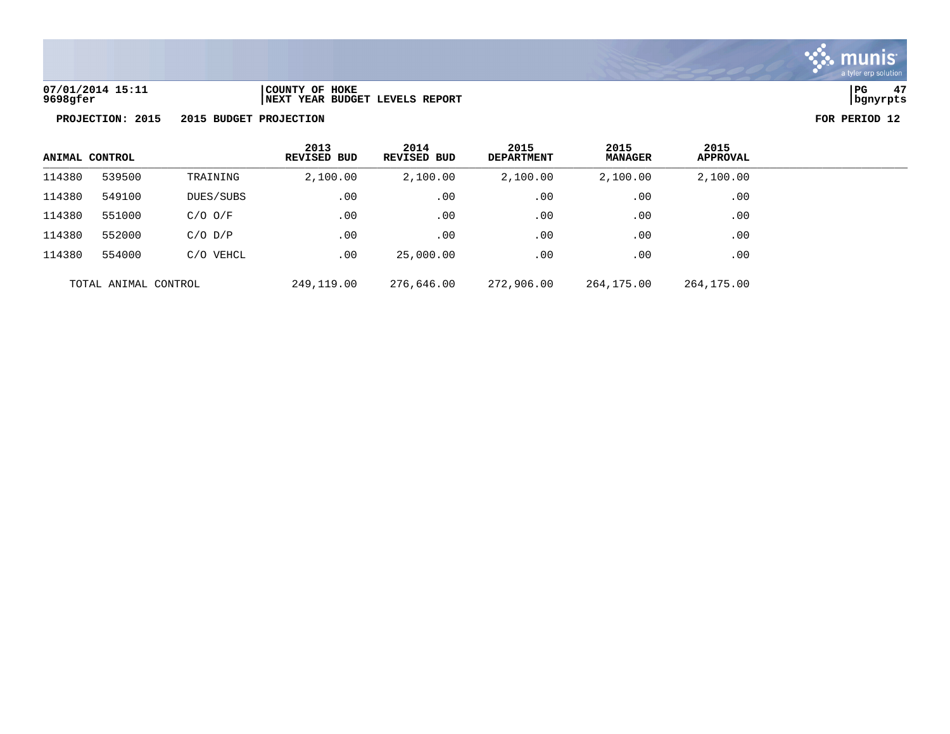

**07/01/2014 15:11 |COUNTY OF HOKE |PG 47 9698gfer |NEXT YEAR BUDGET LEVELS REPORT |bgnyrpts**

| ANIMAL CONTROL |                      |             | 2013<br><b>REVISED BUD</b> | 2014<br><b>REVISED BUD</b> | 2015<br><b>DEPARTMENT</b> | 2015<br><b>MANAGER</b> | 2015<br><b>APPROVAL</b> |  |
|----------------|----------------------|-------------|----------------------------|----------------------------|---------------------------|------------------------|-------------------------|--|
| 114380         | 539500               | TRAINING    | 2,100.00                   | 2,100.00                   | 2,100.00                  | 2,100.00               | 2,100.00                |  |
| 114380         | 549100               | DUES/SUBS   | .00                        | .00                        | .00                       | .00                    | .00                     |  |
| 114380         | 551000               | $C/O$ $O/F$ | .00                        | .00                        | .00                       | .00                    | .00                     |  |
| 114380         | 552000               | $C/O$ $D/P$ | .00                        | .00                        | .00                       | .00                    | .00                     |  |
| 114380         | 554000               | C/O VEHCL   | .00                        | 25,000.00                  | .00                       | .00                    | .00                     |  |
|                | TOTAL ANIMAL CONTROL |             | 249,119.00                 | 276,646.00                 | 272,906.00                | 264,175.00             | 264,175.00              |  |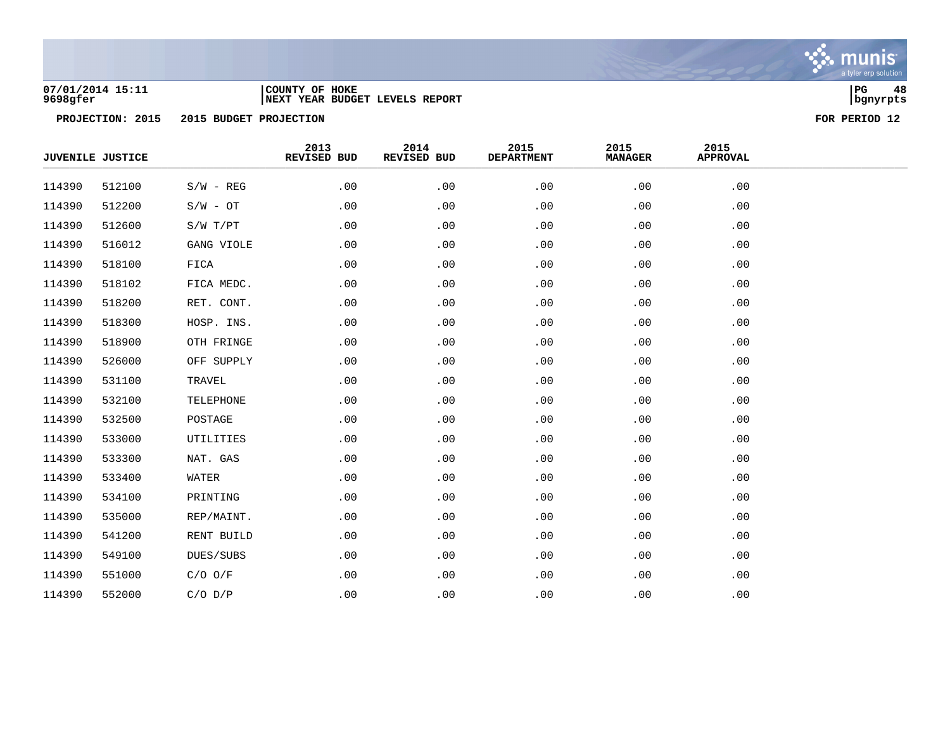

### **07/01/2014 15:11 |COUNTY OF HOKE |PG 48 9698gfer |NEXT YEAR BUDGET LEVELS REPORT |bgnyrpts**

|        | <b>JUVENILE JUSTICE</b> |             | 2013<br>REVISED BUD | 2014<br>REVISED BUD | 2015<br><b>DEPARTMENT</b> | 2015<br><b>MANAGER</b> | 2015<br><b>APPROVAL</b> |  |
|--------|-------------------------|-------------|---------------------|---------------------|---------------------------|------------------------|-------------------------|--|
| 114390 | 512100                  | $S/W - REG$ | .00                 | .00                 | .00                       | .00                    | .00                     |  |
| 114390 | 512200                  | $S/W - OT$  | .00                 | .00                 | .00                       | .00                    | .00                     |  |
| 114390 | 512600                  | S/W T/PT    | .00                 | .00                 | .00                       | .00                    | .00                     |  |
| 114390 | 516012                  | GANG VIOLE  | .00                 | .00                 | .00                       | .00                    | .00                     |  |
| 114390 | 518100                  | FICA        | .00                 | .00                 | .00                       | .00                    | .00                     |  |
| 114390 | 518102                  | FICA MEDC.  | .00                 | .00                 | .00                       | .00                    | .00                     |  |
| 114390 | 518200                  | RET. CONT.  | .00                 | .00                 | .00                       | .00                    | .00                     |  |
| 114390 | 518300                  | HOSP. INS.  | .00                 | .00                 | .00                       | .00                    | .00                     |  |
| 114390 | 518900                  | OTH FRINGE  | .00                 | .00                 | .00                       | .00                    | .00                     |  |
| 114390 | 526000                  | OFF SUPPLY  | .00                 | .00                 | .00                       | .00                    | .00                     |  |
| 114390 | 531100                  | TRAVEL      | .00                 | .00                 | .00                       | .00                    | .00                     |  |
| 114390 | 532100                  | TELEPHONE   | .00                 | .00                 | .00                       | .00                    | .00                     |  |
| 114390 | 532500                  | POSTAGE     | .00                 | .00                 | .00                       | .00                    | .00                     |  |
| 114390 | 533000                  | UTILITIES   | .00                 | .00                 | .00                       | .00                    | .00                     |  |
| 114390 | 533300                  | NAT. GAS    | .00                 | .00                 | .00                       | .00                    | .00                     |  |
| 114390 | 533400                  | WATER       | .00                 | .00                 | .00                       | .00                    | .00                     |  |
| 114390 | 534100                  | PRINTING    | .00                 | .00                 | .00                       | .00                    | .00                     |  |
| 114390 | 535000                  | REP/MAINT.  | .00                 | .00                 | .00                       | .00                    | .00                     |  |
| 114390 | 541200                  | RENT BUILD  | .00                 | .00                 | .00                       | .00                    | .00                     |  |
| 114390 | 549100                  | DUES/SUBS   | .00                 | .00                 | .00                       | .00                    | .00                     |  |
| 114390 | 551000                  | $C/O$ $O/F$ | .00                 | .00                 | .00                       | .00                    | .00                     |  |
| 114390 | 552000                  | $C/O$ $D/P$ | .00                 | .00                 | .00                       | .00                    | .00                     |  |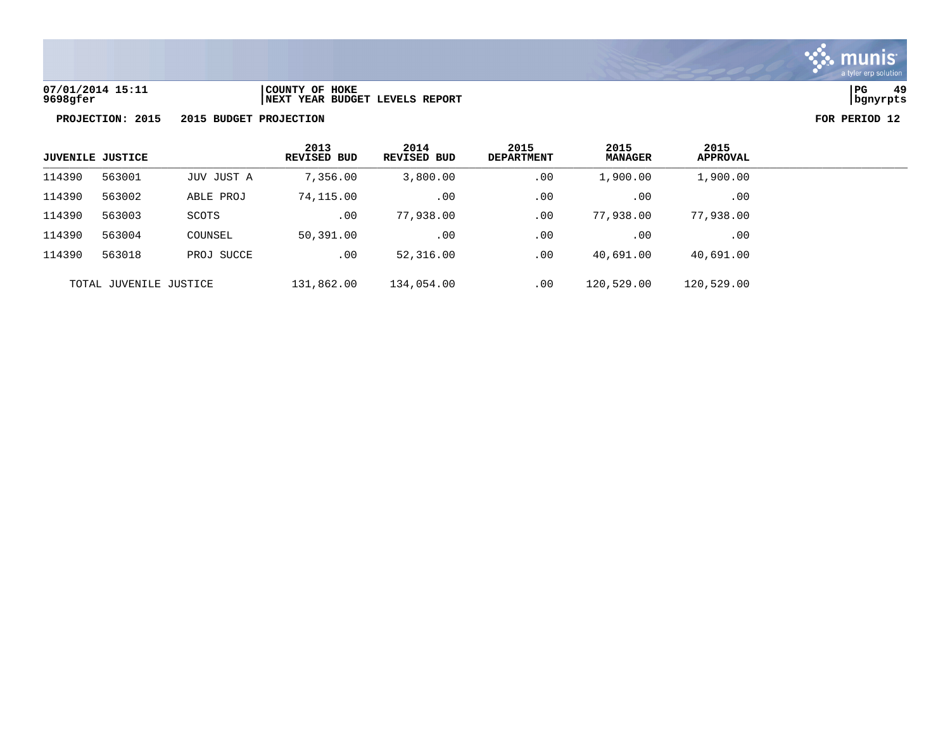

**07/01/2014 15:11 |COUNTY OF HOKE |PG 49 9698gfer |NEXT YEAR BUDGET LEVELS REPORT |bgnyrpts**

|        | <b>JUVENILE JUSTICE</b> |            | 2013<br>REVISED BUD | 2014<br>REVISED BUD | 2015<br><b>DEPARTMENT</b> | 2015<br><b>MANAGER</b> | 2015<br><b>APPROVAL</b> |
|--------|-------------------------|------------|---------------------|---------------------|---------------------------|------------------------|-------------------------|
| 114390 | 563001                  | JUV JUST A | 7,356.00            | 3,800.00            | .00                       | 1,900.00               | 1,900.00                |
| 114390 | 563002                  | ABLE PROJ  | 74,115.00           | .00                 | .00                       | .00                    | .00                     |
| 114390 | 563003                  | SCOTS      | .00                 | 77,938.00           | .00                       | 77,938.00              | 77,938.00               |
| 114390 | 563004                  | COUNSEL    | 50,391.00           | .00                 | .00                       | .00                    | .00                     |
| 114390 | 563018                  | PROJ SUCCE | .00                 | 52,316.00           | .00                       | 40,691.00              | 40,691.00               |
|        | TOTAL JUVENILE JUSTICE  |            | 131,862.00          | 134,054.00          | .00                       | 120,529.00             | 120,529.00              |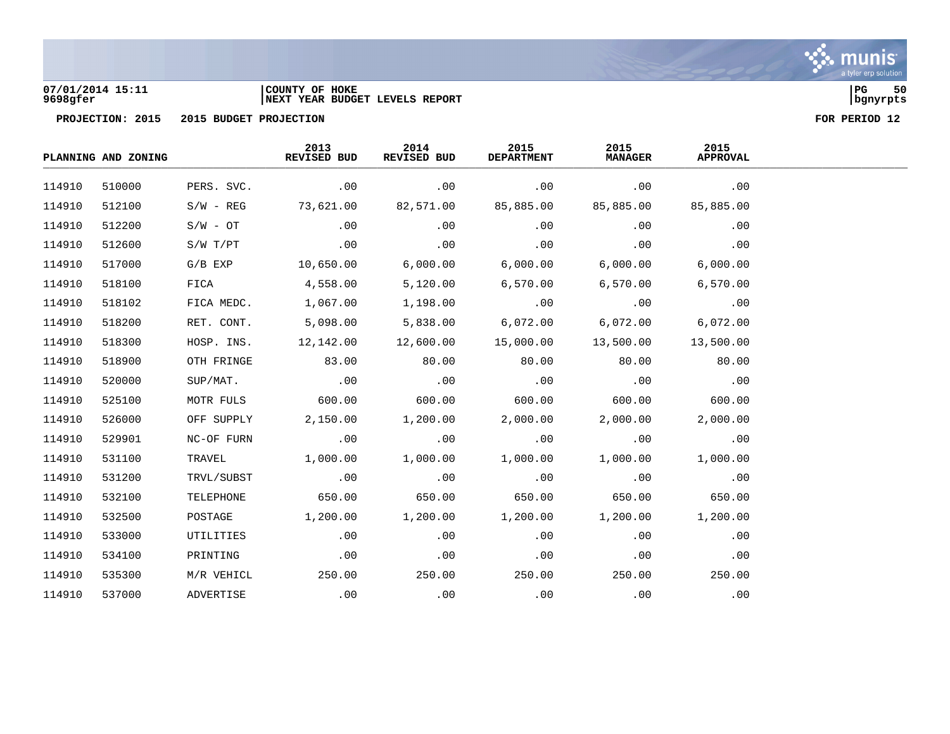

### **07/01/2014 15:11 |COUNTY OF HOKE |PG 50 9698gfer |NEXT YEAR BUDGET LEVELS REPORT |bgnyrpts**

|        | PLANNING AND ZONING |             | 2013<br>REVISED BUD | 2014<br>REVISED BUD | 2015<br><b>DEPARTMENT</b> | 2015<br><b>MANAGER</b> | 2015<br><b>APPROVAL</b> |  |
|--------|---------------------|-------------|---------------------|---------------------|---------------------------|------------------------|-------------------------|--|
| 114910 | 510000              | PERS. SVC.  | .00                 | .00                 | .00                       | .00                    | .00                     |  |
| 114910 | 512100              | $S/W - REG$ | 73,621.00           | 82,571.00           | 85,885.00                 | 85,885.00              | 85,885.00               |  |
| 114910 | 512200              | $S/W - OT$  | .00                 | .00                 | .00                       | .00                    | .00                     |  |
| 114910 | 512600              | S/W T/PT    | .00                 | .00                 | .00                       | .00                    | .00                     |  |
| 114910 | 517000              | $G/B$ $EXP$ | 10,650.00           | 6,000.00            | 6,000.00                  | 6,000.00               | 6,000.00                |  |
| 114910 | 518100              | FICA        | 4,558.00            | 5,120.00            | 6,570.00                  | 6,570.00               | 6,570.00                |  |
| 114910 | 518102              | FICA MEDC.  | 1,067.00            | 1,198.00            | .00                       | .00                    | .00                     |  |
| 114910 | 518200              | RET. CONT.  | 5,098.00            | 5,838.00            | 6,072.00                  | 6,072.00               | 6,072.00                |  |
| 114910 | 518300              | HOSP. INS.  | 12,142.00           | 12,600.00           | 15,000.00                 | 13,500.00              | 13,500.00               |  |
| 114910 | 518900              | OTH FRINGE  | 83.00               | 80.00               | 80.00                     | 80.00                  | 80.00                   |  |
| 114910 | 520000              | SUP/MAT.    | .00                 | .00                 | .00                       | .00                    | .00                     |  |
| 114910 | 525100              | MOTR FULS   | 600.00              | 600.00              | 600.00                    | 600.00                 | 600.00                  |  |
| 114910 | 526000              | OFF SUPPLY  | 2,150.00            | 1,200.00            | 2,000.00                  | 2,000.00               | 2,000.00                |  |
| 114910 | 529901              | NC-OF FURN  | .00                 | $\sim$ 00           | .00                       | .00                    | .00                     |  |
| 114910 | 531100              | TRAVEL      | 1,000.00            | 1,000.00            | 1,000.00                  | 1,000.00               | 1,000.00                |  |
| 114910 | 531200              | TRVL/SUBST  | .00                 | .00                 | $\cdot$ 00                | .00                    | .00                     |  |
| 114910 | 532100              | TELEPHONE   | 650.00              | 650.00              | 650.00                    | 650.00                 | 650.00                  |  |
| 114910 | 532500              | POSTAGE     | 1,200.00            | 1,200.00            | 1,200.00                  | 1,200.00               | 1,200.00                |  |
| 114910 | 533000              | UTILITIES   | .00                 | .00                 | .00                       | .00                    | .00                     |  |
| 114910 | 534100              | PRINTING    | .00                 | .00                 | .00                       | .00                    | .00                     |  |
| 114910 | 535300              | M/R VEHICL  | 250.00              | 250.00              | 250.00                    | 250.00                 | 250.00                  |  |
| 114910 | 537000              | ADVERTISE   | .00                 | .00                 | .00                       | .00                    | .00                     |  |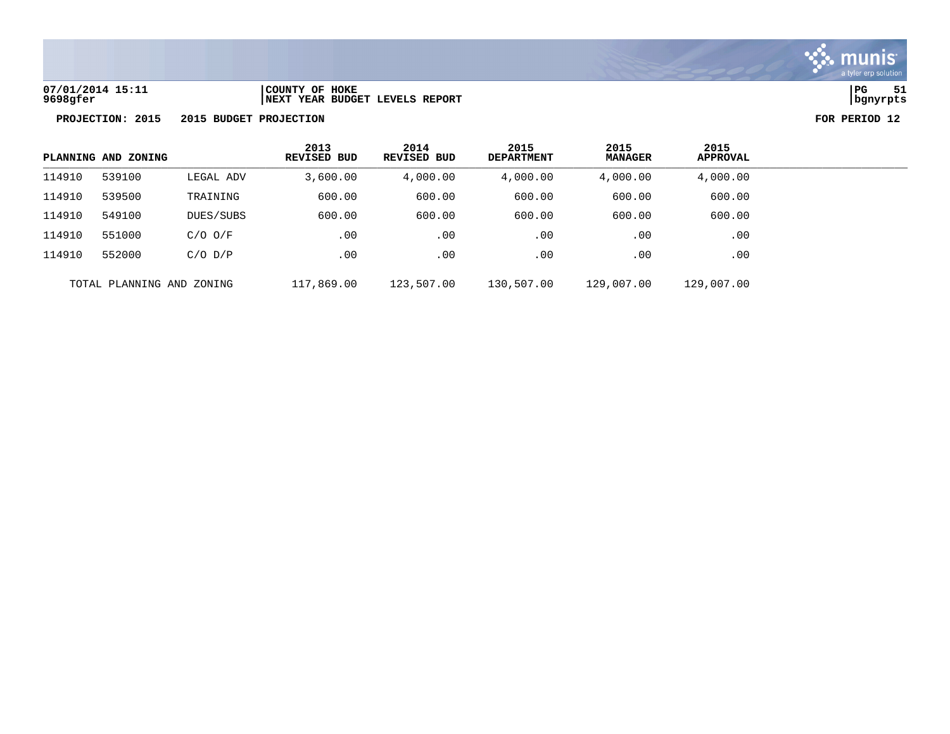

**PROJECTION: 2015 2015 BUDGET PROJECTION FOR PERIOD 12**

| PLANNING AND ZONING |                           | 2013<br><b>REVISED BUD</b> | 2014<br>REVISED BUD | 2015<br><b>DEPARTMENT</b> | 2015<br><b>MANAGER</b> | 2015<br><b>APPROVAL</b> |            |
|---------------------|---------------------------|----------------------------|---------------------|---------------------------|------------------------|-------------------------|------------|
| 114910              | 539100                    | LEGAL ADV                  | 3,600.00            | 4,000.00                  | 4,000.00               | 4,000.00                | 4,000.00   |
| 114910              | 539500                    | TRAINING                   | 600.00              | 600.00                    | 600.00                 | 600.00                  | 600.00     |
| 114910              | 549100                    | DUES/SUBS                  | 600.00              | 600.00                    | 600.00                 | 600.00                  | 600.00     |
| 114910              | 551000                    | $C/O$ $O/F$                | .00                 | .00                       | .00                    | .00                     | .00        |
| 114910              | 552000                    | $C/O$ $D/P$                | .00                 | .00                       | .00                    | .00                     | .00        |
|                     | TOTAL PLANNING AND ZONING |                            | 117,869.00          | 123,507.00                | 130,507.00             | 129,007.00              | 129,007.00 |

**07/01/2014 15:11 |COUNTY OF HOKE |PG 51 9698gfer |NEXT YEAR BUDGET LEVELS REPORT |bgnyrpts**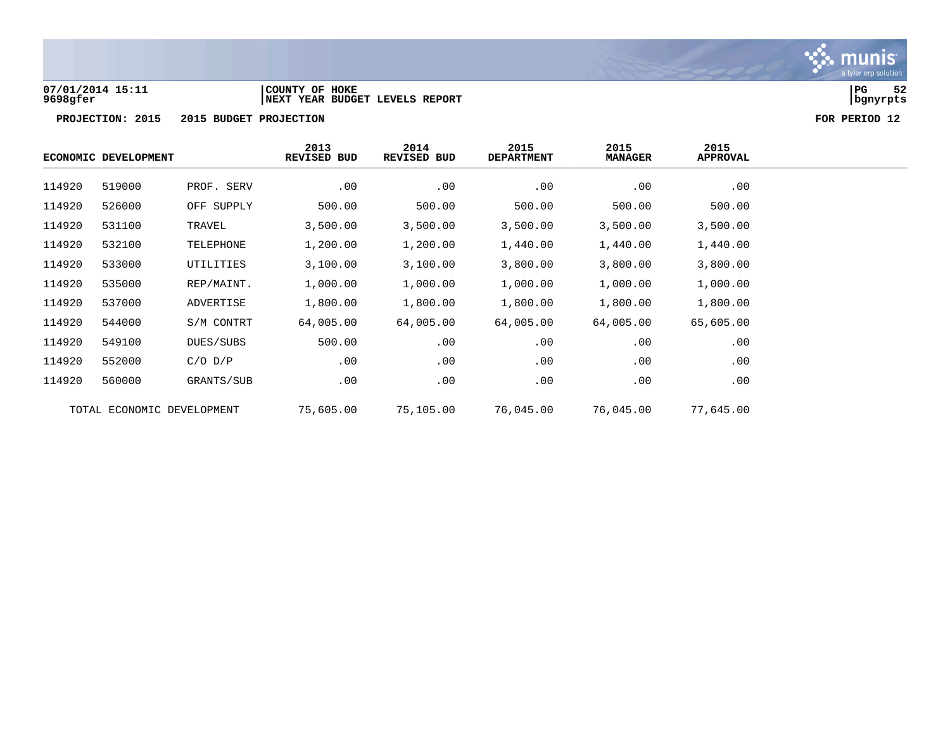

### **07/01/2014 15:11 |COUNTY OF HOKE |PG 52 9698gfer |NEXT YEAR BUDGET LEVELS REPORT |bgnyrpts**

|        | ECONOMIC DEVELOPMENT       |             | 2013<br>REVISED BUD | 2014<br><b>REVISED BUD</b> | 2015<br><b>DEPARTMENT</b> | 2015<br><b>MANAGER</b> | 2015<br>APPROVAL |  |
|--------|----------------------------|-------------|---------------------|----------------------------|---------------------------|------------------------|------------------|--|
| 114920 | 519000                     | PROF. SERV  | .00                 | .00                        | .00                       | .00                    | .00              |  |
| 114920 | 526000                     | OFF SUPPLY  | 500.00              | 500.00                     | 500.00                    | 500.00                 | 500.00           |  |
| 114920 | 531100                     | TRAVEL      | 3,500.00            | 3,500.00                   | 3,500.00                  | 3,500.00               | 3,500.00         |  |
| 114920 | 532100                     | TELEPHONE   | 1,200.00            | 1,200.00                   | 1,440.00                  | 1,440.00               | 1,440.00         |  |
| 114920 | 533000                     | UTILITIES   | 3,100.00            | 3,100.00                   | 3,800.00                  | 3,800.00               | 3,800.00         |  |
| 114920 | 535000                     | REP/MAINT.  | 1,000.00            | 1,000.00                   | 1,000.00                  | 1,000.00               | 1,000.00         |  |
| 114920 | 537000                     | ADVERTISE   | 1,800.00            | 1,800.00                   | 1,800.00                  | 1,800.00               | 1,800.00         |  |
| 114920 | 544000                     | S/M CONTRT  | 64,005.00           | 64,005.00                  | 64,005.00                 | 64,005.00              | 65,605.00        |  |
| 114920 | 549100                     | DUES/SUBS   | 500.00              | .00                        | .00                       | .00                    | .00              |  |
| 114920 | 552000                     | $C/O$ $D/P$ | .00                 | .00                        | .00                       | .00                    | .00              |  |
| 114920 | 560000                     | GRANTS/SUB  | .00                 | .00                        | .00                       | .00                    | .00              |  |
|        | TOTAL ECONOMIC DEVELOPMENT |             | 75,605.00           | 75,105.00                  | 76,045.00                 | 76,045.00              | 77,645.00        |  |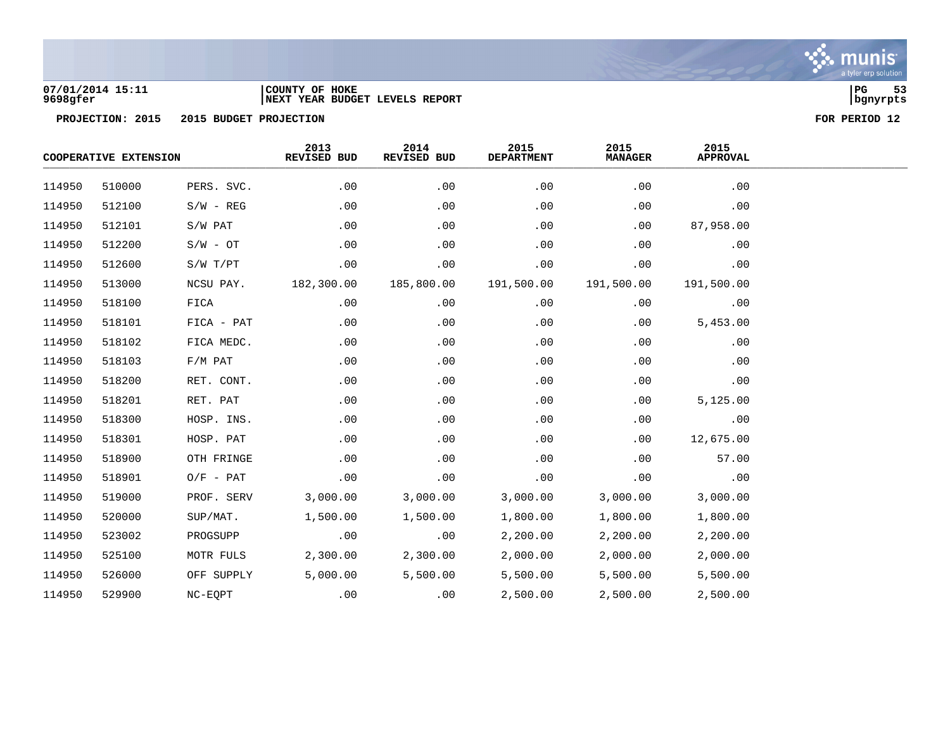

### **07/01/2014 15:11 |COUNTY OF HOKE |PG 53 9698gfer |NEXT YEAR BUDGET LEVELS REPORT |bgnyrpts**

|        | COOPERATIVE EXTENSION |             | 2013<br>REVISED BUD | 2014<br>REVISED BUD | 2015<br><b>DEPARTMENT</b> | 2015<br><b>MANAGER</b> | 2015<br><b>APPROVAL</b> |  |
|--------|-----------------------|-------------|---------------------|---------------------|---------------------------|------------------------|-------------------------|--|
| 114950 | 510000                | PERS. SVC.  | .00                 | .00                 | .00                       | .00                    | .00                     |  |
| 114950 | 512100                | $S/W - REG$ | .00                 | .00                 | .00                       | .00                    | .00                     |  |
| 114950 | 512101                | S/W PAT     | .00                 | .00                 | .00                       | .00                    | 87,958.00               |  |
| 114950 | 512200                | $S/W - OT$  | .00                 | .00                 | .00                       | .00                    | .00                     |  |
| 114950 | 512600                | S/W T/PT    | .00                 | .00                 | .00                       | .00                    | .00                     |  |
| 114950 | 513000                | NCSU PAY.   | 182,300.00          | 185,800.00          | 191,500.00                | 191,500.00             | 191,500.00              |  |
| 114950 | 518100                | FICA        | .00                 | .00                 | .00                       | .00                    | .00                     |  |
| 114950 | 518101                | FICA - PAT  | .00                 | .00                 | .00                       | .00                    | 5,453.00                |  |
| 114950 | 518102                | FICA MEDC.  | .00                 | .00                 | .00                       | .00                    | .00                     |  |
| 114950 | 518103                | $F/M$ PAT   | .00                 | .00                 | .00                       | .00                    | .00                     |  |
| 114950 | 518200                | RET. CONT.  | .00                 | .00                 | .00                       | .00                    | .00                     |  |
| 114950 | 518201                | RET. PAT    | .00                 | .00                 | .00                       | .00                    | 5,125.00                |  |
| 114950 | 518300                | HOSP. INS.  | .00                 | .00                 | .00                       | .00                    | .00                     |  |
| 114950 | 518301                | HOSP. PAT   | .00                 | .00                 | .00                       | .00                    | 12,675.00               |  |
| 114950 | 518900                | OTH FRINGE  | .00                 | .00                 | .00                       | .00                    | 57.00                   |  |
| 114950 | 518901                | $O/F$ - PAT | .00                 | .00                 | .00                       | .00                    | .00                     |  |
| 114950 | 519000                | PROF. SERV  | 3,000.00            | 3,000.00            | 3,000.00                  | 3,000.00               | 3,000.00                |  |
| 114950 | 520000                | SUP/MAT.    | 1,500.00            | 1,500.00            | 1,800.00                  | 1,800.00               | 1,800.00                |  |
| 114950 | 523002                | PROGSUPP    | .00                 | .00                 | 2,200.00                  | 2,200.00               | 2,200.00                |  |
| 114950 | 525100                | MOTR FULS   | 2,300.00            | 2,300.00            | 2,000.00                  | 2,000.00               | 2,000.00                |  |
| 114950 | 526000                | OFF SUPPLY  | 5,000.00            | 5,500.00            | 5,500.00                  | 5,500.00               | 5,500.00                |  |
| 114950 | 529900                | NC-EQPT     | .00                 | .00                 | 2,500.00                  | 2,500.00               | 2,500.00                |  |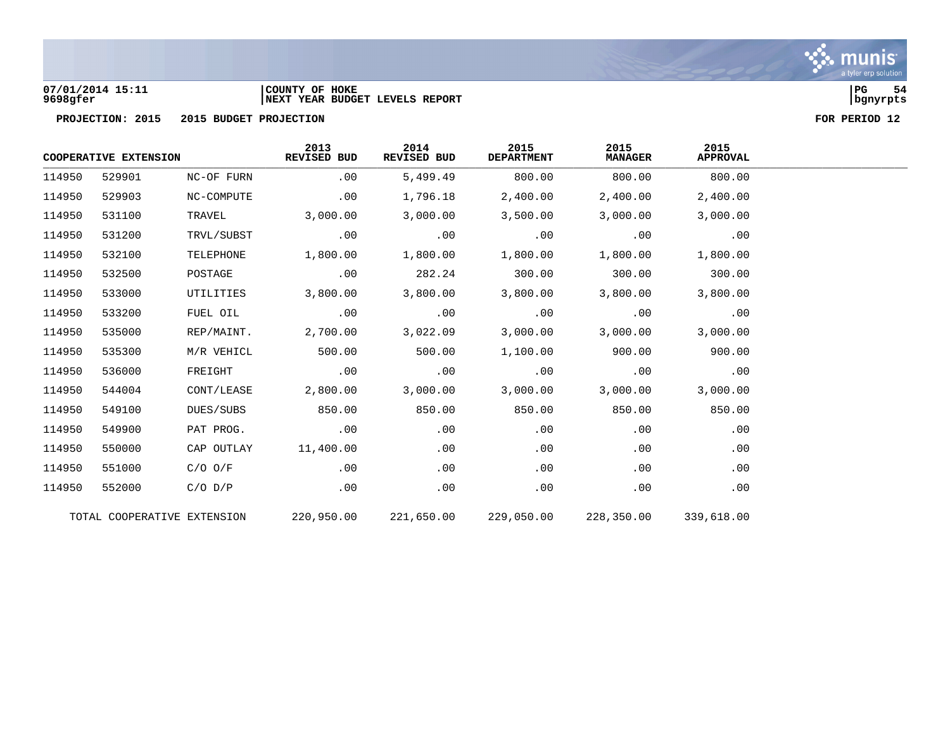### **07/01/2014 15:11 |COUNTY OF HOKE |PG 54 9698gfer |NEXT YEAR BUDGET LEVELS REPORT |bgnyrpts**

|        | COOPERATIVE EXTENSION       |             | 2013<br>REVISED BUD | 2014<br><b>REVISED BUD</b> | 2015<br><b>DEPARTMENT</b> | 2015<br><b>MANAGER</b> | 2015<br><b>APPROVAL</b> |  |
|--------|-----------------------------|-------------|---------------------|----------------------------|---------------------------|------------------------|-------------------------|--|
| 114950 | 529901                      | NC-OF FURN  | .00                 | 5,499.49                   | 800.00                    | 800.00                 | 800.00                  |  |
| 114950 | 529903                      | NC-COMPUTE  | .00                 | 1,796.18                   | 2,400.00                  | 2,400.00               | 2,400.00                |  |
| 114950 | 531100                      | TRAVEL      | 3,000.00            | 3,000.00                   | 3,500.00                  | 3,000.00               | 3,000.00                |  |
| 114950 | 531200                      | TRVL/SUBST  | .00                 | .00                        | .00                       | .00                    | .00                     |  |
| 114950 | 532100                      | TELEPHONE   | 1,800.00            | 1,800.00                   | 1,800.00                  | 1,800.00               | 1,800.00                |  |
| 114950 | 532500                      | POSTAGE     | .00                 | 282.24                     | 300.00                    | 300.00                 | 300.00                  |  |
| 114950 | 533000                      | UTILITIES   | 3,800.00            | 3,800.00                   | 3,800.00                  | 3,800.00               | 3,800.00                |  |
| 114950 | 533200                      | FUEL OIL    | .00                 | .00                        | .00                       | .00                    | .00                     |  |
| 114950 | 535000                      | REP/MAINT.  | 2,700.00            | 3,022.09                   | 3,000.00                  | 3,000.00               | 3,000.00                |  |
| 114950 | 535300                      | M/R VEHICL  | 500.00              | 500.00                     | 1,100.00                  | 900.00                 | 900.00                  |  |
| 114950 | 536000                      | FREIGHT     | .00                 | .00                        | .00                       | .00                    | .00                     |  |
| 114950 | 544004                      | CONT/LEASE  | 2,800.00            | 3,000.00                   | 3,000.00                  | 3,000.00               | 3,000.00                |  |
| 114950 | 549100                      | DUES/SUBS   | 850.00              | 850.00                     | 850.00                    | 850.00                 | 850.00                  |  |
| 114950 | 549900                      | PAT PROG.   | .00                 | .00                        | .00                       | .00                    | .00                     |  |
| 114950 | 550000                      | CAP OUTLAY  | 11,400.00           | .00                        | .00                       | .00                    | .00                     |  |
| 114950 | 551000                      | $C/O$ $O/F$ | .00                 | .00                        | .00                       | .00                    | .00                     |  |
| 114950 | 552000                      | $C/O$ $D/P$ | .00                 | .00                        | .00                       | .00                    | .00                     |  |
|        | TOTAL COOPERATIVE EXTENSION |             | 220,950.00          | 221,650.00                 | 229,050.00                | 228,350.00             | 339,618.00              |  |

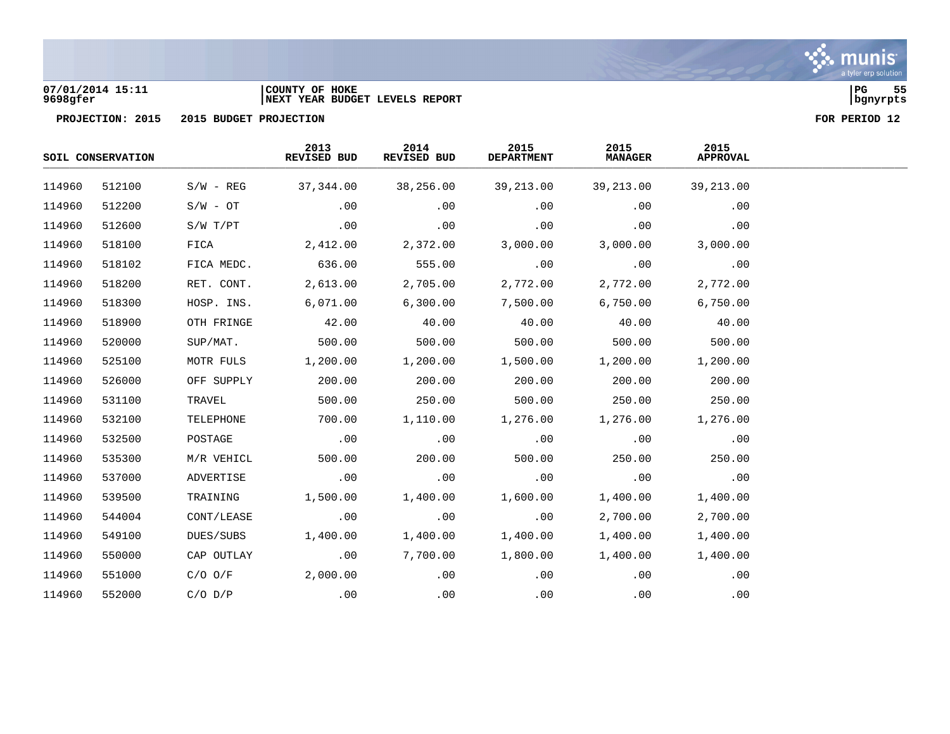### **07/01/2014 15:11 |COUNTY OF HOKE |PG 55 9698gfer |NEXT YEAR BUDGET LEVELS REPORT |bgnyrpts**

|        | SOIL CONSERVATION |             | 2013<br>REVISED BUD | 2014<br>REVISED BUD | 2015<br><b>DEPARTMENT</b> | 2015<br><b>MANAGER</b> | 2015<br><b>APPROVAL</b> |  |
|--------|-------------------|-------------|---------------------|---------------------|---------------------------|------------------------|-------------------------|--|
| 114960 | 512100            | $S/W - REG$ | 37,344.00           | 38,256.00           | 39,213.00                 | 39,213.00              | 39,213.00               |  |
| 114960 | 512200            | $S/W - OT$  | .00                 | .00                 | .00                       | .00                    | .00                     |  |
| 114960 | 512600            | S/W T/PT    | .00                 | .00                 | .00                       | .00                    | .00                     |  |
| 114960 | 518100            | FICA        | 2,412.00            | 2,372.00            | 3,000.00                  | 3,000.00               | 3,000.00                |  |
| 114960 | 518102            | FICA MEDC.  | 636.00              | 555.00              | .00                       | .00                    | .00                     |  |
| 114960 | 518200            | RET. CONT.  | 2,613.00            | 2,705.00            | 2,772.00                  | 2,772.00               | 2,772.00                |  |
| 114960 | 518300            | HOSP. INS.  | 6,071.00            | 6,300.00            | 7,500.00                  | 6,750.00               | 6,750.00                |  |
| 114960 | 518900            | OTH FRINGE  | 42.00               | 40.00               | 40.00                     | 40.00                  | 40.00                   |  |
| 114960 | 520000            | SUP/MAT.    | 500.00              | 500.00              | 500.00                    | 500.00                 | 500.00                  |  |
| 114960 | 525100            | MOTR FULS   | 1,200.00            | 1,200.00            | 1,500.00                  | 1,200.00               | 1,200.00                |  |
| 114960 | 526000            | OFF SUPPLY  | 200.00              | 200.00              | 200.00                    | 200.00                 | 200.00                  |  |
| 114960 | 531100            | TRAVEL      | 500.00              | 250.00              | 500.00                    | 250.00                 | 250.00                  |  |
| 114960 | 532100            | TELEPHONE   | 700.00              | 1,110.00            | 1,276.00                  | 1,276.00               | 1,276.00                |  |
| 114960 | 532500            | POSTAGE     | .00                 | .00                 | .00                       | .00                    | .00                     |  |
| 114960 | 535300            | M/R VEHICL  | 500.00              | 200.00              | 500.00                    | 250.00                 | 250.00                  |  |
| 114960 | 537000            | ADVERTISE   | .00                 | .00                 | .00                       | .00                    | .00                     |  |
| 114960 | 539500            | TRAINING    | 1,500.00            | 1,400.00            | 1,600.00                  | 1,400.00               | 1,400.00                |  |
| 114960 | 544004            | CONT/LEASE  | .00                 | .00                 | .00                       | 2,700.00               | 2,700.00                |  |
| 114960 | 549100            | DUES/SUBS   | 1,400.00            | 1,400.00            | 1,400.00                  | 1,400.00               | 1,400.00                |  |
| 114960 | 550000            | CAP OUTLAY  | .00                 | 7,700.00            | 1,800.00                  | 1,400.00               | 1,400.00                |  |
| 114960 | 551000            | $C/O$ $O/F$ | 2,000.00            | .00                 | .00                       | .00                    | .00                     |  |
| 114960 | 552000            | $C/O$ $D/P$ | .00                 | .00                 | .00                       | .00                    | .00                     |  |

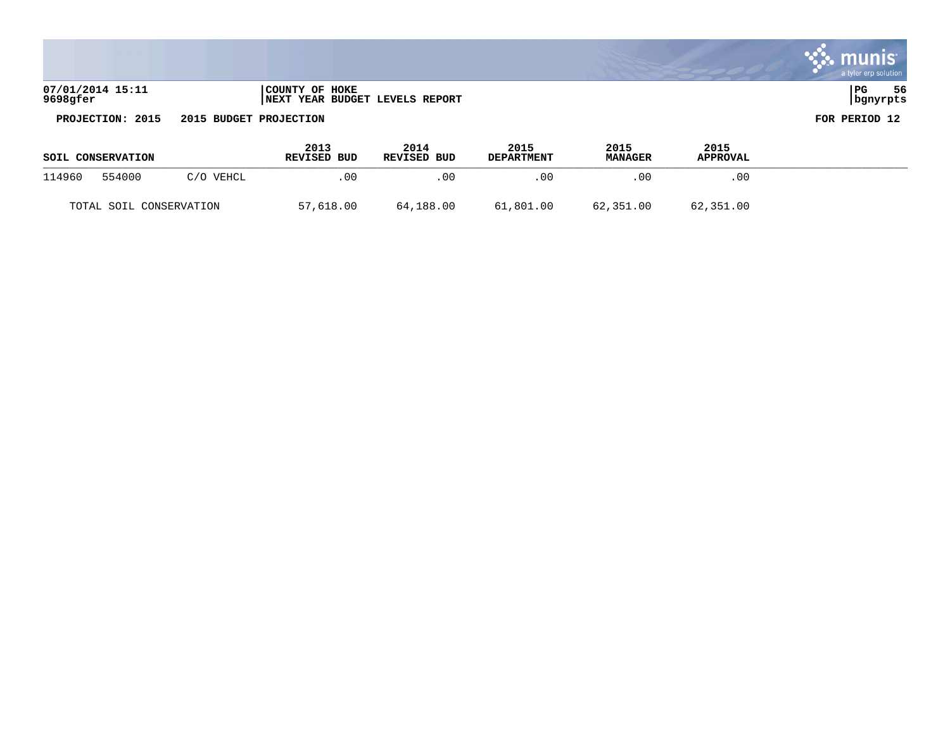|                              |                                                          | a tyler erp solution     |
|------------------------------|----------------------------------------------------------|--------------------------|
| 07/01/2014 15:11<br>9698gfer | COUNTY OF HOKE<br><b>INEXT YEAR BUDGET LEVELS REPORT</b> | l PG<br>56<br>  bgnyrpts |

**PROJECTION: 2015 2015 BUDGET PROJECTION** 

**College** 

| FOR PERIOD 12 |  |
|---------------|--|

a consequent to the contract of the contract of the contract of the contract of the contract of the contract of

| SOIL CONSERVATION       |        |           | 2013<br>REVISED BUD | 2014<br>REVISED BUD | 2015<br><b>DEPARTMENT</b> | 2015<br><b>MANAGER</b> | 2015<br><b>APPROVAL</b> |  |
|-------------------------|--------|-----------|---------------------|---------------------|---------------------------|------------------------|-------------------------|--|
| 114960                  | 554000 | C/O VEHCL | .00                 | .00                 | .00                       | .00                    | .00                     |  |
| TOTAL SOIL CONSERVATION |        |           | 57,618.00           | 64,188.00           | 61,801.00                 | 62,351.00              | 62,351.00               |  |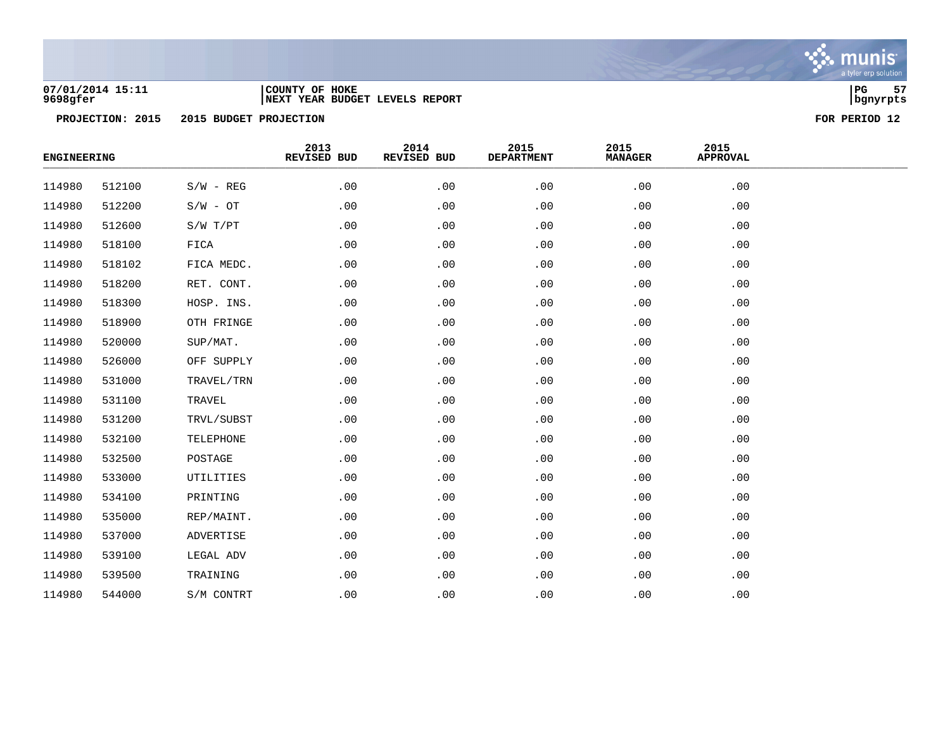

### **07/01/2014 15:11 |COUNTY OF HOKE |PG 57 9698gfer |NEXT YEAR BUDGET LEVELS REPORT |bgnyrpts**

| <b>ENGINEERING</b> |        |             | 2013<br>REVISED BUD | 2014<br>REVISED BUD | 2015<br><b>DEPARTMENT</b> | 2015<br><b>MANAGER</b> | 2015<br><b>APPROVAL</b> |  |
|--------------------|--------|-------------|---------------------|---------------------|---------------------------|------------------------|-------------------------|--|
| 114980             | 512100 | $S/W - REG$ | .00                 | .00                 | .00                       | .00                    | .00                     |  |
| 114980             | 512200 | $S/W - OT$  | .00                 | .00                 | .00                       | .00                    | .00                     |  |
| 114980             | 512600 | S/W T/PT    | .00                 | .00                 | .00                       | .00                    | .00                     |  |
| 114980             | 518100 | FICA        | .00                 | .00                 | .00                       | .00                    | .00                     |  |
| 114980             | 518102 | FICA MEDC.  | .00                 | .00                 | .00                       | .00                    | .00                     |  |
| 114980             | 518200 | RET. CONT.  | .00                 | .00                 | .00                       | .00                    | .00                     |  |
| 114980             | 518300 | HOSP. INS.  | .00                 | .00                 | .00                       | .00                    | .00                     |  |
| 114980             | 518900 | OTH FRINGE  | .00                 | .00                 | .00                       | .00                    | .00                     |  |
| 114980             | 520000 | SUP/MAT.    | .00                 | .00                 | .00                       | .00                    | .00                     |  |
| 114980             | 526000 | OFF SUPPLY  | .00                 | .00                 | .00                       | .00                    | .00                     |  |
| 114980             | 531000 | TRAVEL/TRN  | .00                 | .00                 | .00                       | .00                    | .00                     |  |
| 114980             | 531100 | TRAVEL      | .00                 | .00                 | .00                       | .00                    | .00                     |  |
| 114980             | 531200 | TRVL/SUBST  | .00                 | .00                 | .00                       | .00                    | .00                     |  |
| 114980             | 532100 | TELEPHONE   | .00                 | .00                 | .00                       | .00                    | .00                     |  |
| 114980             | 532500 | POSTAGE     | .00                 | .00                 | .00                       | .00                    | .00                     |  |
| 114980             | 533000 | UTILITIES   | .00                 | .00                 | .00                       | .00                    | .00                     |  |
| 114980             | 534100 | PRINTING    | .00                 | .00                 | .00                       | .00                    | .00                     |  |
| 114980             | 535000 | REP/MAINT.  | .00                 | .00                 | .00                       | .00                    | .00                     |  |
| 114980             | 537000 | ADVERTISE   | .00                 | .00                 | .00                       | .00                    | .00                     |  |
| 114980             | 539100 | LEGAL ADV   | .00                 | .00                 | .00                       | .00                    | .00                     |  |
| 114980             | 539500 | TRAINING    | .00                 | .00                 | .00                       | .00                    | .00                     |  |
| 114980             | 544000 | S/M CONTRT  | .00                 | .00                 | .00                       | .00                    | .00                     |  |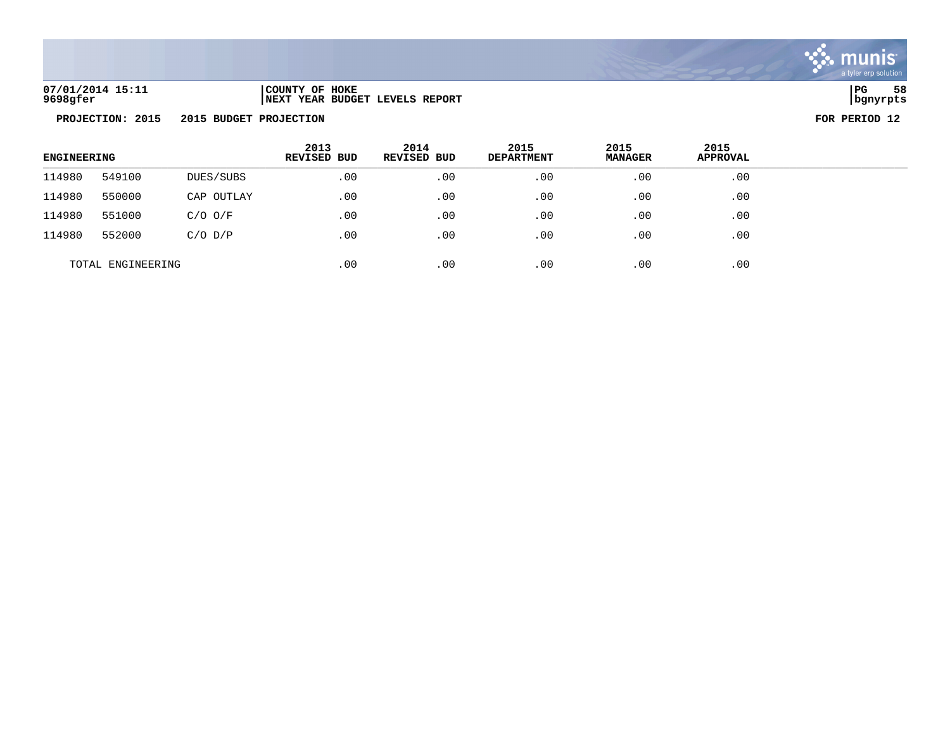

**07/01/2014 15:11 |COUNTY OF HOKE |PG 58 9698gfer |NEXT YEAR BUDGET LEVELS REPORT |bgnyrpts**

| <b>ENGINEERING</b> |        |             | 2013<br>REVISED BUD | 2014<br><b>REVISED BUD</b> | 2015<br><b>DEPARTMENT</b> | 2015<br><b>MANAGER</b> | 2015<br><b>APPROVAL</b> |  |
|--------------------|--------|-------------|---------------------|----------------------------|---------------------------|------------------------|-------------------------|--|
| 114980             | 549100 | DUES/SUBS   | .00                 | .00                        | .00                       | .00                    | .00                     |  |
| 114980             | 550000 | CAP OUTLAY  | .00                 | .00                        | .00                       | .00                    | .00                     |  |
| 114980             | 551000 | $C/O$ $O/F$ | .00                 | .00                        | .00                       | .00                    | .00                     |  |
| 114980             | 552000 | $C/O$ $D/P$ | .00                 | .00                        | .00                       | .00                    | .00                     |  |
| TOTAL ENGINEERING  |        |             | .00                 | .00                        | .00                       | .00                    | .00                     |  |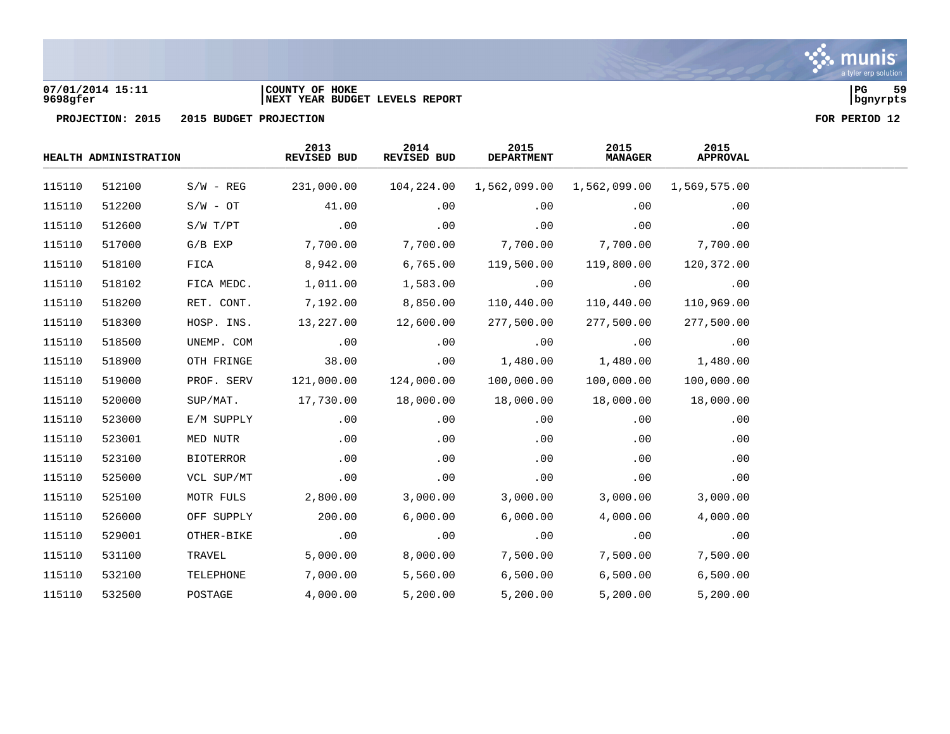

### **07/01/2014 15:11 |COUNTY OF HOKE |PG 59 9698gfer |NEXT YEAR BUDGET LEVELS REPORT |bgnyrpts**

|        | HEALTH ADMINISTRATION |             | 2013<br>REVISED BUD | 2014<br>REVISED BUD | 2015<br><b>DEPARTMENT</b> | 2015<br><b>MANAGER</b> | 2015<br><b>APPROVAL</b> |
|--------|-----------------------|-------------|---------------------|---------------------|---------------------------|------------------------|-------------------------|
| 115110 | 512100                | $S/W - REG$ | 231,000.00          | 104,224.00          | 1,562,099.00              | 1,562,099.00           | 1,569,575.00            |
| 115110 | 512200                | $S/W - OT$  | 41.00               | .00                 | .00                       | .00                    | .00                     |
| 115110 | 512600                | S/W T/PT    | .00                 | .00                 | .00                       | .00                    | .00                     |
| 115110 | 517000                | $G/B$ EXP   | 7,700.00            | 7,700.00            | 7,700.00                  | 7,700.00               | 7,700.00                |
| 115110 | 518100                | FICA        | 8,942.00            | 6,765.00            | 119,500.00                | 119,800.00             | 120,372.00              |
| 115110 | 518102                | FICA MEDC.  | 1,011.00            | 1,583.00            | .00                       | .00                    | .00                     |
| 115110 | 518200                | RET. CONT.  | 7,192.00            | 8,850.00            | 110,440.00                | 110,440.00             | 110,969.00              |
| 115110 | 518300                | HOSP. INS.  | 13,227.00           | 12,600.00           | 277,500.00                | 277,500.00             | 277,500.00              |
| 115110 | 518500                | UNEMP. COM  | .00                 | .00                 | .00                       | .00                    | .00                     |
| 115110 | 518900                | OTH FRINGE  | 38.00               | .00                 | 1,480.00                  | 1,480.00               | 1,480.00                |
| 115110 | 519000                | PROF. SERV  | 121,000.00          | 124,000.00          | 100,000.00                | 100,000.00             | 100,000.00              |
| 115110 | 520000                | SUP/MAT.    | 17,730.00           | 18,000.00           | 18,000.00                 | 18,000.00              | 18,000.00               |
| 115110 | 523000                | E/M SUPPLY  | .00                 | .00                 | .00                       | .00                    | .00                     |
| 115110 | 523001                | MED NUTR    | .00                 | .00                 | .00                       | .00                    | .00                     |
| 115110 | 523100                | BIOTERROR   | .00                 | .00                 | .00                       | .00                    | .00                     |
| 115110 | 525000                | VCL SUP/MT  | .00                 | .00                 | .00                       | .00                    | .00                     |
| 115110 | 525100                | MOTR FULS   | 2,800.00            | 3,000.00            | 3,000.00                  | 3,000.00               | 3,000.00                |
| 115110 | 526000                | OFF SUPPLY  | 200.00              | 6,000.00            | 6,000.00                  | 4,000.00               | 4,000.00                |
| 115110 | 529001                | OTHER-BIKE  | .00                 | .00                 | .00                       | .00                    | .00                     |
| 115110 | 531100                | TRAVEL      | 5,000.00            | 8,000.00            | 7,500.00                  | 7,500.00               | 7,500.00                |
| 115110 | 532100                | TELEPHONE   | 7,000.00            | 5,560.00            | 6,500.00                  | 6,500.00               | 6,500.00                |
| 115110 | 532500                | POSTAGE     | 4,000.00            | 5,200.00            | 5,200.00                  | 5,200.00               | 5,200.00                |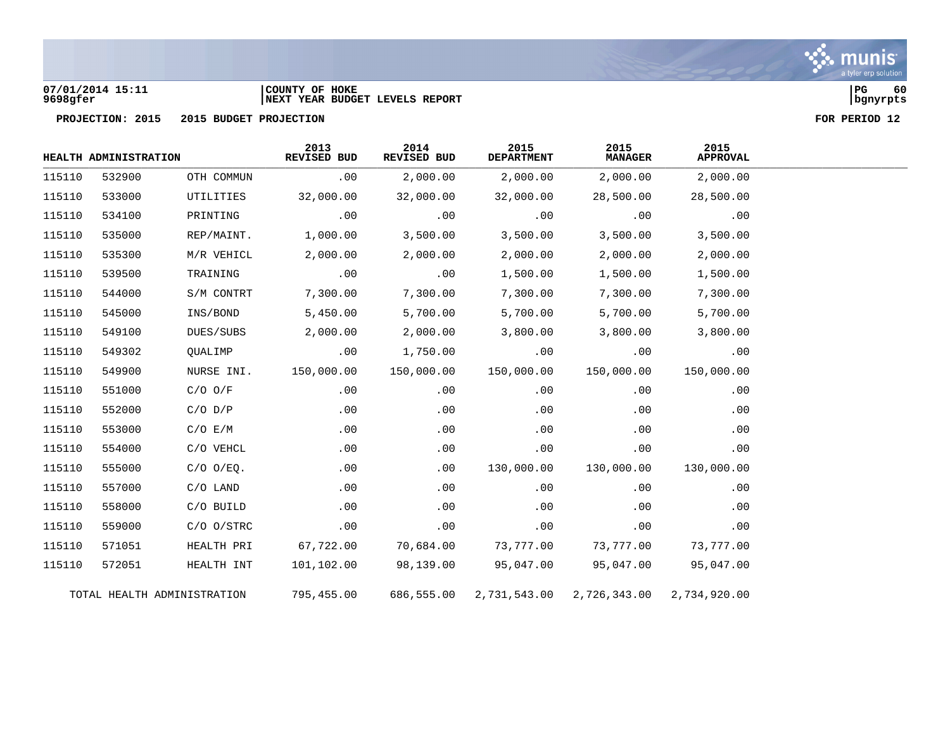### **07/01/2014 15:11 |COUNTY OF HOKE |PG 60 9698gfer |NEXT YEAR BUDGET LEVELS REPORT |bgnyrpts**

**PROJECTION: 2015 2015 BUDGET PROJECTION FOR PERIOD 12**

|        | HEALTH ADMINISTRATION |                             | 2013<br>REVISED BUD | 2014<br>REVISED BUD | 2015<br><b>DEPARTMENT</b> | 2015<br><b>MANAGER</b> | 2015<br><b>APPROVAL</b> |
|--------|-----------------------|-----------------------------|---------------------|---------------------|---------------------------|------------------------|-------------------------|
| 115110 | 532900                | OTH COMMUN                  | .00                 | 2,000.00            | 2,000.00                  | 2,000.00               | 2,000.00                |
| 115110 | 533000                | UTILITIES                   | 32,000.00           | 32,000.00           | 32,000.00                 | 28,500.00              | 28,500.00               |
| 115110 | 534100                | PRINTING                    | .00                 | .00                 | .00                       | .00                    | .00                     |
| 115110 | 535000                | REP/MAINT.                  | 1,000.00            | 3,500.00            | 3,500.00                  | 3,500.00               | 3,500.00                |
| 115110 | 535300                | M/R VEHICL                  | 2,000.00            | 2,000.00            | 2,000.00                  | 2,000.00               | 2,000.00                |
| 115110 | 539500                | TRAINING                    | .00                 | .00                 | 1,500.00                  | 1,500.00               | 1,500.00                |
| 115110 | 544000                | S/M CONTRT                  | 7,300.00            | 7,300.00            | 7,300.00                  | 7,300.00               | 7,300.00                |
| 115110 | 545000                | INS/BOND                    | 5,450.00            | 5,700.00            | 5,700.00                  | 5,700.00               | 5,700.00                |
| 115110 | 549100                | DUES/SUBS                   | 2,000.00            | 2,000.00            | 3,800.00                  | 3,800.00               | 3,800.00                |
| 115110 | 549302                | QUALIMP                     | .00                 | 1,750.00            | .00                       | .00                    | .00                     |
| 115110 | 549900                | NURSE INI.                  | 150,000.00          | 150,000.00          | 150,000.00                | 150,000.00             | 150,000.00              |
| 115110 | 551000                | $C/O$ $O/F$                 | .00                 | .00                 | .00                       | .00                    | .00                     |
| 115110 | 552000                | $C/O$ $D/P$                 | .00                 | .00                 | .00                       | .00                    | .00                     |
| 115110 | 553000                | C/O E/M                     | .00                 | .00                 | .00                       | .00                    | .00                     |
| 115110 | 554000                | C/O VEHCL                   | .00                 | .00                 | .00                       | .00                    | .00                     |
| 115110 | 555000                | $C/O$ $O/EQ$ .              | .00                 | .00                 | 130,000.00                | 130,000.00             | 130,000.00              |
| 115110 | 557000                | $C/O$ LAND                  | .00                 | .00                 | .00                       | .00                    | .00                     |
| 115110 | 558000                | C/O BUILD                   | .00                 | .00                 | .00                       | .00                    | .00                     |
| 115110 | 559000                | $C/O$ $O/STRC$              | .00                 | .00                 | .00                       | .00                    | .00                     |
| 115110 | 571051                | HEALTH PRI                  | 67,722.00           | 70,684.00           | 73,777.00                 | 73,777.00              | 73,777.00               |
| 115110 | 572051                | HEALTH INT                  | 101,102.00          | 98,139.00           | 95,047.00                 | 95,047.00              | 95,047.00               |
|        |                       | TOTAL HEALTH ADMINISTRATION | 795,455.00          | 686,555.00          | 2,731,543.00              | 2,726,343.00           | 2,734,920.00            |



a tyler erp solution

munis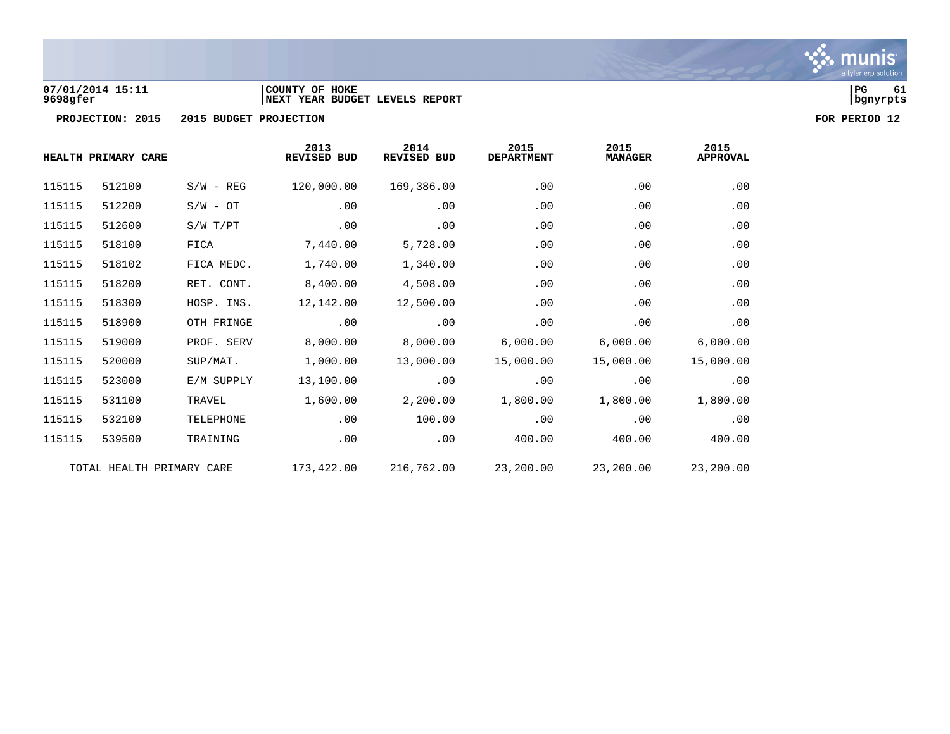

### **07/01/2014 15:11 |COUNTY OF HOKE |PG 61 9698gfer |NEXT YEAR BUDGET LEVELS REPORT |bgnyrpts**

| HEALTH PRIMARY CARE |                           |              | 2013<br><b>REVISED BUD</b> | 2014<br>REVISED BUD | 2015<br><b>DEPARTMENT</b> | 2015<br><b>MANAGER</b> | 2015<br><b>APPROVAL</b> |  |
|---------------------|---------------------------|--------------|----------------------------|---------------------|---------------------------|------------------------|-------------------------|--|
| 115115              | 512100                    | $S/W - REG$  | 120,000.00                 | 169,386.00          | .00                       | .00                    | .00                     |  |
| 115115              | 512200                    | $S/W - OT$   | .00                        | .00                 | .00                       | .00                    | .00                     |  |
| 115115              | 512600                    | $S/W$ $T/PT$ | .00                        | .00                 | .00                       | .00                    | .00                     |  |
| 115115              | 518100                    | FICA         | 7,440.00                   | 5,728.00            | .00                       | .00                    | .00                     |  |
| 115115              | 518102                    | FICA MEDC.   | 1,740.00                   | 1,340.00            | .00                       | .00                    | .00                     |  |
| 115115              | 518200                    | RET. CONT.   | 8,400.00                   | 4,508.00            | .00                       | .00                    | .00                     |  |
| 115115              | 518300                    | HOSP. INS.   | 12,142.00                  | 12,500.00           | .00                       | .00                    | .00                     |  |
| 115115              | 518900                    | OTH FRINGE   | .00                        | .00                 | .00                       | .00                    | .00                     |  |
| 115115              | 519000                    | PROF. SERV   | 8,000.00                   | 8,000.00            | 6,000.00                  | 6,000.00               | 6,000.00                |  |
| 115115              | 520000                    | SUP/MAT.     | 1,000.00                   | 13,000.00           | 15,000.00                 | 15,000.00              | 15,000.00               |  |
| 115115              | 523000                    | E/M SUPPLY   | 13,100.00                  | .00                 | .00                       | .00                    | .00                     |  |
| 115115              | 531100                    | TRAVEL       | 1,600.00                   | 2,200.00            | 1,800.00                  | 1,800.00               | 1,800.00                |  |
| 115115              | 532100                    | TELEPHONE    | .00                        | 100.00              | .00                       | .00                    | .00                     |  |
| 115115              | 539500                    | TRAINING     | .00                        | .00                 | 400.00                    | 400.00                 | 400.00                  |  |
|                     | TOTAL HEALTH PRIMARY CARE |              | 173,422.00                 | 216,762.00          | 23,200.00                 | 23,200.00              | 23,200.00               |  |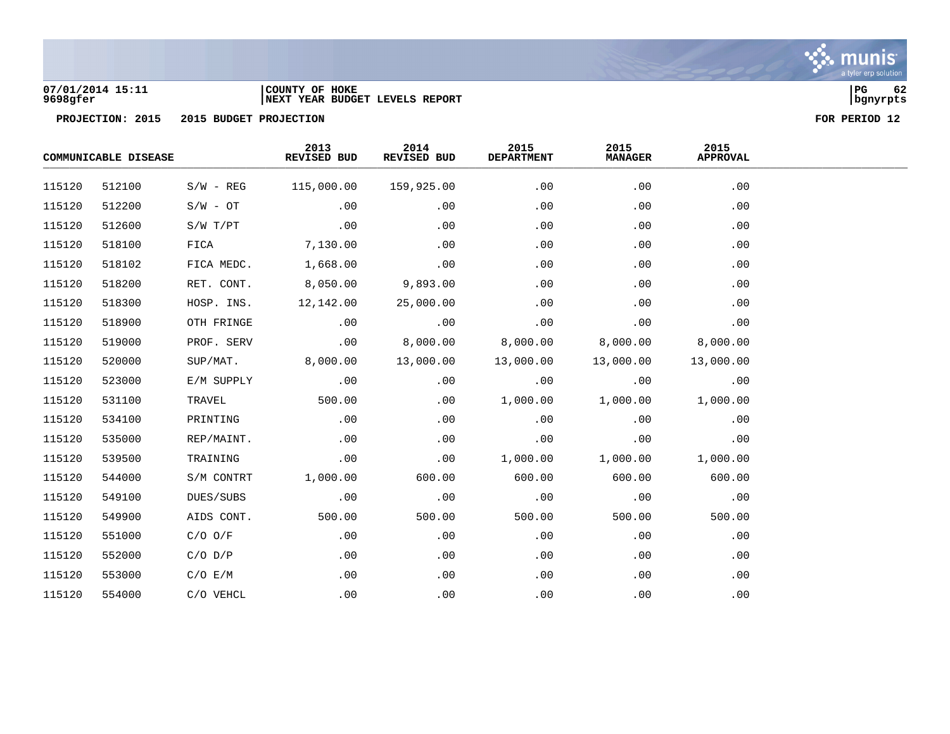

### **07/01/2014 15:11 |COUNTY OF HOKE |PG 62 9698gfer |NEXT YEAR BUDGET LEVELS REPORT |bgnyrpts**

| COMMUNICABLE DISEASE |        |             | 2013<br>REVISED BUD | 2014<br>REVISED BUD | 2015<br><b>DEPARTMENT</b> | 2015<br><b>MANAGER</b> | 2015<br><b>APPROVAL</b> |  |
|----------------------|--------|-------------|---------------------|---------------------|---------------------------|------------------------|-------------------------|--|
| 115120               | 512100 | $S/W - REG$ | 115,000.00          | 159,925.00          | .00                       | .00                    | .00                     |  |
| 115120               | 512200 | $S/W - OT$  | .00                 | .00                 | .00                       | .00                    | .00                     |  |
| 115120               | 512600 | S/W T/PT    | .00                 | .00                 | .00                       | .00                    | .00                     |  |
| 115120               | 518100 | FICA        | 7,130.00            | .00                 | .00                       | .00                    | .00                     |  |
| 115120               | 518102 | FICA MEDC.  | 1,668.00            | .00                 | .00                       | .00                    | .00                     |  |
| 115120               | 518200 | RET. CONT.  | 8,050.00            | 9,893.00            | .00                       | .00                    | .00                     |  |
| 115120               | 518300 | HOSP. INS.  | 12,142.00           | 25,000.00           | .00                       | .00                    | .00                     |  |
| 115120               | 518900 | OTH FRINGE  | .00                 | .00                 | .00                       | .00                    | .00                     |  |
| 115120               | 519000 | PROF. SERV  | .00                 | 8,000.00            | 8,000.00                  | 8,000.00               | 8,000.00                |  |
| 115120               | 520000 | SUP/MAT.    | 8,000.00            | 13,000.00           | 13,000.00                 | 13,000.00              | 13,000.00               |  |
| 115120               | 523000 | E/M SUPPLY  | .00                 | .00                 | .00                       | .00                    | .00                     |  |
| 115120               | 531100 | TRAVEL      | 500.00              | .00                 | 1,000.00                  | 1,000.00               | 1,000.00                |  |
| 115120               | 534100 | PRINTING    | .00                 | .00                 | .00                       | .00                    | .00                     |  |
| 115120               | 535000 | REP/MAINT.  | .00                 | .00                 | .00                       | .00                    | .00                     |  |
| 115120               | 539500 | TRAINING    | .00                 | .00                 | 1,000.00                  | 1,000.00               | 1,000.00                |  |
| 115120               | 544000 | S/M CONTRT  | 1,000.00            | 600.00              | 600.00                    | 600.00                 | 600.00                  |  |
| 115120               | 549100 | DUES/SUBS   | .00                 | .00                 | .00                       | .00                    | .00                     |  |
| 115120               | 549900 | AIDS CONT.  | 500.00              | 500.00              | 500.00                    | 500.00                 | 500.00                  |  |
| 115120               | 551000 | $C/O$ $O/F$ | .00                 | .00                 | .00                       | .00                    | .00                     |  |
| 115120               | 552000 | $C/O$ $D/P$ | .00                 | .00                 | .00                       | .00                    | .00                     |  |
| 115120               | 553000 | C/O E/M     | .00                 | .00                 | .00                       | .00                    | .00                     |  |
| 115120               | 554000 | C/O VEHCL   | .00                 | .00                 | .00                       | .00                    | .00                     |  |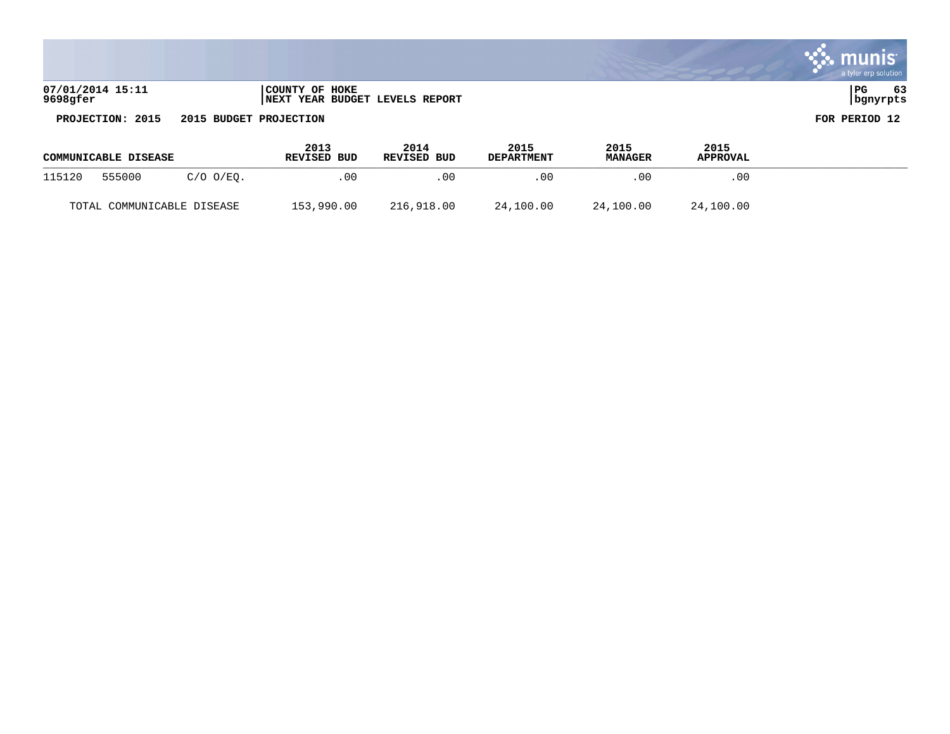|                              |                                                  | a tyler erp solution     |
|------------------------------|--------------------------------------------------|--------------------------|
| 07/01/2014 15:11<br>9698gfer | COUNTY OF HOKE<br>NEXT YEAR BUDGET LEVELS REPORT | 63<br>l PG<br>  bgnyrpts |

| COMMUNICABLE DISEASE |                            | 2013<br><b>REVISED BUD</b> | 2014<br>REVISED BUD | 2015<br><b>DEPARTMENT</b> | 2015<br><b>MANAGER</b> | 2015<br><b>APPROVAL</b> |           |  |  |
|----------------------|----------------------------|----------------------------|---------------------|---------------------------|------------------------|-------------------------|-----------|--|--|
| 115120               | 555000                     | $C/O$ $O/EO$ .             | .00                 | .00                       | . 0 0                  | .00                     | .00       |  |  |
|                      | TOTAL COMMUNICABLE DISEASE |                            | 153,990.00          | 216,918.00                | 24,100.00              | 24,100.00               | 24,100.00 |  |  |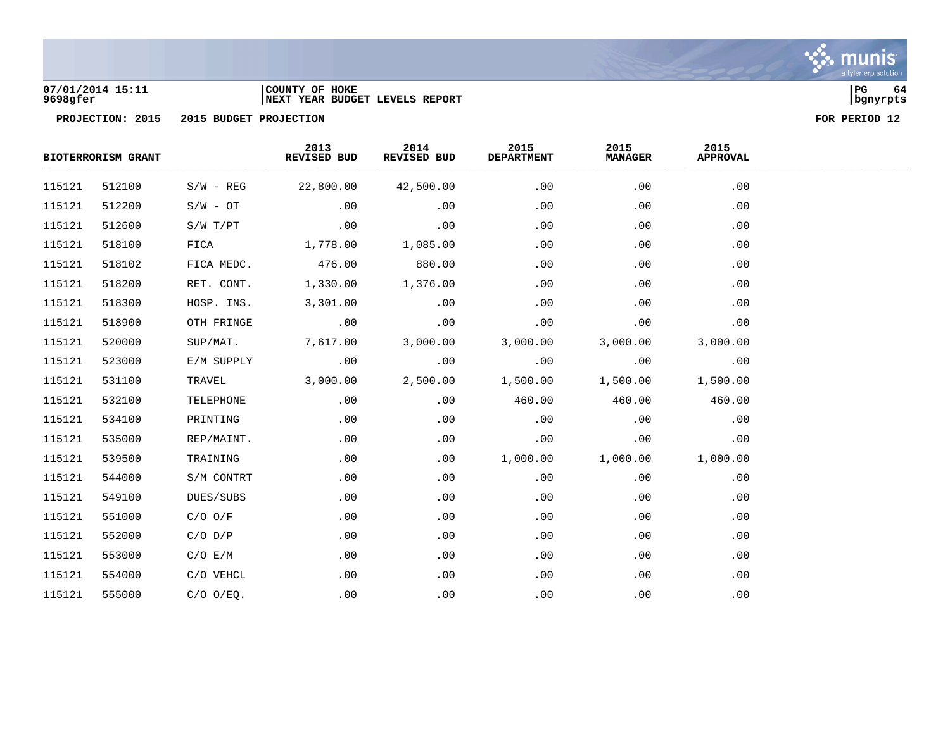

### **07/01/2014 15:11 |COUNTY OF HOKE |PG 64 9698gfer |NEXT YEAR BUDGET LEVELS REPORT |bgnyrpts**

|        | <b>BIOTERRORISM GRANT</b> |                | 2013<br>REVISED BUD | 2014<br>REVISED BUD | 2015<br><b>DEPARTMENT</b> | 2015<br><b>MANAGER</b> | 2015<br><b>APPROVAL</b> |  |
|--------|---------------------------|----------------|---------------------|---------------------|---------------------------|------------------------|-------------------------|--|
| 115121 | 512100                    | $S/W - REG$    | 22,800.00           | 42,500.00           | .00                       | .00                    | .00                     |  |
| 115121 | 512200                    | $S/W - OT$     | .00                 | .00                 | .00                       | .00                    | .00                     |  |
| 115121 | 512600                    | $S/W$ $T/PT$   | .00                 | .00                 | .00                       | .00                    | .00                     |  |
| 115121 | 518100                    | FICA           | 1,778.00            | 1,085.00            | .00                       | .00                    | .00                     |  |
| 115121 | 518102                    | FICA MEDC.     | 476.00              | 880.00              | .00                       | .00                    | .00                     |  |
| 115121 | 518200                    | RET. CONT.     | 1,330.00            | 1,376.00            | .00                       | .00                    | .00                     |  |
| 115121 | 518300                    | HOSP. INS.     | 3,301.00            | .00                 | .00                       | .00                    | .00                     |  |
| 115121 | 518900                    | OTH FRINGE     | .00                 | .00                 | .00                       | .00                    | .00                     |  |
| 115121 | 520000                    | SUP/MAT.       | 7,617.00            | 3,000.00            | 3,000.00                  | 3,000.00               | 3,000.00                |  |
| 115121 | 523000                    | E/M SUPPLY     | .00                 | .00                 | .00                       | .00                    | .00                     |  |
| 115121 | 531100                    | TRAVEL         | 3,000.00            | 2,500.00            | 1,500.00                  | 1,500.00               | 1,500.00                |  |
| 115121 | 532100                    | TELEPHONE      | .00                 | .00                 | 460.00                    | 460.00                 | 460.00                  |  |
| 115121 | 534100                    | PRINTING       | .00                 | .00                 | .00                       | .00                    | .00                     |  |
| 115121 | 535000                    | REP/MAINT.     | .00                 | .00                 | .00                       | .00                    | .00                     |  |
| 115121 | 539500                    | TRAINING       | .00                 | .00                 | 1,000.00                  | 1,000.00               | 1,000.00                |  |
| 115121 | 544000                    | S/M CONTRT     | .00                 | .00                 | $.00 \,$                  | .00                    | .00                     |  |
| 115121 | 549100                    | DUES/SUBS      | .00                 | .00                 | .00                       | .00                    | .00                     |  |
| 115121 | 551000                    | $C/O$ $O/F$    | .00                 | .00                 | .00                       | .00                    | .00                     |  |
| 115121 | 552000                    | $C/O$ $D/P$    | .00                 | .00                 | .00                       | .00                    | .00                     |  |
| 115121 | 553000                    | C/O E/M        | .00                 | .00                 | .00                       | .00                    | .00                     |  |
| 115121 | 554000                    | C/O VEHCL      | .00                 | .00                 | .00                       | .00                    | .00                     |  |
| 115121 | 555000                    | $C/O$ $O/EQ$ . | .00                 | .00                 | .00                       | .00                    | .00                     |  |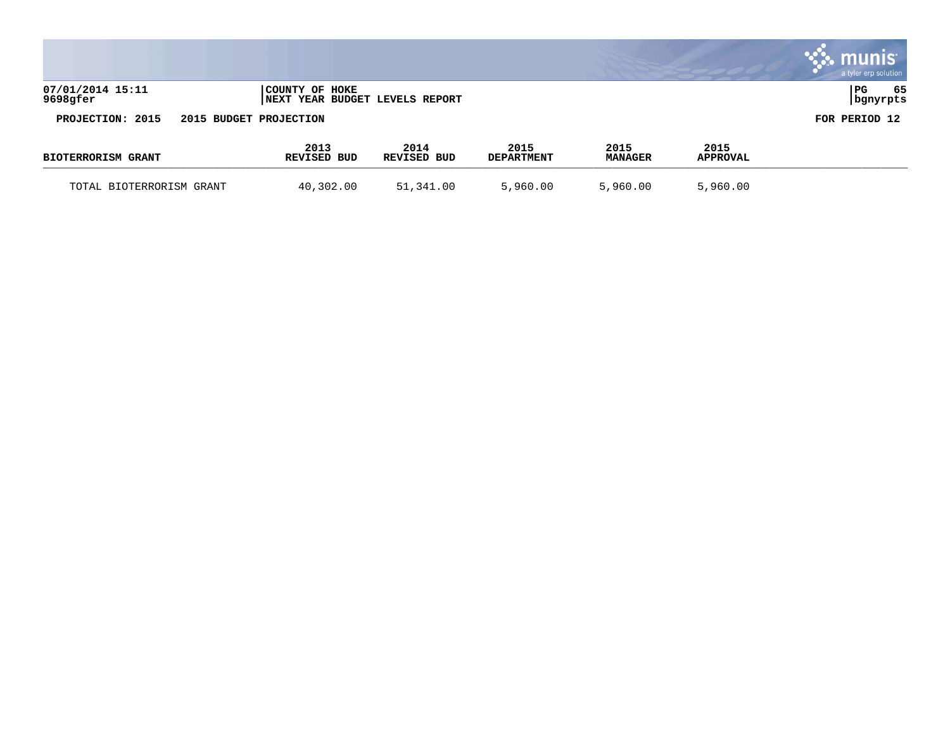|                              |                        |                                |                           |                        |                         | <b>munis</b><br>a tyler erp solution |
|------------------------------|------------------------|--------------------------------|---------------------------|------------------------|-------------------------|--------------------------------------|
| 07/01/2014 15:11<br>9698gfer | COUNTY OF HOKE         | NEXT YEAR BUDGET LEVELS REPORT |                           |                        |                         | 65<br>  PG<br>  bgnyrpts             |
| PROJECTION: 2015             | 2015 BUDGET PROJECTION |                                |                           |                        |                         | FOR PERIOD 12                        |
| <b>BIOTERRORISM GRANT</b>    | 2013<br>REVISED BUD    | 2014<br>REVISED BUD            | 2015<br><b>DEPARTMENT</b> | 2015<br><b>MANAGER</b> | 2015<br><b>APPROVAL</b> |                                      |
| TOTAL BIOTERRORISM GRANT     | 40,302.00              | 51,341.00                      | 5,960.00                  | 5,960.00               | 5,960.00                |                                      |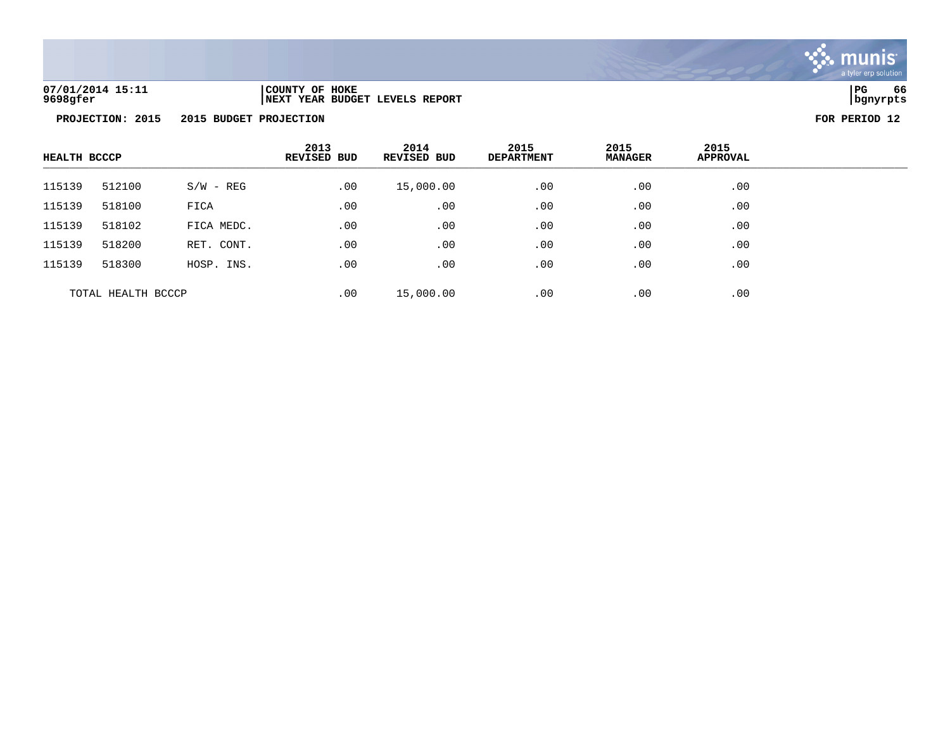

**PROJECTION: 2015 2015 BUDGET PROJECTION FOR PERIOD 12**

| <b>HEALTH BCCCP</b> |        |             | 2013<br><b>REVISED BUD</b> | 2014<br><b>REVISED BUD</b> | 2015<br><b>DEPARTMENT</b> | 2015<br><b>MANAGER</b> | 2015<br><b>APPROVAL</b> |  |
|---------------------|--------|-------------|----------------------------|----------------------------|---------------------------|------------------------|-------------------------|--|
| 115139              | 512100 | $S/W - REG$ | .00                        | 15,000.00                  | .00                       | .00                    | .00                     |  |
| 115139              | 518100 | FICA        | .00                        | .00                        | .00                       | .00                    | .00                     |  |
| 115139              | 518102 | FICA MEDC.  | .00                        | .00                        | .00                       | .00                    | .00                     |  |
| 115139              | 518200 | RET. CONT.  | .00                        | .00                        | .00                       | .00                    | .00                     |  |
| 115139              | 518300 | HOSP. INS.  | .00                        | .00                        | .00                       | .00                    | .00                     |  |
| TOTAL HEALTH BCCCP  |        |             | .00                        | 15,000.00                  | .00                       | .00                    | .00                     |  |

**07/01/2014 15:11 |COUNTY OF HOKE |PG 66 9698gfer |NEXT YEAR BUDGET LEVELS REPORT |bgnyrpts**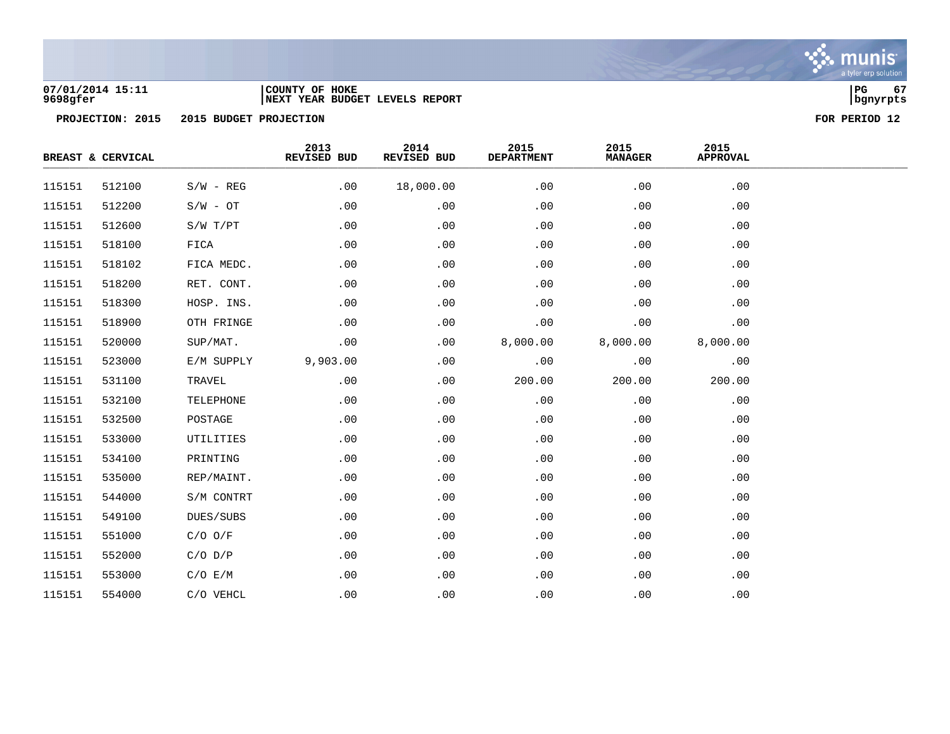

### **07/01/2014 15:11 |COUNTY OF HOKE |PG 67 9698gfer |NEXT YEAR BUDGET LEVELS REPORT |bgnyrpts**

|        | BREAST & CERVICAL |             | 2013<br>REVISED BUD | 2014<br>REVISED BUD | 2015<br>DEPARTMENT | 2015<br><b>MANAGER</b> | 2015<br><b>APPROVAL</b> |  |
|--------|-------------------|-------------|---------------------|---------------------|--------------------|------------------------|-------------------------|--|
| 115151 | 512100            | $S/W - REG$ | .00                 | 18,000.00           | .00                | .00                    | .00                     |  |
| 115151 | 512200            | $S/W - OT$  | .00                 | .00                 | .00                | .00                    | .00                     |  |
| 115151 | 512600            | S/W T/PT    | .00                 | .00                 | .00                | .00                    | .00                     |  |
| 115151 | 518100            | FICA        | .00                 | .00                 | .00                | .00                    | .00                     |  |
| 115151 | 518102            | FICA MEDC.  | .00                 | .00                 | .00                | .00                    | .00                     |  |
| 115151 | 518200            | RET. CONT.  | .00                 | .00                 | .00                | .00                    | .00                     |  |
| 115151 | 518300            | HOSP. INS.  | .00                 | .00                 | .00                | .00                    | .00                     |  |
| 115151 | 518900            | OTH FRINGE  | .00                 | .00                 | .00                | .00                    | .00                     |  |
| 115151 | 520000            | SUP/MAT.    | .00                 | .00                 | 8,000.00           | 8,000.00               | 8,000.00                |  |
| 115151 | 523000            | E/M SUPPLY  | 9,903.00            | .00                 | .00                | .00                    | .00                     |  |
| 115151 | 531100            | TRAVEL      | .00                 | .00                 | 200.00             | 200.00                 | 200.00                  |  |
| 115151 | 532100            | TELEPHONE   | .00                 | .00                 | .00                | .00                    | .00                     |  |
| 115151 | 532500            | POSTAGE     | .00                 | .00                 | .00                | .00                    | .00                     |  |
| 115151 | 533000            | UTILITIES   | .00                 | .00                 | .00                | .00                    | .00                     |  |
| 115151 | 534100            | PRINTING    | .00                 | .00                 | .00                | .00                    | .00                     |  |
| 115151 | 535000            | REP/MAINT.  | .00                 | .00                 | .00                | .00                    | .00                     |  |
| 115151 | 544000            | S/M CONTRT  | .00                 | .00                 | .00                | .00                    | .00                     |  |
| 115151 | 549100            | DUES/SUBS   | .00                 | .00                 | .00                | .00                    | .00                     |  |
| 115151 | 551000            | $C/O$ $O/F$ | .00                 | .00                 | .00                | .00                    | .00                     |  |
| 115151 | 552000            | $C/O$ $D/P$ | .00                 | .00                 | .00                | .00                    | .00                     |  |
| 115151 | 553000            | C/O E/M     | .00                 | .00                 | .00                | .00                    | .00                     |  |
| 115151 | 554000            | C/O VEHCL   | .00                 | .00                 | .00                | .00                    | .00                     |  |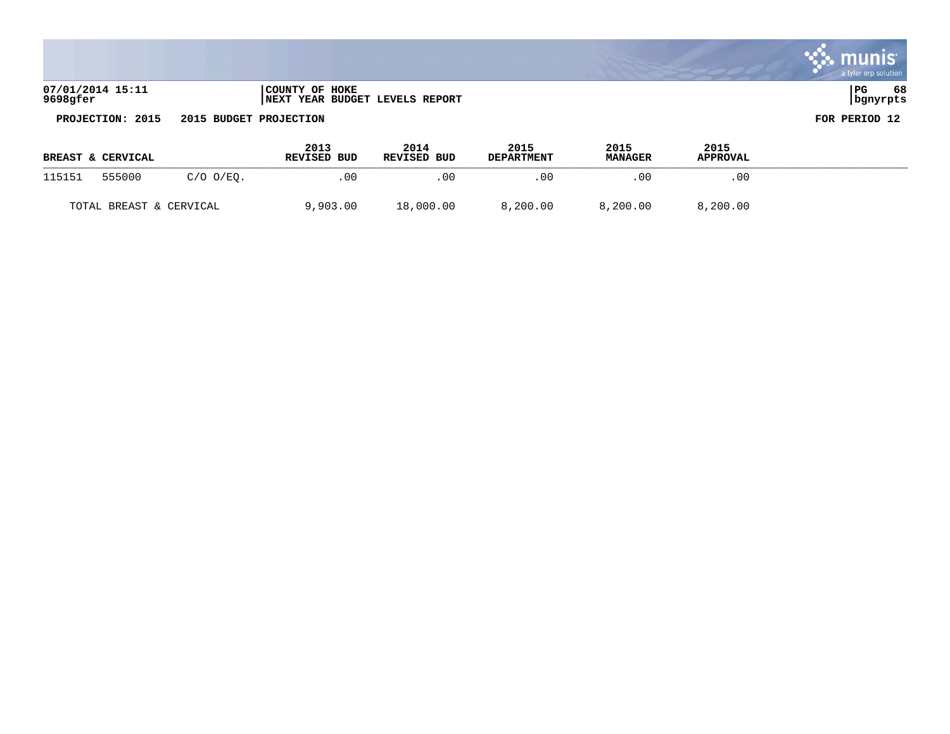|                                                                                                                              |                                                  | a tyler erp solution     |
|------------------------------------------------------------------------------------------------------------------------------|--------------------------------------------------|--------------------------|
| 07/01/2014 15:11<br>9698gfer                                                                                                 | COUNTY OF HOKE<br>NEXT YEAR BUDGET LEVELS REPORT | l PG<br>68<br>  bgnyrpts |
| - - - - -<br>the contract of the contract of the contract of the contract of the contract of the contract of the contract of |                                                  |                          |

and the same state of the same of the same of the same of the same of the same of the same of the same of the

**PROJECTION: 2015 2015 BUDGET PROJECTION FOR PERIOD 12**

 $\sim 10^{-1}$ 

|        | <b>BREAST &amp; CERVICAL</b> |                | 2013<br><b>REVISED BUD</b> | 2014<br><b>REVISED BUD</b> | 2015<br><b>DEPARTMENT</b> | 2015<br><b>MANAGER</b> | 2015<br><b>APPROVAL</b> |  |
|--------|------------------------------|----------------|----------------------------|----------------------------|---------------------------|------------------------|-------------------------|--|
| 115151 | 555000                       | $C/O$ $O/EO$ . | .00                        | . 00                       | . 0 0                     | .00                    | .00                     |  |
|        | TOTAL BREAST & CERVICAL      |                | 9,903.00                   | 18,000.00                  | 8,200.00                  | 8,200.00               | 8,200.00                |  |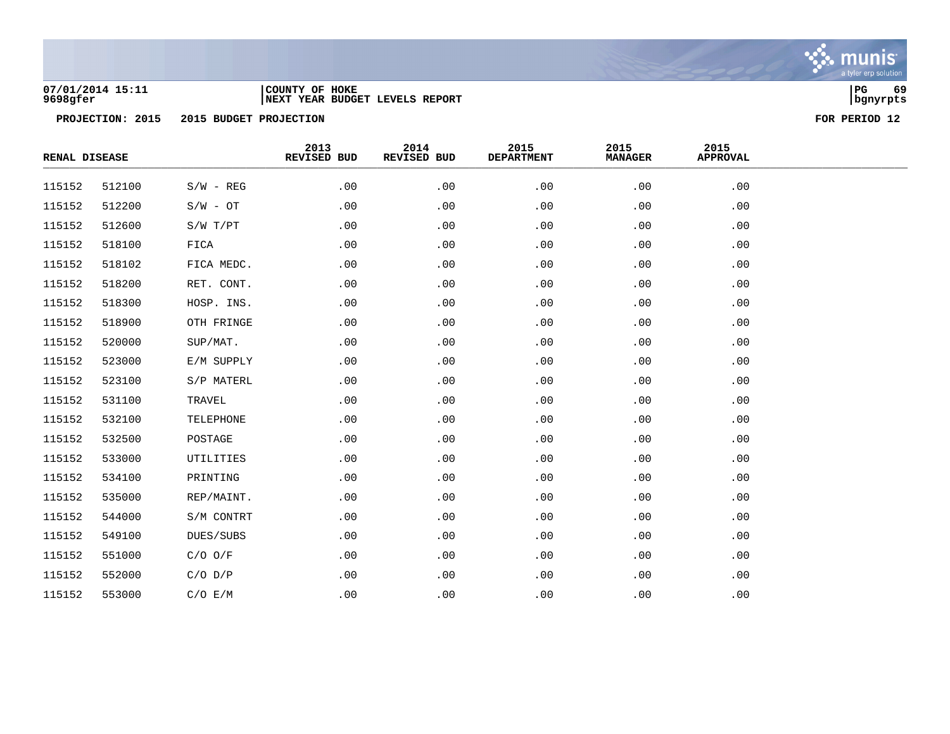

### **07/01/2014 15:11 |COUNTY OF HOKE |PG 69 9698gfer |NEXT YEAR BUDGET LEVELS REPORT |bgnyrpts**

| RENAL DISEASE |        |             | 2013<br>REVISED BUD | 2014<br>REVISED BUD | 2015<br><b>DEPARTMENT</b> | 2015<br><b>MANAGER</b> | 2015<br><b>APPROVAL</b> |  |
|---------------|--------|-------------|---------------------|---------------------|---------------------------|------------------------|-------------------------|--|
| 115152        | 512100 | $S/W - REG$ | .00                 | .00                 | .00                       | .00                    | .00                     |  |
| 115152        | 512200 | $S/W - OT$  | .00                 | .00                 | .00                       | .00                    | .00                     |  |
| 115152        | 512600 | S/W T/PT    | .00                 | .00                 | .00                       | .00                    | .00                     |  |
| 115152        | 518100 | FICA        | .00                 | .00                 | .00                       | .00                    | .00                     |  |
| 115152        | 518102 | FICA MEDC.  | .00                 | .00                 | .00                       | .00                    | .00                     |  |
| 115152        | 518200 | RET. CONT.  | .00                 | .00                 | .00                       | .00                    | .00                     |  |
| 115152        | 518300 | HOSP. INS.  | .00                 | .00                 | .00                       | .00                    | .00                     |  |
| 115152        | 518900 | OTH FRINGE  | .00                 | .00                 | .00                       | .00                    | .00                     |  |
| 115152        | 520000 | SUP/MAT.    | .00                 | .00                 | .00                       | .00                    | .00                     |  |
| 115152        | 523000 | E/M SUPPLY  | .00                 | .00                 | .00                       | .00                    | .00                     |  |
| 115152        | 523100 | S/P MATERL  | .00                 | .00                 | .00                       | .00                    | .00                     |  |
| 115152        | 531100 | TRAVEL      | .00                 | .00                 | .00                       | .00                    | .00                     |  |
| 115152        | 532100 | TELEPHONE   | .00                 | .00                 | .00                       | .00                    | .00                     |  |
| 115152        | 532500 | POSTAGE     | .00                 | .00                 | .00                       | .00                    | .00                     |  |
| 115152        | 533000 | UTILITIES   | .00                 | .00                 | .00                       | .00                    | .00                     |  |
| 115152        | 534100 | PRINTING    | .00                 | .00                 | .00                       | .00                    | .00                     |  |
| 115152        | 535000 | REP/MAINT.  | .00                 | .00                 | .00                       | .00                    | .00                     |  |
| 115152        | 544000 | S/M CONTRT  | .00                 | .00                 | .00                       | .00                    | .00                     |  |
| 115152        | 549100 | DUES/SUBS   | .00                 | .00                 | .00                       | .00                    | .00                     |  |
| 115152        | 551000 | $C/O$ $O/F$ | .00                 | .00                 | .00                       | .00                    | .00                     |  |
| 115152        | 552000 | $C/O$ $D/P$ | .00                 | .00                 | .00                       | .00                    | .00                     |  |
| 115152        | 553000 | C/O E/M     | .00                 | .00                 | .00                       | .00                    | .00                     |  |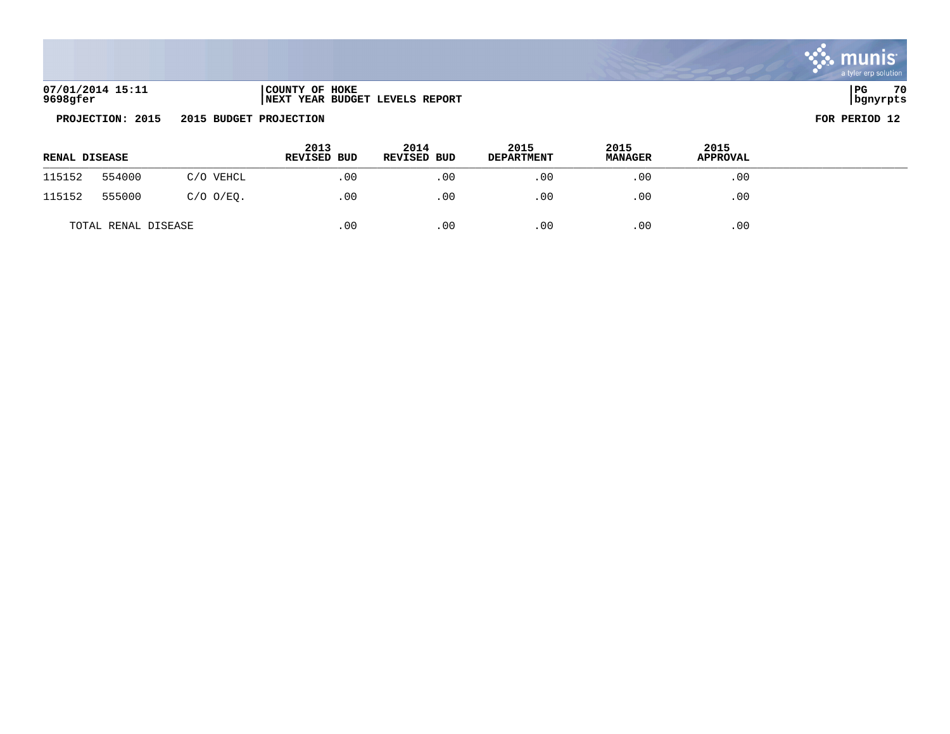| 07/01/2014 15:11 | COUNTY OF HOKE                  | l PG     | 70 |
|------------------|---------------------------------|----------|----|
| 9698gfer         | INEXT YEAR BUDGET LEVELS REPORT | bqnyrpts |    |

| <b>RENAL DISEASE</b> |                     |                | 2013<br>REVISED BUD | 2014<br>REVISED BUD | 2015<br><b>DEPARTMENT</b> | 2015<br><b>MANAGER</b> | 2015<br><b>APPROVAL</b> |  |
|----------------------|---------------------|----------------|---------------------|---------------------|---------------------------|------------------------|-------------------------|--|
| 115152               | 554000              | C/O VEHCL      | .00                 | .00                 | .00                       | .00                    | .00                     |  |
| 115152               | 555000              | $C/O$ $O/EQ$ . | .00                 | .00                 | .00                       | .00                    | .00                     |  |
|                      | TOTAL RENAL DISEASE |                | .00                 | .00                 | .00                       | .00                    | .00                     |  |

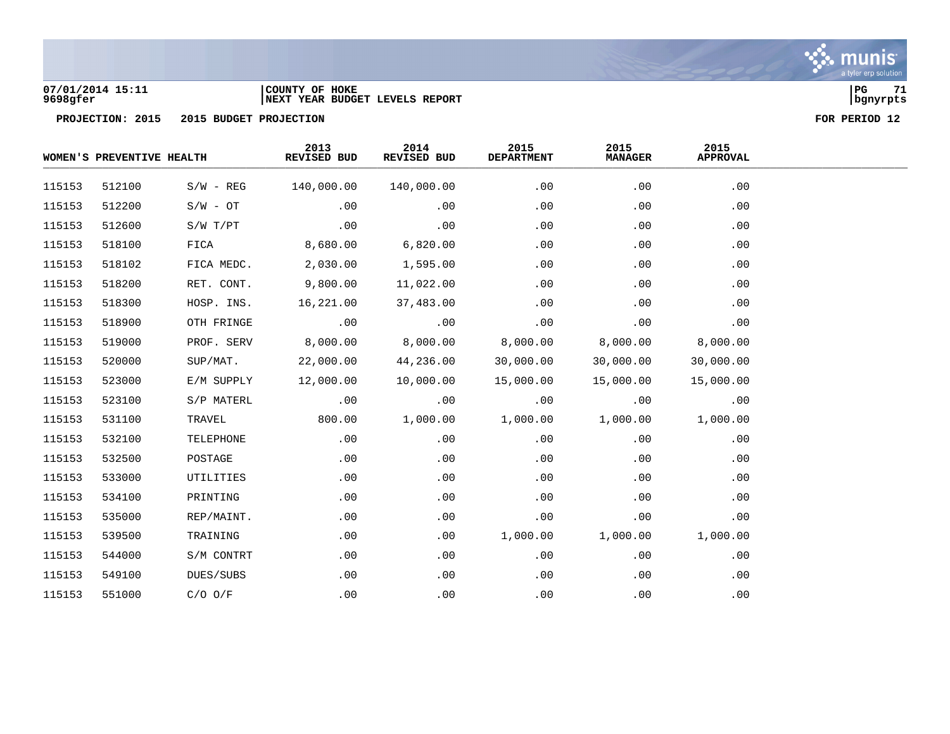

### **07/01/2014 15:11 |COUNTY OF HOKE |PG 71 9698gfer |NEXT YEAR BUDGET LEVELS REPORT |bgnyrpts**

|        |              | 2013<br>REVISED BUD       | 2014<br>REVISED BUD | 2015<br><b>DEPARTMENT</b> | 2015<br><b>MANAGER</b> | 2015<br><b>APPROVAL</b> |  |
|--------|--------------|---------------------------|---------------------|---------------------------|------------------------|-------------------------|--|
| 512100 | $S/W - REG$  | 140,000.00                | 140,000.00          | .00                       | .00                    | .00                     |  |
| 512200 | $S/W - OT$   | .00                       | .00                 | .00                       | .00                    | .00                     |  |
| 512600 | $S/W$ $T/PT$ | .00                       | .00                 | .00                       | .00                    | .00                     |  |
| 518100 | FICA         | 8,680.00                  | 6,820.00            | .00                       | .00                    | .00                     |  |
| 518102 | FICA MEDC.   | 2,030.00                  | 1,595.00            | .00                       | .00                    | .00                     |  |
| 518200 | RET. CONT.   | 9,800.00                  | 11,022.00           | .00                       | .00                    | .00                     |  |
| 518300 | HOSP. INS.   | 16,221.00                 | 37,483.00           | .00                       | .00                    | .00                     |  |
| 518900 | OTH FRINGE   | .00                       | .00                 | .00                       | .00                    | .00                     |  |
| 519000 | PROF. SERV   | 8,000.00                  | 8,000.00            | 8,000.00                  | 8,000.00               | 8,000.00                |  |
| 520000 | SUP/MAT.     | 22,000.00                 | 44,236.00           | 30,000.00                 | 30,000.00              | 30,000.00               |  |
| 523000 | E/M SUPPLY   | 12,000.00                 | 10,000.00           | 15,000.00                 | 15,000.00              | 15,000.00               |  |
| 523100 | S/P MATERL   | .00                       | .00                 | .00                       | .00                    | .00                     |  |
| 531100 | TRAVEL       | 800.00                    | 1,000.00            | 1,000.00                  | 1,000.00               | 1,000.00                |  |
| 532100 | TELEPHONE    | .00                       | .00                 | .00                       | .00                    | .00                     |  |
| 532500 | POSTAGE      | .00                       | .00                 | .00                       | .00                    | .00                     |  |
| 533000 | UTILITIES    | .00                       | .00                 | .00                       | .00                    | .00                     |  |
| 534100 | PRINTING     | .00                       | .00                 | .00                       | .00                    | .00                     |  |
| 535000 | REP/MAINT.   | .00                       | .00                 | .00                       | .00                    | .00                     |  |
| 539500 | TRAINING     | .00                       | .00                 | 1,000.00                  | 1,000.00               | 1,000.00                |  |
| 544000 | S/M CONTRT   | .00                       | .00                 | .00                       | .00                    | .00                     |  |
| 549100 | DUES/SUBS    | .00                       | .00                 | .00                       | .00                    | .00                     |  |
| 551000 | $C/O$ $O/F$  | .00                       | .00                 | .00                       | .00                    | .00                     |  |
|        |              | WOMEN'S PREVENTIVE HEALTH |                     |                           |                        |                         |  |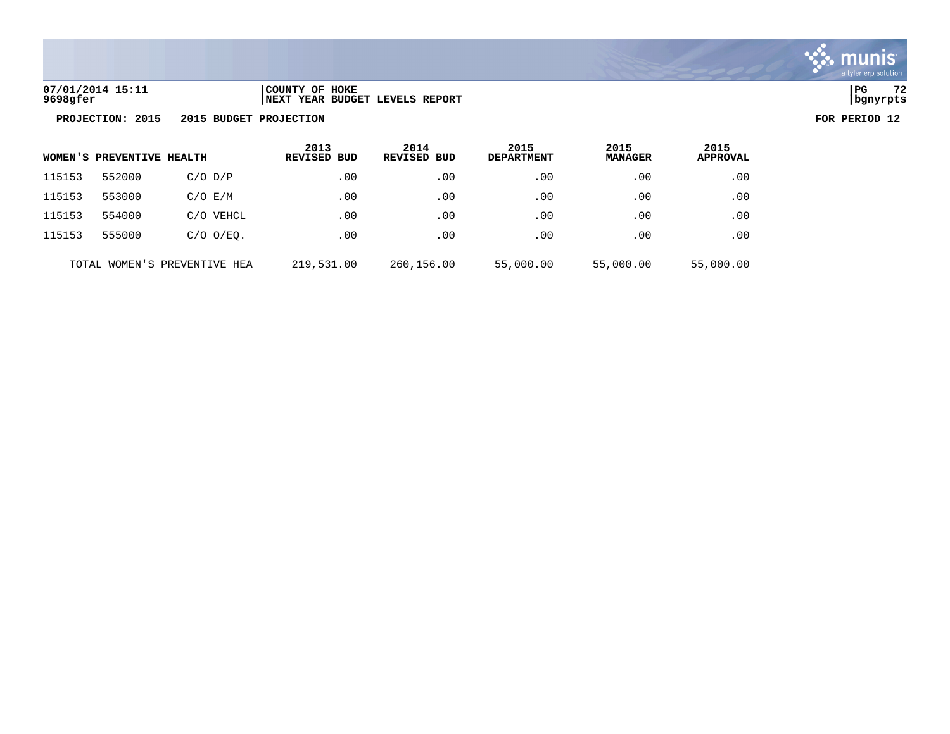

| 07/01/2014 15:11 | COUNTY OF HOKE                  | PG       | $\sim$ |
|------------------|---------------------------------|----------|--------|
| 9698gfer         | INEXT YEAR BUDGET LEVELS REPORT | bgnyrpts |        |

| WOMEN'S PREVENTIVE HEALTH |                       |                              | 2013<br><b>REVISED BUD</b> | 2014<br>REVISED BUD | 2015<br><b>DEPARTMENT</b> | 2015<br><b>MANAGER</b> | 2015<br><b>APPROVAL</b> |  |
|---------------------------|-----------------------|------------------------------|----------------------------|---------------------|---------------------------|------------------------|-------------------------|--|
| 115153                    | 552000<br>$C/O$ $D/P$ |                              | .00                        | .00                 | .00                       | .00                    | .00                     |  |
| 115153                    | 553000                | $C/O$ $E/M$                  | .00                        | .00                 | .00                       | .00                    | .00                     |  |
| 115153                    | 554000                | C/O VEHCL                    | .00                        | .00                 | .00                       | .00                    | .00                     |  |
| 115153                    | 555000                | $C/O$ $O/EO$ .               | .00                        | .00                 | .00                       | .00                    | .00                     |  |
|                           |                       | TOTAL WOMEN'S PREVENTIVE HEA | 219,531.00                 | 260,156.00          | 55,000.00                 | 55,000.00              | 55,000.00               |  |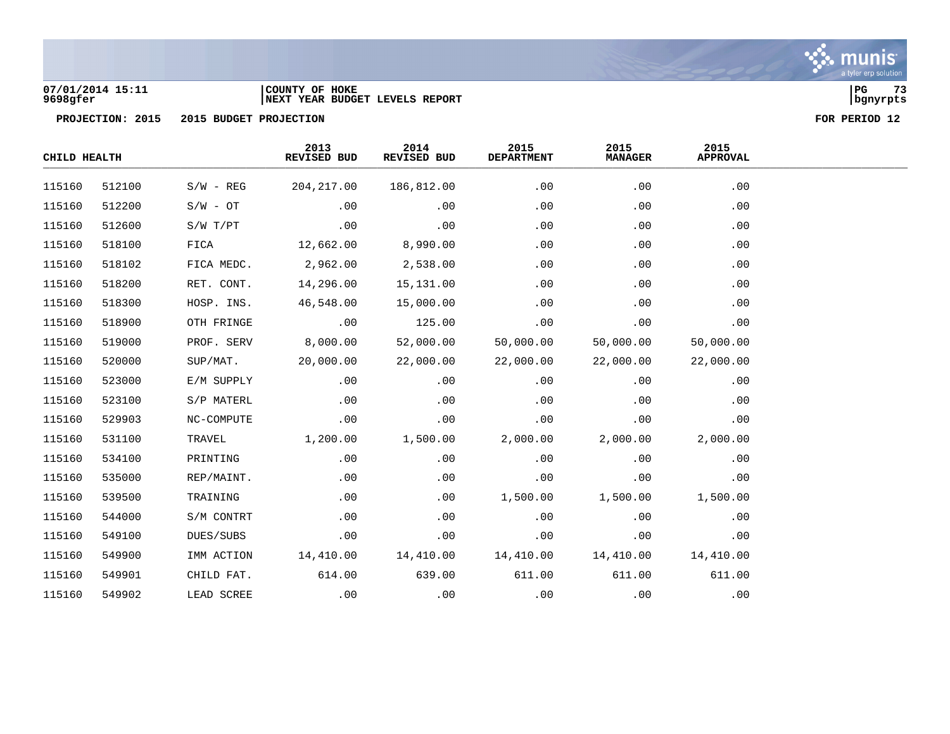

a tyler erp solution

### **07/01/2014 15:11 |COUNTY OF HOKE |PG 73 9698gfer |NEXT YEAR BUDGET LEVELS REPORT |bgnyrpts**

|        | CHILD HEALTH |             | 2013<br>REVISED BUD | 2014<br>REVISED BUD | 2015<br>DEPARTMENT | 2015<br><b>MANAGER</b> | 2015<br><b>APPROVAL</b> |  |
|--------|--------------|-------------|---------------------|---------------------|--------------------|------------------------|-------------------------|--|
| 115160 | 512100       | $S/W - REG$ | 204, 217.00         | 186,812.00          | .00                | .00                    | .00                     |  |
| 115160 | 512200       | $S/W - OT$  | .00                 | .00                 | .00                | .00                    | .00                     |  |
| 115160 | 512600       | S/W T/PT    | .00                 | .00                 | .00                | .00                    | .00                     |  |
| 115160 | 518100       | FICA        | 12,662.00           | 8,990.00            | .00                | .00                    | .00                     |  |
| 115160 | 518102       | FICA MEDC.  | 2,962.00            | 2,538.00            | .00                | .00                    | .00                     |  |
| 115160 | 518200       | RET. CONT.  | 14,296.00           | 15,131.00           | .00                | .00                    | .00                     |  |
| 115160 | 518300       | HOSP. INS.  | 46,548.00           | 15,000.00           | .00                | .00                    | .00                     |  |
| 115160 | 518900       | OTH FRINGE  | .00                 | 125.00              | .00                | .00                    | .00                     |  |
| 115160 | 519000       | PROF. SERV  | 8,000.00            | 52,000.00           | 50,000.00          | 50,000.00              | 50,000.00               |  |
| 115160 | 520000       | SUP/MAT.    | 20,000.00           | 22,000.00           | 22,000.00          | 22,000.00              | 22,000.00               |  |
| 115160 | 523000       | E/M SUPPLY  | .00                 | .00                 | .00                | .00                    | .00                     |  |
| 115160 | 523100       | S/P MATERL  | .00                 | .00                 | .00                | .00                    | .00                     |  |
| 115160 | 529903       | NC-COMPUTE  | .00                 | .00                 | .00                | .00                    | .00                     |  |
| 115160 | 531100       | TRAVEL      | 1,200.00            | 1,500.00            | 2,000.00           | 2,000.00               | 2,000.00                |  |
| 115160 | 534100       | PRINTING    | .00                 | .00                 | .00                | .00                    | .00                     |  |
| 115160 | 535000       | REP/MAINT.  | .00                 | .00                 | .00                | .00                    | .00                     |  |
| 115160 | 539500       | TRAINING    | .00                 | .00                 | 1,500.00           | 1,500.00               | 1,500.00                |  |
| 115160 | 544000       | S/M CONTRT  | .00                 | .00                 | .00                | .00                    | .00                     |  |
| 115160 | 549100       | DUES/SUBS   | .00                 | .00                 | .00                | .00                    | .00                     |  |
| 115160 | 549900       | IMM ACTION  | 14,410.00           | 14,410.00           | 14,410.00          | 14,410.00              | 14,410.00               |  |
| 115160 | 549901       | CHILD FAT.  | 614.00              | 639.00              | 611.00             | 611.00                 | 611.00                  |  |
| 115160 | 549902       | LEAD SCREE  | .00                 | .00                 | .00                | .00                    | .00                     |  |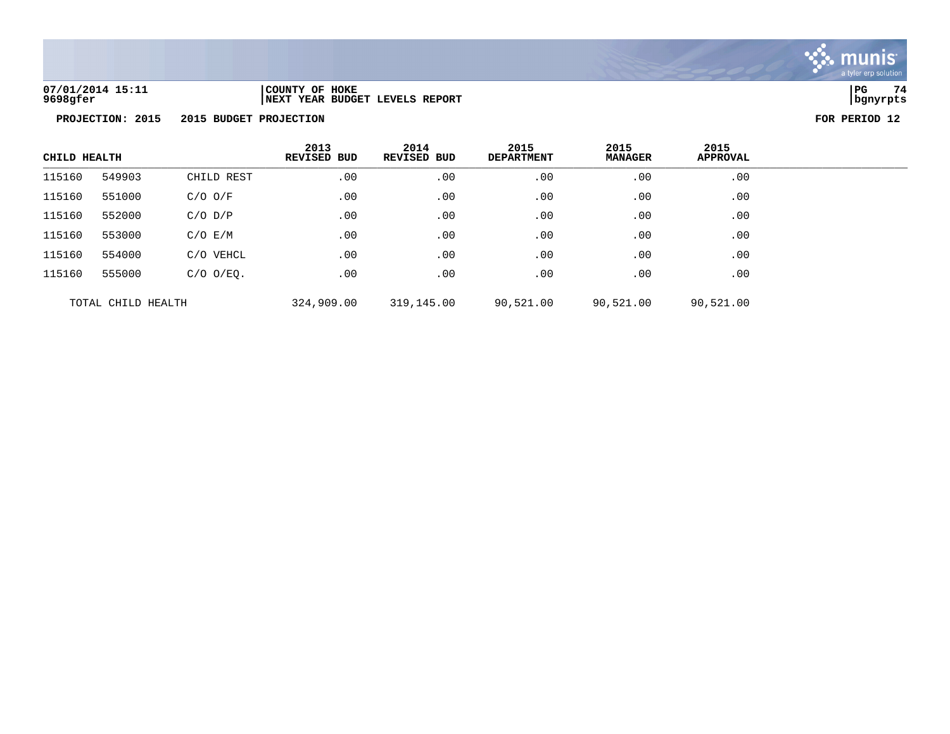

| 07/01/2014 15:11 | COUNTY OF HOKE                       | PG       | 74 |
|------------------|--------------------------------------|----------|----|
| 9698gfer         | 'YEAR BUDGET LEVELS REPORT<br>  NEXT | banvrpts |    |

| CHILD HEALTH       |        | 2013<br><b>REVISED BUD</b> | 2014<br>REVISED BUD | 2015<br><b>DEPARTMENT</b> | 2015<br><b>MANAGER</b> | 2015<br><b>APPROVAL</b> |     |
|--------------------|--------|----------------------------|---------------------|---------------------------|------------------------|-------------------------|-----|
| 115160             | 549903 | CHILD REST                 | .00                 | .00                       | .00                    | .00                     | .00 |
| 115160             | 551000 | $C/O$ $O/F$                | .00                 | .00                       | .00                    | .00                     | .00 |
| 115160             | 552000 | $C/O$ $D/P$                | .00                 | .00                       | .00                    | .00                     | .00 |
| 115160             | 553000 | $C/O$ $E/M$                | .00                 | .00                       | .00                    | .00                     | .00 |
| 115160             | 554000 | C/O VEHCL                  | .00                 | .00                       | .00                    | .00                     | .00 |
| 115160             | 555000 | $C/O$ $O/EO$ .             | .00                 | .00                       | .00                    | .00                     | .00 |
| TOTAL CHILD HEALTH |        | 324,909.00                 | 319,145.00          | 90,521.00                 | 90,521.00              | 90,521.00               |     |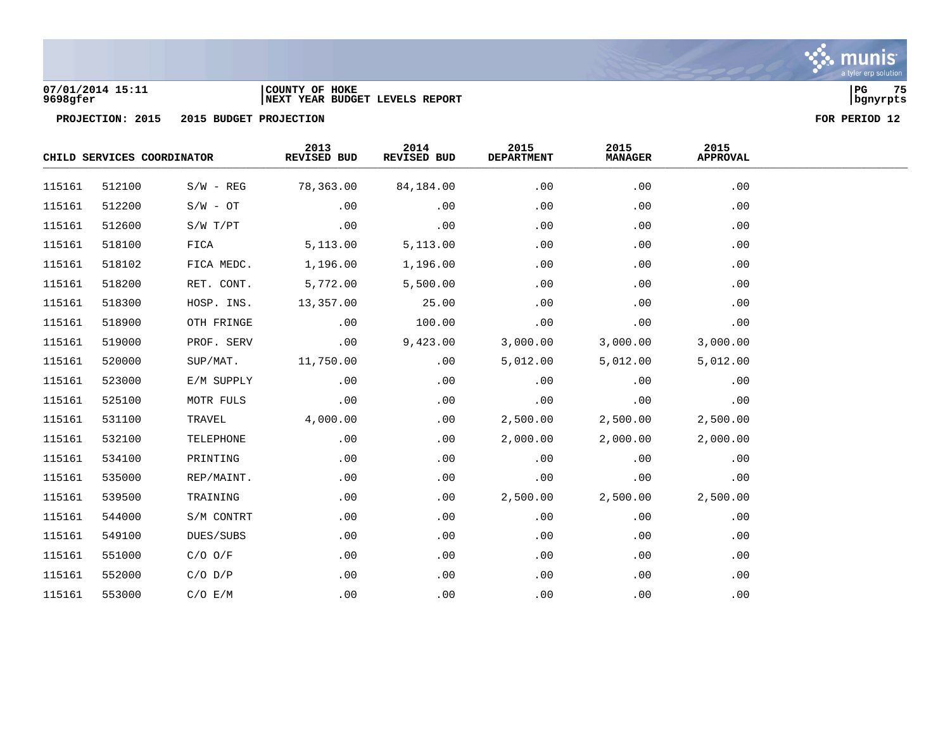

### **07/01/2014 15:11 |COUNTY OF HOKE |PG 75 9698gfer |NEXT YEAR BUDGET LEVELS REPORT |bgnyrpts**

|        | CHILD SERVICES COORDINATOR |             | 2013<br>REVISED BUD | 2014<br>REVISED BUD | 2015<br><b>DEPARTMENT</b> | 2015<br><b>MANAGER</b> | 2015<br><b>APPROVAL</b> |  |
|--------|----------------------------|-------------|---------------------|---------------------|---------------------------|------------------------|-------------------------|--|
| 115161 | 512100                     | $S/W - REG$ | 78,363.00           | 84,184.00           | .00                       | .00                    | .00                     |  |
| 115161 | 512200                     | $S/W - OT$  | .00                 | .00                 | .00                       | .00                    | .00                     |  |
| 115161 | 512600                     | S/W T/PT    | .00                 | .00                 | .00                       | .00                    | .00                     |  |
| 115161 | 518100                     | FICA        | 5,113.00            | 5,113.00            | .00                       | .00                    | .00                     |  |
| 115161 | 518102                     | FICA MEDC.  | 1,196.00            | 1,196.00            | .00                       | .00                    | .00                     |  |
| 115161 | 518200                     | RET. CONT.  | 5,772.00            | 5,500.00            | .00                       | .00                    | .00                     |  |
| 115161 | 518300                     | HOSP. INS.  | 13,357.00           | 25.00               | .00                       | .00                    | .00                     |  |
| 115161 | 518900                     | OTH FRINGE  | .00                 | 100.00              | .00                       | .00                    | .00                     |  |
| 115161 | 519000                     | PROF. SERV  | .00                 | 9,423.00            | 3,000.00                  | 3,000.00               | 3,000.00                |  |
| 115161 | 520000                     | SUP/MAT.    | 11,750.00           | .00                 | 5,012.00                  | 5,012.00               | 5,012.00                |  |
| 115161 | 523000                     | E/M SUPPLY  | .00                 | .00                 | .00                       | .00                    | .00                     |  |
| 115161 | 525100                     | MOTR FULS   | .00                 | .00                 | .00                       | .00                    | .00                     |  |
| 115161 | 531100                     | TRAVEL      | 4,000.00            | .00                 | 2,500.00                  | 2,500.00               | 2,500.00                |  |
| 115161 | 532100                     | TELEPHONE   | .00                 | .00                 | 2,000.00                  | 2,000.00               | 2,000.00                |  |
| 115161 | 534100                     | PRINTING    | .00                 | .00                 | .00                       | .00                    | .00                     |  |
| 115161 | 535000                     | REP/MAINT.  | .00                 | .00                 | .00                       | .00                    | .00                     |  |
| 115161 | 539500                     | TRAINING    | .00                 | .00                 | 2,500.00                  | 2,500.00               | 2,500.00                |  |
| 115161 | 544000                     | S/M CONTRT  | .00                 | .00                 | .00                       | .00                    | .00                     |  |
| 115161 | 549100                     | DUES/SUBS   | .00                 | .00                 | .00                       | .00                    | .00                     |  |
| 115161 | 551000                     | $C/O$ $O/F$ | .00                 | .00                 | .00                       | .00                    | .00                     |  |
| 115161 | 552000                     | $C/O$ $D/P$ | .00                 | .00                 | .00                       | .00                    | .00                     |  |
| 115161 | 553000                     | C/O E/M     | .00                 | .00                 | .00                       | .00                    | .00                     |  |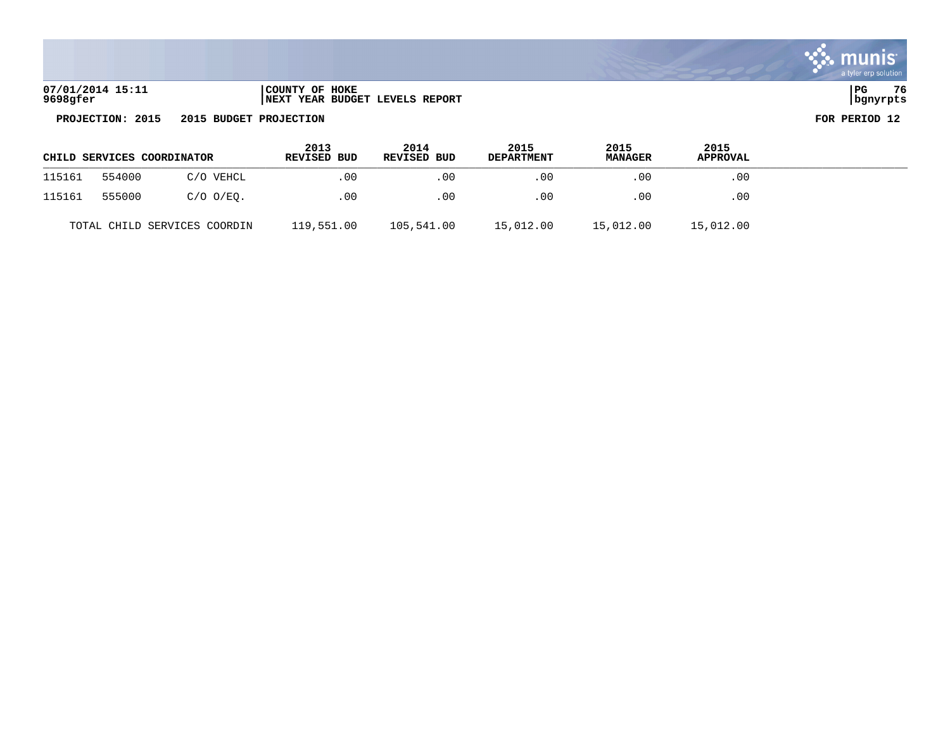| 07/01/2014 15:11 | COUNTY OF HOKE                               | PG       | 76 |
|------------------|----------------------------------------------|----------|----|
| 9698gfer         | <b>T YEAR BUDGET LEVELS REPORT</b><br>  NEXT | banvrpts |    |

| CHILD SERVICES COORDINATOR |        |                              | 2013<br>REVISED BUD | 2014<br>REVISED BUD | 2015<br><b>DEPARTMENT</b> | 2015<br><b>MANAGER</b> | 2015<br><b>APPROVAL</b> |  |
|----------------------------|--------|------------------------------|---------------------|---------------------|---------------------------|------------------------|-------------------------|--|
| 115161                     | 554000 | C/O VEHCL                    | .00                 | $.00 \,$            | $.00 \,$                  | .00                    | .00                     |  |
| 115161                     | 555000 | $C/O$ $O/EO$ .               | .00                 | .00                 | .00                       | .00                    | .00                     |  |
|                            |        | TOTAL CHILD SERVICES COORDIN | 119,551.00          | 105,541.00          | 15,012.00                 | 15,012.00              | 15,012.00               |  |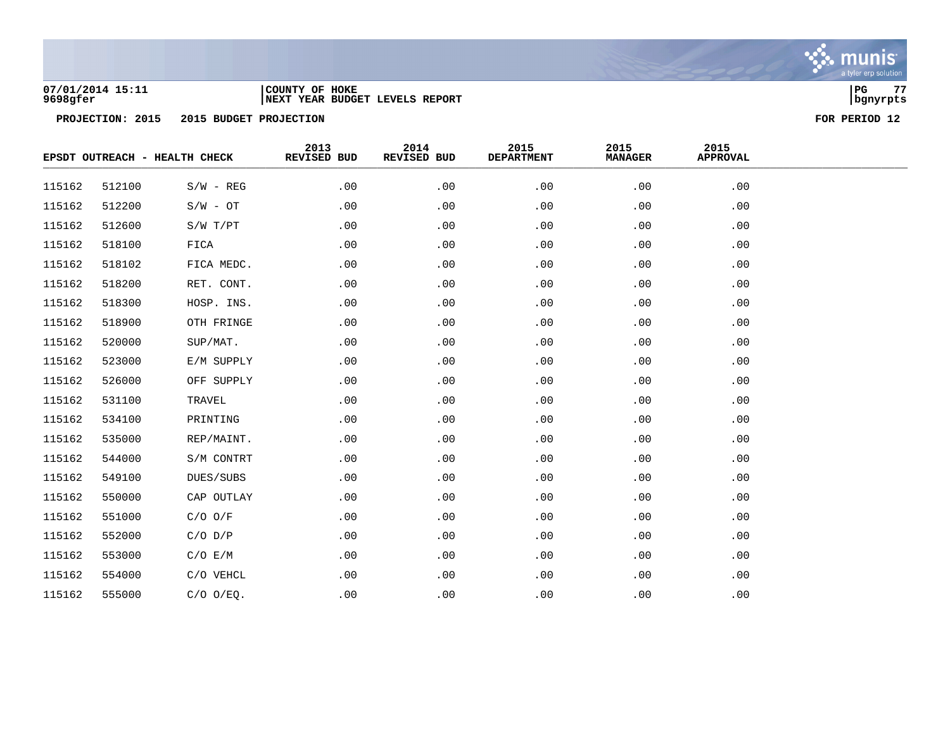

### **07/01/2014 15:11 |COUNTY OF HOKE |PG 77 9698gfer |NEXT YEAR BUDGET LEVELS REPORT |bgnyrpts**

|        |        | EPSDT OUTREACH - HEALTH CHECK | 2013<br>REVISED BUD | 2014<br>REVISED BUD | 2015<br><b>DEPARTMENT</b> | 2015<br><b>MANAGER</b> | 2015<br><b>APPROVAL</b> |  |
|--------|--------|-------------------------------|---------------------|---------------------|---------------------------|------------------------|-------------------------|--|
| 115162 | 512100 | $S/W - REG$                   | .00                 | .00                 | .00                       | .00                    | .00                     |  |
| 115162 | 512200 | $S/W - OT$                    | .00                 | .00                 | .00                       | .00                    | .00                     |  |
| 115162 | 512600 | S/W T/PT                      | .00                 | .00                 | .00                       | .00                    | .00                     |  |
| 115162 | 518100 | FICA                          | .00                 | .00                 | .00                       | .00                    | .00                     |  |
| 115162 | 518102 | FICA MEDC.                    | .00                 | .00                 | .00                       | .00                    | .00                     |  |
| 115162 | 518200 | RET. CONT.                    | .00                 | .00                 | .00                       | .00                    | .00                     |  |
| 115162 | 518300 | HOSP. INS.                    | .00                 | .00                 | .00                       | .00                    | .00                     |  |
| 115162 | 518900 | OTH FRINGE                    | .00                 | .00                 | .00                       | .00                    | .00                     |  |
| 115162 | 520000 | SUP/MAT.                      | .00                 | .00                 | .00                       | .00                    | .00                     |  |
| 115162 | 523000 | E/M SUPPLY                    | .00                 | .00                 | .00                       | .00                    | .00                     |  |
| 115162 | 526000 | OFF SUPPLY                    | .00                 | .00                 | .00                       | .00                    | .00                     |  |
| 115162 | 531100 | TRAVEL                        | .00                 | .00                 | .00                       | .00                    | .00                     |  |
| 115162 | 534100 | PRINTING                      | .00                 | .00                 | .00                       | .00                    | .00                     |  |
| 115162 | 535000 | REP/MAINT.                    | .00                 | .00                 | .00                       | .00                    | .00                     |  |
| 115162 | 544000 | S/M CONTRT                    | .00                 | .00                 | .00                       | .00                    | .00                     |  |
| 115162 | 549100 | DUES/SUBS                     | .00                 | .00                 | .00                       | .00                    | .00                     |  |
| 115162 | 550000 | CAP OUTLAY                    | .00                 | .00                 | .00                       | .00                    | .00                     |  |
| 115162 | 551000 | $C/O$ $O/F$                   | .00                 | .00                 | .00                       | .00                    | .00                     |  |
| 115162 | 552000 | $C/O$ $D/P$                   | .00                 | .00                 | .00                       | .00                    | .00                     |  |
| 115162 | 553000 | C/O E/M                       | .00                 | .00                 | .00                       | .00                    | .00                     |  |
| 115162 | 554000 | C/O VEHCL                     | .00                 | .00                 | .00                       | .00                    | .00                     |  |
| 115162 | 555000 | $C/O$ $O/EQ$ .                | .00                 | .00                 | .00                       | .00                    | .00                     |  |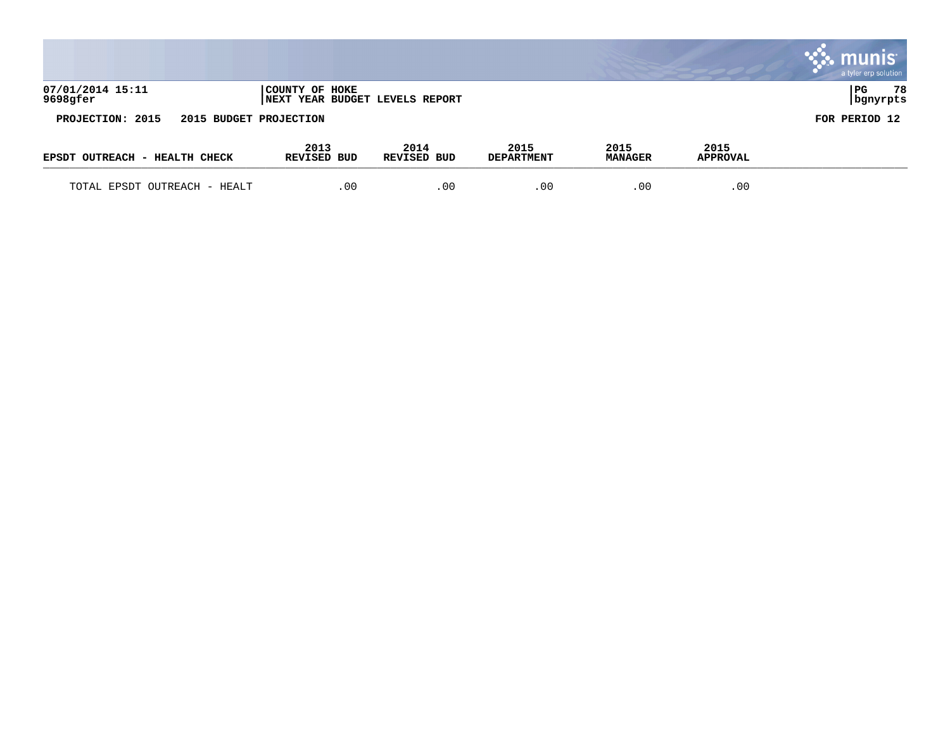|                                            |                                                          |                     |                           |                        |                  | $\mathbb{C}$ munis<br>a tyler erp solution |
|--------------------------------------------|----------------------------------------------------------|---------------------|---------------------------|------------------------|------------------|--------------------------------------------|
| 07/01/2014 15:11<br>9698gfer               | COUNTY OF HOKE<br><b>INEXT YEAR BUDGET LEVELS REPORT</b> |                     |                           |                        |                  | 78<br>  PG<br>bgnyrpts                     |
| PROJECTION: 2015<br>2015 BUDGET PROJECTION |                                                          |                     |                           |                        |                  | FOR PERIOD 12                              |
| EPSDT OUTREACH - HEALTH CHECK              | 2013<br>REVISED BUD                                      | 2014<br>REVISED BUD | 2015<br><b>DEPARTMENT</b> | 2015<br><b>MANAGER</b> | 2015<br>APPROVAL |                                            |
| TOTAL EPSDT OUTREACH - HEALT               | .00                                                      | .00                 | .00                       | .00                    | .00              |                                            |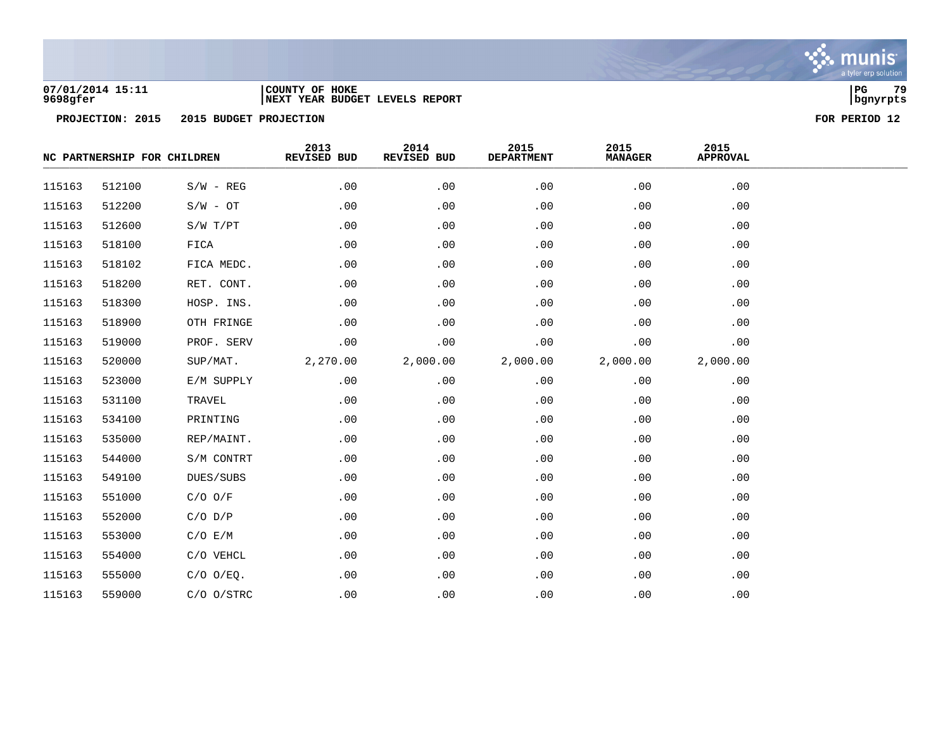

### **07/01/2014 15:11 |COUNTY OF HOKE |PG 79 9698gfer |NEXT YEAR BUDGET LEVELS REPORT |bgnyrpts**

|        | NC PARTNERSHIP FOR CHILDREN |                | 2013<br>REVISED BUD | 2014<br>REVISED BUD | 2015<br><b>DEPARTMENT</b> | 2015<br><b>MANAGER</b> | 2015<br><b>APPROVAL</b> |  |  |
|--------|-----------------------------|----------------|---------------------|---------------------|---------------------------|------------------------|-------------------------|--|--|
| 115163 | 512100                      | $S/W - REG$    | .00                 | .00                 | .00                       | .00                    | .00                     |  |  |
| 115163 | 512200                      | $S/W - OT$     | .00                 | .00                 | .00                       | .00                    | .00                     |  |  |
| 115163 | 512600                      | S/W T/PT       | .00                 | .00                 | .00                       | .00                    | .00                     |  |  |
| 115163 | 518100                      | FICA           | .00                 | .00                 | .00                       | .00                    | .00                     |  |  |
| 115163 | 518102                      | FICA MEDC.     | .00                 | .00                 | .00                       | .00                    | .00                     |  |  |
| 115163 | 518200                      | RET. CONT.     | .00                 | .00                 | .00                       | .00                    | .00                     |  |  |
| 115163 | 518300                      | HOSP. INS.     | .00                 | .00                 | .00                       | .00                    | .00                     |  |  |
| 115163 | 518900                      | OTH FRINGE     | .00                 | .00                 | .00                       | .00                    | .00                     |  |  |
| 115163 | 519000                      | PROF. SERV     | .00                 | .00                 | .00                       | .00                    | .00                     |  |  |
| 115163 | 520000                      | SUP/MAT.       | 2,270.00            | 2,000.00            | 2,000.00                  | 2,000.00               | 2,000.00                |  |  |
| 115163 | 523000                      | E/M SUPPLY     | .00                 | .00                 | .00                       | .00                    | .00                     |  |  |
| 115163 | 531100                      | TRAVEL         | .00                 | .00                 | .00                       | .00                    | .00                     |  |  |
| 115163 | 534100                      | PRINTING       | .00                 | .00                 | .00                       | .00                    | .00                     |  |  |
| 115163 | 535000                      | REP/MAINT.     | .00                 | .00                 | .00                       | .00                    | .00                     |  |  |
| 115163 | 544000                      | S/M CONTRT     | .00                 | .00                 | .00                       | .00                    | .00                     |  |  |
| 115163 | 549100                      | DUES/SUBS      | .00                 | .00                 | .00                       | .00                    | .00                     |  |  |
| 115163 | 551000                      | $C/O$ $O/F$    | .00                 | .00                 | .00                       | .00                    | .00                     |  |  |
| 115163 | 552000                      | $C/O$ $D/P$    | .00                 | .00                 | .00                       | .00                    | .00                     |  |  |
| 115163 | 553000                      | C/O E/M        | .00                 | .00                 | .00                       | .00                    | .00                     |  |  |
| 115163 | 554000                      | C/O VEHCL      | .00                 | .00                 | .00                       | .00                    | .00                     |  |  |
| 115163 | 555000                      | $C/O$ $O/EQ$ . | .00                 | .00                 | .00                       | .00                    | .00                     |  |  |
| 115163 | 559000                      | $C/O$ $O/STRC$ | .00                 | .00                 | .00                       | .00                    | .00                     |  |  |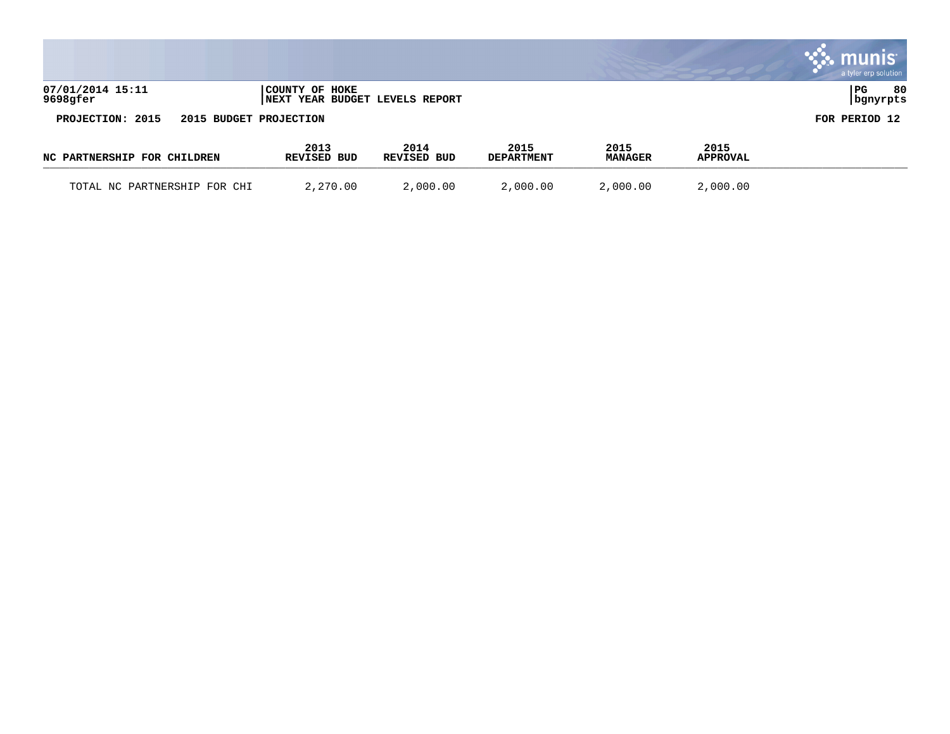|                                            |                                                  |                     |                           |                        |                         | . munis<br>a tyler erp solution |
|--------------------------------------------|--------------------------------------------------|---------------------|---------------------------|------------------------|-------------------------|---------------------------------|
| 07/01/2014 15:11<br>9698gfer               | COUNTY OF HOKE<br>NEXT YEAR BUDGET LEVELS REPORT |                     |                           |                        |                         | PG<br>80<br>  bgnyrpts          |
| PROJECTION: 2015<br>2015 BUDGET PROJECTION |                                                  |                     |                           |                        |                         | FOR PERIOD 12                   |
| NC PARTNERSHIP FOR CHILDREN                | 2013<br>REVISED BUD                              | 2014<br>REVISED BUD | 2015<br><b>DEPARTMENT</b> | 2015<br><b>MANAGER</b> | 2015<br><b>APPROVAL</b> |                                 |
| TOTAL NC PARTNERSHIP FOR CHI               | 2,270.00                                         | 2,000.00            | 2,000.00                  | 2,000.00               | 2,000.00                |                                 |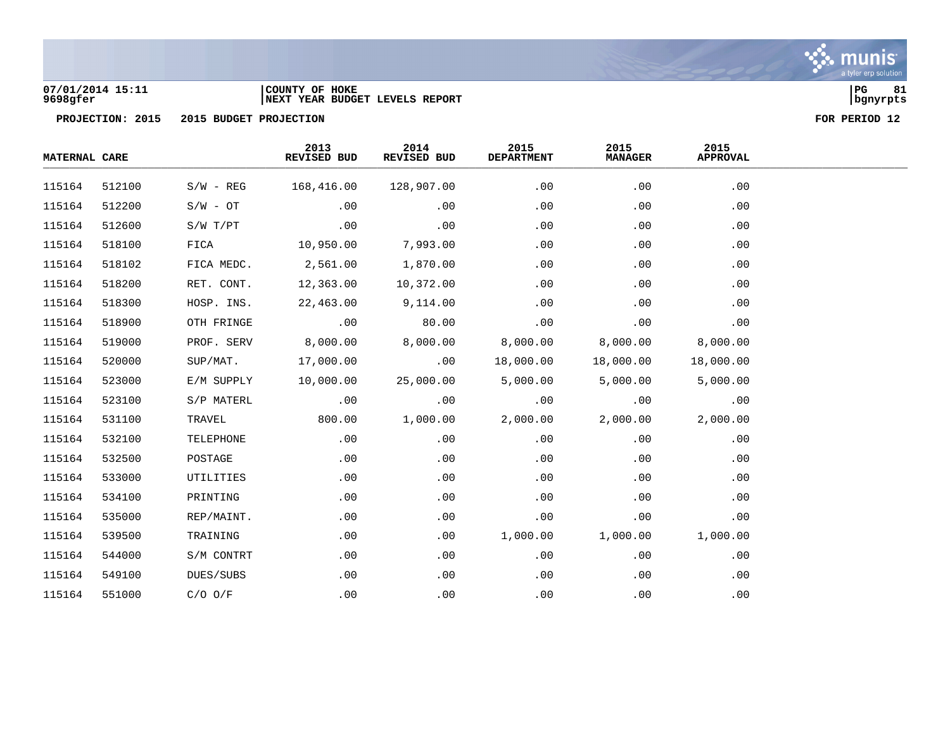

### **07/01/2014 15:11 |COUNTY OF HOKE |PG 81 9698gfer |NEXT YEAR BUDGET LEVELS REPORT |bgnyrpts**



| <b>MATERNAL CARE</b> |        |             | 2013<br>REVISED BUD | 2014<br>REVISED BUD | 2015<br><b>DEPARTMENT</b> | 2015<br><b>MANAGER</b> | 2015<br><b>APPROVAL</b> |  |
|----------------------|--------|-------------|---------------------|---------------------|---------------------------|------------------------|-------------------------|--|
| 115164               | 512100 | $S/W - REG$ | 168,416.00          | 128,907.00          | .00                       | .00                    | .00                     |  |
| 115164               | 512200 | $S/W - OT$  | .00                 | .00                 | .00                       | .00                    | .00                     |  |
| 115164               | 512600 | S/W T/PT    | .00                 | .00                 | .00                       | .00                    | .00                     |  |
| 115164               | 518100 | FICA        | 10,950.00           | 7,993.00            | .00                       | .00                    | .00                     |  |
| 115164               | 518102 | FICA MEDC.  | 2,561.00            | 1,870.00            | .00                       | .00                    | .00                     |  |
| 115164               | 518200 | RET. CONT.  | 12,363.00           | 10,372.00           | .00                       | .00                    | .00                     |  |
| 115164               | 518300 | HOSP. INS.  | 22,463.00           | 9,114.00            | .00                       | .00                    | .00                     |  |
| 115164               | 518900 | OTH FRINGE  | .00                 | 80.00               | .00                       | .00                    | .00                     |  |
| 115164               | 519000 | PROF. SERV  | 8,000.00            | 8,000.00            | 8,000.00                  | 8,000.00               | 8,000.00                |  |
| 115164               | 520000 | SUP/MAT.    | 17,000.00           | .00                 | 18,000.00                 | 18,000.00              | 18,000.00               |  |
| 115164               | 523000 | E/M SUPPLY  | 10,000.00           | 25,000.00           | 5,000.00                  | 5,000.00               | 5,000.00                |  |
| 115164               | 523100 | S/P MATERL  | .00                 | .00                 | .00                       | .00                    | .00                     |  |
| 115164               | 531100 | TRAVEL      | 800.00              | 1,000.00            | 2,000.00                  | 2,000.00               | 2,000.00                |  |
| 115164               | 532100 | TELEPHONE   | .00                 | .00                 | .00                       | .00                    | .00                     |  |
| 115164               | 532500 | POSTAGE     | .00                 | .00                 | .00                       | .00                    | .00                     |  |
| 115164               | 533000 | UTILITIES   | .00                 | .00                 | .00                       | .00                    | .00                     |  |
| 115164               | 534100 | PRINTING    | .00                 | .00                 | .00                       | .00                    | .00                     |  |
| 115164               | 535000 | REP/MAINT.  | .00                 | .00                 | .00                       | .00                    | .00                     |  |
| 115164               | 539500 | TRAINING    | .00                 | .00                 | 1,000.00                  | 1,000.00               | 1,000.00                |  |
| 115164               | 544000 | S/M CONTRT  | .00                 | .00                 | .00                       | .00                    | .00                     |  |
| 115164               | 549100 | DUES/SUBS   | .00                 | .00                 | .00                       | .00                    | .00                     |  |
| 115164               | 551000 | $C/O$ $O/F$ | .00                 | .00                 | .00                       | .00                    | .00                     |  |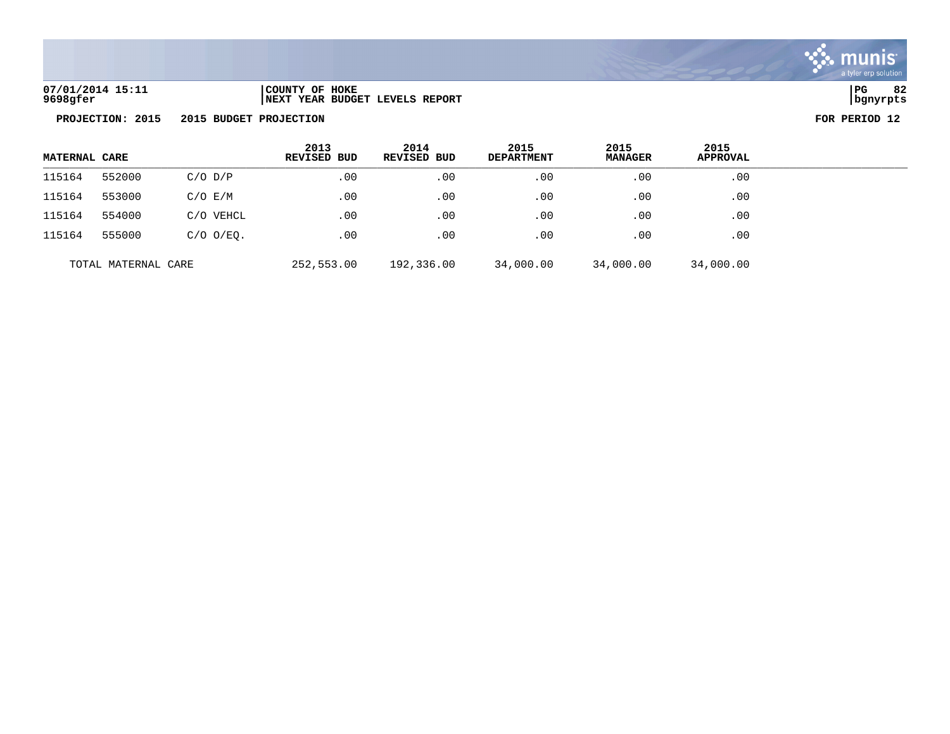

| 07/01/2014 15:11 | COUNTY OF HOKE                  | PG       | $\sim$ |
|------------------|---------------------------------|----------|--------|
| 9698gfer         | INEXT YEAR BUDGET LEVELS REPORT | bqnyrpts |        |

| <b>MATERNAL CARE</b> |                     |                | 2013<br>REVISED BUD | 2014<br>REVISED BUD | 2015<br><b>DEPARTMENT</b> | 2015<br><b>MANAGER</b> | 2015<br><b>APPROVAL</b> |  |
|----------------------|---------------------|----------------|---------------------|---------------------|---------------------------|------------------------|-------------------------|--|
| 115164               | 552000              | $C/O$ $D/P$    | $.00 \,$            | .00                 | .00                       | .00                    | .00                     |  |
| 115164               | 553000              | $C/O$ $E/M$    | .00                 | .00                 | .00                       | .00                    | .00                     |  |
| 115164               | 554000              | C/O VEHCL      | .00                 | .00                 | $.00 \,$                  | .00                    | $.00 \,$                |  |
| 115164               | 555000              | $C/O$ $O/EO$ . | .00                 | .00                 | .00                       | .00                    | .00                     |  |
|                      | TOTAL MATERNAL CARE |                | 252,553.00          | 192,336.00          | 34,000.00                 | 34,000.00              | 34,000.00               |  |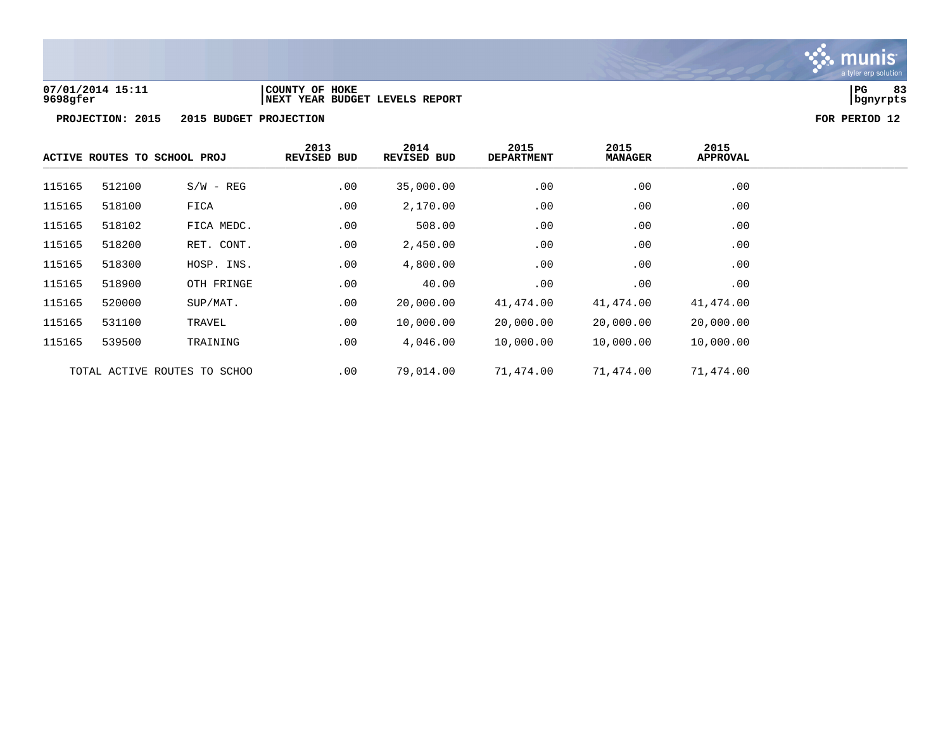

### **07/01/2014 15:11 |COUNTY OF HOKE |PG 83 9698gfer |NEXT YEAR BUDGET LEVELS REPORT |bgnyrpts**

|        | ACTIVE ROUTES TO SCHOOL PROJ |                              | 2013<br><b>REVISED BUD</b> | 2014<br>REVISED BUD | 2015<br><b>DEPARTMENT</b> | 2015<br><b>MANAGER</b> | 2015<br><b>APPROVAL</b> |  |
|--------|------------------------------|------------------------------|----------------------------|---------------------|---------------------------|------------------------|-------------------------|--|
| 115165 | 512100                       | $S/W - REG$                  | .00                        | 35,000.00           | .00                       | .00                    | .00                     |  |
| 115165 | 518100                       | FICA                         | .00                        | 2,170.00            | .00                       | .00                    | .00                     |  |
| 115165 | 518102                       | FICA MEDC.                   | .00                        | 508.00              | .00                       | .00                    | .00                     |  |
| 115165 | 518200                       | RET. CONT.                   | .00                        | 2,450.00            | .00                       | .00                    | .00                     |  |
| 115165 | 518300                       | HOSP. INS.                   | .00                        | 4,800.00            | .00                       | .00                    | .00                     |  |
| 115165 | 518900                       | OTH FRINGE                   | .00                        | 40.00               | .00                       | .00                    | .00                     |  |
| 115165 | 520000                       | SUP/MAT.                     | .00                        | 20,000.00           | 41,474.00                 | 41,474.00              | 41,474.00               |  |
| 115165 | 531100                       | TRAVEL                       | .00                        | 10,000.00           | 20,000.00                 | 20,000.00              | 20,000.00               |  |
| 115165 | 539500                       | TRAINING                     | .00                        | 4,046.00            | 10,000.00                 | 10,000.00              | 10,000.00               |  |
|        |                              | TOTAL ACTIVE ROUTES TO SCHOO | .00                        | 79,014.00           | 71,474.00                 | 71,474.00              | 71,474.00               |  |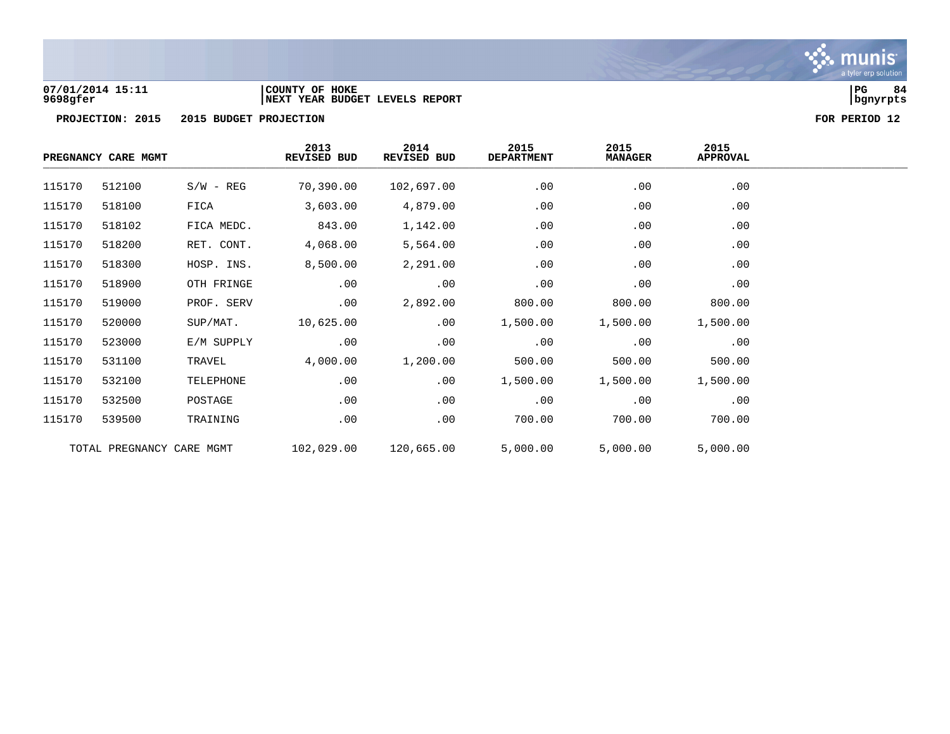

### **07/01/2014 15:11 |COUNTY OF HOKE |PG 84 9698gfer |NEXT YEAR BUDGET LEVELS REPORT |bgnyrpts**

|        | PREGNANCY CARE MGMT       |             | 2013<br>REVISED BUD | 2014<br>REVISED BUD | 2015<br><b>DEPARTMENT</b> | 2015<br><b>MANAGER</b> | 2015<br><b>APPROVAL</b> |  |
|--------|---------------------------|-------------|---------------------|---------------------|---------------------------|------------------------|-------------------------|--|
| 115170 | 512100                    | $S/W - REG$ | 70,390.00           | 102,697.00          | .00                       | .00                    | .00                     |  |
| 115170 | 518100                    | FICA        | 3,603.00            | 4,879.00            | .00                       | .00                    | .00                     |  |
| 115170 | 518102                    | FICA MEDC.  | 843.00              | 1,142.00            | .00                       | .00                    | .00                     |  |
| 115170 | 518200                    | RET. CONT.  | 4,068.00            | 5,564.00            | .00                       | .00                    | .00                     |  |
| 115170 | 518300                    | HOSP. INS.  | 8,500.00            | 2,291.00            | .00                       | .00                    | .00                     |  |
| 115170 | 518900                    | OTH FRINGE  | .00                 | .00                 | .00                       | .00                    | .00                     |  |
| 115170 | 519000                    | PROF. SERV  | .00                 | 2,892.00            | 800.00                    | 800.00                 | 800.00                  |  |
| 115170 | 520000                    | SUP/MAT.    | 10,625.00           | .00                 | 1,500.00                  | 1,500.00               | 1,500.00                |  |
| 115170 | 523000                    | E/M SUPPLY  | .00                 | .00                 | .00                       | .00                    | .00                     |  |
| 115170 | 531100                    | TRAVEL      | 4,000.00            | 1,200.00            | 500.00                    | 500.00                 | 500.00                  |  |
| 115170 | 532100                    | TELEPHONE   | .00                 | .00                 | 1,500.00                  | 1,500.00               | 1,500.00                |  |
| 115170 | 532500                    | POSTAGE     | .00                 | .00                 | .00                       | .00                    | .00                     |  |
| 115170 | 539500                    | TRAINING    | .00                 | .00                 | 700.00                    | 700.00                 | 700.00                  |  |
|        | TOTAL PREGNANCY CARE MGMT |             | 102,029.00          | 120,665.00          | 5,000.00                  | 5,000.00               | 5,000.00                |  |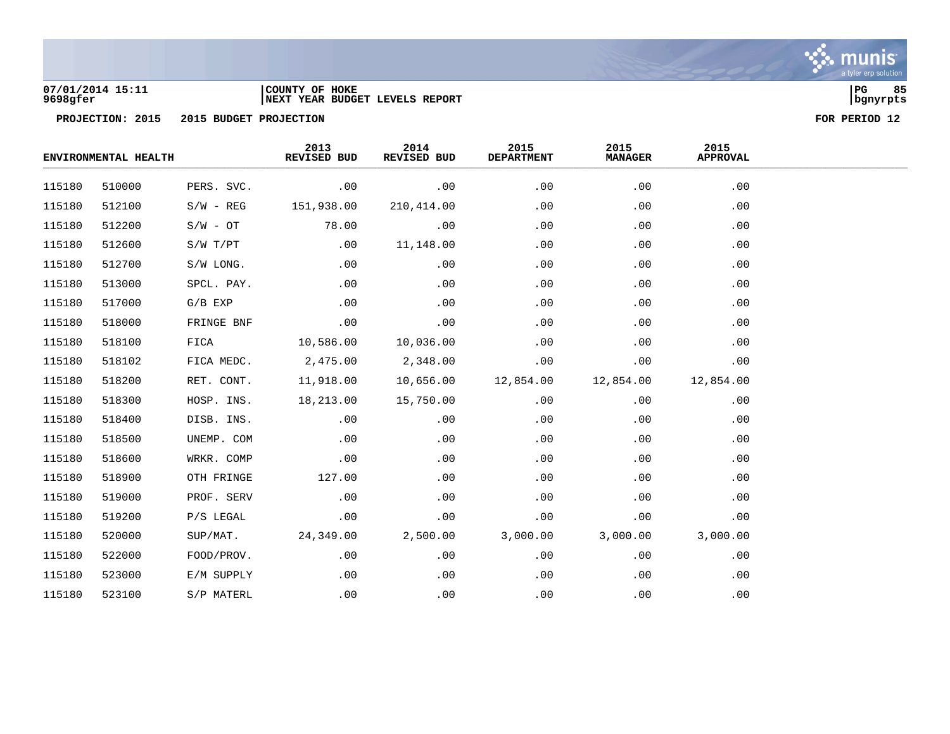

### **07/01/2014 15:11 |COUNTY OF HOKE |PG 85 9698gfer |NEXT YEAR BUDGET LEVELS REPORT |bgnyrpts**

|        | ENVIRONMENTAL HEALTH |             | 2013<br>REVISED BUD | 2014<br>REVISED BUD | 2015<br><b>DEPARTMENT</b> | 2015<br><b>MANAGER</b> | 2015<br><b>APPROVAL</b> |  |
|--------|----------------------|-------------|---------------------|---------------------|---------------------------|------------------------|-------------------------|--|
| 115180 | 510000               | PERS. SVC.  | .00                 | .00                 | .00                       | .00                    | .00                     |  |
| 115180 | 512100               | $S/W - REG$ | 151,938.00          | 210,414.00          | .00                       | .00                    | .00                     |  |
| 115180 | 512200               | $S/W - OT$  | 78.00               | .00                 | .00                       | .00                    | .00                     |  |
| 115180 | 512600               | S/W T/PT    | .00                 | 11,148.00           | .00                       | .00                    | .00                     |  |
| 115180 | 512700               | S/W LONG.   | .00                 | .00                 | .00                       | .00                    | .00                     |  |
| 115180 | 513000               | SPCL. PAY.  | .00                 | .00                 | .00                       | .00                    | .00                     |  |
| 115180 | 517000               | $G/B$ EXP   | .00                 | .00                 | .00                       | .00                    | .00                     |  |
| 115180 | 518000               | FRINGE BNF  | .00                 | .00                 | .00                       | .00                    | .00                     |  |
| 115180 | 518100               | FICA        | 10,586.00           | 10,036.00           | .00                       | .00                    | .00                     |  |
| 115180 | 518102               | FICA MEDC.  | 2,475.00            | 2,348.00            | .00                       | .00                    | .00                     |  |
| 115180 | 518200               | RET. CONT.  | 11,918.00           | 10,656.00           | 12,854.00                 | 12,854.00              | 12,854.00               |  |
| 115180 | 518300               | HOSP. INS.  | 18,213.00           | 15,750.00           | .00                       | .00                    | .00                     |  |
| 115180 | 518400               | DISB. INS.  | .00                 | .00                 | .00                       | .00                    | .00                     |  |
| 115180 | 518500               | UNEMP. COM  | .00                 | .00                 | .00                       | .00                    | .00                     |  |
| 115180 | 518600               | WRKR. COMP  | .00                 | .00                 | .00                       | .00                    | .00                     |  |
| 115180 | 518900               | OTH FRINGE  | 127.00              | .00                 | .00                       | .00                    | .00                     |  |
| 115180 | 519000               | PROF. SERV  | .00                 | .00                 | .00                       | .00                    | .00                     |  |
| 115180 | 519200               | P/S LEGAL   | .00                 | .00                 | .00                       | .00                    | .00                     |  |
| 115180 | 520000               | SUP/MAT.    | 24,349.00           | 2,500.00            | 3,000.00                  | 3,000.00               | 3,000.00                |  |
| 115180 | 522000               | FOOD/PROV.  | .00                 | .00                 | .00                       | .00                    | .00                     |  |
| 115180 | 523000               | E/M SUPPLY  | .00                 | .00                 | .00                       | .00                    | .00                     |  |
| 115180 | 523100               | S/P MATERL  | .00                 | .00                 | .00                       | .00                    | .00                     |  |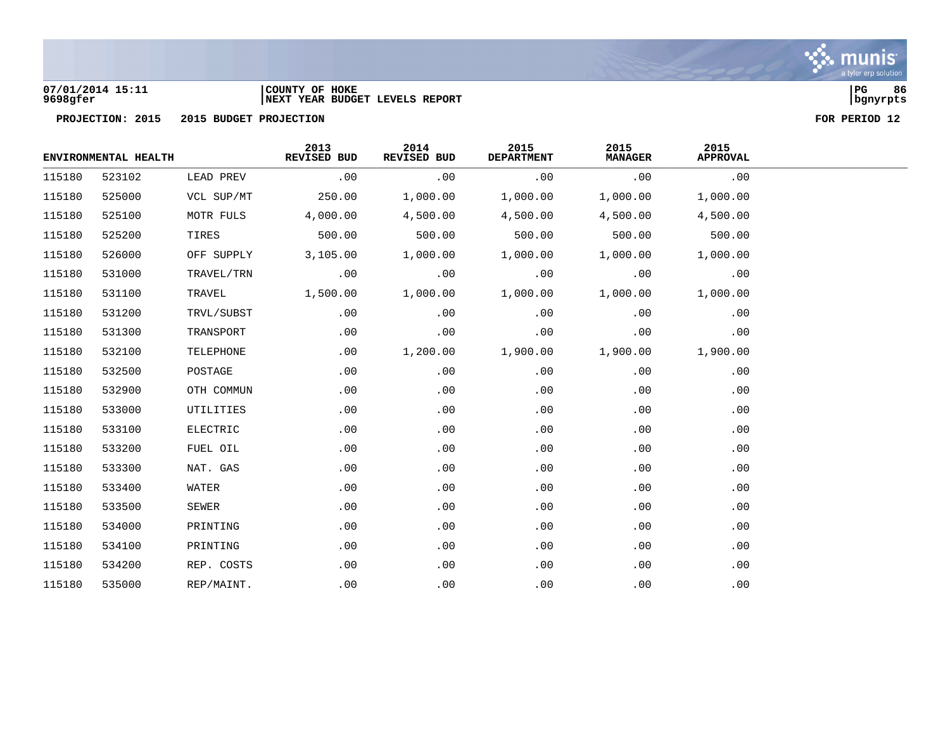

# **07/01/2014 15:11 |COUNTY OF HOKE |PG 86 9698gfer |NEXT YEAR BUDGET LEVELS REPORT |bgnyrpts**

|        | ENVIRONMENTAL HEALTH |            | 2013<br>REVISED BUD | 2014<br>REVISED BUD | 2015<br><b>DEPARTMENT</b> | 2015<br><b>MANAGER</b> | 2015<br><b>APPROVAL</b> |  |
|--------|----------------------|------------|---------------------|---------------------|---------------------------|------------------------|-------------------------|--|
| 115180 | 523102               | LEAD PREV  | .00                 | .00                 | .00                       | .00                    | .00                     |  |
| 115180 | 525000               | VCL SUP/MT | 250.00              | 1,000.00            | 1,000.00                  | 1,000.00               | 1,000.00                |  |
| 115180 | 525100               | MOTR FULS  | 4,000.00            | 4,500.00            | 4,500.00                  | 4,500.00               | 4,500.00                |  |
| 115180 | 525200               | TIRES      | 500.00              | 500.00              | 500.00                    | 500.00                 | 500.00                  |  |
| 115180 | 526000               | OFF SUPPLY | 3,105.00            | 1,000.00            | 1,000.00                  | 1,000.00               | 1,000.00                |  |
| 115180 | 531000               | TRAVEL/TRN | .00                 | .00                 | .00                       | .00                    | .00                     |  |
| 115180 | 531100               | TRAVEL     | 1,500.00            | 1,000.00            | 1,000.00                  | 1,000.00               | 1,000.00                |  |
| 115180 | 531200               | TRVL/SUBST | .00                 | .00                 | .00                       | .00                    | .00                     |  |
| 115180 | 531300               | TRANSPORT  | .00                 | .00                 | .00                       | .00                    | .00                     |  |
| 115180 | 532100               | TELEPHONE  | .00                 | 1,200.00            | 1,900.00                  | 1,900.00               | 1,900.00                |  |
| 115180 | 532500               | POSTAGE    | .00                 | .00                 | .00                       | .00                    | .00                     |  |
| 115180 | 532900               | OTH COMMUN | .00                 | .00                 | .00                       | .00                    | .00                     |  |
| 115180 | 533000               | UTILITIES  | $.00 \ \rm$         | .00                 | .00                       | .00                    | .00                     |  |
| 115180 | 533100               | ELECTRIC   | .00                 | .00                 | .00                       | .00                    | .00                     |  |
| 115180 | 533200               | FUEL OIL   | .00                 | .00                 | .00                       | .00                    | .00                     |  |
| 115180 | 533300               | NAT. GAS   | .00                 | .00                 | .00                       | .00                    | .00                     |  |
| 115180 | 533400               | WATER      | .00                 | .00                 | .00                       | .00                    | .00                     |  |
| 115180 | 533500               | SEWER      | .00                 | .00                 | .00                       | .00                    | .00                     |  |
| 115180 | 534000               | PRINTING   | .00                 | .00                 | .00                       | .00                    | .00                     |  |
| 115180 | 534100               | PRINTING   | .00                 | .00                 | .00                       | .00                    | .00                     |  |
| 115180 | 534200               | REP. COSTS | $.00 \ \rm$         | .00                 | .00                       | .00                    | .00                     |  |
| 115180 | 535000               | REP/MAINT. | .00                 | .00                 | .00                       | .00                    | .00                     |  |

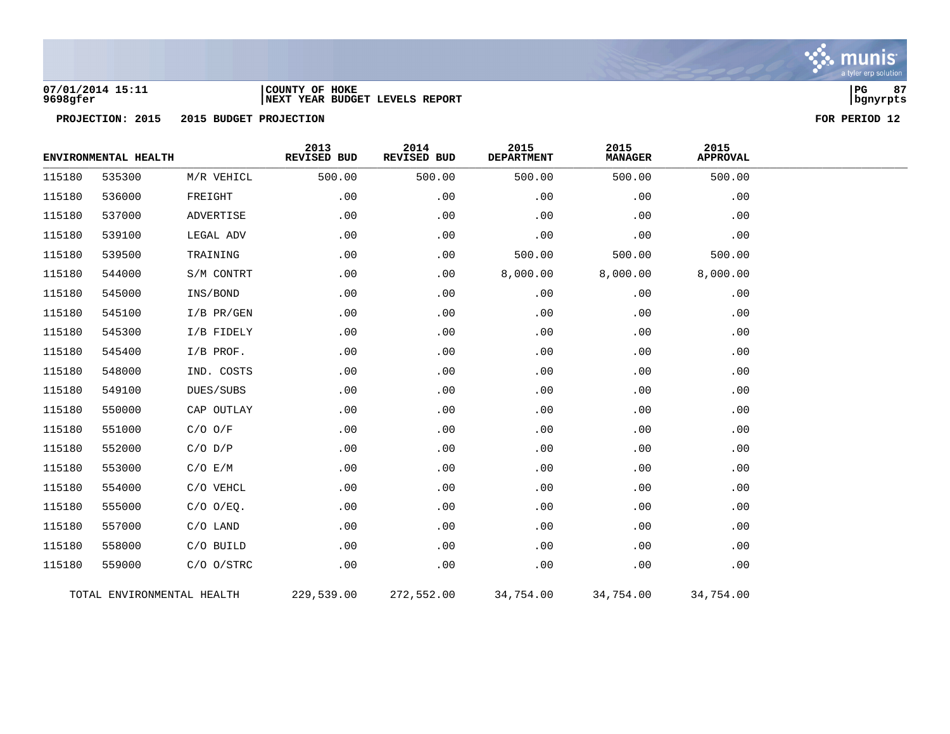

## **07/01/2014 15:11 |COUNTY OF HOKE |PG 87 9698gfer |NEXT YEAR BUDGET LEVELS REPORT |bgnyrpts**



|        | ENVIRONMENTAL HEALTH |                            | 2013<br>REVISED BUD | 2014<br>REVISED BUD | 2015<br><b>DEPARTMENT</b> | 2015<br><b>MANAGER</b> | 2015<br><b>APPROVAL</b> |  |
|--------|----------------------|----------------------------|---------------------|---------------------|---------------------------|------------------------|-------------------------|--|
| 115180 | 535300               | M/R VEHICL                 | 500.00              | 500.00              | 500.00                    | 500.00                 | 500.00                  |  |
| 115180 | 536000               | FREIGHT                    | .00                 | .00                 | .00                       | .00                    | .00                     |  |
| 115180 | 537000               | ADVERTISE                  | .00                 | .00                 | .00                       | .00                    | .00                     |  |
| 115180 | 539100               | LEGAL ADV                  | .00                 | .00                 | .00                       | .00                    | .00                     |  |
| 115180 | 539500               | TRAINING                   | .00                 | .00                 | 500.00                    | 500.00                 | 500.00                  |  |
| 115180 | 544000               | S/M CONTRT                 | .00                 | .00                 | 8,000.00                  | 8,000.00               | 8,000.00                |  |
| 115180 | 545000               | INS/BOND                   | .00                 | .00                 | .00                       | .00                    | .00                     |  |
| 115180 | 545100               | $I/B$ PR/GEN               | .00                 | .00                 | .00                       | .00                    | .00                     |  |
| 115180 | 545300               | I/B FIDELY                 | .00                 | .00                 | .00                       | .00                    | .00                     |  |
| 115180 | 545400               | I/B PROF.                  | .00                 | .00                 | .00                       | .00                    | .00                     |  |
| 115180 | 548000               | IND. COSTS                 | .00                 | .00                 | .00                       | .00                    | .00                     |  |
| 115180 | 549100               | DUES/SUBS                  | .00                 | .00                 | .00                       | .00                    | .00                     |  |
| 115180 | 550000               | CAP OUTLAY                 | .00                 | .00                 | .00                       | .00                    | .00                     |  |
| 115180 | 551000               | $C/O$ $O/F$                | .00                 | .00                 | .00                       | .00                    | .00                     |  |
| 115180 | 552000               | $C/O$ $D/P$                | .00                 | .00                 | .00                       | .00                    | .00                     |  |
| 115180 | 553000               | C/O E/M                    | .00                 | .00                 | .00                       | .00                    | .00                     |  |
| 115180 | 554000               | C/O VEHCL                  | .00                 | .00                 | .00                       | .00                    | .00                     |  |
| 115180 | 555000               | $C/O$ $O/EQ$ .             | .00                 | .00                 | .00                       | .00                    | .00                     |  |
| 115180 | 557000               | $C/O$ LAND                 | .00                 | .00                 | .00                       | .00                    | .00                     |  |
| 115180 | 558000               | C/O BUILD                  | .00                 | .00                 | .00                       | .00                    | .00                     |  |
| 115180 | 559000               | $C/O$ $O/STRC$             | .00                 | .00                 | .00                       | .00                    | .00                     |  |
|        |                      | TOTAL ENVIRONMENTAL HEALTH | 229,539.00          | 272,552.00          | 34,754.00                 | 34,754.00              | 34,754.00               |  |

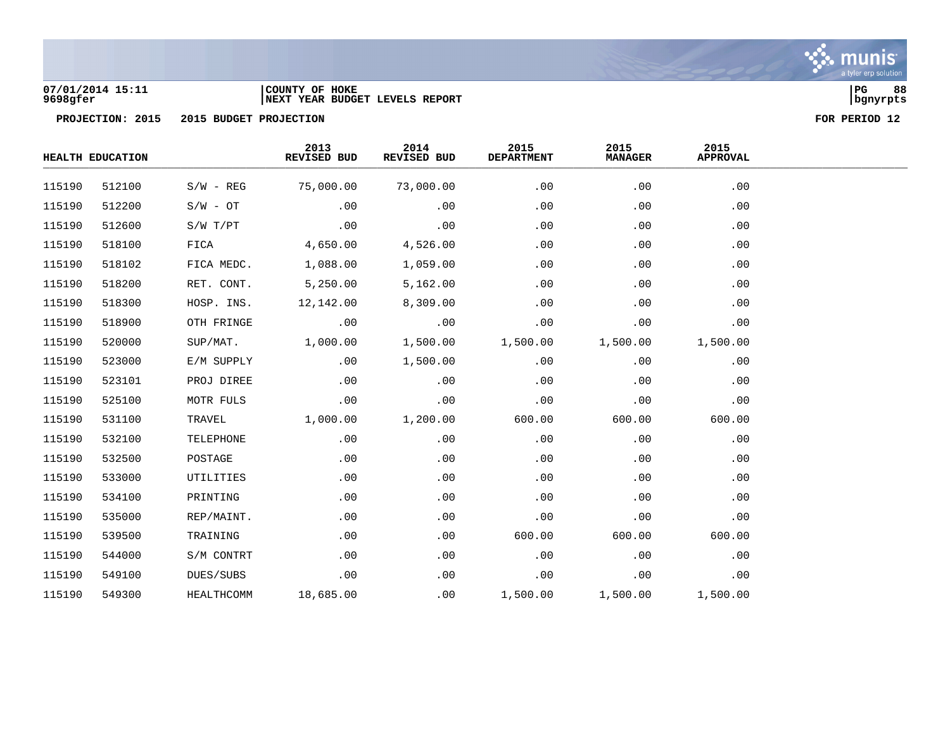

### **07/01/2014 15:11 |COUNTY OF HOKE |PG 88 9698gfer |NEXT YEAR BUDGET LEVELS REPORT |bgnyrpts**

|        | HEALTH EDUCATION |             | 2013<br>REVISED BUD | 2014<br>REVISED BUD | 2015<br><b>DEPARTMENT</b> | 2015<br><b>MANAGER</b> | 2015<br><b>APPROVAL</b> |  |
|--------|------------------|-------------|---------------------|---------------------|---------------------------|------------------------|-------------------------|--|
| 115190 | 512100           | $S/W - REG$ | 75,000.00           | 73,000.00           | .00                       | .00                    | .00                     |  |
| 115190 | 512200           | $S/W - OT$  | .00                 | .00                 | .00                       | .00                    | .00                     |  |
| 115190 | 512600           | S/W T/PT    | .00                 | .00                 | .00                       | .00                    | .00                     |  |
| 115190 | 518100           | FICA        | 4,650.00            | 4,526.00            | .00                       | .00                    | .00                     |  |
| 115190 | 518102           | FICA MEDC.  | 1,088.00            | 1,059.00            | .00                       | .00                    | .00                     |  |
| 115190 | 518200           | RET. CONT.  | 5,250.00            | 5,162.00            | .00                       | .00                    | .00                     |  |
| 115190 | 518300           | HOSP. INS.  | 12,142.00           | 8,309.00            | .00                       | .00                    | .00                     |  |
| 115190 | 518900           | OTH FRINGE  | .00                 | .00                 | .00                       | .00                    | .00                     |  |
| 115190 | 520000           | SUP/MAT.    | 1,000.00            | 1,500.00            | 1,500.00                  | 1,500.00               | 1,500.00                |  |
| 115190 | 523000           | E/M SUPPLY  | .00                 | 1,500.00            | .00                       | .00                    | .00                     |  |
| 115190 | 523101           | PROJ DIREE  | .00                 | .00                 | .00                       | .00                    | .00                     |  |
| 115190 | 525100           | MOTR FULS   | .00                 | .00                 | .00                       | .00                    | .00                     |  |
| 115190 | 531100           | TRAVEL      | 1,000.00            | 1,200.00            | 600.00                    | 600.00                 | 600.00                  |  |
| 115190 | 532100           | TELEPHONE   | .00                 | .00                 | .00                       | .00                    | .00                     |  |
| 115190 | 532500           | POSTAGE     | .00                 | .00                 | .00                       | .00                    | .00                     |  |
| 115190 | 533000           | UTILITIES   | .00                 | .00                 | .00                       | .00                    | .00                     |  |
| 115190 | 534100           | PRINTING    | .00                 | .00                 | .00                       | .00                    | .00                     |  |
| 115190 | 535000           | REP/MAINT.  | .00                 | .00                 | .00                       | .00                    | .00                     |  |
| 115190 | 539500           | TRAINING    | .00                 | .00                 | 600.00                    | 600.00                 | 600.00                  |  |
| 115190 | 544000           | S/M CONTRT  | .00                 | .00                 | .00                       | .00                    | .00                     |  |
| 115190 | 549100           | DUES/SUBS   | .00                 | .00                 | .00                       | .00                    | .00                     |  |
| 115190 | 549300           | HEALTHCOMM  | 18,685.00           | .00                 | 1,500.00                  | 1,500.00               | 1,500.00                |  |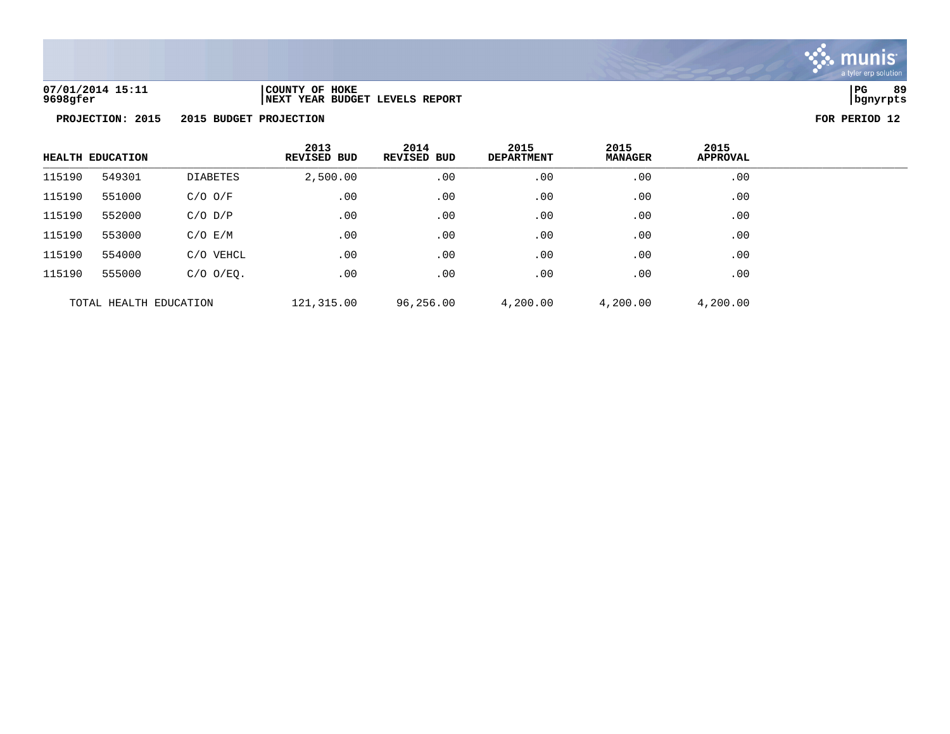

**07/01/2014 15:11 |COUNTY OF HOKE |PG 89 9698gfer |NEXT YEAR BUDGET LEVELS REPORT |bgnyrpts**

|        | <b>HEALTH EDUCATION</b> |                 | 2013<br><b>REVISED BUD</b> | 2014<br><b>REVISED BUD</b> | 2015<br><b>DEPARTMENT</b> | 2015<br><b>MANAGER</b> | 2015<br><b>APPROVAL</b> |  |
|--------|-------------------------|-----------------|----------------------------|----------------------------|---------------------------|------------------------|-------------------------|--|
| 115190 | 549301                  | <b>DIABETES</b> | 2,500.00                   | .00                        | .00                       | .00                    | .00                     |  |
| 115190 | 551000                  | $C/O$ $O/F$     | .00                        | .00                        | .00                       | .00                    | .00                     |  |
| 115190 | 552000                  | $C/O$ $D/P$     | .00                        | .00                        | .00                       | .00                    | .00                     |  |
| 115190 | 553000                  | $C/O$ $E/M$     | .00                        | .00                        | .00                       | .00                    | .00                     |  |
| 115190 | 554000                  | C/O VEHCL       | .00                        | .00                        | .00                       | .00                    | .00                     |  |
| 115190 | 555000                  | $C/O$ $O/EQ$ .  | .00                        | .00                        | .00                       | .00                    | .00                     |  |
|        | TOTAL HEALTH EDUCATION  |                 | 121,315.00                 | 96,256.00                  | 4,200.00                  | 4,200.00               | 4,200.00                |  |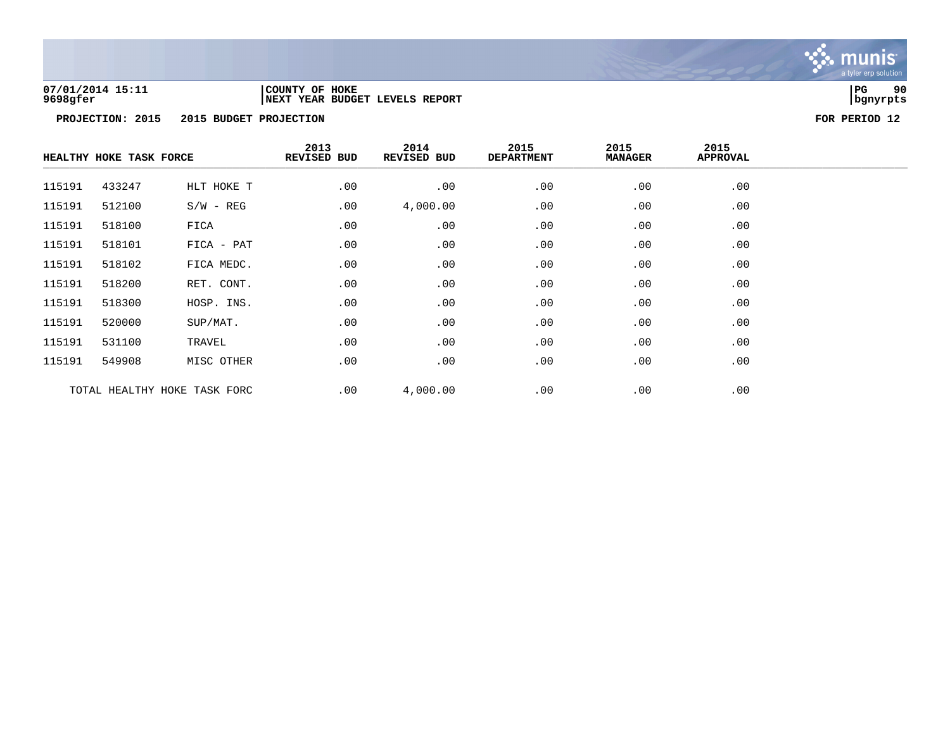

### **07/01/2014 15:11 |COUNTY OF HOKE |PG 90 9698gfer |NEXT YEAR BUDGET LEVELS REPORT |bgnyrpts**

|        | HEALTHY HOKE TASK FORCE |                              | 2013<br><b>REVISED BUD</b> | 2014<br>REVISED BUD | 2015<br><b>DEPARTMENT</b> | 2015<br><b>MANAGER</b> | 2015<br><b>APPROVAL</b> |  |
|--------|-------------------------|------------------------------|----------------------------|---------------------|---------------------------|------------------------|-------------------------|--|
| 115191 | 433247                  | HLT HOKE T                   | .00                        | .00                 | .00                       | .00                    | .00                     |  |
| 115191 | 512100                  | $S/W - REG$                  | .00                        | 4,000.00            | .00                       | .00                    | .00                     |  |
| 115191 | 518100                  | FICA                         | .00                        | .00                 | .00                       | .00                    | .00                     |  |
| 115191 | 518101                  | FICA - PAT                   | .00                        | .00                 | .00                       | .00                    | .00                     |  |
| 115191 | 518102                  | FICA MEDC.                   | .00                        | .00                 | .00                       | .00                    | .00                     |  |
| 115191 | 518200                  | RET. CONT.                   | .00                        | .00                 | .00                       | .00                    | .00                     |  |
| 115191 | 518300                  | HOSP. INS.                   | .00                        | .00                 | .00                       | .00                    | .00                     |  |
| 115191 | 520000                  | SUP/MAT.                     | .00                        | .00                 | .00                       | .00                    | .00                     |  |
| 115191 | 531100                  | TRAVEL                       | .00                        | .00                 | .00                       | .00                    | .00                     |  |
| 115191 | 549908                  | MISC OTHER                   | .00                        | .00                 | .00                       | .00                    | .00                     |  |
|        |                         | TOTAL HEALTHY HOKE TASK FORC | .00                        | 4,000.00            | .00                       | .00                    | .00                     |  |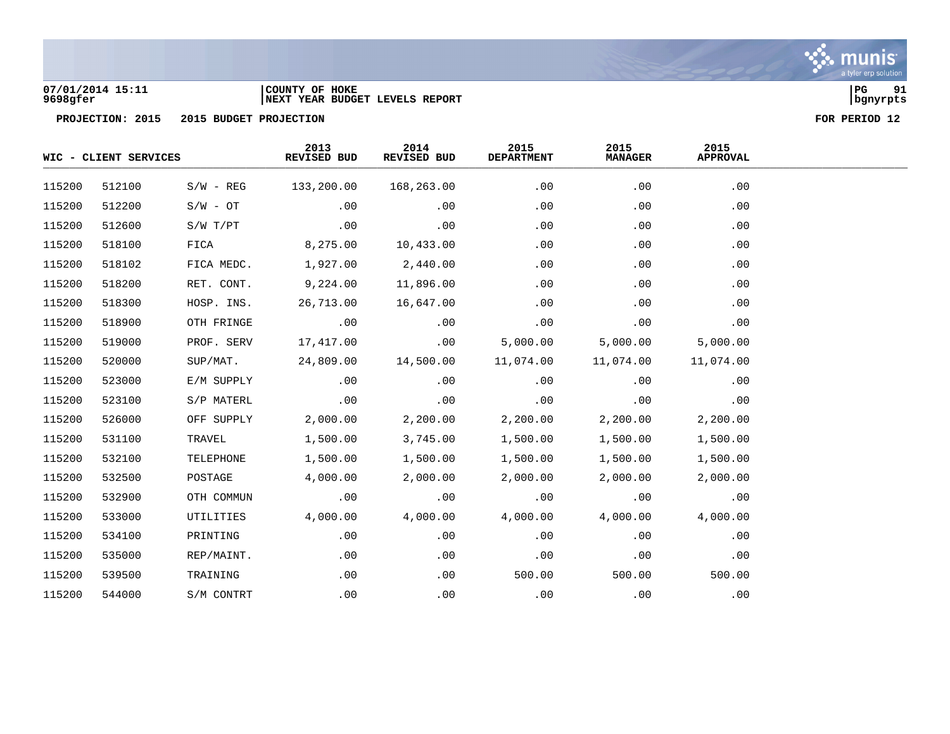

### **07/01/2014 15:11 |COUNTY OF HOKE |PG 91 9698gfer |NEXT YEAR BUDGET LEVELS REPORT |bgnyrpts**

|        | WIC - CLIENT SERVICES |             | 2013<br>REVISED BUD | 2014<br>REVISED BUD | 2015<br><b>DEPARTMENT</b> | 2015<br><b>MANAGER</b> | 2015<br><b>APPROVAL</b> |  |
|--------|-----------------------|-------------|---------------------|---------------------|---------------------------|------------------------|-------------------------|--|
| 115200 | 512100                | $S/W - REG$ | 133,200.00          | 168,263.00          | .00                       | .00                    | .00                     |  |
| 115200 | 512200                | $S/W - OT$  | .00                 | .00                 | .00                       | .00                    | .00                     |  |
| 115200 | 512600                | S/W T/PT    | .00                 | .00                 | .00                       | .00                    | .00                     |  |
| 115200 | 518100                | FICA        | 8,275.00            | 10,433.00           | .00                       | .00                    | .00                     |  |
| 115200 | 518102                | FICA MEDC.  | 1,927.00            | 2,440.00            | .00                       | .00                    | .00                     |  |
| 115200 | 518200                | RET. CONT.  | 9,224.00            | 11,896.00           | .00                       | .00                    | .00                     |  |
| 115200 | 518300                | HOSP. INS.  | 26,713.00           | 16,647.00           | .00                       | .00                    | .00                     |  |
| 115200 | 518900                | OTH FRINGE  | .00                 | .00                 | .00                       | .00                    | .00                     |  |
| 115200 | 519000                | PROF. SERV  | 17,417.00           | .00                 | 5,000.00                  | 5,000.00               | 5,000.00                |  |
| 115200 | 520000                | SUP/MAT.    | 24,809.00           | 14,500.00           | 11,074.00                 | 11,074.00              | 11,074.00               |  |
| 115200 | 523000                | E/M SUPPLY  | .00                 | .00                 | .00                       | .00                    | .00                     |  |
| 115200 | 523100                | S/P MATERL  | .00                 | .00                 | .00                       | .00                    | .00                     |  |
| 115200 | 526000                | OFF SUPPLY  | 2,000.00            | 2,200.00            | 2,200.00                  | 2,200.00               | 2,200.00                |  |
| 115200 | 531100                | TRAVEL      | 1,500.00            | 3,745.00            | 1,500.00                  | 1,500.00               | 1,500.00                |  |
| 115200 | 532100                | TELEPHONE   | 1,500.00            | 1,500.00            | 1,500.00                  | 1,500.00               | 1,500.00                |  |
| 115200 | 532500                | POSTAGE     | 4,000.00            | 2,000.00            | 2,000.00                  | 2,000.00               | 2,000.00                |  |
| 115200 | 532900                | OTH COMMUN  | .00                 | .00                 | .00                       | .00                    | .00                     |  |
| 115200 | 533000                | UTILITIES   | 4,000.00            | 4,000.00            | 4,000.00                  | 4,000.00               | 4,000.00                |  |
| 115200 | 534100                | PRINTING    | .00                 | .00                 | .00                       | .00                    | .00                     |  |
| 115200 | 535000                | REP/MAINT.  | .00                 | .00                 | .00                       | .00                    | .00                     |  |
| 115200 | 539500                | TRAINING    | .00                 | .00                 | 500.00                    | 500.00                 | 500.00                  |  |
| 115200 | 544000                | S/M CONTRT  | .00                 | .00                 | .00                       | .00                    | .00                     |  |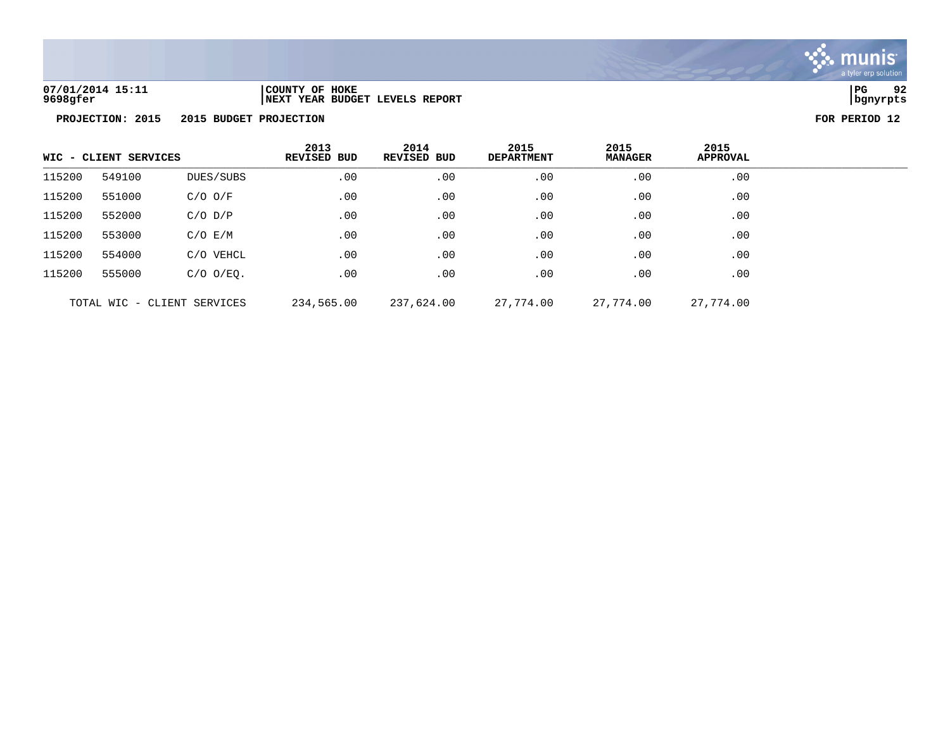

**07/01/2014 15:11 |COUNTY OF HOKE |PG 92 9698gfer |NEXT YEAR BUDGET LEVELS REPORT |bgnyrpts**

|                             | WIC - CLIENT SERVICES<br>549100<br>DUES/SUBS |                | 2013<br><b>REVISED BUD</b> | 2014<br><b>REVISED BUD</b> | 2015<br><b>DEPARTMENT</b> | 2015<br><b>MANAGER</b> | 2015<br><b>APPROVAL</b> |  |
|-----------------------------|----------------------------------------------|----------------|----------------------------|----------------------------|---------------------------|------------------------|-------------------------|--|
| 115200                      |                                              |                | .00                        | .00                        | .00                       | .00                    | .00                     |  |
| 115200                      | 551000                                       | $C/O$ $O/F$    | .00                        | .00                        | .00                       | .00                    | .00                     |  |
| 115200                      | 552000                                       | $C/O$ $D/P$    | .00                        | .00                        | .00                       | .00                    | .00                     |  |
| 115200                      | 553000                                       | $C/O$ $E/M$    | .00                        | .00                        | .00                       | .00                    | .00                     |  |
| 115200                      | 554000                                       | C/O VEHCL      | .00                        | .00                        | .00                       | .00                    | .00                     |  |
| 115200                      | 555000                                       | $C/O$ $O/EO$ . | .00                        | .00                        | .00                       | .00                    | .00                     |  |
| TOTAL WIC - CLIENT SERVICES |                                              | 234,565.00     | 237,624.00                 | 27,774.00                  | 27,774.00                 | 27,774.00              |                         |  |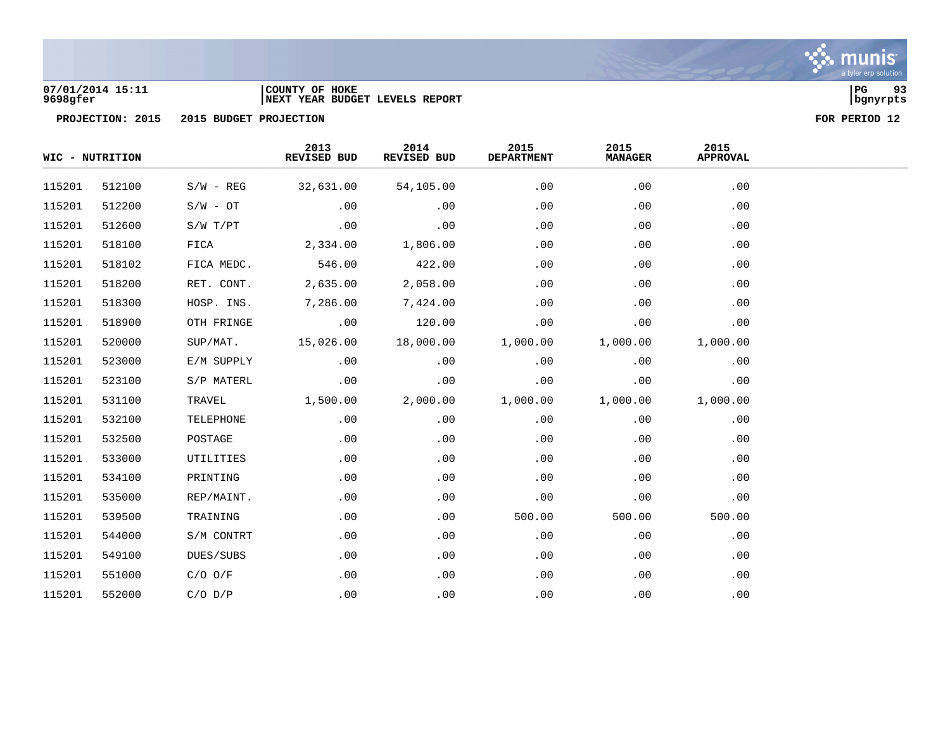

### **07/01/2014 15:11 |COUNTY OF HOKE |PG 93 9698gfer |NEXT YEAR BUDGET LEVELS REPORT |bgnyrpts**

|        | WIC - NUTRITION |             | 2013<br>REVISED BUD | 2014<br>REVISED BUD | 2015<br><b>DEPARTMENT</b> | 2015<br><b>MANAGER</b> | 2015<br><b>APPROVAL</b> |  |
|--------|-----------------|-------------|---------------------|---------------------|---------------------------|------------------------|-------------------------|--|
| 115201 | 512100          | $S/W - REG$ | 32,631.00           | 54,105.00           | .00                       | .00                    | .00                     |  |
| 115201 | 512200          | $S/W - OT$  | .00                 | .00                 | .00                       | .00                    | .00                     |  |
| 115201 | 512600          | S/W T/PT    | .00                 | .00                 | .00                       | .00                    | .00                     |  |
| 115201 | 518100          | FICA        | 2,334.00            | 1,806.00            | .00                       | .00                    | .00                     |  |
| 115201 | 518102          | FICA MEDC.  | 546.00              | 422.00              | .00                       | .00                    | .00                     |  |
| 115201 | 518200          | RET. CONT.  | 2,635.00            | 2,058.00            | .00                       | .00                    | .00                     |  |
| 115201 | 518300          | HOSP. INS.  | 7,286.00            | 7,424.00            | .00                       | .00                    | .00                     |  |
| 115201 | 518900          | OTH FRINGE  | .00                 | 120.00              | .00                       | .00                    | .00                     |  |
| 115201 | 520000          | SUP/MAT.    | 15,026.00           | 18,000.00           | 1,000.00                  | 1,000.00               | 1,000.00                |  |
| 115201 | 523000          | E/M SUPPLY  | .00                 | .00                 | .00                       | .00                    | .00                     |  |
| 115201 | 523100          | S/P MATERL  | .00                 | .00                 | .00                       | .00                    | .00                     |  |
| 115201 | 531100          | TRAVEL      | 1,500.00            | 2,000.00            | 1,000.00                  | 1,000.00               | 1,000.00                |  |
| 115201 | 532100          | TELEPHONE   | .00                 | .00                 | .00                       | .00                    | .00                     |  |
| 115201 | 532500          | POSTAGE     | .00                 | .00                 | .00                       | .00                    | .00                     |  |
| 115201 | 533000          | UTILITIES   | .00                 | .00                 | .00                       | .00                    | .00                     |  |
| 115201 | 534100          | PRINTING    | .00                 | .00                 | .00                       | .00                    | .00                     |  |
| 115201 | 535000          | REP/MAINT.  | .00                 | .00                 | .00                       | .00                    | .00                     |  |
| 115201 | 539500          | TRAINING    | .00                 | .00                 | 500.00                    | 500.00                 | 500.00                  |  |
| 115201 | 544000          | S/M CONTRT  | .00                 | .00                 | .00                       | .00                    | .00                     |  |
| 115201 | 549100          | DUES/SUBS   | .00                 | .00                 | .00                       | .00                    | .00                     |  |
| 115201 | 551000          | $C/O$ $O/F$ | .00                 | .00                 | .00                       | .00                    | .00                     |  |
| 115201 | 552000          | $C/O$ $D/P$ | .00                 | .00                 | .00                       | .00                    | .00                     |  |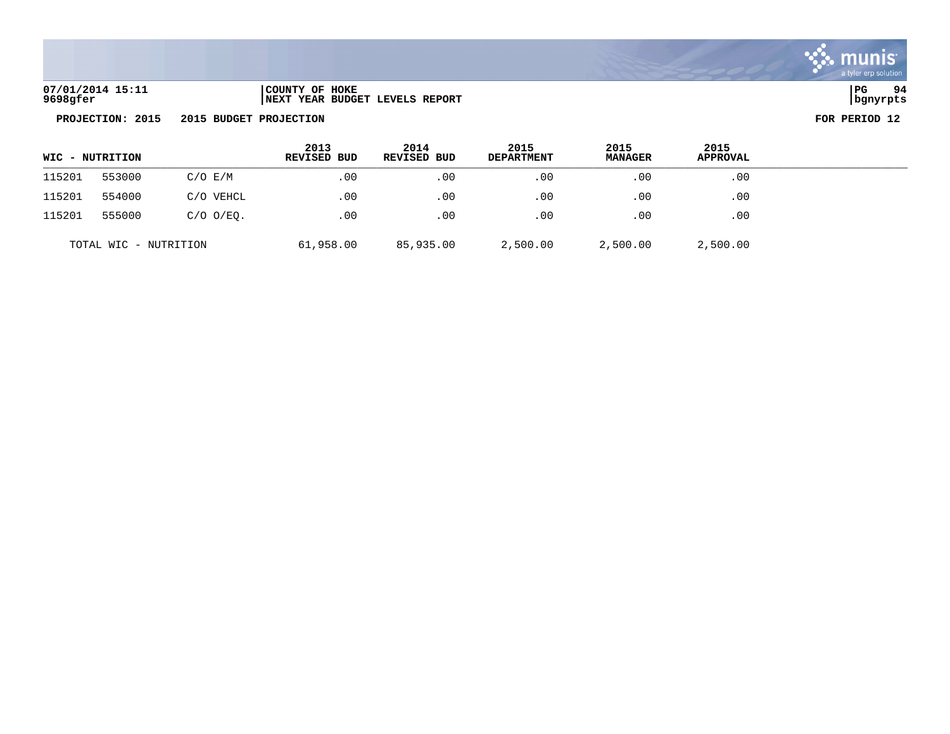

| 07/01/2014 15:11 | COUNTY OF HOKE                  | l PG     | 94 |
|------------------|---------------------------------|----------|----|
| 9698gfer         | INEXT YEAR BUDGET LEVELS REPORT | bgnyrpts |    |

|        | WIC - NUTRITION       |                | 2013<br>REVISED BUD | 2014<br>REVISED BUD | 2015<br><b>DEPARTMENT</b> | 2015<br><b>MANAGER</b> | 2015<br><b>APPROVAL</b> |
|--------|-----------------------|----------------|---------------------|---------------------|---------------------------|------------------------|-------------------------|
| 115201 | 553000                | $C/O$ $E/M$    | .00                 | $.00 \,$            | .00                       | .00                    | .00                     |
| 115201 | 554000                | C/O VEHCL      | .00                 | .00                 | .00                       | .00                    | .00                     |
| 115201 | 555000                | $C/O$ $O/EO$ . | .00                 | .00                 | .00                       | .00                    | .00                     |
|        | TOTAL WIC - NUTRITION |                | 61,958.00           | 85,935.00           | 2,500.00                  | 2,500.00               | 2,500.00                |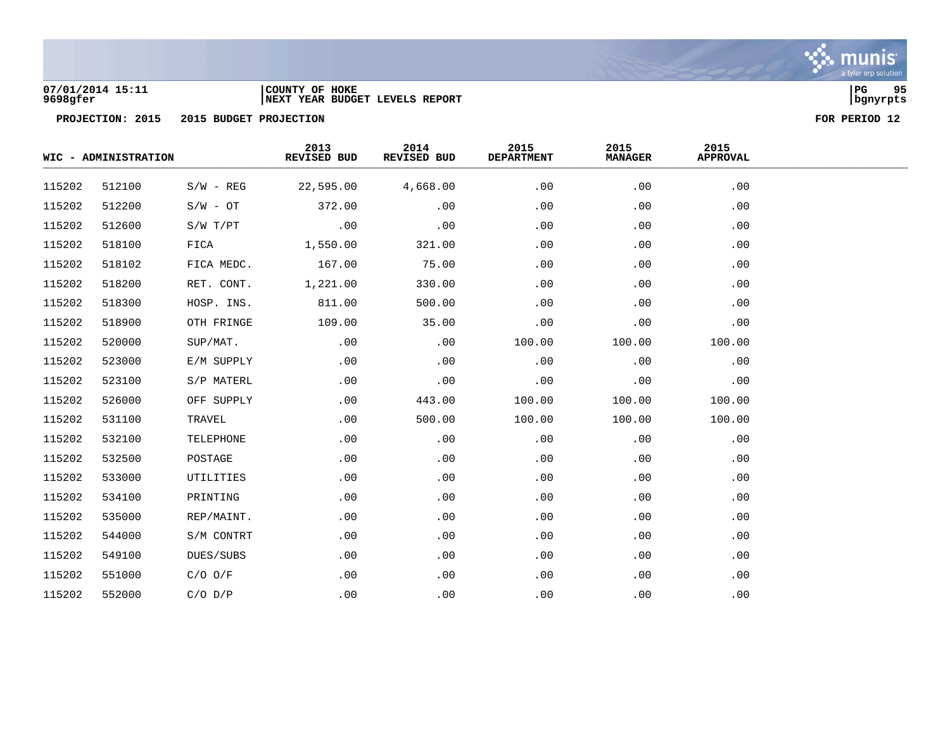

### **07/01/2014 15:11 |COUNTY OF HOKE |PG 95 9698gfer |NEXT YEAR BUDGET LEVELS REPORT |bgnyrpts**

|        | WIC - ADMINISTRATION |              | 2013<br>REVISED BUD | 2014<br>REVISED BUD | 2015<br><b>DEPARTMENT</b> | 2015<br><b>MANAGER</b> | 2015<br><b>APPROVAL</b> |  |
|--------|----------------------|--------------|---------------------|---------------------|---------------------------|------------------------|-------------------------|--|
| 115202 | 512100               | $S/W - REG$  | 22,595.00           | 4,668.00            | .00                       | .00                    | .00                     |  |
| 115202 | 512200               | $S/W - OT$   | 372.00              | .00                 | .00                       | .00                    | .00                     |  |
| 115202 | 512600               | $S/W$ $T/PT$ | .00                 | .00                 | .00                       | .00                    | .00                     |  |
| 115202 | 518100               | FICA         | 1,550.00            | 321.00              | .00                       | .00                    | .00                     |  |
| 115202 | 518102               | FICA MEDC.   | 167.00              | 75.00               | .00                       | .00                    | .00                     |  |
| 115202 | 518200               | RET. CONT.   | 1,221.00            | 330.00              | .00                       | .00                    | .00                     |  |
| 115202 | 518300               | HOSP. INS.   | 811.00              | 500.00              | .00                       | .00                    | .00                     |  |
| 115202 | 518900               | OTH FRINGE   | 109.00              | 35.00               | .00                       | .00                    | .00                     |  |
| 115202 | 520000               | SUP/MAT.     | .00                 | .00                 | 100.00                    | 100.00                 | 100.00                  |  |
| 115202 | 523000               | E/M SUPPLY   | .00                 | .00                 | .00                       | .00                    | .00                     |  |
| 115202 | 523100               | S/P MATERL   | .00                 | .00                 | .00                       | .00                    | .00                     |  |
| 115202 | 526000               | OFF SUPPLY   | .00                 | 443.00              | 100.00                    | 100.00                 | 100.00                  |  |
| 115202 | 531100               | TRAVEL       | .00                 | 500.00              | 100.00                    | 100.00                 | 100.00                  |  |
| 115202 | 532100               | TELEPHONE    | .00                 | .00                 | .00                       | .00                    | .00                     |  |
| 115202 | 532500               | POSTAGE      | .00                 | .00                 | .00                       | .00                    | .00                     |  |
| 115202 | 533000               | UTILITIES    | .00                 | .00                 | .00                       | .00                    | .00                     |  |
| 115202 | 534100               | PRINTING     | .00                 | .00                 | .00                       | .00                    | .00                     |  |
| 115202 | 535000               | REP/MAINT.   | .00                 | .00                 | .00                       | .00                    | .00                     |  |
| 115202 | 544000               | S/M CONTRT   | .00                 | .00                 | .00                       | .00                    | .00                     |  |
| 115202 | 549100               | DUES/SUBS    | .00                 | .00                 | .00                       | .00                    | .00                     |  |
| 115202 | 551000               | $C/O$ $O/F$  | .00                 | .00                 | .00                       | .00                    | .00                     |  |
| 115202 | 552000               | $C/O$ $D/P$  | .00                 | .00                 | .00                       | .00                    | .00                     |  |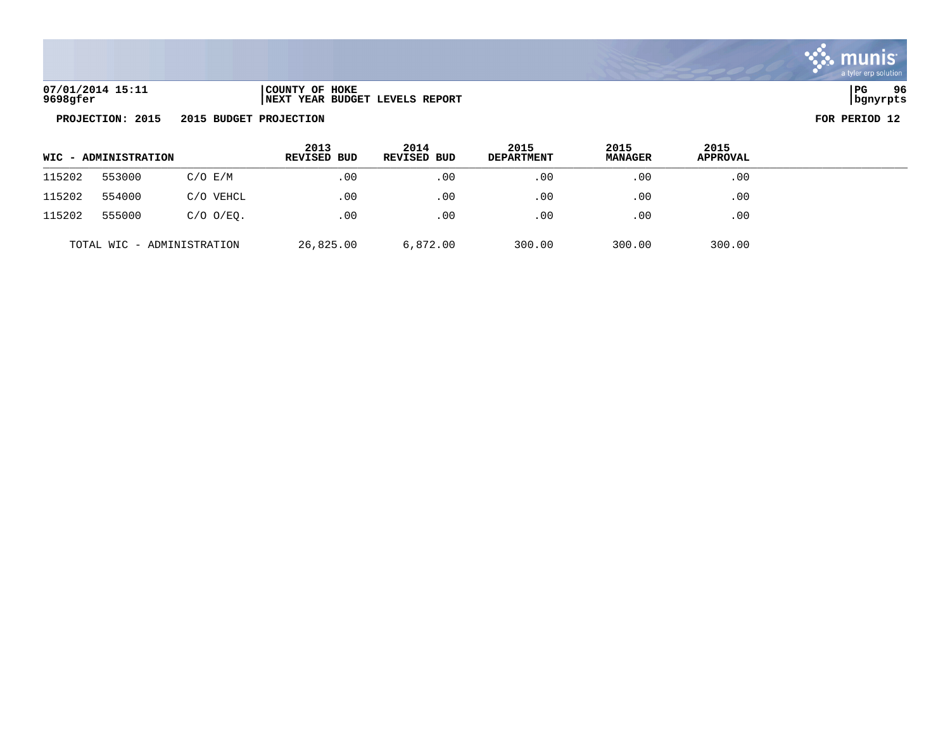

| 07/01/2014 15:11 | COUNTY OF HOKE                  | PG       | 96 |
|------------------|---------------------------------|----------|----|
| 9698gfer         | INEXT YEAR BUDGET LEVELS REPORT | bgnyrpts |    |

| WIC - ADMINISTRATION |        |                            | 2013<br>REVISED BUD | 2014<br><b>REVISED BUD</b> | 2015<br><b>DEPARTMENT</b> | 2015<br><b>MANAGER</b> | 2015<br><b>APPROVAL</b> |  |
|----------------------|--------|----------------------------|---------------------|----------------------------|---------------------------|------------------------|-------------------------|--|
| 115202               | 553000 | $C/O$ $E/M$                | .00                 | .00                        | $.00 \,$                  | .00                    | .00                     |  |
| 115202               | 554000 | C/O VEHCL                  | .00                 | .00                        | .00                       | .00                    | .00                     |  |
| 115202               | 555000 | $C/O$ $O/EO$ .             | .00                 | .00                        | .00                       | .00                    | .00                     |  |
|                      |        | TOTAL WIC - ADMINISTRATION | 26,825.00           | 6,872.00                   | 300.00                    | 300.00                 | 300.00                  |  |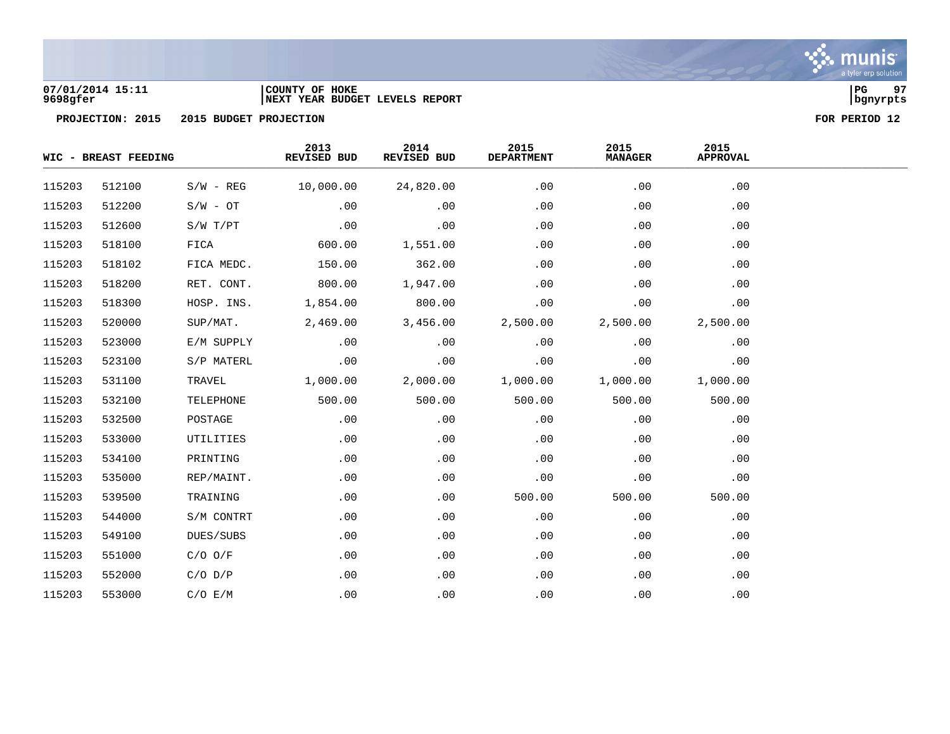

### **07/01/2014 15:11 |COUNTY OF HOKE |PG 97 9698gfer |NEXT YEAR BUDGET LEVELS REPORT |bgnyrpts**

|        | WIC - BREAST FEEDING |             | 2013<br>REVISED BUD | 2014<br>REVISED BUD | 2015<br><b>DEPARTMENT</b> | 2015<br><b>MANAGER</b> | 2015<br><b>APPROVAL</b> |  |
|--------|----------------------|-------------|---------------------|---------------------|---------------------------|------------------------|-------------------------|--|
| 115203 | 512100               | $S/W - REG$ | 10,000.00           | 24,820.00           | .00                       | .00                    | .00                     |  |
| 115203 | 512200               | $S/W - OT$  | .00                 | .00                 | .00                       | .00                    | .00                     |  |
| 115203 | 512600               | S/W T/PT    | .00                 | .00                 | .00                       | .00                    | .00                     |  |
| 115203 | 518100               | FICA        | 600.00              | 1,551.00            | .00                       | .00                    | .00                     |  |
| 115203 | 518102               | FICA MEDC.  | 150.00              | 362.00              | .00                       | .00                    | .00                     |  |
| 115203 | 518200               | RET. CONT.  | 800.00              | 1,947.00            | .00                       | .00                    | .00                     |  |
| 115203 | 518300               | HOSP. INS.  | 1,854.00            | 800.00              | .00                       | .00                    | .00                     |  |
| 115203 | 520000               | SUP/MAT.    | 2,469.00            | 3,456.00            | 2,500.00                  | 2,500.00               | 2,500.00                |  |
| 115203 | 523000               | E/M SUPPLY  | .00                 | .00                 | .00                       | .00                    | .00                     |  |
| 115203 | 523100               | S/P MATERL  | .00                 | .00                 | .00                       | .00                    | .00                     |  |
| 115203 | 531100               | TRAVEL      | 1,000.00            | 2,000.00            | 1,000.00                  | 1,000.00               | 1,000.00                |  |
| 115203 | 532100               | TELEPHONE   | 500.00              | 500.00              | 500.00                    | 500.00                 | 500.00                  |  |
| 115203 | 532500               | POSTAGE     | .00                 | .00                 | .00                       | .00                    | .00                     |  |
| 115203 | 533000               | UTILITIES   | .00                 | .00                 | .00                       | .00                    | .00                     |  |
| 115203 | 534100               | PRINTING    | .00                 | .00                 | .00                       | .00                    | .00                     |  |
| 115203 | 535000               | REP/MAINT.  | .00                 | .00                 | .00                       | .00                    | .00                     |  |
| 115203 | 539500               | TRAINING    | .00                 | .00                 | 500.00                    | 500.00                 | 500.00                  |  |
| 115203 | 544000               | S/M CONTRT  | .00                 | .00                 | .00                       | .00                    | .00                     |  |
| 115203 | 549100               | DUES/SUBS   | .00                 | .00                 | .00                       | .00                    | .00                     |  |
| 115203 | 551000               | $C/O$ $O/F$ | .00                 | .00                 | .00                       | .00                    | .00                     |  |
| 115203 | 552000               | $C/O$ $D/P$ | .00                 | .00                 | .00                       | .00                    | .00                     |  |
| 115203 | 553000               | C/O E/M     | .00                 | .00                 | .00                       | .00                    | .00                     |  |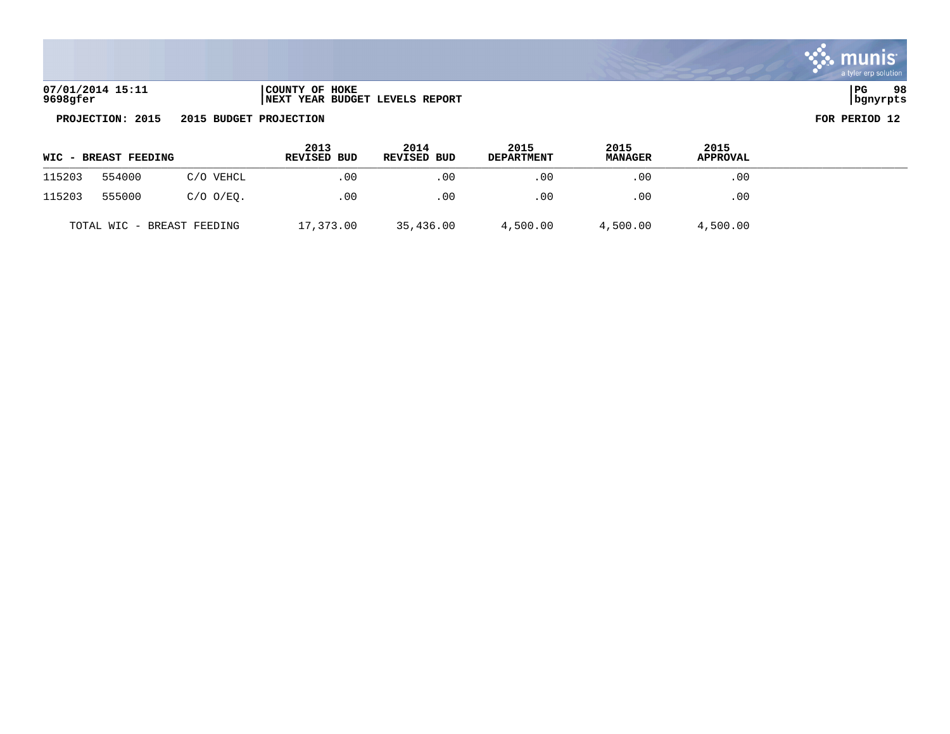| 07/01/2014 15:11 | COUNTY OF HOKE                 | l PG     | 98 |
|------------------|--------------------------------|----------|----|
| 9698gfer         | NEXT YEAR BUDGET LEVELS REPORT | bqnyrpts |    |

|        | <b>WIC - BREAST FEEDING</b> |                            | 2013<br>REVISED BUD | 2014<br>REVISED BUD | 2015<br><b>DEPARTMENT</b> | 2015<br><b>MANAGER</b> | 2015<br><b>APPROVAL</b> |  |
|--------|-----------------------------|----------------------------|---------------------|---------------------|---------------------------|------------------------|-------------------------|--|
| 115203 | 554000                      | C/O VEHCL                  | .00                 | .00                 | $.00 \,$                  | .00                    | .00                     |  |
| 115203 | 555000                      | C/O O/EO.                  | .00                 | .00                 | .00                       | .00                    | .00                     |  |
|        |                             | TOTAL WIC - BREAST FEEDING | 17,373.00           | 35,436.00           | 4,500.00                  | 4,500.00               | 4,500.00                |  |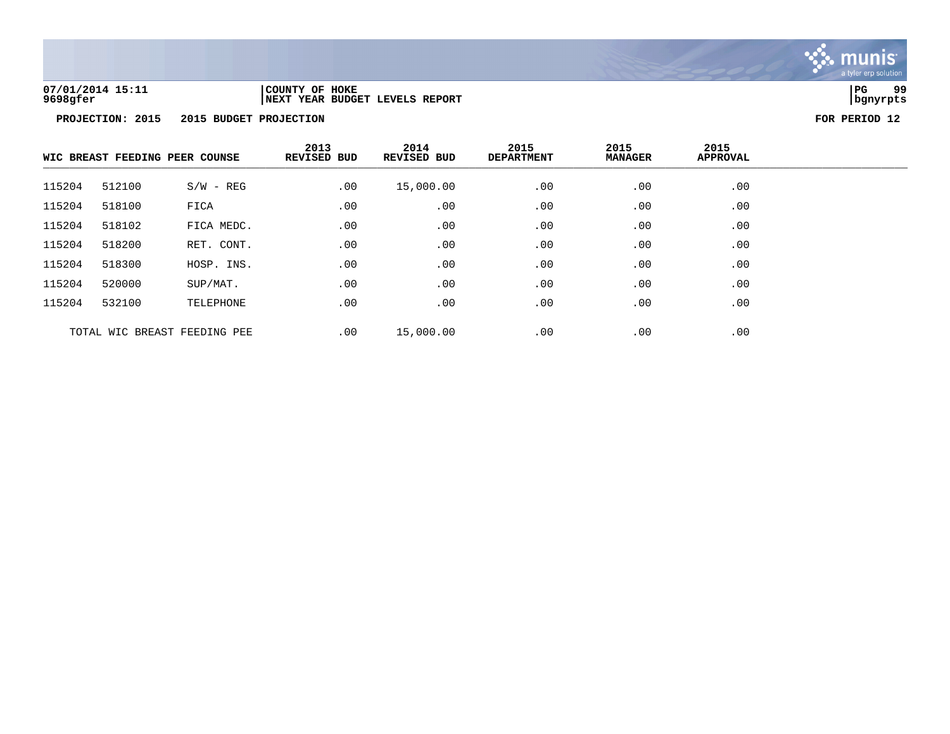

# **07/01/2014 15:11 |COUNTY OF HOKE |PG 99 9698gfer |NEXT YEAR BUDGET LEVELS REPORT |bgnyrpts**

|                              | WIC BREAST FEEDING PEER COUNSE |             |     |           | 2013<br>2014<br><b>REVISED BUD</b><br><b>REVISED BUD</b> |     | 2015<br><b>DEPARTMENT</b> | 2015<br><b>MANAGER</b> | 2015<br>APPROVAL |  |
|------------------------------|--------------------------------|-------------|-----|-----------|----------------------------------------------------------|-----|---------------------------|------------------------|------------------|--|
| 115204                       | 512100                         | $S/W - REG$ | .00 | 15,000.00 | .00                                                      | .00 | .00                       |                        |                  |  |
| 115204                       | 518100                         | FICA        | .00 | .00       | .00                                                      | .00 | .00                       |                        |                  |  |
| 115204                       | 518102                         | FICA MEDC.  | .00 | .00       | .00                                                      | .00 | .00                       |                        |                  |  |
| 115204                       | 518200                         | RET. CONT.  | .00 | .00       | .00                                                      | .00 | .00                       |                        |                  |  |
| 115204                       | 518300                         | HOSP. INS.  | .00 | .00       | .00                                                      | .00 | .00                       |                        |                  |  |
| 115204                       | 520000                         | SUP/MAT.    | .00 | .00       | .00                                                      | .00 | .00                       |                        |                  |  |
| 115204                       | 532100                         | TELEPHONE   | .00 | .00       | .00                                                      | .00 | .00                       |                        |                  |  |
| TOTAL WIC BREAST FEEDING PEE |                                |             | .00 | 15,000.00 | .00                                                      | .00 | .00                       |                        |                  |  |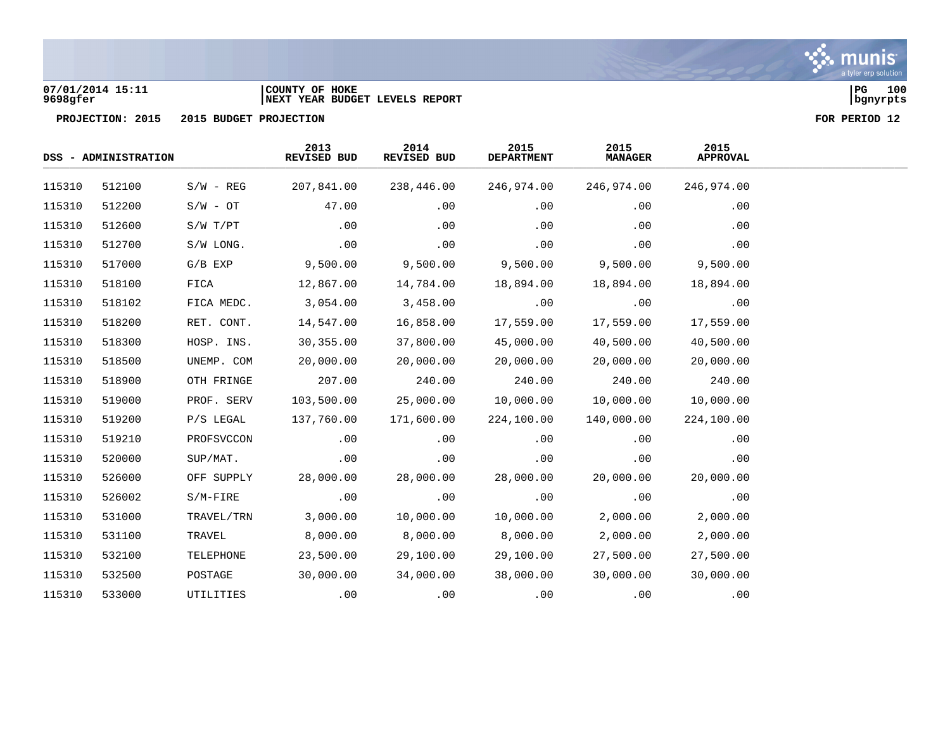

### **07/01/2014 15:11 |COUNTY OF HOKE |PG 100 9698gfer |NEXT YEAR BUDGET LEVELS REPORT |bgnyrpts**

|        | DSS - ADMINISTRATION |             |            |            | 2013<br>REVISED BUD | 2014<br>REVISED BUD | 2015<br><b>DEPARTMENT</b> | 2015<br><b>MANAGER</b> | 2015<br><b>APPROVAL</b> |  |
|--------|----------------------|-------------|------------|------------|---------------------|---------------------|---------------------------|------------------------|-------------------------|--|
| 115310 | 512100               | $S/W - REG$ | 207,841.00 | 238,446.00 | 246,974.00          | 246,974.00          | 246,974.00                |                        |                         |  |
| 115310 | 512200               | $S/W - OT$  | 47.00      | .00        | .00                 | .00                 | .00                       |                        |                         |  |
| 115310 | 512600               | S/W T/PT    | .00        | .00        | .00                 | .00                 | .00                       |                        |                         |  |
| 115310 | 512700               | S/W LONG.   | .00        | .00        | .00                 | .00                 | .00                       |                        |                         |  |
| 115310 | 517000               | $G/B$ $EXP$ | 9,500.00   | 9,500.00   | 9,500.00            | 9,500.00            | 9,500.00                  |                        |                         |  |
| 115310 | 518100               | FICA        | 12,867.00  | 14,784.00  | 18,894.00           | 18,894.00           | 18,894.00                 |                        |                         |  |
| 115310 | 518102               | FICA MEDC.  | 3,054.00   | 3,458.00   | .00                 | .00                 | .00                       |                        |                         |  |
| 115310 | 518200               | RET. CONT.  | 14,547.00  | 16,858.00  | 17,559.00           | 17,559.00           | 17,559.00                 |                        |                         |  |
| 115310 | 518300               | HOSP. INS.  | 30,355.00  | 37,800.00  | 45,000.00           | 40,500.00           | 40,500.00                 |                        |                         |  |
| 115310 | 518500               | UNEMP. COM  | 20,000.00  | 20,000.00  | 20,000.00           | 20,000.00           | 20,000.00                 |                        |                         |  |
| 115310 | 518900               | OTH FRINGE  | 207.00     | 240.00     | 240.00              | 240.00              | 240.00                    |                        |                         |  |
| 115310 | 519000               | PROF. SERV  | 103,500.00 | 25,000.00  | 10,000.00           | 10,000.00           | 10,000.00                 |                        |                         |  |
| 115310 | 519200               | P/S LEGAL   | 137,760.00 | 171,600.00 | 224,100.00          | 140,000.00          | 224,100.00                |                        |                         |  |
| 115310 | 519210               | PROFSVCCON  | .00        | .00        | .00                 | .00                 | .00                       |                        |                         |  |
| 115310 | 520000               | SUP/MAT.    | .00        | .00        | .00                 | .00                 | .00                       |                        |                         |  |
| 115310 | 526000               | OFF SUPPLY  | 28,000.00  | 28,000.00  | 28,000.00           | 20,000.00           | 20,000.00                 |                        |                         |  |
| 115310 | 526002               | $S/M-FIRE$  | .00        | .00        | .00                 | .00                 | .00                       |                        |                         |  |
| 115310 | 531000               | TRAVEL/TRN  | 3,000.00   | 10,000.00  | 10,000.00           | 2,000.00            | 2,000.00                  |                        |                         |  |
| 115310 | 531100               | TRAVEL      | 8,000.00   | 8,000.00   | 8,000.00            | 2,000.00            | 2,000.00                  |                        |                         |  |
| 115310 | 532100               | TELEPHONE   | 23,500.00  | 29,100.00  | 29,100.00           | 27,500.00           | 27,500.00                 |                        |                         |  |
| 115310 | 532500               | POSTAGE     | 30,000.00  | 34,000.00  | 38,000.00           | 30,000.00           | 30,000.00                 |                        |                         |  |
| 115310 | 533000               | UTILITIES   | .00        | .00        | .00                 | .00                 | .00                       |                        |                         |  |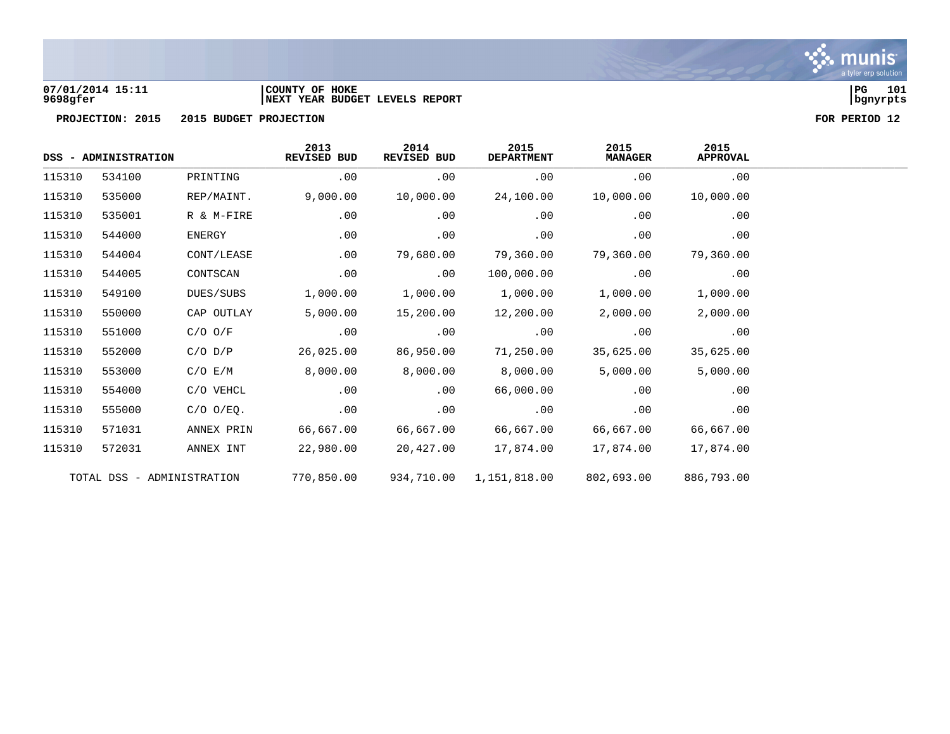

### **07/01/2014 15:11 |COUNTY OF HOKE |PG 101 9698gfer |NEXT YEAR BUDGET LEVELS REPORT |bgnyrpts**

|        | DSS - ADMINISTRATION |                            | 2013<br>REVISED BUD | 2014<br><b>REVISED BUD</b> | 2015<br><b>DEPARTMENT</b> | 2015<br><b>MANAGER</b> | 2015<br><b>APPROVAL</b> |
|--------|----------------------|----------------------------|---------------------|----------------------------|---------------------------|------------------------|-------------------------|
| 115310 | 534100               | PRINTING                   | .00                 | .00                        | .00                       | .00                    | .00                     |
| 115310 | 535000               | REP/MAINT.                 | 9,000.00            | 10,000.00                  | 24,100.00                 | 10,000.00              | 10,000.00               |
| 115310 | 535001               | R & M-FIRE                 | .00                 | .00                        | .00                       | .00                    | .00                     |
| 115310 | 544000               | ENERGY                     | .00                 | .00                        | .00                       | .00                    | .00                     |
| 115310 | 544004               | CONT/LEASE                 | .00                 | 79,680.00                  | 79,360.00                 | 79,360.00              | 79,360.00               |
| 115310 | 544005               | CONTSCAN                   | .00                 | .00                        | 100,000.00                | .00                    | .00                     |
| 115310 | 549100               | DUES/SUBS                  | 1,000.00            | 1,000.00                   | 1,000.00                  | 1,000.00               | 1,000.00                |
| 115310 | 550000               | CAP OUTLAY                 | 5,000.00            | 15,200.00                  | 12,200.00                 | 2,000.00               | 2,000.00                |
| 115310 | 551000               | $C/O$ $O/F$                | .00                 | .00                        | .00                       | .00                    | .00                     |
| 115310 | 552000               | $C/O$ $D/P$                | 26,025.00           | 86,950.00                  | 71,250.00                 | 35,625.00              | 35,625.00               |
| 115310 | 553000               | C/O E/M                    | 8,000.00            | 8,000.00                   | 8,000.00                  | 5,000.00               | 5,000.00                |
| 115310 | 554000               | C/O VEHCL                  | .00                 | .00                        | 66,000.00                 | .00                    | .00                     |
| 115310 | 555000               | $C/O$ $O/EQ$ .             | .00                 | .00                        | .00                       | .00                    | .00                     |
| 115310 | 571031               | ANNEX PRIN                 | 66,667.00           | 66,667.00                  | 66,667.00                 | 66,667.00              | 66,667.00               |
| 115310 | 572031               | ANNEX INT                  | 22,980.00           | 20,427.00                  | 17,874.00                 | 17,874.00              | 17,874.00               |
|        |                      | TOTAL DSS - ADMINISTRATION | 770,850.00          | 934,710.00                 | 1,151,818.00              | 802,693.00             | 886,793.00              |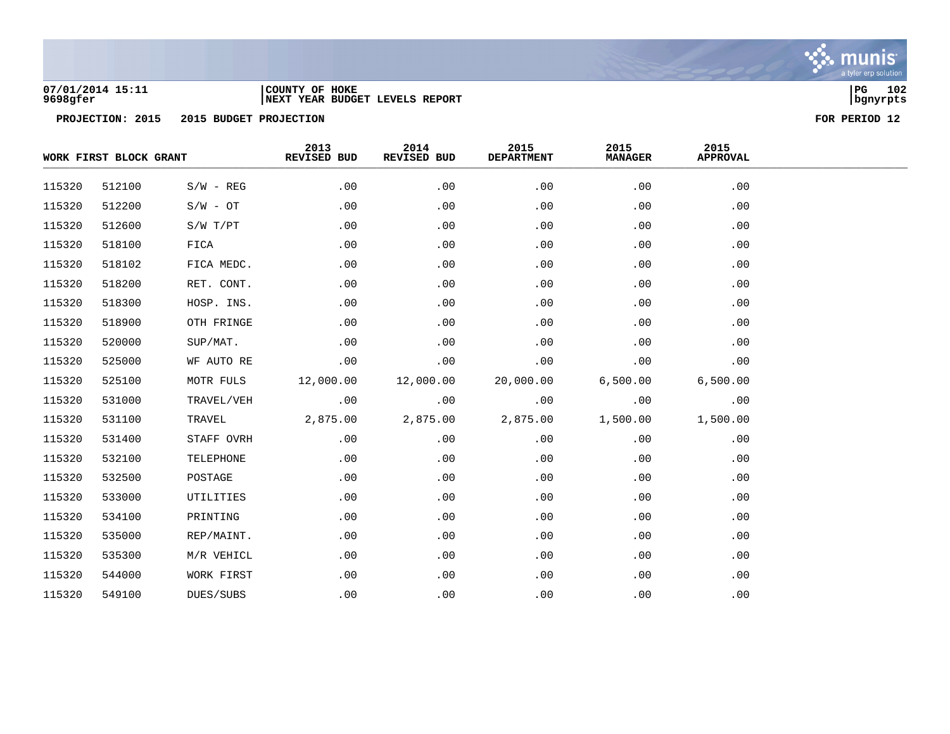

### **07/01/2014 15:11 |COUNTY OF HOKE |PG 102 9698gfer |NEXT YEAR BUDGET LEVELS REPORT |bgnyrpts**

|        | WORK FIRST BLOCK GRANT |              | 2013<br>REVISED BUD | 2014<br>REVISED BUD | 2015<br><b>DEPARTMENT</b> | 2015<br><b>MANAGER</b> | 2015<br><b>APPROVAL</b> |  |
|--------|------------------------|--------------|---------------------|---------------------|---------------------------|------------------------|-------------------------|--|
| 115320 | 512100                 | $S/W - REG$  | .00                 | .00                 | .00                       | .00                    | .00                     |  |
| 115320 | 512200                 | $S/W - OT$   | .00                 | .00                 | .00                       | .00                    | .00                     |  |
| 115320 | 512600                 | $S/W$ $T/PT$ | .00                 | .00                 | .00                       | .00                    | .00                     |  |
| 115320 | 518100                 | FICA         | .00                 | .00                 | .00                       | .00                    | .00                     |  |
| 115320 | 518102                 | FICA MEDC.   | .00                 | .00                 | .00                       | .00                    | .00                     |  |
| 115320 | 518200                 | RET. CONT.   | .00                 | .00                 | .00                       | .00                    | .00                     |  |
| 115320 | 518300                 | HOSP. INS.   | .00                 | .00                 | .00                       | .00                    | .00                     |  |
| 115320 | 518900                 | OTH FRINGE   | .00                 | .00                 | .00                       | .00                    | .00                     |  |
| 115320 | 520000                 | SUP/MAT.     | .00                 | .00                 | .00                       | .00                    | .00                     |  |
| 115320 | 525000                 | WF AUTO RE   | .00                 | .00                 | .00                       | .00                    | .00                     |  |
| 115320 | 525100                 | MOTR FULS    | 12,000.00           | 12,000.00           | 20,000.00                 | 6,500.00               | 6,500.00                |  |
| 115320 | 531000                 | TRAVEL/VEH   | .00                 | .00                 | .00                       | .00                    | .00                     |  |
| 115320 | 531100                 | TRAVEL       | 2,875.00            | 2,875.00            | 2,875.00                  | 1,500.00               | 1,500.00                |  |
| 115320 | 531400                 | STAFF OVRH   | .00                 | .00                 | .00                       | .00                    | .00                     |  |
| 115320 | 532100                 | TELEPHONE    | .00                 | .00                 | .00                       | .00                    | .00                     |  |
| 115320 | 532500                 | POSTAGE      | .00                 | .00                 | .00                       | .00                    | .00                     |  |
| 115320 | 533000                 | UTILITIES    | .00                 | .00                 | .00                       | .00                    | .00                     |  |
| 115320 | 534100                 | PRINTING     | .00                 | .00                 | .00                       | .00                    | .00                     |  |
| 115320 | 535000                 | REP/MAINT.   | .00                 | .00                 | .00                       | .00                    | .00                     |  |
| 115320 | 535300                 | M/R VEHICL   | .00                 | .00                 | .00                       | .00                    | .00                     |  |
| 115320 | 544000                 | WORK FIRST   | .00                 | .00                 | .00                       | .00                    | .00                     |  |
| 115320 | 549100                 | DUES/SUBS    | .00                 | .00                 | .00                       | .00                    | .00                     |  |

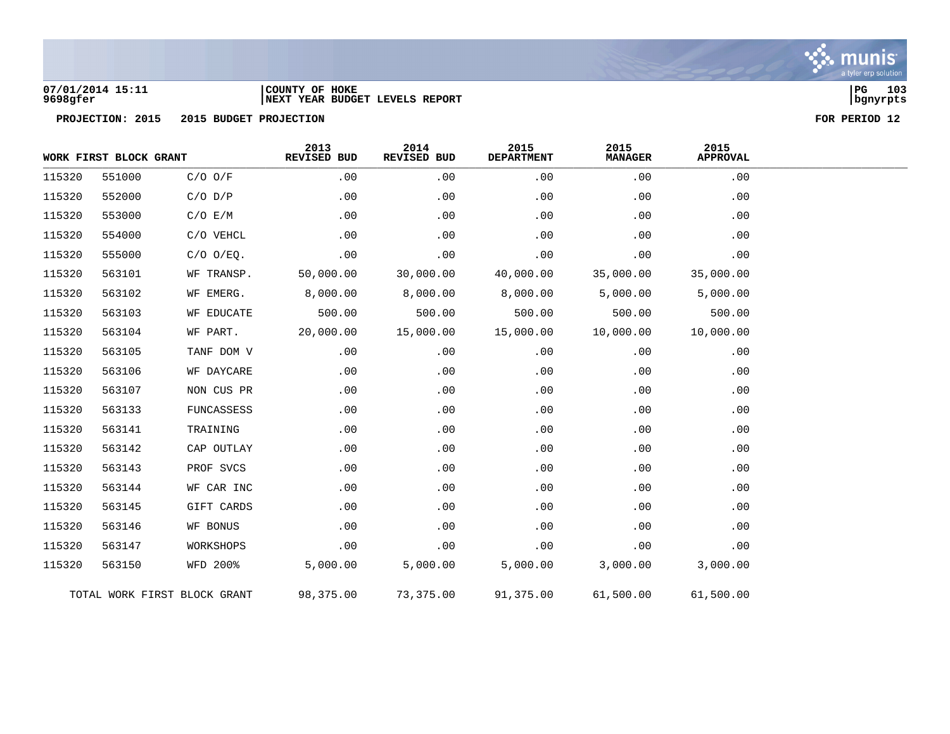

### **07/01/2014 15:11 |COUNTY OF HOKE |PG 103 9698gfer |NEXT YEAR BUDGET LEVELS REPORT |bgnyrpts**

|        | WORK FIRST BLOCK GRANT |                              | 2013<br>REVISED BUD | 2014<br>REVISED BUD | 2015<br><b>DEPARTMENT</b> | 2015<br><b>MANAGER</b> | 2015<br><b>APPROVAL</b> |  |
|--------|------------------------|------------------------------|---------------------|---------------------|---------------------------|------------------------|-------------------------|--|
| 115320 | 551000                 | $C/O$ $O/F$                  | .00                 | .00                 | .00                       | .00                    | .00                     |  |
| 115320 | 552000                 | $C/O$ $D/P$                  | .00                 | .00                 | .00                       | .00                    | .00                     |  |
| 115320 | 553000                 | C/O E/M                      | .00                 | .00                 | .00                       | .00                    | .00                     |  |
| 115320 | 554000                 | C/O VEHCL                    | .00                 | .00                 | .00                       | .00                    | .00                     |  |
| 115320 | 555000                 | $C/O$ $O/EQ$ .               | .00                 | .00                 | .00                       | .00                    | .00                     |  |
| 115320 | 563101                 | WF TRANSP.                   | 50,000.00           | 30,000.00           | 40,000.00                 | 35,000.00              | 35,000.00               |  |
| 115320 | 563102                 | WF EMERG.                    | 8,000.00            | 8,000.00            | 8,000.00                  | 5,000.00               | 5,000.00                |  |
| 115320 | 563103                 | WF EDUCATE                   | 500.00              | 500.00              | 500.00                    | 500.00                 | 500.00                  |  |
| 115320 | 563104                 | WF PART.                     | 20,000.00           | 15,000.00           | 15,000.00                 | 10,000.00              | 10,000.00               |  |
| 115320 | 563105                 | TANF DOM V                   | .00                 | .00                 | .00                       | .00                    | .00                     |  |
| 115320 | 563106                 | WF DAYCARE                   | .00                 | .00                 | .00                       | .00                    | .00                     |  |
| 115320 | 563107                 | NON CUS PR                   | .00                 | .00                 | .00                       | .00                    | .00                     |  |
| 115320 | 563133                 | FUNCASSESS                   | .00                 | .00                 | .00                       | .00                    | .00                     |  |
| 115320 | 563141                 | TRAINING                     | .00                 | .00                 | .00                       | .00                    | .00                     |  |
| 115320 | 563142                 | CAP OUTLAY                   | .00                 | .00                 | .00                       | .00                    | .00                     |  |
| 115320 | 563143                 | PROF SVCS                    | .00                 | .00                 | .00                       | .00                    | .00                     |  |
| 115320 | 563144                 | WF CAR INC                   | .00                 | .00                 | .00                       | .00                    | .00                     |  |
| 115320 | 563145                 | GIFT CARDS                   | .00                 | .00                 | .00                       | .00                    | .00                     |  |
| 115320 | 563146                 | WF BONUS                     | .00                 | .00                 | .00                       | .00                    | .00                     |  |
| 115320 | 563147                 | WORKSHOPS                    | .00                 | .00                 | .00                       | .00                    | .00                     |  |
| 115320 | 563150                 | <b>WFD 200%</b>              | 5,000.00            | 5,000.00            | 5,000.00                  | 3,000.00               | 3,000.00                |  |
|        |                        | TOTAL WORK FIRST BLOCK GRANT | 98,375.00           | 73,375.00           | 91,375.00                 | 61,500.00              | 61,500.00               |  |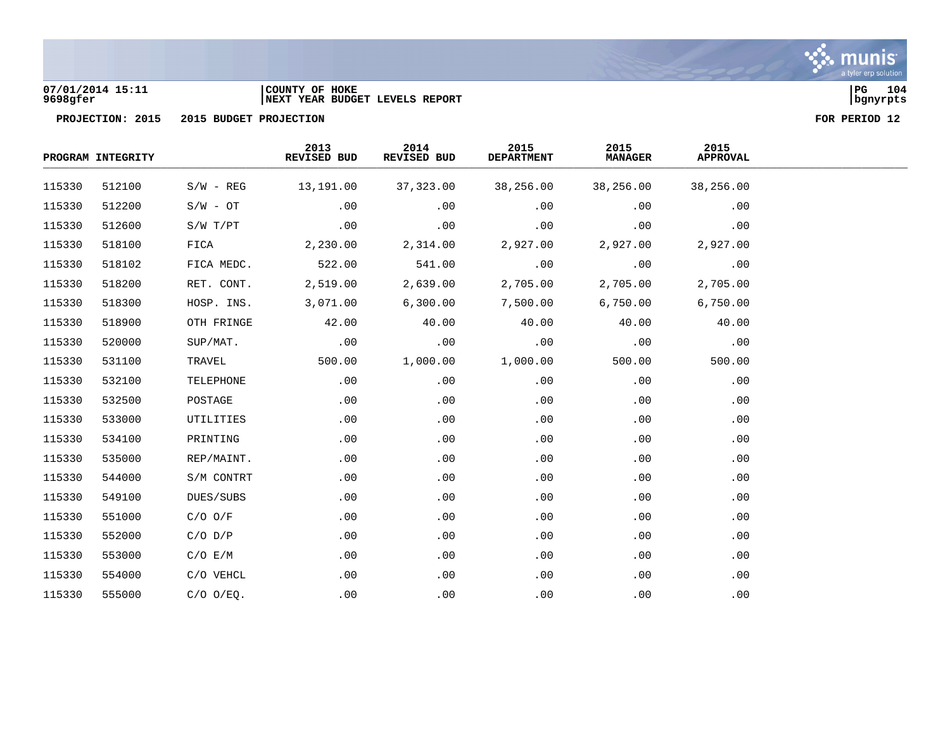

### **07/01/2014 15:11 |COUNTY OF HOKE |PG 104 9698gfer |NEXT YEAR BUDGET LEVELS REPORT |bgnyrpts**

|        | PROGRAM INTEGRITY |                | 2013<br>REVISED BUD | 2014<br>REVISED BUD | 2015<br><b>DEPARTMENT</b> | 2015<br><b>MANAGER</b> | 2015<br><b>APPROVAL</b> |  |
|--------|-------------------|----------------|---------------------|---------------------|---------------------------|------------------------|-------------------------|--|
| 115330 | 512100            | $S/W - REG$    | 13,191.00           | 37,323.00           | 38,256.00                 | 38,256.00              | 38,256.00               |  |
| 115330 | 512200            | $S/W - OT$     | .00                 | .00                 | .00                       | .00                    | .00                     |  |
| 115330 | 512600            | $S/W$ $T/PT$   | .00                 | .00                 | .00                       | .00                    | .00                     |  |
| 115330 | 518100            | FICA           | 2,230.00            | 2,314.00            | 2,927.00                  | 2,927.00               | 2,927.00                |  |
| 115330 | 518102            | FICA MEDC.     | 522.00              | 541.00              | .00                       | .00                    | .00                     |  |
| 115330 | 518200            | RET. CONT.     | 2,519.00            | 2,639.00            | 2,705.00                  | 2,705.00               | 2,705.00                |  |
| 115330 | 518300            | HOSP. INS.     | 3,071.00            | 6,300.00            | 7,500.00                  | 6,750.00               | 6,750.00                |  |
| 115330 | 518900            | OTH FRINGE     | 42.00               | 40.00               | 40.00                     | 40.00                  | 40.00                   |  |
| 115330 | 520000            | SUP/MAT.       | .00                 | .00                 | .00                       | .00                    | .00                     |  |
| 115330 | 531100            | TRAVEL         | 500.00              | 1,000.00            | 1,000.00                  | 500.00                 | 500.00                  |  |
| 115330 | 532100            | TELEPHONE      | .00                 | .00                 | .00                       | .00                    | .00                     |  |
| 115330 | 532500            | POSTAGE        | .00                 | .00                 | .00                       | .00                    | .00                     |  |
| 115330 | 533000            | UTILITIES      | .00                 | .00                 | .00                       | .00                    | .00                     |  |
| 115330 | 534100            | PRINTING       | .00                 | .00                 | .00                       | .00                    | .00                     |  |
| 115330 | 535000            | REP/MAINT.     | .00                 | .00                 | .00                       | .00                    | .00                     |  |
| 115330 | 544000            | S/M CONTRT     | .00                 | .00                 | .00                       | .00                    | .00                     |  |
| 115330 | 549100            | DUES/SUBS      | .00                 | .00                 | .00                       | .00                    | .00                     |  |
| 115330 | 551000            | $C/O$ $O/F$    | .00                 | .00                 | .00                       | .00                    | .00                     |  |
| 115330 | 552000            | $C/O$ $D/P$    | .00                 | .00                 | .00                       | .00                    | .00                     |  |
| 115330 | 553000            | C/O E/M        | .00                 | .00                 | .00                       | .00                    | .00                     |  |
| 115330 | 554000            | C/O VEHCL      | .00                 | .00                 | $.00 \,$                  | .00                    | .00                     |  |
| 115330 | 555000            | $C/O$ $O/EQ$ . | .00                 | .00                 | .00                       | .00                    | .00                     |  |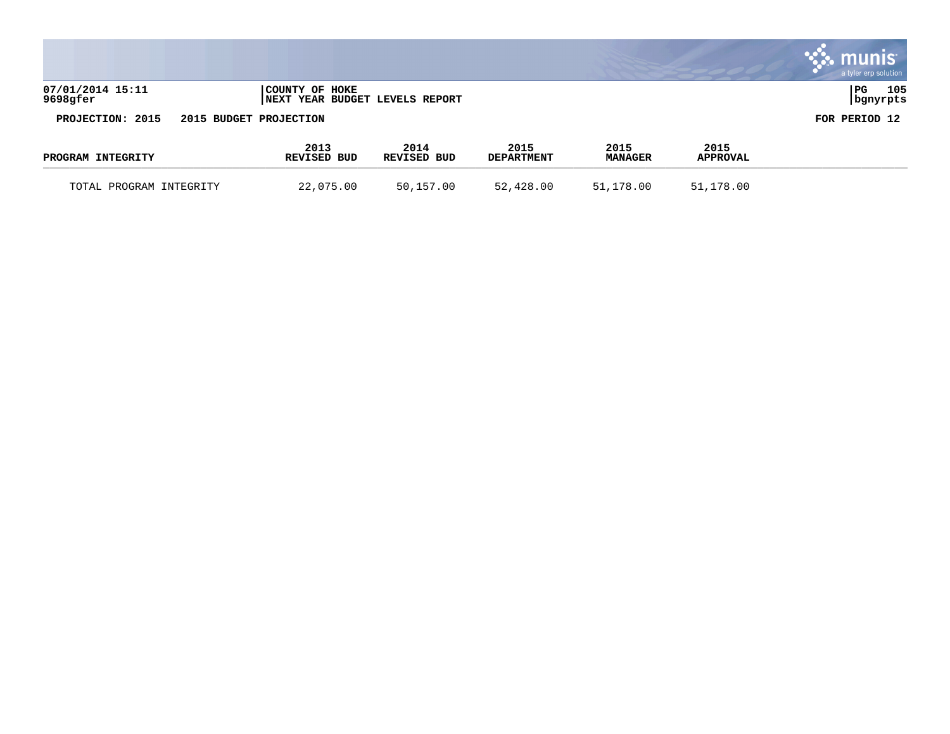|                              |                            |                           |                           |                        |                         | muni<br>a tyler erp solution |
|------------------------------|----------------------------|---------------------------|---------------------------|------------------------|-------------------------|------------------------------|
| 07/01/2014 15:11<br>9698gfer | COUNTY OF HOKE<br>  NEXT   | YEAR BUDGET LEVELS REPORT |                           |                        |                         | PG<br>105<br>  bgnyrpts      |
| PROJECTION: 2015             | 2015 BUDGET PROJECTION     |                           |                           |                        |                         | FOR PERIOD 12                |
| PROGRAM INTEGRITY            | 2013<br><b>REVISED BUD</b> | 2014<br>REVISED BUD       | 2015<br><b>DEPARTMENT</b> | 2015<br><b>MANAGER</b> | 2015<br><b>APPROVAL</b> |                              |

TOTAL PROGRAM INTEGRITY 22,075.00 50,157.00 52,428.00 51,178.00 51,178.00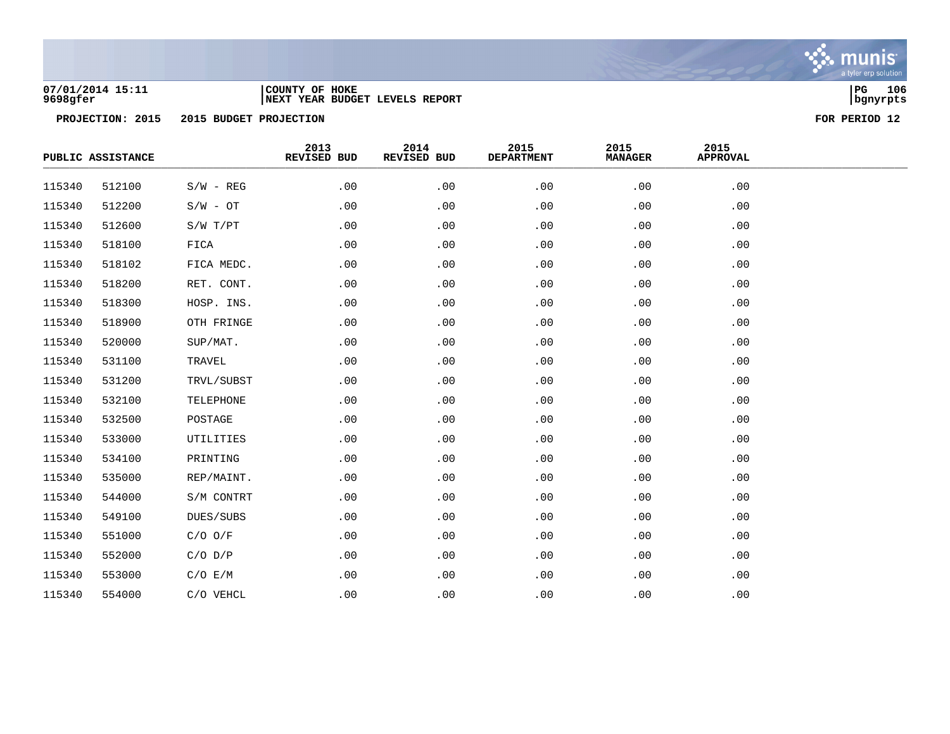

### **07/01/2014 15:11 |COUNTY OF HOKE |PG 106 9698gfer |NEXT YEAR BUDGET LEVELS REPORT |bgnyrpts**

|        | PUBLIC ASSISTANCE |             | 2013<br>REVISED BUD | 2014<br>REVISED BUD | 2015<br><b>DEPARTMENT</b> | 2015<br><b>MANAGER</b> | 2015<br><b>APPROVAL</b> |  |
|--------|-------------------|-------------|---------------------|---------------------|---------------------------|------------------------|-------------------------|--|
| 115340 | 512100            | $S/W - REG$ | .00                 | .00                 | .00                       | .00                    | .00                     |  |
| 115340 | 512200            | $S/W - OT$  | .00                 | .00                 | .00                       | .00                    | .00                     |  |
| 115340 | 512600            | S/W T/PT    | .00                 | .00                 | .00                       | .00                    | .00                     |  |
| 115340 | 518100            | FICA        | .00                 | .00                 | .00                       | .00                    | .00                     |  |
| 115340 | 518102            | FICA MEDC.  | .00                 | .00                 | .00                       | .00                    | .00                     |  |
| 115340 | 518200            | RET. CONT.  | .00                 | .00                 | .00                       | .00                    | .00                     |  |
| 115340 | 518300            | HOSP. INS.  | .00                 | .00                 | .00                       | .00                    | .00                     |  |
| 115340 | 518900            | OTH FRINGE  | .00                 | .00                 | .00                       | .00                    | .00                     |  |
| 115340 | 520000            | SUP/MAT.    | .00                 | .00                 | .00                       | .00                    | .00                     |  |
| 115340 | 531100            | TRAVEL      | .00                 | .00                 | .00                       | .00                    | .00                     |  |
| 115340 | 531200            | TRVL/SUBST  | .00                 | .00                 | .00                       | .00                    | .00                     |  |
| 115340 | 532100            | TELEPHONE   | .00                 | .00                 | .00                       | .00                    | .00                     |  |
| 115340 | 532500            | POSTAGE     | .00                 | .00                 | .00                       | .00                    | .00                     |  |
| 115340 | 533000            | UTILITIES   | .00                 | .00                 | .00                       | .00                    | .00                     |  |
| 115340 | 534100            | PRINTING    | .00                 | .00                 | .00                       | .00                    | .00                     |  |
| 115340 | 535000            | REP/MAINT.  | .00                 | .00                 | .00                       | .00                    | .00                     |  |
| 115340 | 544000            | S/M CONTRT  | .00                 | .00                 | .00                       | .00                    | .00                     |  |
| 115340 | 549100            | DUES/SUBS   | .00                 | .00                 | .00                       | .00                    | .00                     |  |
| 115340 | 551000            | $C/O$ $O/F$ | .00                 | .00                 | .00                       | .00                    | .00                     |  |
| 115340 | 552000            | $C/O$ $D/P$ | .00                 | .00                 | .00                       | .00                    | .00                     |  |
| 115340 | 553000            | C/O E/M     | .00                 | .00                 | .00                       | .00                    | .00                     |  |
| 115340 | 554000            | C/O VEHCL   | .00                 | .00                 | .00                       | .00                    | .00                     |  |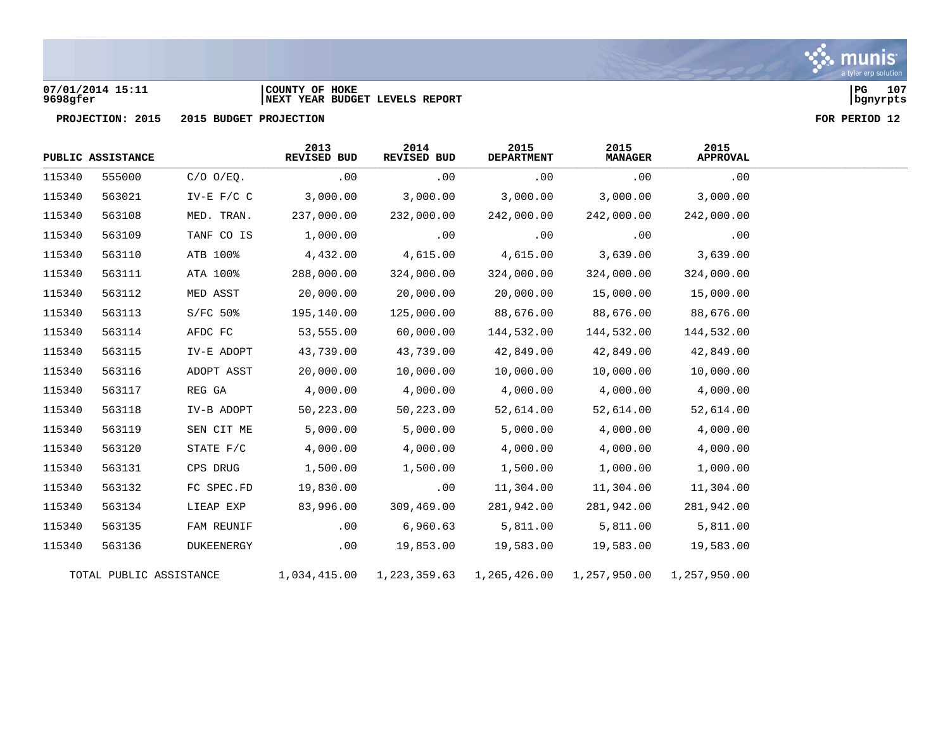

### **07/01/2014 15:11 |COUNTY OF HOKE |PG 107 9698gfer |NEXT YEAR BUDGET LEVELS REPORT |bgnyrpts**

**PROJECTION: 2015 2015 BUDGET PROJECTION FOR PERIOD 12**

|        | PUBLIC ASSISTANCE       |                  | 2013<br><b>REVISED BUD</b> | 2014<br>REVISED BUD | 2015<br><b>DEPARTMENT</b> | 2015<br><b>MANAGER</b> | 2015<br><b>APPROVAL</b> |  |
|--------|-------------------------|------------------|----------------------------|---------------------|---------------------------|------------------------|-------------------------|--|
| 115340 | 555000                  | $C/O$ $O/EQ$ .   | .00                        | .00                 | .00                       | .00                    | .00                     |  |
| 115340 | 563021                  | $IV-E$ $F/C$ $C$ | 3,000.00                   | 3,000.00            | 3,000.00                  | 3,000.00               | 3,000.00                |  |
| 115340 | 563108                  | MED. TRAN.       | 237,000.00                 | 232,000.00          | 242,000.00                | 242,000.00             | 242,000.00              |  |
| 115340 | 563109                  | TANF CO IS       | 1,000.00                   | .00                 | .00                       | .00                    | .00                     |  |
| 115340 | 563110                  | ATB 100%         | 4,432.00                   | 4,615.00            | 4,615.00                  | 3,639.00               | 3,639.00                |  |
| 115340 | 563111                  | ATA 100%         | 288,000.00                 | 324,000.00          | 324,000.00                | 324,000.00             | 324,000.00              |  |
| 115340 | 563112                  | MED ASST         | 20,000.00                  | 20,000.00           | 20,000.00                 | 15,000.00              | 15,000.00               |  |
| 115340 | 563113                  | $S/FC 50$ %      | 195,140.00                 | 125,000.00          | 88,676.00                 | 88,676.00              | 88,676.00               |  |
| 115340 | 563114                  | AFDC FC          | 53,555.00                  | 60,000.00           | 144,532.00                | 144,532.00             | 144,532.00              |  |
| 115340 | 563115                  | IV-E ADOPT       | 43,739.00                  | 43,739.00           | 42,849.00                 | 42,849.00              | 42,849.00               |  |
| 115340 | 563116                  | ADOPT ASST       | 20,000.00                  | 10,000.00           | 10,000.00                 | 10,000.00              | 10,000.00               |  |
| 115340 | 563117                  | REG GA           | 4,000.00                   | 4,000.00            | 4,000.00                  | 4,000.00               | 4,000.00                |  |
| 115340 | 563118                  | IV-B ADOPT       | 50,223.00                  | 50,223.00           | 52,614.00                 | 52,614.00              | 52,614.00               |  |
| 115340 | 563119                  | SEN CIT ME       | 5,000.00                   | 5,000.00            | 5,000.00                  | 4,000.00               | 4,000.00                |  |
| 115340 | 563120                  | STATE F/C        | 4,000.00                   | 4,000.00            | 4,000.00                  | 4,000.00               | 4,000.00                |  |
| 115340 | 563131                  | CPS DRUG         | 1,500.00                   | 1,500.00            | 1,500.00                  | 1,000.00               | 1,000.00                |  |
| 115340 | 563132                  | FC SPEC.FD       | 19,830.00                  | .00                 | 11,304.00                 | 11,304.00              | 11,304.00               |  |
| 115340 | 563134                  | LIEAP EXP        | 83,996.00                  | 309,469.00          | 281,942.00                | 281,942.00             | 281,942.00              |  |
| 115340 | 563135                  | FAM REUNIF       | .00                        | 6,960.63            | 5,811.00                  | 5,811.00               | 5,811.00                |  |
| 115340 | 563136                  | DUKEENERGY       | .00                        | 19,853.00           | 19,583.00                 | 19,583.00              | 19,583.00               |  |
|        | TOTAL PUBLIC ASSISTANCE |                  | 1,034,415.00               | 1,223,359.63        | 1,265,426.00              | 1,257,950.00           | 1,257,950.00            |  |

munis a tyler erp solution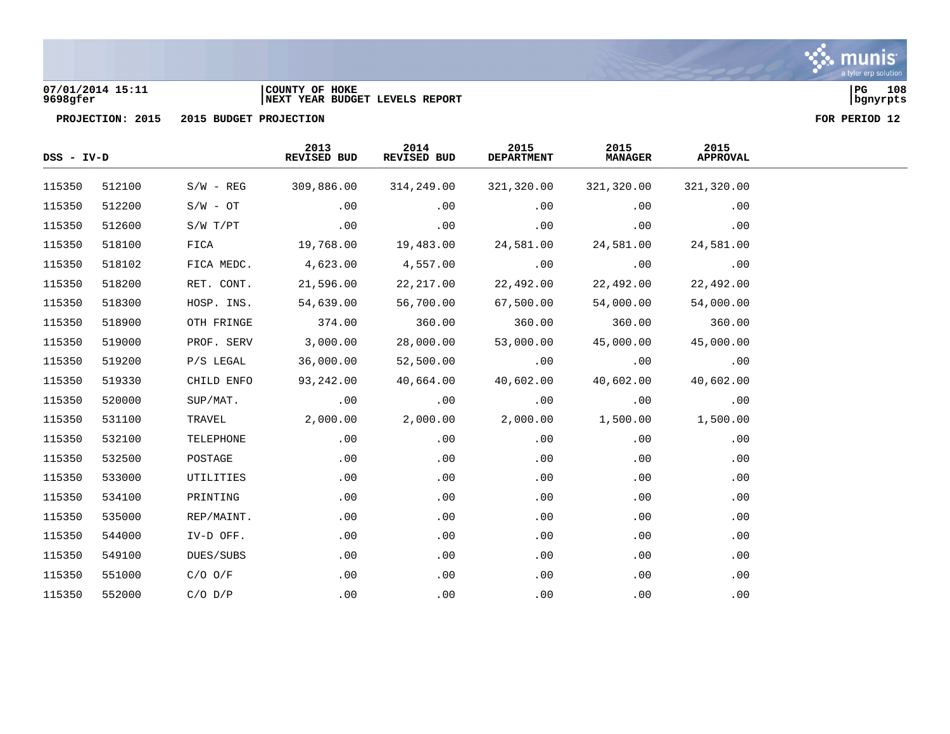

### **07/01/2014 15:11 |COUNTY OF HOKE |PG 108 9698gfer |NEXT YEAR BUDGET LEVELS REPORT |bgnyrpts**

| $DSS - IV-D$ |        |             | 2013<br>REVISED BUD | 2014<br>REVISED BUD | 2015<br><b>DEPARTMENT</b> | 2015<br><b>MANAGER</b> | 2015<br><b>APPROVAL</b> |  |
|--------------|--------|-------------|---------------------|---------------------|---------------------------|------------------------|-------------------------|--|
| 115350       | 512100 | $S/W - REG$ | 309,886.00          | 314,249.00          | 321,320.00                | 321,320.00             | 321,320.00              |  |
| 115350       | 512200 | $S/W - OT$  | .00                 | .00                 | .00                       | .00                    | .00                     |  |
| 115350       | 512600 | S/W T/PT    | .00                 | .00                 | .00                       | .00                    | .00                     |  |
| 115350       | 518100 | FICA        | 19,768.00           | 19,483.00           | 24,581.00                 | 24,581.00              | 24,581.00               |  |
| 115350       | 518102 | FICA MEDC.  | 4,623.00            | 4,557.00            | .00                       | .00                    | .00                     |  |
| 115350       | 518200 | RET. CONT.  | 21,596.00           | 22,217.00           | 22,492.00                 | 22,492.00              | 22,492.00               |  |
| 115350       | 518300 | HOSP. INS.  | 54,639.00           | 56,700.00           | 67,500.00                 | 54,000.00              | 54,000.00               |  |
| 115350       | 518900 | OTH FRINGE  | 374.00              | 360.00              | 360.00                    | 360.00                 | 360.00                  |  |
| 115350       | 519000 | PROF. SERV  | 3,000.00            | 28,000.00           | 53,000.00                 | 45,000.00              | 45,000.00               |  |
| 115350       | 519200 | P/S LEGAL   | 36,000.00           | 52,500.00           | .00                       | .00                    | .00                     |  |
| 115350       | 519330 | CHILD ENFO  | 93,242.00           | 40,664.00           | 40,602.00                 | 40,602.00              | 40,602.00               |  |
| 115350       | 520000 | SUP/MAT.    | .00                 | .00                 | .00                       | .00                    | .00                     |  |
| 115350       | 531100 | TRAVEL      | 2,000.00            | 2,000.00            | 2,000.00                  | 1,500.00               | 1,500.00                |  |
| 115350       | 532100 | TELEPHONE   | .00                 | .00                 | .00                       | .00                    | .00                     |  |
| 115350       | 532500 | POSTAGE     | .00                 | .00                 | .00                       | .00                    | .00                     |  |
| 115350       | 533000 | UTILITIES   | .00                 | .00                 | .00                       | .00                    | .00                     |  |
| 115350       | 534100 | PRINTING    | .00                 | .00                 | .00                       | .00                    | .00                     |  |
| 115350       | 535000 | REP/MAINT.  | .00                 | .00                 | .00                       | .00                    | .00                     |  |
| 115350       | 544000 | IV-D OFF.   | .00                 | .00                 | .00                       | .00                    | .00                     |  |
| 115350       | 549100 | DUES/SUBS   | .00                 | .00                 | .00                       | .00                    | .00                     |  |
| 115350       | 551000 | $C/O$ $O/F$ | .00                 | .00                 | .00                       | .00                    | .00                     |  |
| 115350       | 552000 | $C/O$ $D/P$ | .00                 | .00                 | .00                       | .00                    | .00                     |  |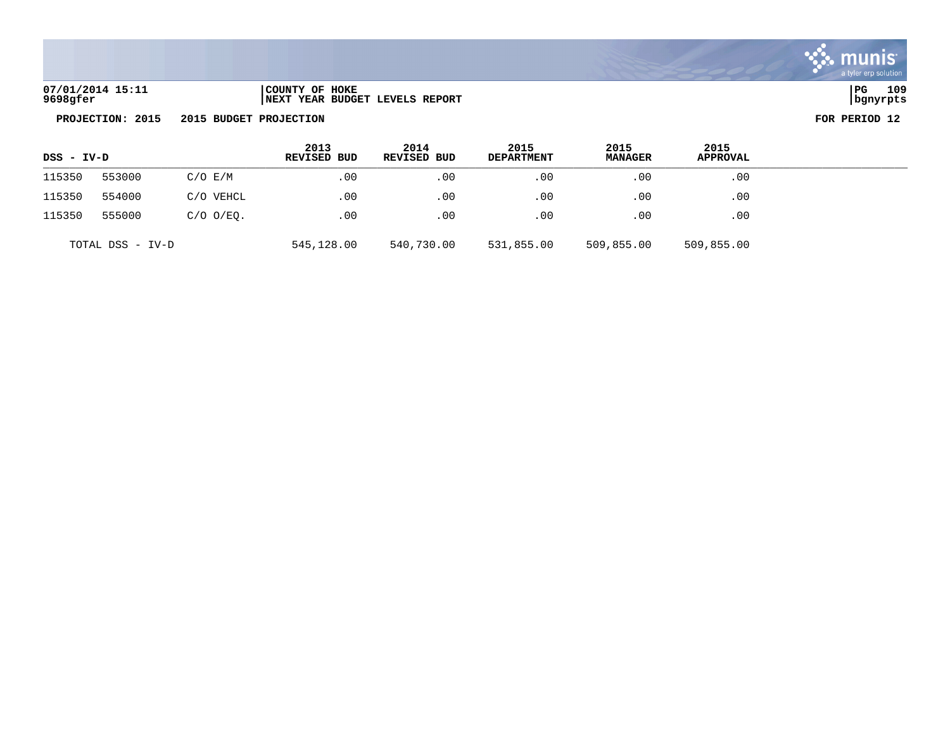

| 07/01/2014 15:11 | COUNTY OF HOKE                  | PG       | 109 |
|------------------|---------------------------------|----------|-----|
| 9698gfer         | INEXT YEAR BUDGET LEVELS REPORT | bgnyrpts |     |

| l PG     | 109 |
|----------|-----|
| bgnyrpts |     |

| DSS - IV-D       |                       | 2013<br><b>REVISED BUD</b> | 2014<br>REVISED BUD | 2015<br><b>DEPARTMENT</b> | 2015<br><b>MANAGER</b> | 2015<br><b>APPROVAL</b> |            |  |
|------------------|-----------------------|----------------------------|---------------------|---------------------------|------------------------|-------------------------|------------|--|
| 115350           | 553000<br>$C/O$ $E/M$ |                            | .00                 | .00                       | .00                    | $.00 \,$                | .00        |  |
| 115350           | 554000                | C/O VEHCL                  | .00                 | .00                       | $.00 \,$               | .00                     | .00        |  |
| 115350           | 555000                | $C/O$ $O/EO$ .             | .00                 | .00                       | .00                    | .00                     | .00        |  |
| TOTAL DSS - IV-D |                       |                            | 545,128.00          | 540,730.00                | 531,855.00             | 509,855.00              | 509,855.00 |  |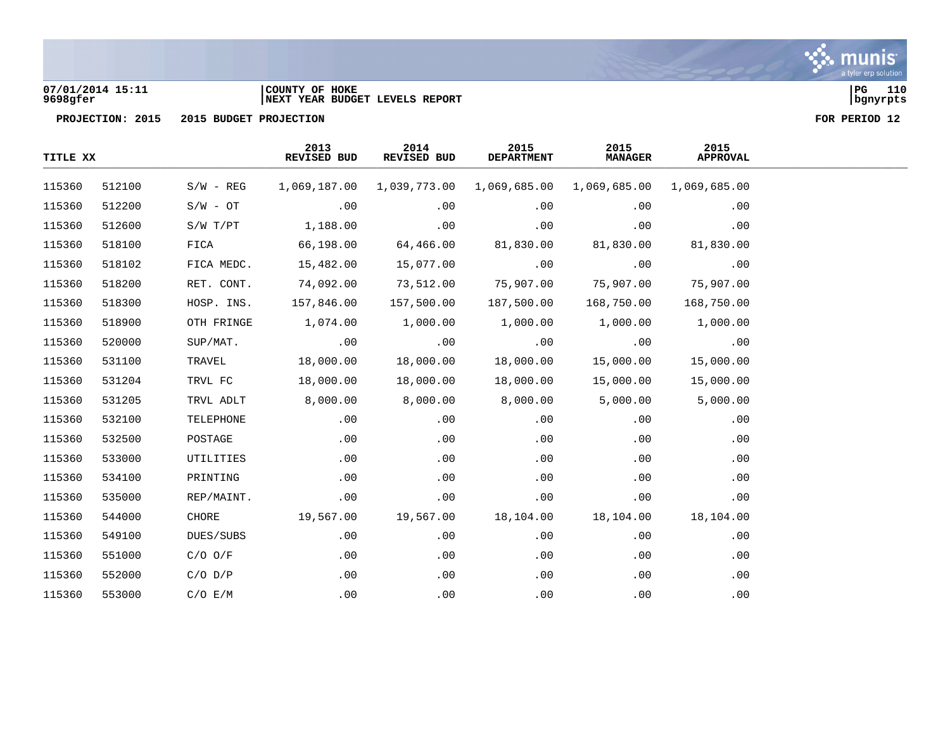

### **07/01/2014 15:11 |COUNTY OF HOKE |PG 110 9698gfer |NEXT YEAR BUDGET LEVELS REPORT |bgnyrpts**

| TITLE XX |        |              | 2013<br>REVISED BUD | 2014<br>REVISED BUD | 2015<br><b>DEPARTMENT</b> | 2015<br><b>MANAGER</b> | 2015<br><b>APPROVAL</b> |  |
|----------|--------|--------------|---------------------|---------------------|---------------------------|------------------------|-------------------------|--|
| 115360   | 512100 | $S/W - REG$  | 1,069,187.00        | 1,039,773.00        | 1,069,685.00              | 1,069,685.00           | 1,069,685.00            |  |
| 115360   | 512200 | $S/W - OT$   | .00                 | .00                 | .00                       | .00                    | .00                     |  |
| 115360   | 512600 | $S/W$ $T/PT$ | 1,188.00            | .00                 | .00                       | .00                    | .00                     |  |
| 115360   | 518100 | FICA         | 66,198.00           | 64,466.00           | 81,830.00                 | 81,830.00              | 81,830.00               |  |
| 115360   | 518102 | FICA MEDC.   | 15,482.00           | 15,077.00           | .00                       | .00                    | .00                     |  |
| 115360   | 518200 | RET. CONT.   | 74,092.00           | 73,512.00           | 75,907.00                 | 75,907.00              | 75,907.00               |  |
| 115360   | 518300 | HOSP. INS.   | 157,846.00          | 157,500.00          | 187,500.00                | 168,750.00             | 168,750.00              |  |
| 115360   | 518900 | OTH FRINGE   | 1,074.00            | 1,000.00            | 1,000.00                  | 1,000.00               | 1,000.00                |  |
| 115360   | 520000 | SUP/MAT.     | .00                 | .00                 | .00                       | .00                    | .00                     |  |
| 115360   | 531100 | TRAVEL       | 18,000.00           | 18,000.00           | 18,000.00                 | 15,000.00              | 15,000.00               |  |
| 115360   | 531204 | TRVL FC      | 18,000.00           | 18,000.00           | 18,000.00                 | 15,000.00              | 15,000.00               |  |
| 115360   | 531205 | TRVL ADLT    | 8,000.00            | 8,000.00            | 8,000.00                  | 5,000.00               | 5,000.00                |  |
| 115360   | 532100 | TELEPHONE    | .00                 | .00                 | .00                       | .00                    | .00                     |  |
| 115360   | 532500 | POSTAGE      | .00                 | .00                 | .00                       | .00                    | .00                     |  |
| 115360   | 533000 | UTILITIES    | .00                 | .00                 | .00                       | .00                    | .00                     |  |
| 115360   | 534100 | PRINTING     | .00                 | .00                 | .00                       | .00                    | .00                     |  |
| 115360   | 535000 | REP/MAINT.   | .00                 | .00                 | .00                       | .00                    | .00                     |  |
| 115360   | 544000 | CHORE        | 19,567.00           | 19,567.00           | 18,104.00                 | 18,104.00              | 18,104.00               |  |
| 115360   | 549100 | DUES/SUBS    | .00                 | .00                 | .00                       | .00                    | .00                     |  |
| 115360   | 551000 | $C/O$ $O/F$  | .00                 | .00                 | .00                       | .00                    | .00                     |  |
| 115360   | 552000 | $C/O$ $D/P$  | .00                 | .00                 | .00                       | .00                    | .00                     |  |
| 115360   | 553000 | C/O E/M      | .00                 | .00                 | .00                       | .00                    | .00                     |  |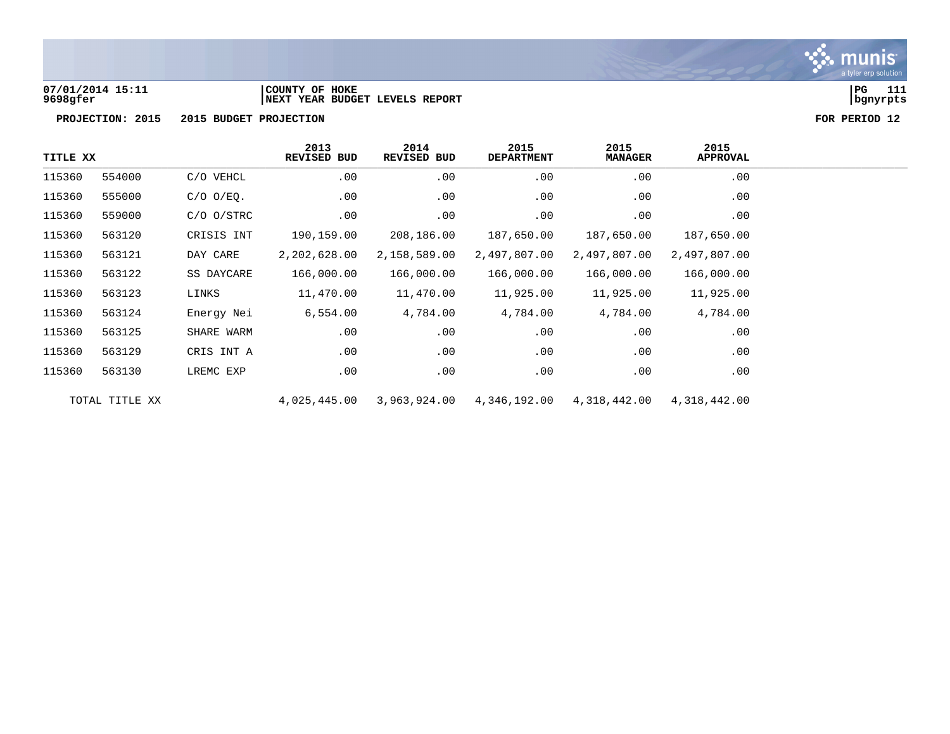

**07/01/2014 15:11 |COUNTY OF HOKE |PG 111 9698gfer |NEXT YEAR BUDGET LEVELS REPORT |bgnyrpts**

| TITLE XX |                |                | 2013<br><b>REVISED BUD</b> | 2014<br>REVISED BUD | 2015<br><b>DEPARTMENT</b> | 2015<br><b>MANAGER</b> | 2015<br>APPROVAL |
|----------|----------------|----------------|----------------------------|---------------------|---------------------------|------------------------|------------------|
| 115360   | 554000         | C/O VEHCL      | .00                        | .00                 | .00                       | .00                    | .00              |
| 115360   | 555000         | $C/O$ $O/EQ$ . | .00                        | .00                 | .00                       | .00                    | .00              |
| 115360   | 559000         | $C/O$ $O/STRC$ | .00                        | .00                 | .00                       | .00                    | .00              |
| 115360   | 563120         | CRISIS INT     | 190,159.00                 | 208,186.00          | 187,650.00                | 187,650.00             | 187,650.00       |
| 115360   | 563121         | DAY CARE       | 2,202,628.00               | 2,158,589.00        | 2,497,807.00              | 2,497,807.00           | 2,497,807.00     |
| 115360   | 563122         | SS DAYCARE     | 166,000.00                 | 166,000.00          | 166,000.00                | 166,000.00             | 166,000.00       |
| 115360   | 563123         | LINKS          | 11,470.00                  | 11,470.00           | 11,925.00                 | 11,925.00              | 11,925.00        |
| 115360   | 563124         | Energy Nei     | 6,554.00                   | 4,784.00            | 4,784.00                  | 4,784.00               | 4,784.00         |
| 115360   | 563125         | SHARE WARM     | .00                        | .00                 | .00                       | .00                    | .00              |
| 115360   | 563129         | CRIS INT A     | .00                        | .00                 | .00                       | .00                    | .00              |
| 115360   | 563130         | LREMC EXP      | .00                        | .00                 | .00                       | $.00 \,$               | .00              |
|          | TOTAL TITLE XX |                | 4,025,445.00               | 3,963,924.00        | 4,346,192.00              | 4,318,442.00           | 4,318,442.00     |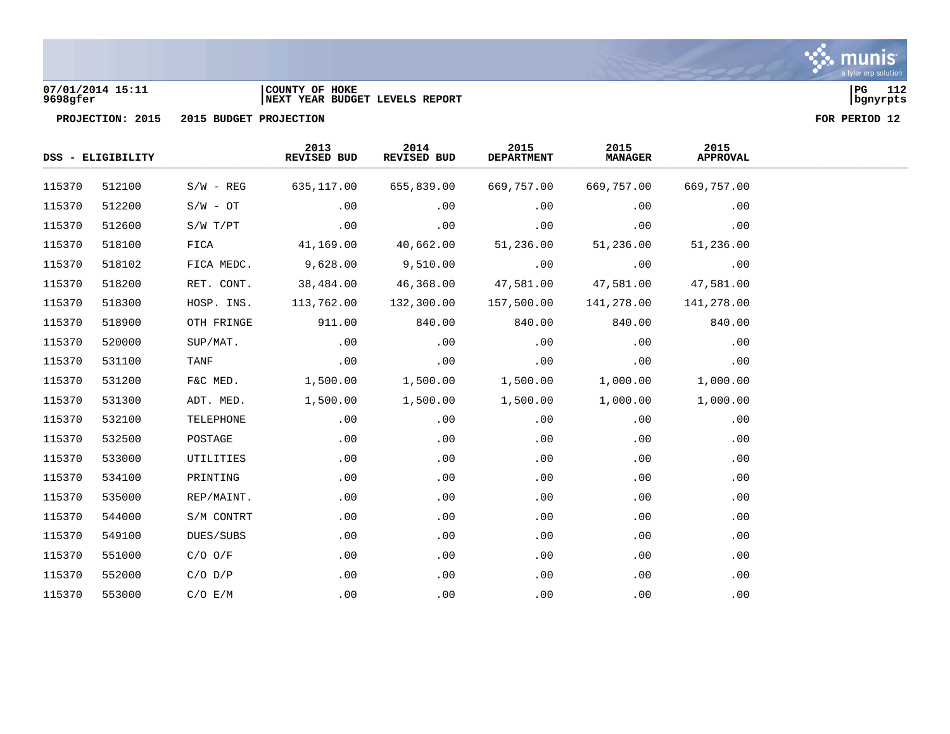

### **07/01/2014 15:11 |COUNTY OF HOKE |PG 112 9698gfer |NEXT YEAR BUDGET LEVELS REPORT |bgnyrpts**

|        | DSS - ELIGIBILITY |             |            |            |            |            | 2013<br>REVISED BUD | 2014<br>REVISED BUD | 2015<br><b>DEPARTMENT</b> | 2015<br><b>MANAGER</b> | 2015<br><b>APPROVAL</b> |  |
|--------|-------------------|-------------|------------|------------|------------|------------|---------------------|---------------------|---------------------------|------------------------|-------------------------|--|
| 115370 | 512100            | $S/W - REG$ | 635,117.00 | 655,839.00 | 669,757.00 | 669,757.00 | 669,757.00          |                     |                           |                        |                         |  |
| 115370 | 512200            | $S/W - OT$  | .00        | .00        | .00        | .00        | .00                 |                     |                           |                        |                         |  |
| 115370 | 512600            | S/W T/PT    | .00        | .00        | .00        | .00        | .00                 |                     |                           |                        |                         |  |
| 115370 | 518100            | FICA        | 41,169.00  | 40,662.00  | 51,236.00  | 51,236.00  | 51,236.00           |                     |                           |                        |                         |  |
| 115370 | 518102            | FICA MEDC.  | 9,628.00   | 9,510.00   | .00        | .00        | .00                 |                     |                           |                        |                         |  |
| 115370 | 518200            | RET. CONT.  | 38,484.00  | 46,368.00  | 47,581.00  | 47,581.00  | 47,581.00           |                     |                           |                        |                         |  |
| 115370 | 518300            | HOSP. INS.  | 113,762.00 | 132,300.00 | 157,500.00 | 141,278.00 | 141,278.00          |                     |                           |                        |                         |  |
| 115370 | 518900            | OTH FRINGE  | 911.00     | 840.00     | 840.00     | 840.00     | 840.00              |                     |                           |                        |                         |  |
| 115370 | 520000            | SUP/MAT.    | .00        | .00        | .00        | .00        | .00                 |                     |                           |                        |                         |  |
| 115370 | 531100            | TANF        | .00        | .00        | .00        | .00        | .00                 |                     |                           |                        |                         |  |
| 115370 | 531200            | F&C MED.    | 1,500.00   | 1,500.00   | 1,500.00   | 1,000.00   | 1,000.00            |                     |                           |                        |                         |  |
| 115370 | 531300            | ADT. MED.   | 1,500.00   | 1,500.00   | 1,500.00   | 1,000.00   | 1,000.00            |                     |                           |                        |                         |  |
| 115370 | 532100            | TELEPHONE   | .00        | .00        | .00        | .00        | .00                 |                     |                           |                        |                         |  |
| 115370 | 532500            | POSTAGE     | .00        | .00        | .00        | .00        | .00                 |                     |                           |                        |                         |  |
| 115370 | 533000            | UTILITIES   | .00        | .00        | .00        | .00        | .00                 |                     |                           |                        |                         |  |
| 115370 | 534100            | PRINTING    | $.00 \,$   | .00        | .00        | .00        | .00                 |                     |                           |                        |                         |  |
| 115370 | 535000            | REP/MAINT.  | .00        | .00        | .00        | .00        | .00                 |                     |                           |                        |                         |  |
| 115370 | 544000            | S/M CONTRT  | .00        | .00        | .00        | .00        | .00                 |                     |                           |                        |                         |  |
| 115370 | 549100            | DUES/SUBS   | .00        | .00        | .00        | .00        | .00                 |                     |                           |                        |                         |  |
| 115370 | 551000            | $C/O$ $O/F$ | .00        | .00        | .00        | .00        | .00                 |                     |                           |                        |                         |  |
| 115370 | 552000            | $C/O$ $D/P$ | .00        | .00        | .00        | .00        | .00                 |                     |                           |                        |                         |  |
| 115370 | 553000            | C/O E/M     | .00        | .00        | .00        | .00        | .00                 |                     |                           |                        |                         |  |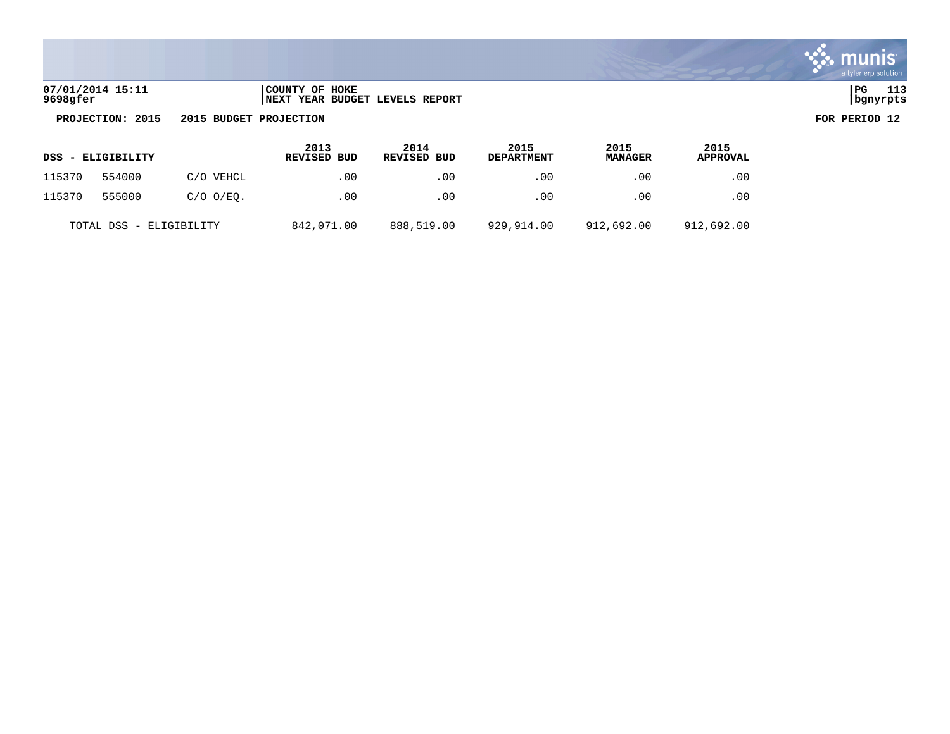| 07/01/2014 15:11 | COUNTY OF HOKE                 | l PG     | . |
|------------------|--------------------------------|----------|---|
| 9698gfer         | NEXT YEAR BUDGET LEVELS REPORT | bqnyrpts |   |

|        | DSS - ELIGIBILITY<br>554000<br>C/O VEHCL |                | 2013<br>REVISED BUD | 2014<br>REVISED BUD | 2015<br><b>DEPARTMENT</b> | 2015<br><b>MANAGER</b> | 2015<br><b>APPROVAL</b> |  |
|--------|------------------------------------------|----------------|---------------------|---------------------|---------------------------|------------------------|-------------------------|--|
| 115370 |                                          |                | .00                 | .00                 | $.00 \,$                  | .00                    | .00                     |  |
| 115370 | 555000                                   | $C/O$ $O/EO$ . | .00                 | .00                 | .00                       | .00                    | .00                     |  |
|        | TOTAL DSS - ELIGIBILITY                  |                | 842,071.00          | 888,519.00          | 929,914.00                | 912,692.00             | 912,692.00              |  |

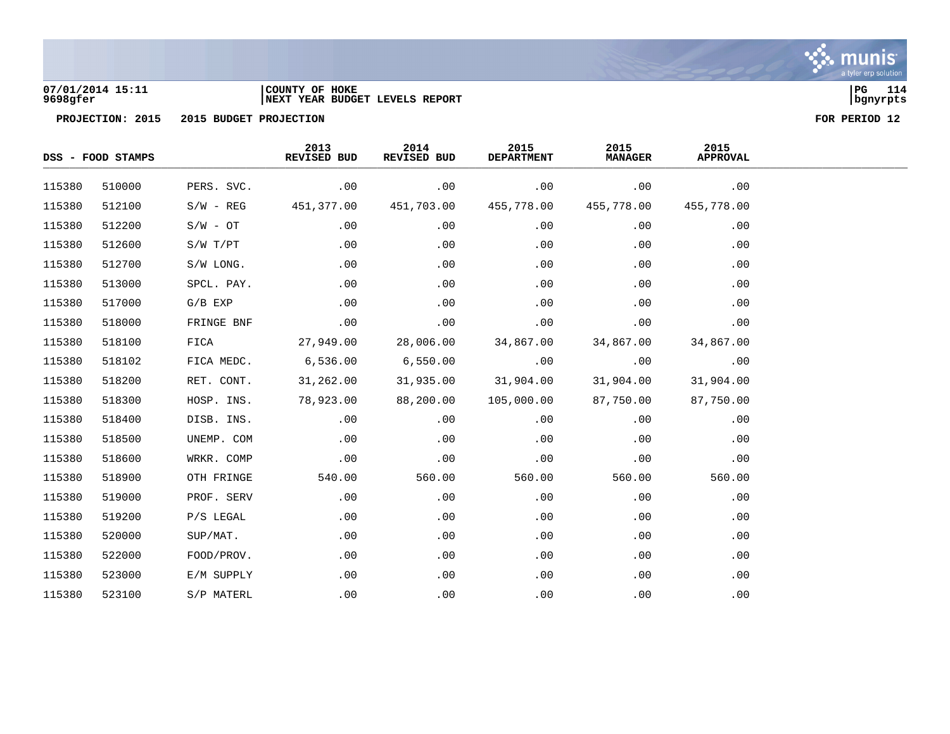

## **07/01/2014 15:11 |COUNTY OF HOKE |PG 114 9698gfer |NEXT YEAR BUDGET LEVELS REPORT |bgnyrpts**



|        | DSS - FOOD STAMPS |             |            |            | 2013<br>2014<br>REVISED BUD<br>REVISED BUD |            | 2015<br><b>DEPARTMENT</b> | 2015<br><b>MANAGER</b> | 2015<br><b>APPROVAL</b> |  |
|--------|-------------------|-------------|------------|------------|--------------------------------------------|------------|---------------------------|------------------------|-------------------------|--|
| 115380 | 510000            | PERS. SVC.  | .00        | .00        | .00                                        | .00        | .00                       |                        |                         |  |
| 115380 | 512100            | $S/W - REG$ | 451,377.00 | 451,703.00 | 455,778.00                                 | 455,778.00 | 455,778.00                |                        |                         |  |
| 115380 | 512200            | $S/W - OT$  | .00        | .00        | .00                                        | .00        | .00                       |                        |                         |  |
| 115380 | 512600            | S/W T/PT    | .00        | .00        | .00                                        | .00        | .00                       |                        |                         |  |
| 115380 | 512700            | S/W LONG.   | .00        | .00        | .00                                        | .00        | .00                       |                        |                         |  |
| 115380 | 513000            | SPCL. PAY.  | .00        | .00        | .00                                        | .00        | .00                       |                        |                         |  |
| 115380 | 517000            | $G/B$ EXP   | .00        | .00        | .00                                        | .00        | .00                       |                        |                         |  |
| 115380 | 518000            | FRINGE BNF  | .00        | .00        | .00                                        | .00        | .00                       |                        |                         |  |
| 115380 | 518100            | FICA        | 27,949.00  | 28,006.00  | 34,867.00                                  | 34,867.00  | 34,867.00                 |                        |                         |  |
| 115380 | 518102            | FICA MEDC.  | 6,536.00   | 6,550.00   | .00                                        | .00        | .00                       |                        |                         |  |
| 115380 | 518200            | RET. CONT.  | 31,262.00  | 31,935.00  | 31,904.00                                  | 31,904.00  | 31,904.00                 |                        |                         |  |
| 115380 | 518300            | HOSP. INS.  | 78,923.00  | 88,200.00  | 105,000.00                                 | 87,750.00  | 87,750.00                 |                        |                         |  |
| 115380 | 518400            | DISB. INS.  | .00        | .00        | .00                                        | .00        | .00                       |                        |                         |  |
| 115380 | 518500            | UNEMP. COM  | .00        | .00        | .00                                        | .00        | .00                       |                        |                         |  |
| 115380 | 518600            | WRKR. COMP  | .00        | .00        | .00                                        | .00        | .00                       |                        |                         |  |
| 115380 | 518900            | OTH FRINGE  | 540.00     | 560.00     | 560.00                                     | 560.00     | 560.00                    |                        |                         |  |
| 115380 | 519000            | PROF. SERV  | .00        | .00        | .00                                        | .00        | .00                       |                        |                         |  |
| 115380 | 519200            | P/S LEGAL   | .00        | .00        | .00                                        | .00        | .00                       |                        |                         |  |
| 115380 | 520000            | SUP/MAT.    | .00        | .00        | .00                                        | .00        | .00                       |                        |                         |  |
| 115380 | 522000            | FOOD/PROV.  | .00        | .00        | .00                                        | .00        | .00                       |                        |                         |  |
| 115380 | 523000            | E/M SUPPLY  | .00        | .00        | .00                                        | .00        | .00                       |                        |                         |  |
| 115380 | 523100            | S/P MATERL  | .00        | .00        | .00                                        | .00        | .00                       |                        |                         |  |

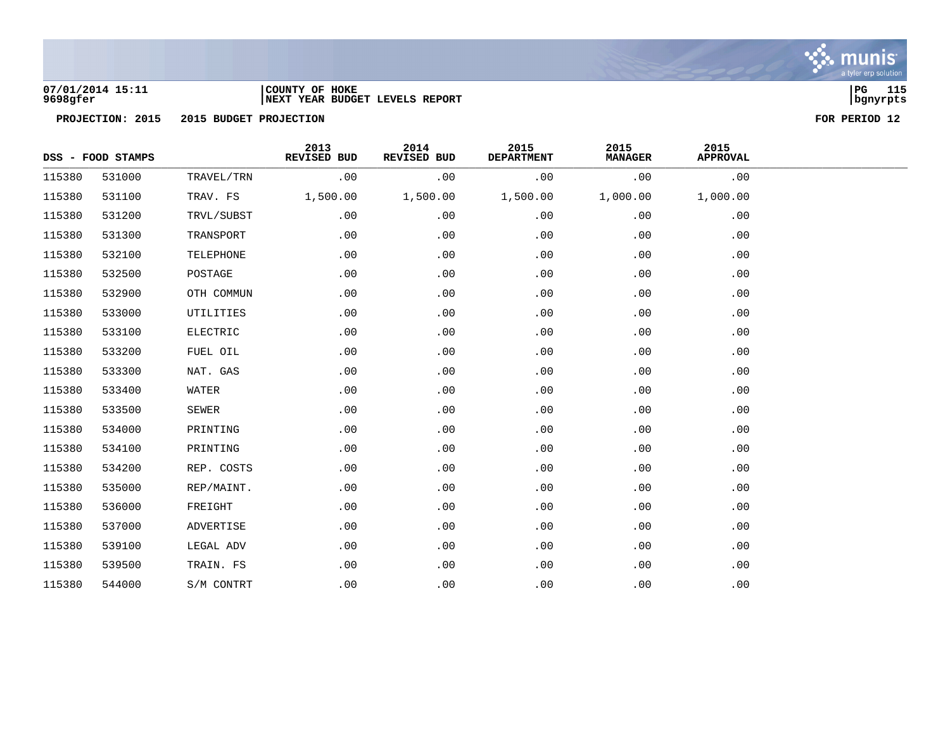

### **07/01/2014 15:11 |COUNTY OF HOKE |PG 115 9698gfer |NEXT YEAR BUDGET LEVELS REPORT |bgnyrpts**

|        | DSS - FOOD STAMPS |              | 2013<br>REVISED BUD | 2014<br>REVISED BUD | 2015<br><b>DEPARTMENT</b> | 2015<br><b>MANAGER</b> | 2015<br><b>APPROVAL</b> |  |
|--------|-------------------|--------------|---------------------|---------------------|---------------------------|------------------------|-------------------------|--|
| 115380 | 531000            | TRAVEL/TRN   | .00                 | .00                 | .00                       | .00                    | .00                     |  |
| 115380 | 531100            | TRAV. FS     | 1,500.00            | 1,500.00            | 1,500.00                  | 1,000.00               | 1,000.00                |  |
| 115380 | 531200            | TRVL/SUBST   | .00                 | .00                 | .00                       | .00                    | .00                     |  |
| 115380 | 531300            | TRANSPORT    | .00                 | .00                 | .00                       | .00                    | .00                     |  |
| 115380 | 532100            | TELEPHONE    | .00                 | .00                 | .00                       | .00                    | .00                     |  |
| 115380 | 532500            | POSTAGE      | .00                 | .00                 | .00                       | .00                    | .00                     |  |
| 115380 | 532900            | OTH COMMUN   | .00                 | .00                 | .00                       | .00                    | .00                     |  |
| 115380 | 533000            | UTILITIES    | .00                 | .00                 | .00                       | .00                    | .00                     |  |
| 115380 | 533100            | ELECTRIC     | .00                 | .00                 | .00                       | .00                    | .00                     |  |
| 115380 | 533200            | FUEL OIL     | .00                 | .00                 | .00                       | .00                    | .00                     |  |
| 115380 | 533300            | NAT. GAS     | .00                 | .00                 | .00                       | .00                    | .00                     |  |
| 115380 | 533400            | WATER        | .00                 | .00                 | .00                       | .00                    | .00                     |  |
| 115380 | 533500            | <b>SEWER</b> | .00                 | .00                 | .00                       | .00                    | .00                     |  |
| 115380 | 534000            | PRINTING     | .00                 | .00                 | .00                       | .00                    | .00                     |  |
| 115380 | 534100            | PRINTING     | .00                 | .00                 | .00                       | .00                    | .00                     |  |
| 115380 | 534200            | REP. COSTS   | .00                 | .00                 | .00                       | .00                    | .00                     |  |
| 115380 | 535000            | REP/MAINT.   | .00                 | .00                 | .00                       | .00                    | .00                     |  |
| 115380 | 536000            | FREIGHT      | .00                 | .00                 | .00                       | .00                    | .00                     |  |
| 115380 | 537000            | ADVERTISE    | .00                 | .00                 | .00                       | .00                    | .00                     |  |
| 115380 | 539100            | LEGAL ADV    | .00                 | .00                 | .00                       | .00                    | .00                     |  |
| 115380 | 539500            | TRAIN. FS    | .00                 | .00                 | .00                       | .00                    | .00                     |  |
| 115380 | 544000            | S/M CONTRT   | .00                 | .00                 | .00                       | .00                    | .00                     |  |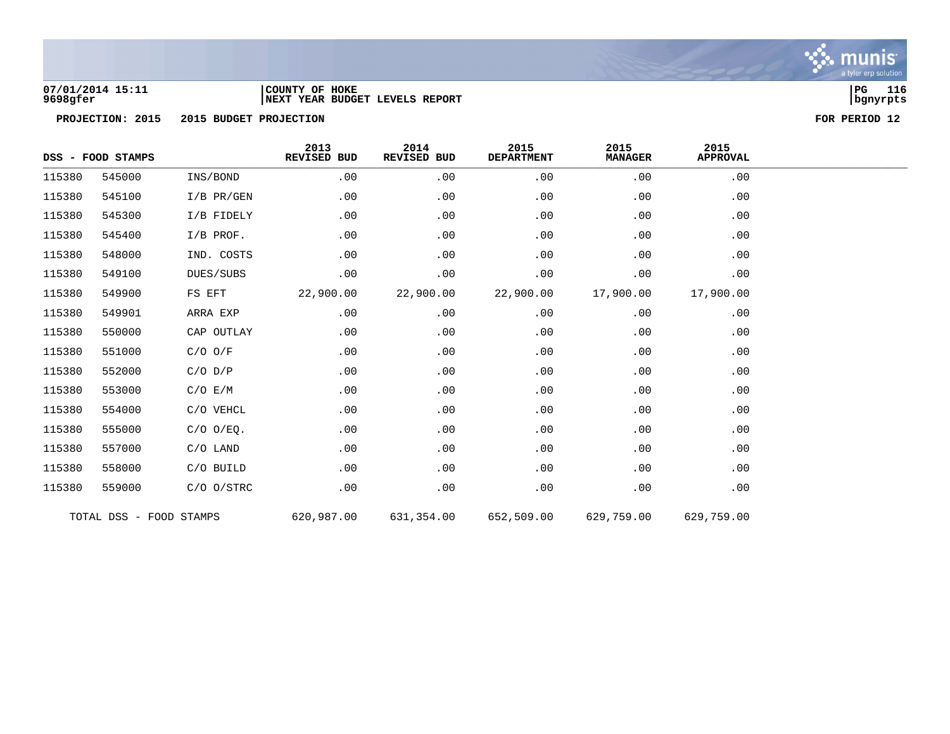

### **07/01/2014 15:11 |COUNTY OF HOKE |PG 116 9698gfer |NEXT YEAR BUDGET LEVELS REPORT |bgnyrpts**

|        | DSS - FOOD STAMPS       |                | 2013<br>REVISED BUD | 2014<br>REVISED BUD | 2015<br><b>DEPARTMENT</b> | 2015<br><b>MANAGER</b> | 2015<br><b>APPROVAL</b> |
|--------|-------------------------|----------------|---------------------|---------------------|---------------------------|------------------------|-------------------------|
| 115380 | 545000                  | INS/BOND       | .00                 | .00                 | .00                       | .00                    | .00                     |
| 115380 | 545100                  | $I/B$ PR/GEN   | .00                 | .00                 | .00                       | .00                    | .00                     |
| 115380 | 545300                  | I/B FIDELY     | .00                 | .00                 | .00                       | .00                    | .00                     |
| 115380 | 545400                  | $I/B$ PROF.    | .00                 | .00                 | .00                       | .00                    | .00                     |
| 115380 | 548000                  | IND. COSTS     | .00                 | .00                 | .00                       | .00                    | .00                     |
| 115380 | 549100                  | DUES/SUBS      | .00                 | .00                 | .00                       | .00                    | .00                     |
| 115380 | 549900                  | FS EFT         | 22,900.00           | 22,900.00           | 22,900.00                 | 17,900.00              | 17,900.00               |
| 115380 | 549901                  | ARRA EXP       | .00                 | .00                 | .00                       | .00                    | .00                     |
| 115380 | 550000                  | CAP OUTLAY     | .00                 | .00                 | .00                       | .00                    | .00                     |
| 115380 | 551000                  | $C/O$ $O/F$    | .00                 | .00                 | .00                       | .00                    | .00                     |
| 115380 | 552000                  | $C/O$ $D/P$    | .00                 | .00                 | .00                       | .00                    | .00                     |
| 115380 | 553000                  | C/O E/M        | .00                 | .00                 | .00                       | .00                    | .00                     |
| 115380 | 554000                  | C/O VEHCL      | .00                 | .00                 | .00                       | .00                    | .00                     |
| 115380 | 555000                  | $C/O$ $O/EQ$ . | .00                 | .00                 | .00                       | .00                    | .00                     |
| 115380 | 557000                  | $C/O$ LAND     | .00                 | .00                 | .00                       | .00                    | .00                     |
| 115380 | 558000                  | C/O BUILD      | .00                 | .00                 | .00                       | .00                    | .00                     |
| 115380 | 559000                  | $C/O$ $O/STRC$ | .00                 | .00                 | .00                       | .00                    | .00                     |
|        | TOTAL DSS - FOOD STAMPS |                | 620,987.00          | 631,354.00          | 652,509.00                | 629,759.00             | 629,759.00              |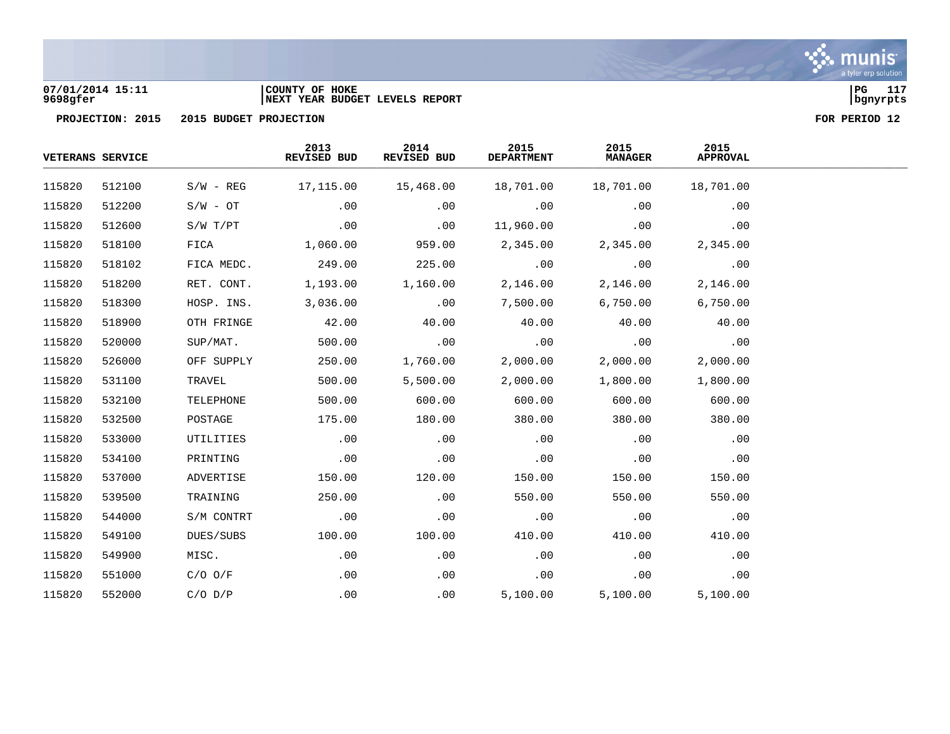

### **07/01/2014 15:11 |COUNTY OF HOKE |PG 117 9698gfer |NEXT YEAR BUDGET LEVELS REPORT |bgnyrpts**

|        | <b>VETERANS SERVICE</b> |             | 2013<br>REVISED BUD | 2014<br>REVISED BUD | 2015<br><b>DEPARTMENT</b> | 2015<br><b>MANAGER</b> | 2015<br><b>APPROVAL</b> |  |
|--------|-------------------------|-------------|---------------------|---------------------|---------------------------|------------------------|-------------------------|--|
| 115820 | 512100                  | $S/W - REG$ | 17,115.00           | 15,468.00           | 18,701.00                 | 18,701.00              | 18,701.00               |  |
| 115820 | 512200                  | $S/W - OT$  | .00                 | .00                 | .00                       | .00                    | .00                     |  |
| 115820 | 512600                  | S/W T/PT    | .00                 | .00                 | 11,960.00                 | .00                    | .00                     |  |
| 115820 | 518100                  | FICA        | 1,060.00            | 959.00              | 2,345.00                  | 2,345.00               | 2,345.00                |  |
| 115820 | 518102                  | FICA MEDC.  | 249.00              | 225.00              | .00                       | .00                    | .00                     |  |
| 115820 | 518200                  | RET. CONT.  | 1,193.00            | 1,160.00            | 2,146.00                  | 2,146.00               | 2,146.00                |  |
| 115820 | 518300                  | HOSP. INS.  | 3,036.00            | .00                 | 7,500.00                  | 6,750.00               | 6,750.00                |  |
| 115820 | 518900                  | OTH FRINGE  | 42.00               | 40.00               | 40.00                     | 40.00                  | 40.00                   |  |
| 115820 | 520000                  | SUP/MAT.    | 500.00              | .00                 | .00                       | .00                    | .00                     |  |
| 115820 | 526000                  | OFF SUPPLY  | 250.00              | 1,760.00            | 2,000.00                  | 2,000.00               | 2,000.00                |  |
| 115820 | 531100                  | TRAVEL      | 500.00              | 5,500.00            | 2,000.00                  | 1,800.00               | 1,800.00                |  |
| 115820 | 532100                  | TELEPHONE   | 500.00              | 600.00              | 600.00                    | 600.00                 | 600.00                  |  |
| 115820 | 532500                  | POSTAGE     | 175.00              | 180.00              | 380.00                    | 380.00                 | 380.00                  |  |
| 115820 | 533000                  | UTILITIES   | .00                 | .00                 | .00                       | .00                    | .00                     |  |
| 115820 | 534100                  | PRINTING    | .00                 | .00                 | .00                       | .00                    | .00                     |  |
| 115820 | 537000                  | ADVERTISE   | 150.00              | 120.00              | 150.00                    | 150.00                 | 150.00                  |  |
| 115820 | 539500                  | TRAINING    | 250.00              | .00                 | 550.00                    | 550.00                 | 550.00                  |  |
| 115820 | 544000                  | S/M CONTRT  | .00                 | .00                 | .00                       | .00                    | .00                     |  |
| 115820 | 549100                  | DUES/SUBS   | 100.00              | 100.00              | 410.00                    | 410.00                 | 410.00                  |  |
| 115820 | 549900                  | MISC.       | .00                 | .00                 | .00                       | .00                    | .00                     |  |
| 115820 | 551000                  | $C/O$ $O/F$ | .00                 | .00                 | .00                       | .00                    | .00                     |  |
| 115820 | 552000                  | $C/O$ $D/P$ | .00                 | .00                 | 5,100.00                  | 5,100.00               | 5,100.00                |  |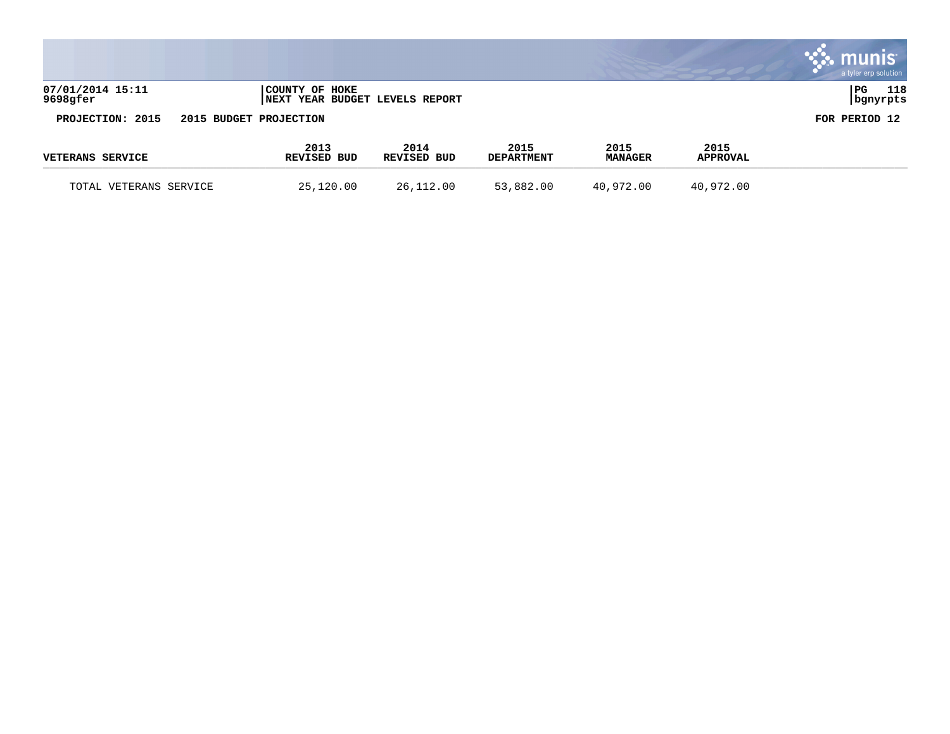|                              |                        |                     |                                        |                           |                        |                         | munis<br>a tyler erp solution |
|------------------------------|------------------------|---------------------|----------------------------------------|---------------------------|------------------------|-------------------------|-------------------------------|
| 07/01/2014 15:11<br>9698gfer |                        | COUNTY OF HOKE      | <b>INEXT YEAR BUDGET LEVELS REPORT</b> |                           |                        |                         | PG<br>118<br>  bgnyrpts       |
| PROJECTION: 2015             | 2015 BUDGET PROJECTION |                     |                                        |                           |                        |                         | FOR PERIOD 12                 |
| <b>VETERANS SERVICE</b>      |                        | 2013<br>REVISED BUD | 2014<br>REVISED BUD                    | 2015<br><b>DEPARTMENT</b> | 2015<br><b>MANAGER</b> | 2015<br><b>APPROVAL</b> |                               |
| TOTAL VETERANS SERVICE       |                        | 25,120.00           | 26,112.00                              | 53,882.00                 | 40,972.00              | 40,972.00               |                               |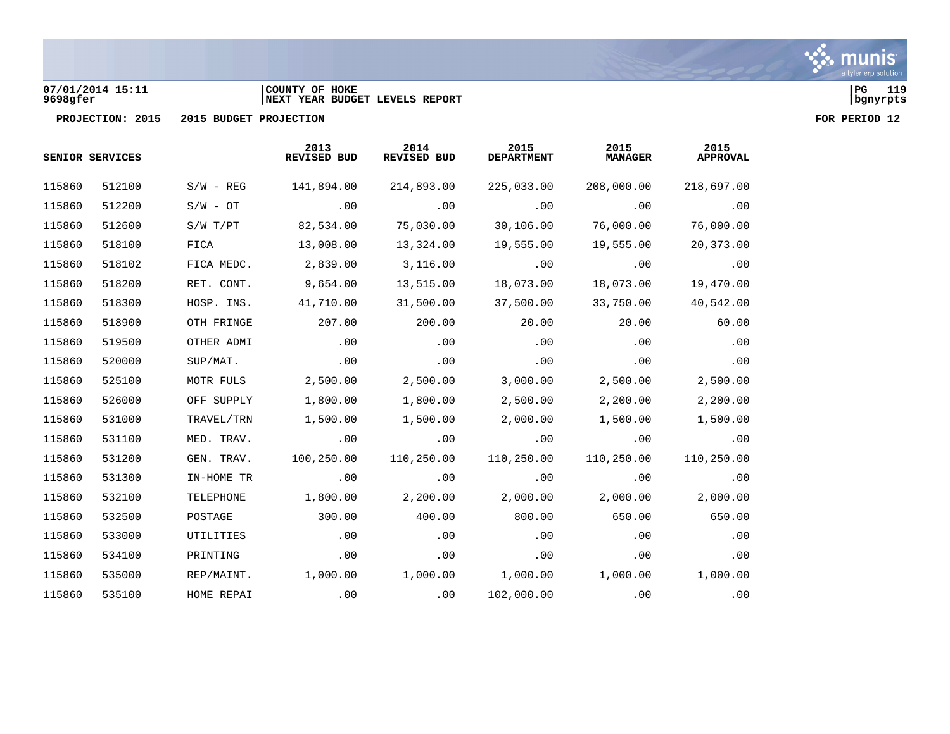

### **07/01/2014 15:11 |COUNTY OF HOKE |PG 119 9698gfer |NEXT YEAR BUDGET LEVELS REPORT |bgnyrpts**

|        | SENIOR SERVICES |              | 2013<br>REVISED BUD              | 2014<br>REVISED BUD | 2015<br><b>DEPARTMENT</b> | 2015<br><b>MANAGER</b> | 2015<br>APPROVAL |  |
|--------|-----------------|--------------|----------------------------------|---------------------|---------------------------|------------------------|------------------|--|
| 115860 | 512100          | $S/W - REG$  | 141,894.00                       | 214,893.00          | 225,033.00                | 208,000.00             | 218,697.00       |  |
| 115860 | 512200          | $S/W - OT$   | .00                              | .00                 | $\sim$ 00                 | .00                    | .00              |  |
| 115860 | 512600          | $S/W$ $T/PT$ | 82,534.00                        | 75,030.00           | 30,106.00                 | 76,000.00              | 76,000.00        |  |
| 115860 | 518100          | FICA         | 13,008.00                        | 13,324.00           | 19,555.00                 | 19,555.00              | 20,373.00        |  |
| 115860 | 518102          | FICA MEDC.   | 2,839.00                         | 3,116.00            | .00                       | .00                    | .00              |  |
| 115860 | 518200          | RET. CONT.   | 9,654.00                         | 13,515.00           | 18,073.00                 | 18,073.00              | 19,470.00        |  |
| 115860 | 518300          | HOSP. INS.   | 41,710.00                        | 31,500.00           | 37,500.00                 | 33,750.00              | 40,542.00        |  |
| 115860 | 518900          | OTH FRINGE   | 207.00                           | 200.00              | 20.00                     | 20.00                  | 60.00            |  |
| 115860 | 519500          | OTHER ADMI   | .00                              | $\sim$ 00           | $\overline{00}$           | .00                    | .00              |  |
| 115860 | 520000          | SUP/MAT.     | .00                              | .00                 | .00                       | .00                    | .00              |  |
| 115860 | 525100          | MOTR FULS    | 2,500.00                         | 2,500.00            | 3,000.00                  | 2,500.00               | 2,500.00         |  |
| 115860 | 526000          | OFF SUPPLY   | 1,800.00                         | 1,800.00            | 2,500.00                  | 2,200.00               | 2,200.00         |  |
| 115860 | 531000          | TRAVEL/TRN   | 1,500.00                         | 1,500.00            | 2,000.00                  | 1,500.00               | 1,500.00         |  |
| 115860 | 531100          | MED. TRAV.   | .00                              | .00                 | .00                       | $\overline{00}$        | .00              |  |
| 115860 | 531200          | GEN. TRAV.   | 100,250.00                       | 110,250.00          | 110,250.00                | 110,250.00             | 110,250.00       |  |
| 115860 | 531300          | IN-HOME TR   | .00                              | .00                 | $\sim$ 00                 | .00                    | .00              |  |
| 115860 | 532100          | TELEPHONE    | 1,800.00                         | 2,200.00            | 2,000.00                  | 2,000.00               | 2,000.00         |  |
| 115860 | 532500          | POSTAGE      | 300.00                           | 400.00              | 800.00                    | 650.00                 | 650.00           |  |
| 115860 | 533000          | UTILITIES    | .00                              | .00                 | .00                       | .00                    | .00              |  |
| 115860 | 534100          | PRINTING     | .00                              | .00                 | .00                       | .00                    | .00              |  |
| 115860 | 535000          | REP/MAINT.   | $1,000.00$ $1,000.00$ $1,000.00$ |                     |                           | 1,000.00               | 1,000.00         |  |
| 115860 | 535100          | HOME REPAI   | .00                              | .00                 | 102,000.00                | .00                    | .00              |  |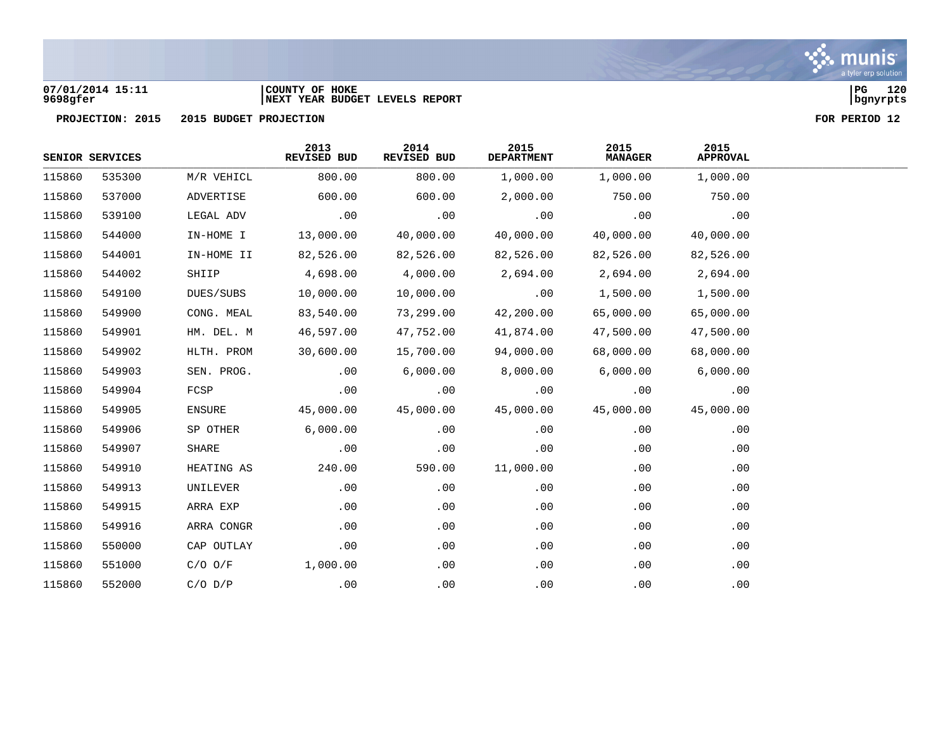

### **07/01/2014 15:11 |COUNTY OF HOKE |PG 120 9698gfer |NEXT YEAR BUDGET LEVELS REPORT |bgnyrpts**



|        | SENIOR SERVICES |             | 2013<br><b>REVISED BUD</b> | 2014<br>REVISED BUD | 2015<br><b>DEPARTMENT</b> | 2015<br><b>MANAGER</b> | 2015<br><b>APPROVAL</b> |
|--------|-----------------|-------------|----------------------------|---------------------|---------------------------|------------------------|-------------------------|
| 115860 | 535300          | M/R VEHICL  | 800.00                     | 800.00              | 1,000.00                  | 1,000.00               | 1,000.00                |
| 115860 | 537000          | ADVERTISE   | 600.00                     | 600.00              | 2,000.00                  | 750.00                 | 750.00                  |
| 115860 | 539100          | LEGAL ADV   | .00                        | .00                 | .00                       | .00                    | .00                     |
| 115860 | 544000          | IN-HOME I   | 13,000.00                  | 40,000.00           | 40,000.00                 | 40,000.00              | 40,000.00               |
| 115860 | 544001          | IN-HOME II  | 82,526.00                  | 82,526.00           | 82,526.00                 | 82,526.00              | 82,526.00               |
| 115860 | 544002          | SHIIP       | 4,698.00                   | 4,000.00            | 2,694.00                  | 2,694.00               | 2,694.00                |
| 115860 | 549100          | DUES/SUBS   | 10,000.00                  | 10,000.00           | .00                       | 1,500.00               | 1,500.00                |
| 115860 | 549900          | CONG. MEAL  | 83,540.00                  | 73,299.00           | 42,200.00                 | 65,000.00              | 65,000.00               |
| 115860 | 549901          | HM. DEL. M  | 46,597.00                  | 47,752.00           | 41,874.00                 | 47,500.00              | 47,500.00               |
| 115860 | 549902          | HLTH. PROM  | 30,600.00                  | 15,700.00           | 94,000.00                 | 68,000.00              | 68,000.00               |
| 115860 | 549903          | SEN. PROG.  | .00                        | 6,000.00            | 8,000.00                  | 6,000.00               | 6,000.00                |
| 115860 | 549904          | FCSP        | .00                        | .00                 | .00                       | .00                    | .00                     |
| 115860 | 549905          | ENSURE      | 45,000.00                  | 45,000.00           | 45,000.00                 | 45,000.00              | 45,000.00               |
| 115860 | 549906          | SP OTHER    | 6,000.00                   | .00                 | .00                       | .00                    | .00                     |
| 115860 | 549907          | SHARE       | .00                        | .00                 | .00                       | .00                    | .00                     |
| 115860 | 549910          | HEATING AS  | 240.00                     | 590.00              | 11,000.00                 | .00                    | .00                     |
| 115860 | 549913          | UNILEVER    | .00                        | .00                 | .00                       | .00                    | .00                     |
| 115860 | 549915          | ARRA EXP    | .00                        | .00                 | .00                       | .00                    | .00                     |
| 115860 | 549916          | ARRA CONGR  | .00                        | .00                 | .00                       | .00                    | .00                     |
| 115860 | 550000          | CAP OUTLAY  | .00                        | .00                 | .00                       | .00                    | .00                     |
| 115860 | 551000          | $C/O$ $O/F$ | 1,000.00                   | .00                 | .00                       | .00                    | .00                     |
| 115860 | 552000          | $C/O$ $D/P$ | .00                        | .00                 | .00                       | .00                    | .00                     |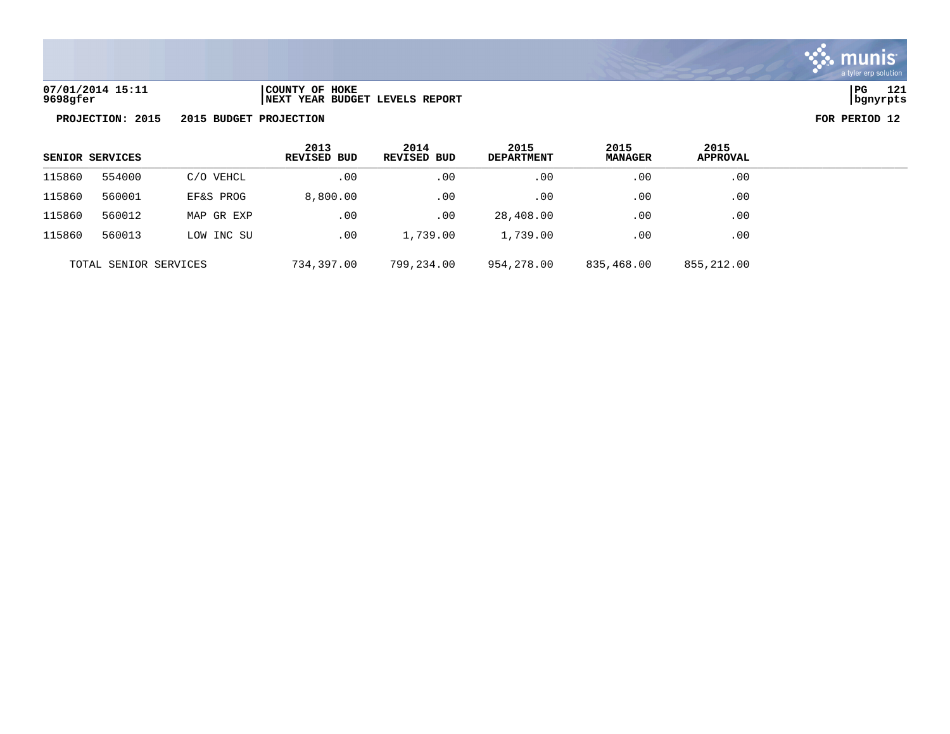

| 07/01/2014 15:11 | COUNTY OF HOKE                  | l PG     | 121 |
|------------------|---------------------------------|----------|-----|
| 9698gfer         | INEXT YEAR BUDGET LEVELS REPORT | bqnyrpts |     |

| SENIOR SERVICES       |        |            | 2013<br><b>REVISED BUD</b> | 2014<br>REVISED BUD | 2015<br><b>DEPARTMENT</b> | 2015<br><b>MANAGER</b> | 2015<br><b>APPROVAL</b> |  |
|-----------------------|--------|------------|----------------------------|---------------------|---------------------------|------------------------|-------------------------|--|
| 115860                | 554000 | C/O VEHCL  | .00                        | .00                 | .00                       | .00                    | .00                     |  |
| 115860                | 560001 | EF&S PROG  | 8,800.00                   | .00                 | .00                       | .00                    | .00                     |  |
| 115860                | 560012 | MAP GR EXP | .00                        | .00                 | 28,408.00                 | .00                    | .00                     |  |
| 115860                | 560013 | LOW INC SU | .00                        | 1,739.00            | 1,739.00                  | .00                    | .00                     |  |
| TOTAL SENIOR SERVICES |        |            | 734,397.00                 | 799,234.00          | 954,278.00                | 835,468.00             | 855,212.00              |  |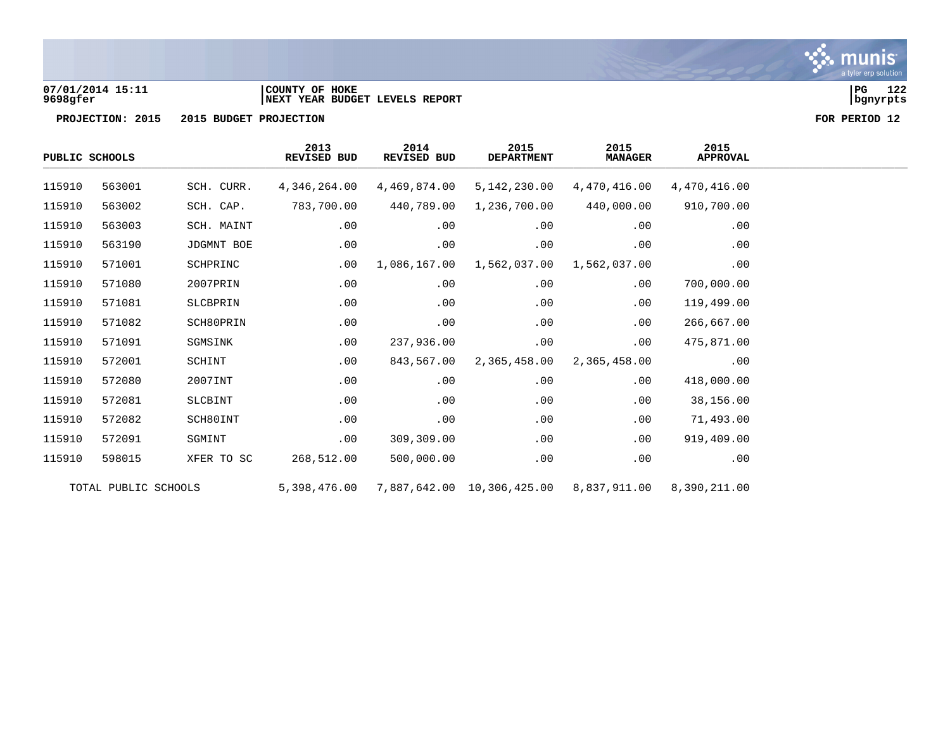

### **07/01/2014 15:11 |COUNTY OF HOKE |PG 122 9698gfer |NEXT YEAR BUDGET LEVELS REPORT |bgnyrpts**

| PUBLIC SCHOOLS |                      |            | 2013<br>REVISED BUD | 2014<br>REVISED BUD | 2015<br><b>DEPARTMENT</b>  | 2015<br><b>MANAGER</b> | 2015<br><b>APPROVAL</b> |
|----------------|----------------------|------------|---------------------|---------------------|----------------------------|------------------------|-------------------------|
| 115910         | 563001               | SCH. CURR. | 4,346,264.00        | 4,469,874.00        | 5,142,230.00               | 4,470,416.00           | 4,470,416.00            |
| 115910         | 563002               | SCH. CAP.  | 783,700.00          | 440,789.00          | 1,236,700.00               | 440,000.00             | 910,700.00              |
| 115910         | 563003               | SCH. MAINT | .00                 | .00                 | .00                        | .00                    | $.00 \,$                |
| 115910         | 563190               | JDGMNT BOE | .00                 | .00                 | .00                        | .00                    | .00                     |
| 115910         | 571001               | SCHPRINC   | .00                 | 1,086,167.00        | 1,562,037.00               | 1,562,037.00           | .00                     |
| 115910         | 571080               | 2007PRIN   | .00                 | .00                 | .00                        | .00                    | 700,000.00              |
| 115910         | 571081               | SLCBPRIN   | .00                 | .00                 | .00                        | .00                    | 119,499.00              |
| 115910         | 571082               | SCH80PRIN  | .00                 | .00                 | .00                        | .00                    | 266,667.00              |
| 115910         | 571091               | SGMSINK    | $.00 \ \rm$         | 237,936.00          | .00                        | .00                    | 475,871.00              |
| 115910         | 572001               | SCHINT     | $.00 \ \rm$         | 843,567.00          | 2,365,458.00               | 2,365,458.00           | .00                     |
| 115910         | 572080               | 2007INT    | .00                 | .00                 | .00                        | .00                    | 418,000.00              |
| 115910         | 572081               | SLCBINT    | .00                 | .00                 | .00                        | .00                    | 38,156.00               |
| 115910         | 572082               | SCH80INT   | .00                 | .00                 | .00                        | .00                    | 71,493.00               |
| 115910         | 572091               | SGMINT     | $.00 \,$            | 309,309.00          | .00                        | .00                    | 919,409.00              |
| 115910         | 598015               | XFER TO SC | 268,512.00          | 500,000.00          | .00                        | .00                    | .00                     |
|                | TOTAL PUBLIC SCHOOLS |            | 5,398,476.00        |                     | 7,887,642.00 10,306,425.00 | 8,837,911.00           | 8,390,211.00            |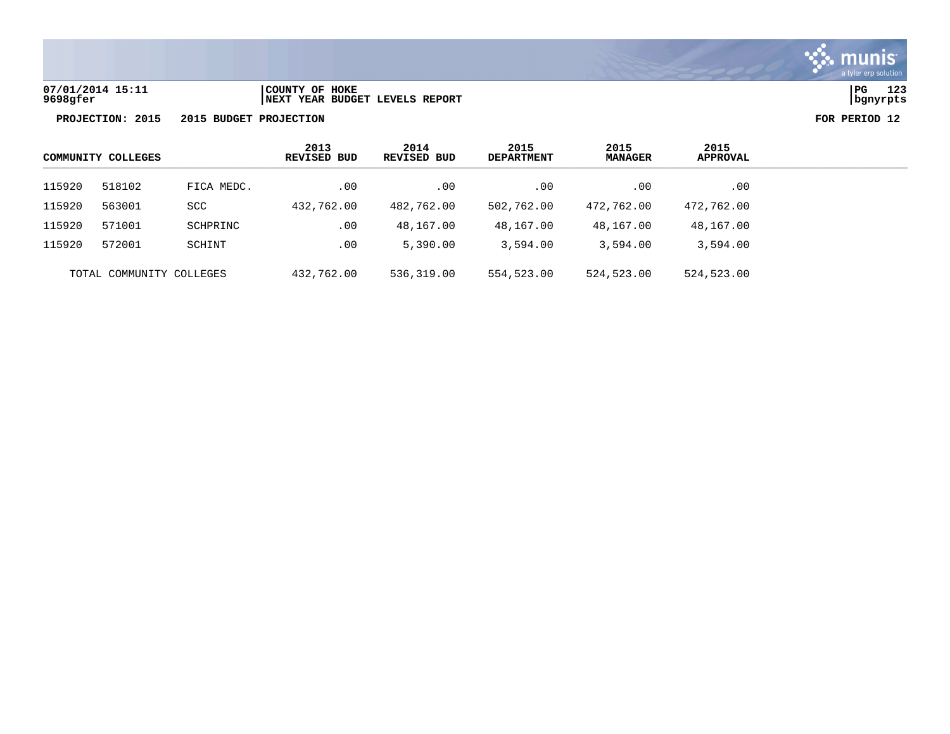

# **07/01/2014 15:11 |COUNTY OF HOKE |PG 123 9698gfer |NEXT YEAR BUDGET LEVELS REPORT |bgnyrpts**

| COMMUNITY COLLEGES |                          |            | 2013<br><b>REVISED BUD</b> | 2014<br>REVISED BUD | 2015<br><b>DEPARTMENT</b> | 2015<br><b>MANAGER</b> | 2015<br><b>APPROVAL</b> |
|--------------------|--------------------------|------------|----------------------------|---------------------|---------------------------|------------------------|-------------------------|
| 115920             | 518102                   | FICA MEDC. | .00                        | .00                 | .00                       | .00                    | $.00 \,$                |
| 115920             | 563001                   | <b>SCC</b> | 432,762.00                 | 482,762.00          | 502,762.00                | 472,762.00             | 472,762.00              |
| 115920             | 571001                   | SCHPRINC   | .00                        | 48,167.00           | 48,167.00                 | 48,167.00              | 48,167.00               |
| 115920             | 572001                   | SCHINT     | .00                        | 5,390.00            | 3,594.00                  | 3,594.00               | 3,594.00                |
|                    | TOTAL COMMUNITY COLLEGES |            | 432,762.00                 | 536,319.00          | 554,523.00                | 524,523.00             | 524,523.00              |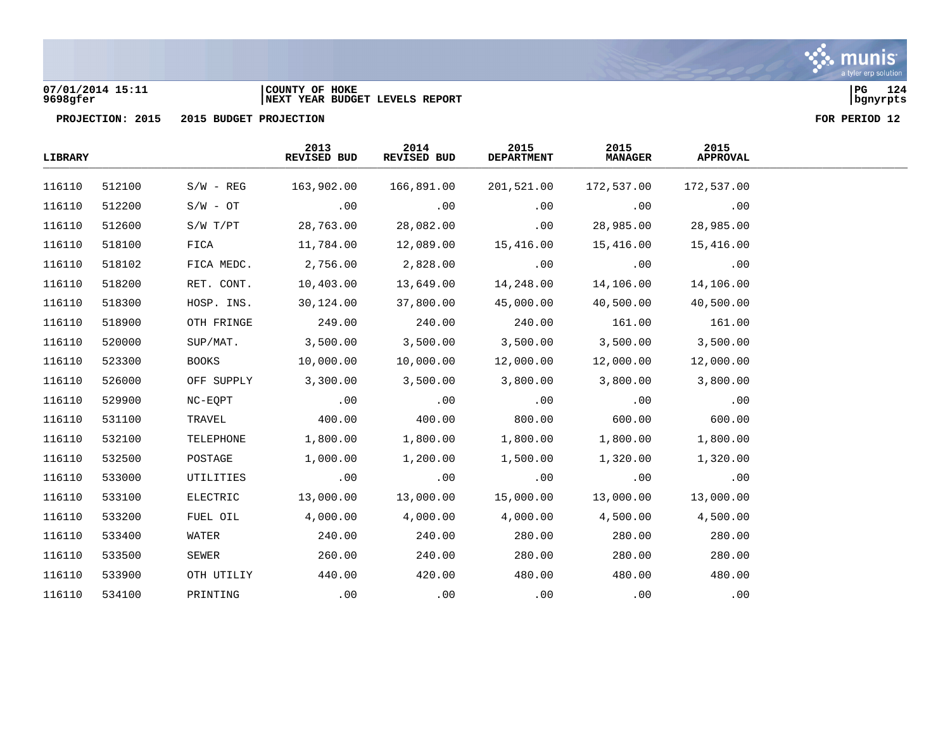

### **07/01/2014 15:11 |COUNTY OF HOKE |PG 124 9698gfer |NEXT YEAR BUDGET LEVELS REPORT |bgnyrpts**

| <b>LIBRARY</b> |        |              | 2013<br>REVISED BUD | 2014<br>REVISED BUD | 2015<br><b>DEPARTMENT</b> | 2015<br><b>MANAGER</b> | 2015<br><b>APPROVAL</b>      |  |
|----------------|--------|--------------|---------------------|---------------------|---------------------------|------------------------|------------------------------|--|
| 116110         | 512100 | $S/W - REG$  | 163,902.00          | 166,891.00          | 201,521.00                | 172,537.00             | 172,537.00                   |  |
| 116110         | 512200 | $S/W - OT$   | .00                 | .00                 | .00                       | .00                    | .00                          |  |
| 116110         | 512600 | S/W T/PT     | 28,763.00           | 28,082.00           | .00                       | 28,985.00              | 28,985.00                    |  |
| 116110         | 518100 | FICA         | 11,784.00           | 12,089.00           | 15,416.00                 | 15,416.00              | 15,416.00                    |  |
| 116110         | 518102 | FICA MEDC.   | 2,756.00            | 2,828.00            | .00                       | .00                    | $\overline{\phantom{0}}$ .00 |  |
| 116110         | 518200 | RET. CONT.   | 10,403.00           | 13,649.00           | 14,248.00                 | 14,106.00              | 14,106.00                    |  |
| 116110         | 518300 | HOSP. INS.   | 30,124.00           | 37,800.00           | 45,000.00                 | 40,500.00              | 40,500.00                    |  |
| 116110         | 518900 | OTH FRINGE   | 249.00              | 240.00              | 240.00                    | 161.00                 | 161.00                       |  |
| 116110         | 520000 | SUP/MAT.     | 3,500.00            | 3,500.00            | 3,500.00                  | 3,500.00               | 3,500.00                     |  |
| 116110         | 523300 | <b>BOOKS</b> | 10,000.00           | 10,000.00           | 12,000.00                 | 12,000.00              | 12,000.00                    |  |
| 116110         | 526000 | OFF SUPPLY   | 3,300.00            | 3,500.00            | 3,800.00                  | 3,800.00               | 3,800.00                     |  |
| 116110         | 529900 | NC-EOPT      | .00                 | .00                 | .00                       | .00                    | .00                          |  |
| 116110         | 531100 | TRAVEL       | 400.00              | 400.00              | 800.00                    | 600.00                 | 600.00                       |  |
| 116110         | 532100 | TELEPHONE    | 1,800.00            | 1,800.00            | 1,800.00                  | 1,800.00               | 1,800.00                     |  |
| 116110         | 532500 | POSTAGE      | 1,000.00            | 1,200.00            | 1,500.00                  | 1,320.00               | 1,320.00                     |  |
| 116110         | 533000 | UTILITIES    | .00                 | .00                 | .00                       | .00                    | .00                          |  |
| 116110         | 533100 | ELECTRIC     | 13,000.00           | 13,000.00           | 15,000.00                 | 13,000.00              | 13,000.00                    |  |
| 116110         | 533200 | FUEL OIL     | 4,000.00            | 4,000.00            | 4,000.00                  | 4,500.00               | 4,500.00                     |  |
| 116110         | 533400 | WATER        | 240.00              | 240.00              | 280.00                    | 280.00                 | 280.00                       |  |
| 116110         | 533500 | SEWER        | 260.00              | 240.00              | 280.00                    | 280.00                 | 280.00                       |  |
| 116110         | 533900 | OTH UTILIY   | 440.00              | 420.00              | 480.00                    | 480.00                 | 480.00                       |  |
| 116110         | 534100 | PRINTING     | .00                 | .00                 | .00                       | .00                    | .00                          |  |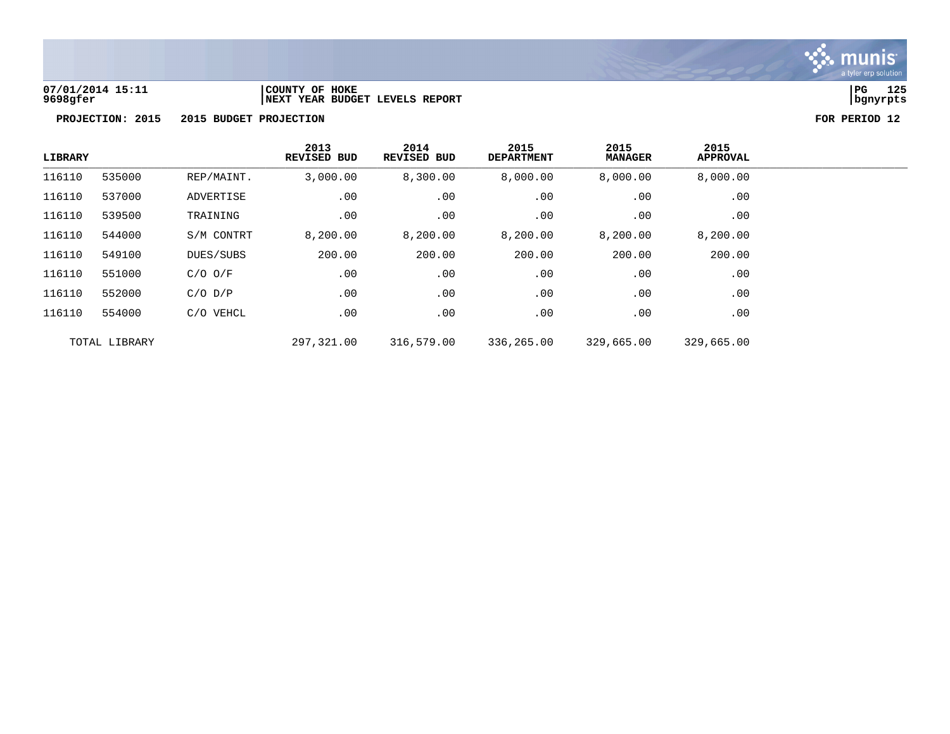

### **07/01/2014 15:11 |COUNTY OF HOKE |PG 125 9698gfer |NEXT YEAR BUDGET LEVELS REPORT |bgnyrpts**

| <b>LIBRARY</b> |               |             | 2013<br>REVISED BUD | 2014<br><b>REVISED BUD</b> | 2015<br><b>DEPARTMENT</b> | 2015<br><b>MANAGER</b> | 2015<br><b>APPROVAL</b> |
|----------------|---------------|-------------|---------------------|----------------------------|---------------------------|------------------------|-------------------------|
| 116110         | 535000        | REP/MAINT.  | 3,000.00            | 8,300.00                   | 8,000.00                  | 8,000.00               | 8,000.00                |
| 116110         | 537000        | ADVERTISE   | .00                 | .00                        | .00                       | .00                    | .00                     |
| 116110         | 539500        | TRAINING    | .00                 | .00                        | .00                       | .00                    | .00                     |
| 116110         | 544000        | S/M CONTRT  | 8,200.00            | 8,200.00                   | 8,200.00                  | 8,200.00               | 8,200.00                |
| 116110         | 549100        | DUES/SUBS   | 200.00              | 200.00                     | 200.00                    | 200.00                 | 200.00                  |
| 116110         | 551000        | $C/O$ $O/F$ | .00                 | .00                        | .00                       | .00                    | .00                     |
| 116110         | 552000        | $C/O$ $D/P$ | .00                 | .00                        | .00                       | .00                    | .00                     |
| 116110         | 554000        | C/O VEHCL   | .00                 | .00                        | .00                       | .00                    | .00                     |
|                | TOTAL LIBRARY |             | 297,321.00          | 316,579.00                 | 336,265.00                | 329,665.00             | 329,665.00              |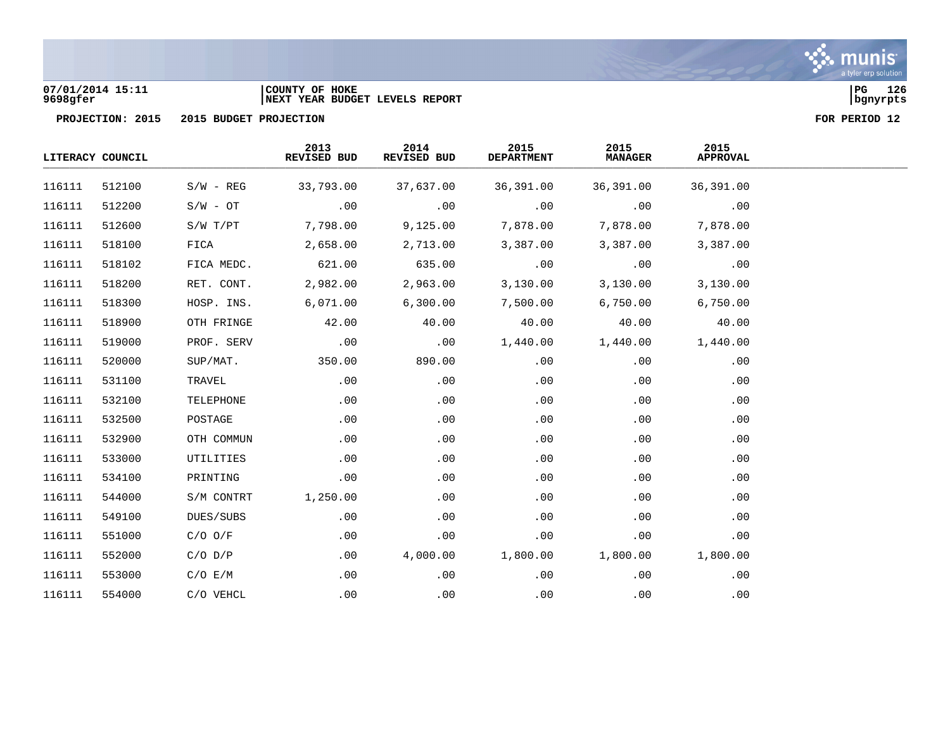

### **07/01/2014 15:11 |COUNTY OF HOKE |PG 126 9698gfer |NEXT YEAR BUDGET LEVELS REPORT |bgnyrpts**

|        | LITERACY COUNCIL |             | 2013<br>REVISED BUD | 2014<br>REVISED BUD | 2015<br><b>DEPARTMENT</b> | 2015<br><b>MANAGER</b> | 2015<br><b>APPROVAL</b> |  |
|--------|------------------|-------------|---------------------|---------------------|---------------------------|------------------------|-------------------------|--|
| 116111 | 512100           | $S/W - REG$ | 33,793.00           | 37,637.00           | 36,391.00                 | 36,391.00              | 36,391.00               |  |
| 116111 | 512200           | $S/W - OT$  | .00                 | .00                 | .00                       | .00                    | .00                     |  |
| 116111 | 512600           | S/W T/PT    | 7,798.00            | 9,125.00            | 7,878.00                  | 7,878.00               | 7,878.00                |  |
| 116111 | 518100           | FICA        | 2,658.00            | 2,713.00            | 3,387.00                  | 3,387.00               | 3,387.00                |  |
| 116111 | 518102           | FICA MEDC.  | 621.00              | 635.00              | .00                       | .00                    | .00                     |  |
| 116111 | 518200           | RET. CONT.  | 2,982.00            | 2,963.00            | 3,130.00                  | 3,130.00               | 3,130.00                |  |
| 116111 | 518300           | HOSP. INS.  | 6,071.00            | 6,300.00            | 7,500.00                  | 6,750.00               | 6,750.00                |  |
| 116111 | 518900           | OTH FRINGE  | 42.00               | 40.00               | 40.00                     | 40.00                  | 40.00                   |  |
| 116111 | 519000           | PROF. SERV  | .00                 | .00                 | 1,440.00                  | 1,440.00               | 1,440.00                |  |
| 116111 | 520000           | SUP/MAT.    | 350.00              | 890.00              | .00                       | .00                    | .00                     |  |
| 116111 | 531100           | TRAVEL      | .00                 | .00                 | .00                       | .00                    | .00                     |  |
| 116111 | 532100           | TELEPHONE   | .00                 | .00                 | .00                       | .00                    | .00                     |  |
| 116111 | 532500           | POSTAGE     | .00                 | .00                 | .00                       | .00                    | .00                     |  |
| 116111 | 532900           | OTH COMMUN  | .00                 | .00                 | .00                       | .00                    | .00                     |  |
| 116111 | 533000           | UTILITIES   | .00                 | .00                 | .00                       | .00                    | .00                     |  |
| 116111 | 534100           | PRINTING    | .00                 | .00                 | .00                       | .00                    | .00                     |  |
| 116111 | 544000           | S/M CONTRT  | 1,250.00            | .00                 | .00                       | .00                    | .00                     |  |
| 116111 | 549100           | DUES/SUBS   | .00                 | .00                 | .00                       | .00                    | .00                     |  |
| 116111 | 551000           | $C/O$ $O/F$ | .00                 | .00                 | .00                       | .00                    | .00                     |  |
| 116111 | 552000           | $C/O$ $D/P$ | .00                 | 4,000.00            | 1,800.00                  | 1,800.00               | 1,800.00                |  |
| 116111 | 553000           | C/O E/M     | .00                 | .00                 | .00                       | .00                    | .00                     |  |
| 116111 | 554000           | C/O VEHCL   | .00                 | .00                 | .00                       | .00                    | .00                     |  |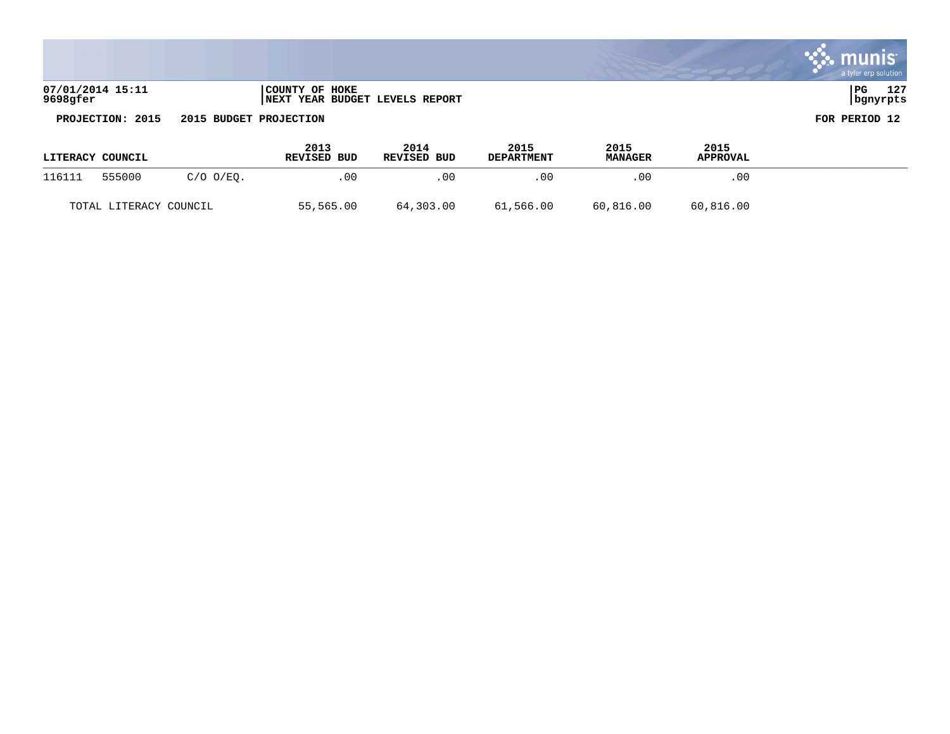|                              |                                                  | a tyler erp solution            |
|------------------------------|--------------------------------------------------|---------------------------------|
| 07/01/2014 15:11<br>9698gfer | COUNTY OF HOKE<br>NEXT YEAR BUDGET LEVELS REPORT | 127<br>l PG<br>∸∸<br>  bgnyrpts |

**College** 

and the company of the company of the company of the company of the company of the company of the company of the company of the company of the company of the company of the company of the company of the company of the comp

| <b>LITERACY COUNCIL</b> |           |           | 2013<br>REVISED BUD | 2014<br><b>REVISED BUD</b> | 2015<br><b>DEPARTMENT</b> | 2015<br><b>MANAGER</b> | 2015<br><b>APPROVAL</b> |  |
|-------------------------|-----------|-----------|---------------------|----------------------------|---------------------------|------------------------|-------------------------|--|
| 555000<br>116111        | C/O O/EO. | . 00      | . 00                | .00                        | .00                       | .00                    |                         |  |
| TOTAL LITERACY COUNCIL  |           | 55,565.00 | 64,303.00           | 61,566.00                  | 60,816.00                 | 60,816.00              |                         |  |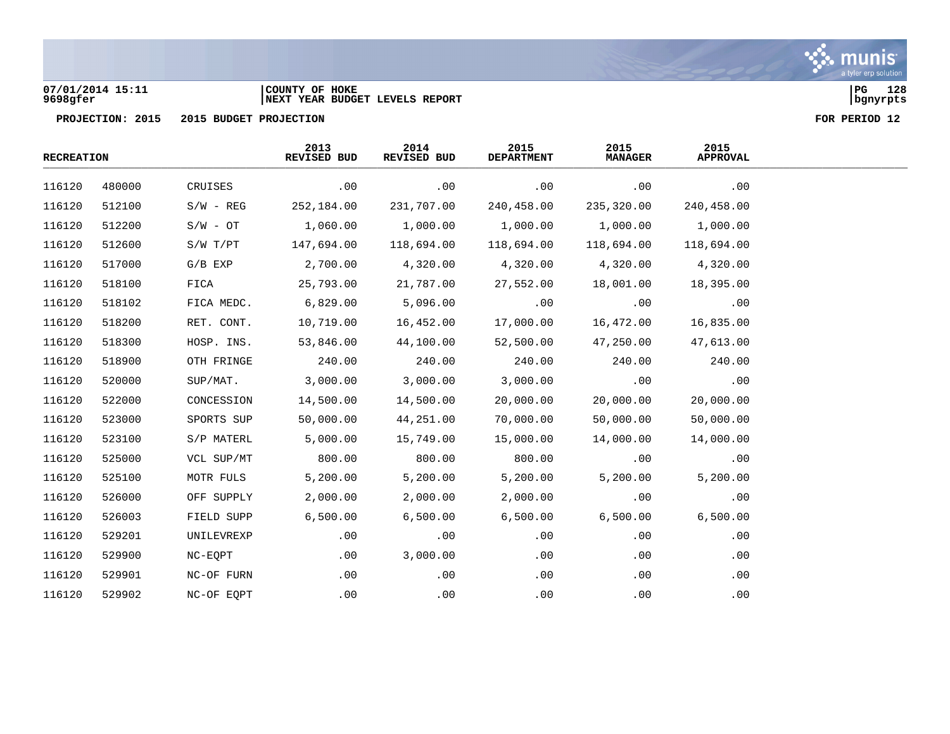

### **07/01/2014 15:11 |COUNTY OF HOKE |PG 128 9698gfer |NEXT YEAR BUDGET LEVELS REPORT |bgnyrpts**

| <b>RECREATION</b> |        |             | 2013<br>REVISED BUD | 2014<br>REVISED BUD | 2015<br><b>DEPARTMENT</b> | 2015<br><b>MANAGER</b> | 2015<br><b>APPROVAL</b> |  |
|-------------------|--------|-------------|---------------------|---------------------|---------------------------|------------------------|-------------------------|--|
| 116120            | 480000 | CRUISES     | .00                 | .00                 | .00                       | .00                    | .00                     |  |
| 116120            | 512100 | $S/W - REG$ | 252,184.00          | 231,707.00          | 240,458.00                | 235,320.00             | 240,458.00              |  |
| 116120            | 512200 | $S/W - OT$  | 1,060.00            | 1,000.00            | 1,000.00                  | 1,000.00               | 1,000.00                |  |
| 116120            | 512600 | S/W T/PT    | 147,694.00          | 118,694.00          | 118,694.00                | 118,694.00             | 118,694.00              |  |
| 116120            | 517000 | $G/B$ $EXP$ | 2,700.00            | 4,320.00            | 4,320.00                  | 4,320.00               | 4,320.00                |  |
| 116120            | 518100 | FICA        | 25,793.00           | 21,787.00           | 27,552.00                 | 18,001.00              | 18,395.00               |  |
| 116120            | 518102 | FICA MEDC.  | 6,829.00            | 5,096.00            | .00                       | .00                    | .00                     |  |
| 116120            | 518200 | RET. CONT.  | 10,719.00           | 16,452.00           | 17,000.00                 | 16,472.00              | 16,835.00               |  |
| 116120            | 518300 | HOSP. INS.  | 53,846.00           | 44,100.00           | 52,500.00                 | 47,250.00              | 47,613.00               |  |
| 116120            | 518900 | OTH FRINGE  | 240.00              | 240.00              | 240.00                    | 240.00                 | 240.00                  |  |
| 116120            | 520000 | SUP/MAT.    | 3,000.00            | 3,000.00            | 3,000.00                  | .00                    | .00                     |  |
| 116120            | 522000 | CONCESSION  | 14,500.00           | 14,500.00           | 20,000.00                 | 20,000.00              | 20,000.00               |  |
| 116120            | 523000 | SPORTS SUP  | 50,000.00           | 44,251.00           | 70,000.00                 | 50,000.00              | 50,000.00               |  |
| 116120            | 523100 | S/P MATERL  | 5,000.00            | 15,749.00           | 15,000.00                 | 14,000.00              | 14,000.00               |  |
| 116120            | 525000 | VCL SUP/MT  | 800.00              | 800.00              | 800.00                    | .00                    | .00                     |  |
| 116120            | 525100 | MOTR FULS   | 5,200.00            | 5,200.00            | 5,200.00                  | 5,200.00               | 5,200.00                |  |
| 116120            | 526000 | OFF SUPPLY  | 2,000.00            | 2,000.00            | 2,000.00                  | .00                    | .00                     |  |
| 116120            | 526003 | FIELD SUPP  | 6,500.00            | 6,500.00            | 6,500.00                  | 6,500.00               | 6,500.00                |  |
| 116120            | 529201 | UNILEVREXP  | .00                 | .00                 | .00                       | .00                    | .00                     |  |
| 116120            | 529900 | NC-EQPT     | .00                 | 3,000.00            | .00                       | .00                    | .00                     |  |
| 116120            | 529901 | NC-OF FURN  | .00                 | .00                 | .00                       | .00                    | .00                     |  |
| 116120            | 529902 | NC-OF EQPT  | .00                 | .00                 | .00                       | .00                    | .00                     |  |

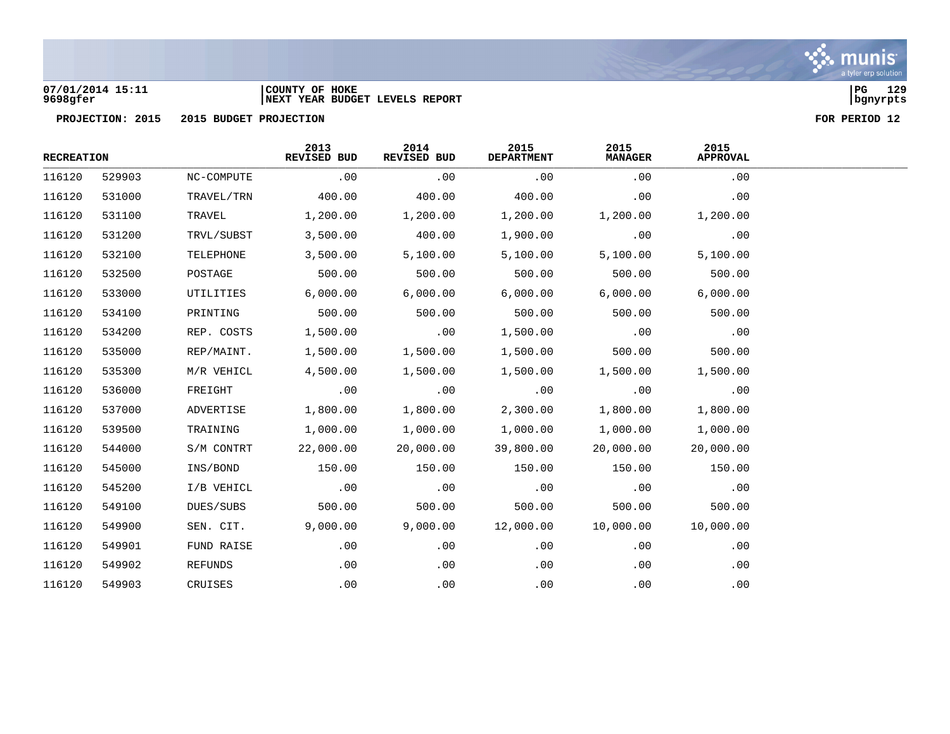

### **07/01/2014 15:11 |COUNTY OF HOKE |PG 129 9698gfer |NEXT YEAR BUDGET LEVELS REPORT |bgnyrpts**

| <b>RECREATION</b> |        |                | 2013<br>REVISED BUD | 2014<br>REVISED BUD | 2015<br><b>DEPARTMENT</b> | 2015<br><b>MANAGER</b> | 2015<br><b>APPROVAL</b> |
|-------------------|--------|----------------|---------------------|---------------------|---------------------------|------------------------|-------------------------|
| 116120            | 529903 | NC-COMPUTE     | .00                 | .00                 | .00                       | .00                    | .00                     |
| 116120            | 531000 | TRAVEL/TRN     | 400.00              | 400.00              | 400.00                    | .00                    | .00                     |
| 116120            | 531100 | TRAVEL         | 1,200.00            | 1,200.00            | 1,200.00                  | 1,200.00               | 1,200.00                |
| 116120            | 531200 | TRVL/SUBST     | 3,500.00            | 400.00              | 1,900.00                  | .00                    | .00                     |
| 116120            | 532100 | TELEPHONE      | 3,500.00            | 5,100.00            | 5,100.00                  | 5,100.00               | 5,100.00                |
| 116120            | 532500 | POSTAGE        | 500.00              | 500.00              | 500.00                    | 500.00                 | 500.00                  |
| 116120            | 533000 | UTILITIES      | 6,000.00            | 6,000.00            | 6,000.00                  | 6,000.00               | 6,000.00                |
| 116120            | 534100 | PRINTING       | 500.00              | 500.00              | 500.00                    | 500.00                 | 500.00                  |
| 116120            | 534200 | REP. COSTS     | 1,500.00            | .00                 | 1,500.00                  | .00                    | .00                     |
| 116120            | 535000 | REP/MAINT.     | 1,500.00            | 1,500.00            | 1,500.00                  | 500.00                 | 500.00                  |
| 116120            | 535300 | M/R VEHICL     | 4,500.00            | 1,500.00            | 1,500.00                  | 1,500.00               | 1,500.00                |
| 116120            | 536000 | FREIGHT        | .00                 | .00                 | .00                       | .00                    | .00                     |
| 116120            | 537000 | ADVERTISE      | 1,800.00            | 1,800.00            | 2,300.00                  | 1,800.00               | 1,800.00                |
| 116120            | 539500 | TRAINING       | 1,000.00            | 1,000.00            | 1,000.00                  | 1,000.00               | 1,000.00                |
| 116120            | 544000 | S/M CONTRT     | 22,000.00           | 20,000.00           | 39,800.00                 | 20,000.00              | 20,000.00               |
| 116120            | 545000 | INS/BOND       | 150.00              | 150.00              | 150.00                    | 150.00                 | 150.00                  |
| 116120            | 545200 | I/B VEHICL     | .00                 | .00                 | .00                       | .00                    | .00                     |
| 116120            | 549100 | DUES/SUBS      | 500.00              | 500.00              | 500.00                    | 500.00                 | 500.00                  |
| 116120            | 549900 | SEN. CIT.      | 9,000.00            | 9,000.00            | 12,000.00                 | 10,000.00              | 10,000.00               |
| 116120            | 549901 | FUND RAISE     | .00                 | .00                 | .00                       | .00                    | .00                     |
| 116120            | 549902 | <b>REFUNDS</b> | .00                 | .00                 | .00                       | .00                    | .00                     |
| 116120            | 549903 | CRUISES        | .00                 | .00                 | .00                       | .00                    | .00                     |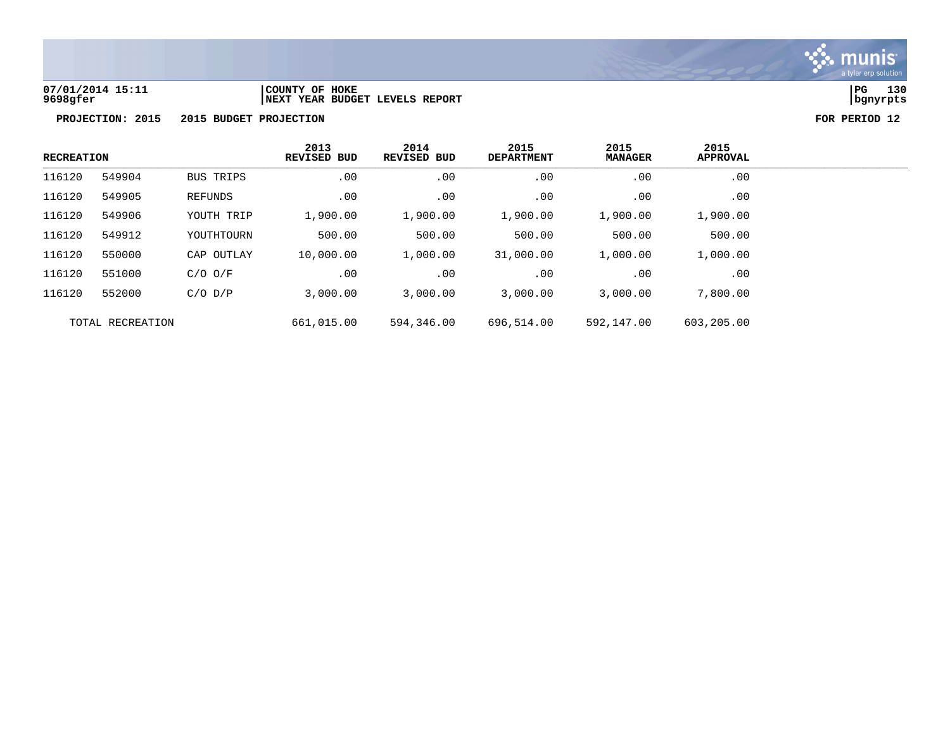

**07/01/2014 15:11 |COUNTY OF HOKE |PG 130 9698gfer |NEXT YEAR BUDGET LEVELS REPORT |bgnyrpts**

| <b>RECREATION</b> |        | 2013<br><b>REVISED BUD</b> | 2014<br><b>REVISED BUD</b> | 2015<br><b>DEPARTMENT</b> | 2015<br><b>MANAGER</b> | 2015<br>APPROVAL |          |
|-------------------|--------|----------------------------|----------------------------|---------------------------|------------------------|------------------|----------|
| 116120            | 549904 | BUS TRIPS                  | .00                        | .00                       | .00                    | .00              | .00      |
| 116120            | 549905 | REFUNDS                    | .00                        | .00                       | .00                    | .00              | $.00 \,$ |
| 116120            | 549906 | YOUTH TRIP                 | 1,900.00                   | 1,900.00                  | 1,900.00               | 1,900.00         | 1,900.00 |
| 116120            | 549912 | YOUTHTOURN                 | 500.00                     | 500.00                    | 500.00                 | 500.00           | 500.00   |
| 116120            | 550000 | CAP OUTLAY                 | 10,000.00                  | 1,000.00                  | 31,000.00              | 1,000.00         | 1,000.00 |
| 116120            | 551000 | $C/O$ $O/F$                | .00                        | .00                       | $.00 \,$               | $.00 \,$         | .00      |
| 116120            | 552000 | $C/O$ $D/P$                | 3,000.00                   | 3,000.00                  | 3,000.00               | 3,000.00         | 7,800.00 |
| TOTAL RECREATION  |        | 661,015.00                 | 594,346.00                 | 696,514.00                | 592,147.00             | 603,205.00       |          |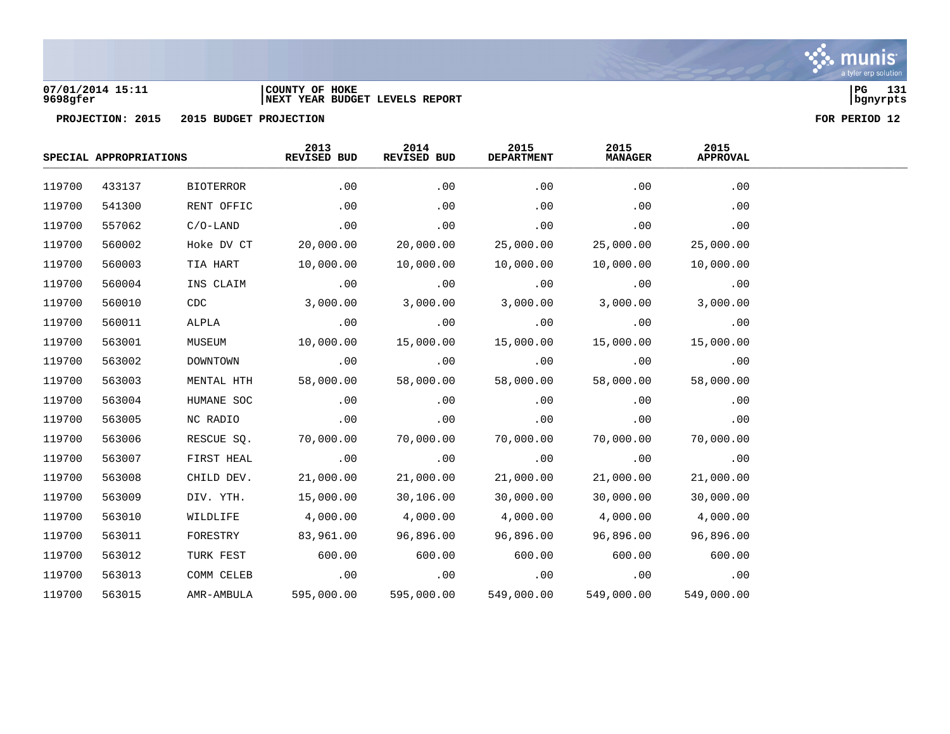

### **07/01/2014 15:11 |COUNTY OF HOKE |PG 131 9698gfer |NEXT YEAR BUDGET LEVELS REPORT |bgnyrpts**

|        | SPECIAL APPROPRIATIONS |                  | 2013<br>REVISED BUD | 2014<br>REVISED BUD | 2015<br><b>DEPARTMENT</b> | 2015<br><b>MANAGER</b> | 2015<br><b>APPROVAL</b> |  |
|--------|------------------------|------------------|---------------------|---------------------|---------------------------|------------------------|-------------------------|--|
| 119700 | 433137                 | <b>BIOTERROR</b> | .00                 | .00                 | .00                       | .00                    | .00                     |  |
| 119700 | 541300                 | RENT OFFIC       | .00                 | .00                 | .00                       | .00                    | .00                     |  |
| 119700 | 557062                 | $C/O-LAND$       | .00                 | .00                 | .00                       | .00                    | .00                     |  |
| 119700 | 560002                 | Hoke DV CT       | 20,000.00           | 20,000.00           | 25,000.00                 | 25,000.00              | 25,000.00               |  |
| 119700 | 560003                 | TIA HART         | 10,000.00           | 10,000.00           | 10,000.00                 | 10,000.00              | 10,000.00               |  |
| 119700 | 560004                 | INS CLAIM        | .00                 | .00                 | .00                       | .00                    | .00                     |  |
| 119700 | 560010                 | CDC              | 3,000.00            | 3,000.00            | 3,000.00                  | 3,000.00               | 3,000.00                |  |
| 119700 | 560011                 | ALPLA            | .00                 | .00                 | .00                       | .00                    | .00                     |  |
| 119700 | 563001                 | MUSEUM           | 10,000.00           | 15,000.00           | 15,000.00                 | 15,000.00              | 15,000.00               |  |
| 119700 | 563002                 | DOWNTOWN         | .00                 | .00                 | .00                       | .00                    | .00                     |  |
| 119700 | 563003                 | MENTAL HTH       | 58,000.00           | 58,000.00           | 58,000.00                 | 58,000.00              | 58,000.00               |  |
| 119700 | 563004                 | HUMANE SOC       | .00                 | .00                 | .00                       | .00                    | .00                     |  |
| 119700 | 563005                 | NC RADIO         | .00                 | .00                 | .00                       | .00                    | .00                     |  |
| 119700 | 563006                 | RESCUE SQ.       | 70,000.00           | 70,000.00           | 70,000.00                 | 70,000.00              | 70,000.00               |  |
| 119700 | 563007                 | FIRST HEAL       | .00                 | .00                 | .00                       | .00                    | .00                     |  |
| 119700 | 563008                 | CHILD DEV.       | 21,000.00           | 21,000.00           | 21,000.00                 | 21,000.00              | 21,000.00               |  |
| 119700 | 563009                 | DIV. YTH.        | 15,000.00           | 30,106.00           | 30,000.00                 | 30,000.00              | 30,000.00               |  |
| 119700 | 563010                 | WILDLIFE         | 4,000.00            | 4,000.00            | 4,000.00                  | 4,000.00               | 4,000.00                |  |
| 119700 | 563011                 | FORESTRY         | 83,961.00           | 96,896.00           | 96,896.00                 | 96,896.00              | 96,896.00               |  |
| 119700 | 563012                 | TURK FEST        | 600.00              | 600.00              | 600.00                    | 600.00                 | 600.00                  |  |
| 119700 | 563013                 | COMM CELEB       | .00                 | .00                 | .00                       | .00                    | .00                     |  |
| 119700 | 563015                 | AMR-AMBULA       | 595,000.00          | 595,000.00          | 549,000.00                | 549,000.00             | 549,000.00              |  |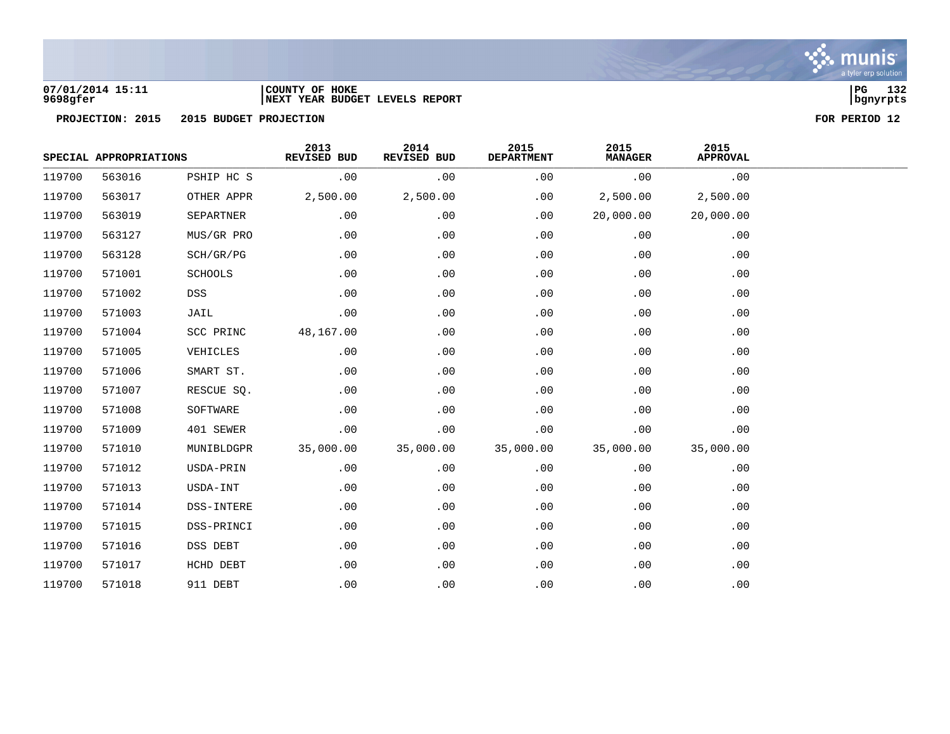

### **07/01/2014 15:11 |COUNTY OF HOKE |PG 132 9698gfer |NEXT YEAR BUDGET LEVELS REPORT |bgnyrpts**

|        | SPECIAL APPROPRIATIONS |                | 2013<br><b>REVISED BUD</b> | 2014<br>REVISED BUD | 2015<br><b>DEPARTMENT</b> | 2015<br><b>MANAGER</b> | 2015<br><b>APPROVAL</b> |  |
|--------|------------------------|----------------|----------------------------|---------------------|---------------------------|------------------------|-------------------------|--|
| 119700 | 563016                 | PSHIP HC S     | .00                        | .00                 | .00                       | .00                    | .00                     |  |
| 119700 | 563017                 | OTHER APPR     | 2,500.00                   | 2,500.00            | .00                       | 2,500.00               | 2,500.00                |  |
| 119700 | 563019                 | SEPARTNER      | .00                        | .00                 | .00                       | 20,000.00              | 20,000.00               |  |
| 119700 | 563127                 | MUS/GR PRO     | .00                        | .00                 | .00                       | .00                    | .00                     |  |
| 119700 | 563128                 | SCH/GR/PG      | .00                        | .00                 | .00                       | .00                    | .00                     |  |
| 119700 | 571001                 | <b>SCHOOLS</b> | .00                        | .00                 | .00                       | .00                    | .00                     |  |
| 119700 | 571002                 | DSS            | .00                        | .00                 | .00                       | .00                    | .00                     |  |
| 119700 | 571003                 | JAIL           | .00                        | .00                 | .00                       | .00                    | .00                     |  |
| 119700 | 571004                 | SCC PRINC      | 48,167.00                  | .00                 | .00                       | .00                    | .00                     |  |
| 119700 | 571005                 | VEHICLES       | .00                        | .00                 | .00                       | .00                    | .00                     |  |
| 119700 | 571006                 | SMART ST.      | .00                        | .00                 | .00                       | .00                    | .00                     |  |
| 119700 | 571007                 | RESCUE SQ.     | .00                        | .00                 | .00                       | .00                    | .00                     |  |
| 119700 | 571008                 | SOFTWARE       | .00                        | .00                 | .00                       | .00                    | .00                     |  |
| 119700 | 571009                 | 401 SEWER      | .00                        | .00                 | .00                       | .00                    | .00                     |  |
| 119700 | 571010                 | MUNIBLDGPR     | 35,000.00                  | 35,000.00           | 35,000.00                 | 35,000.00              | 35,000.00               |  |
| 119700 | 571012                 | USDA-PRIN      | .00                        | .00                 | .00                       | .00                    | .00                     |  |
| 119700 | 571013                 | USDA-INT       | .00                        | .00                 | .00                       | .00                    | .00                     |  |
| 119700 | 571014                 | DSS-INTERE     | .00                        | .00                 | .00                       | .00                    | .00                     |  |
| 119700 | 571015                 | DSS-PRINCI     | .00                        | .00                 | .00                       | .00                    | .00                     |  |
| 119700 | 571016                 | DSS DEBT       | .00                        | .00                 | .00                       | .00                    | .00                     |  |
| 119700 | 571017                 | HCHD DEBT      | .00                        | .00                 | .00                       | .00                    | .00                     |  |
| 119700 | 571018                 | 911 DEBT       | .00                        | .00                 | .00                       | .00                    | .00                     |  |

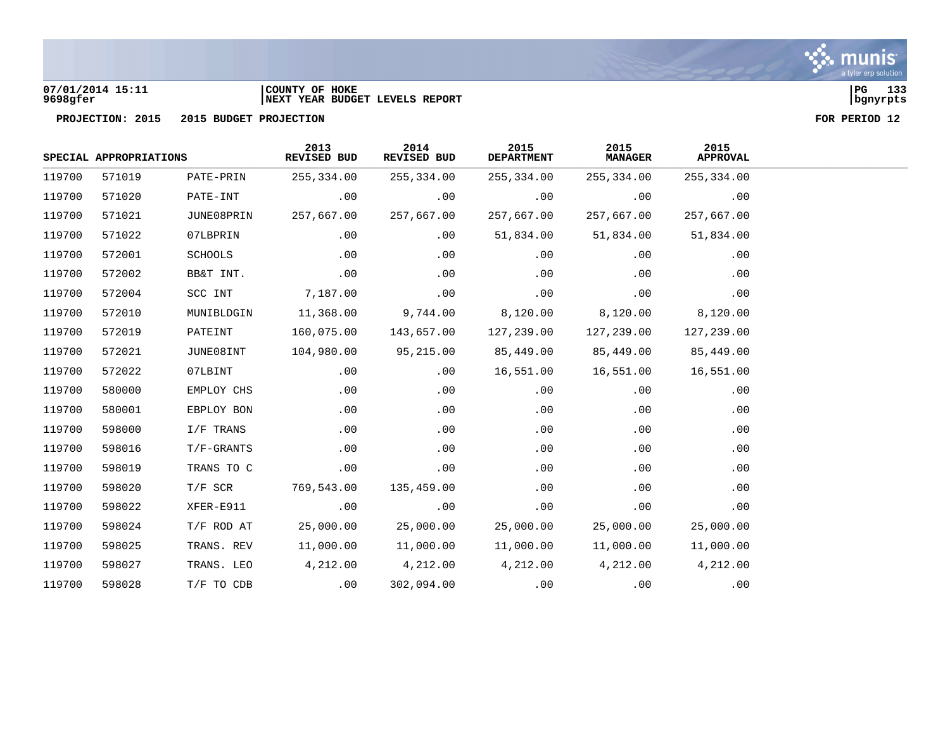

### **07/01/2014 15:11 |COUNTY OF HOKE |PG 133 9698gfer |NEXT YEAR BUDGET LEVELS REPORT |bgnyrpts**



| SPECIAL APPROPRIATIONS |        | 2013<br>REVISED BUD | 2014<br>REVISED BUD | 2015<br><b>DEPARTMENT</b> | 2015<br><b>MANAGER</b> | 2015<br><b>APPROVAL</b> |            |
|------------------------|--------|---------------------|---------------------|---------------------------|------------------------|-------------------------|------------|
| 119700                 | 571019 | PATE-PRIN           | 255,334.00          | 255,334.00                | 255,334.00             | 255,334.00              | 255,334.00 |
| 119700                 | 571020 | PATE-INT            | .00                 | .00                       | .00                    | .00                     | .00        |
| 119700                 | 571021 | JUNE08PRIN          | 257,667.00          | 257,667.00                | 257,667.00             | 257,667.00              | 257,667.00 |
| 119700                 | 571022 | 07LBPRIN            | .00                 | .00                       | 51,834.00              | 51,834.00               | 51,834.00  |
| 119700                 | 572001 | SCHOOLS             | .00                 | .00                       | .00                    | .00                     | .00        |
| 119700                 | 572002 | BB&T INT.           | .00                 | .00                       | .00                    | .00                     | .00        |
| 119700                 | 572004 | SCC INT             | 7,187.00            | .00                       | .00                    | .00                     | .00        |
| 119700                 | 572010 | MUNIBLDGIN          | 11,368.00           | 9,744.00                  | 8,120.00               | 8,120.00                | 8,120.00   |
| 119700                 | 572019 | PATEINT             | 160,075.00          | 143,657.00                | 127,239.00             | 127,239.00              | 127,239.00 |
| 119700                 | 572021 | JUNE08INT           | 104,980.00          | 95,215.00                 | 85,449.00              | 85,449.00               | 85,449.00  |
| 119700                 | 572022 | 07LBINT             | .00                 | .00                       | 16,551.00              | 16,551.00               | 16,551.00  |
| 119700                 | 580000 | EMPLOY CHS          | .00                 | .00                       | .00                    | .00                     | .00        |
| 119700                 | 580001 | EBPLOY BON          | .00                 | .00                       | .00                    | .00                     | .00        |
| 119700                 | 598000 | I/F TRANS           | .00                 | .00                       | .00                    | .00                     | .00        |
| 119700                 | 598016 | $T/F-GRANTS$        | .00                 | .00                       | .00                    | .00                     | .00        |
| 119700                 | 598019 | TRANS TO C          | .00                 | .00                       | .00                    | .00                     | .00        |
| 119700                 | 598020 | $T/F$ SCR           | 769,543.00          | 135,459.00                | .00                    | .00                     | .00        |
| 119700                 | 598022 | XFER-E911           | .00                 | .00                       | .00                    | .00                     | .00        |
| 119700                 | 598024 | $T/F$ ROD AT        | 25,000.00           | 25,000.00                 | 25,000.00              | 25,000.00               | 25,000.00  |
| 119700                 | 598025 | TRANS. REV          | 11,000.00           | 11,000.00                 | 11,000.00              | 11,000.00               | 11,000.00  |
| 119700                 | 598027 | TRANS. LEO          | 4,212.00            | 4,212.00                  | 4,212.00               | 4,212.00                | 4,212.00   |
| 119700                 | 598028 | T/F TO CDB          | .00                 | 302,094.00                | .00                    | .00                     | .00        |